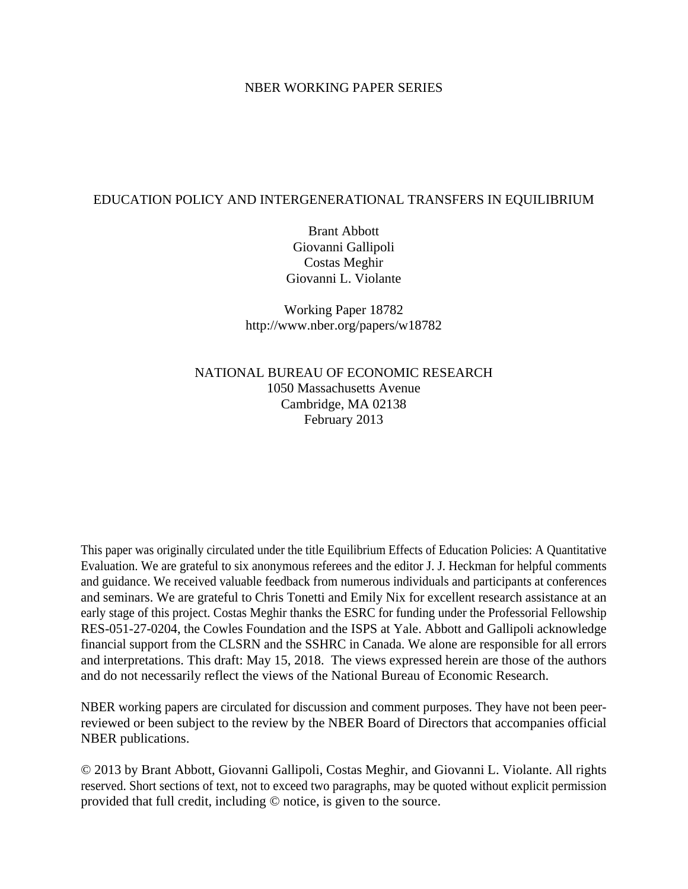#### NBER WORKING PAPER SERIES

#### EDUCATION POLICY AND INTERGENERATIONAL TRANSFERS IN EQUILIBRIUM

Brant Abbott Giovanni Gallipoli Costas Meghir Giovanni L. Violante

Working Paper 18782 http://www.nber.org/papers/w18782

NATIONAL BUREAU OF ECONOMIC RESEARCH 1050 Massachusetts Avenue Cambridge, MA 02138 February 2013

This paper was originally circulated under the title Equilibrium Effects of Education Policies: A Quantitative Evaluation. We are grateful to six anonymous referees and the editor J. J. Heckman for helpful comments and guidance. We received valuable feedback from numerous individuals and participants at conferences and seminars. We are grateful to Chris Tonetti and Emily Nix for excellent research assistance at an early stage of this project. Costas Meghir thanks the ESRC for funding under the Professorial Fellowship RES-051-27-0204, the Cowles Foundation and the ISPS at Yale. Abbott and Gallipoli acknowledge financial support from the CLSRN and the SSHRC in Canada. We alone are responsible for all errors and interpretations. This draft: May 15, 2018. The views expressed herein are those of the authors and do not necessarily reflect the views of the National Bureau of Economic Research.

NBER working papers are circulated for discussion and comment purposes. They have not been peerreviewed or been subject to the review by the NBER Board of Directors that accompanies official NBER publications.

© 2013 by Brant Abbott, Giovanni Gallipoli, Costas Meghir, and Giovanni L. Violante. All rights reserved. Short sections of text, not to exceed two paragraphs, may be quoted without explicit permission provided that full credit, including © notice, is given to the source.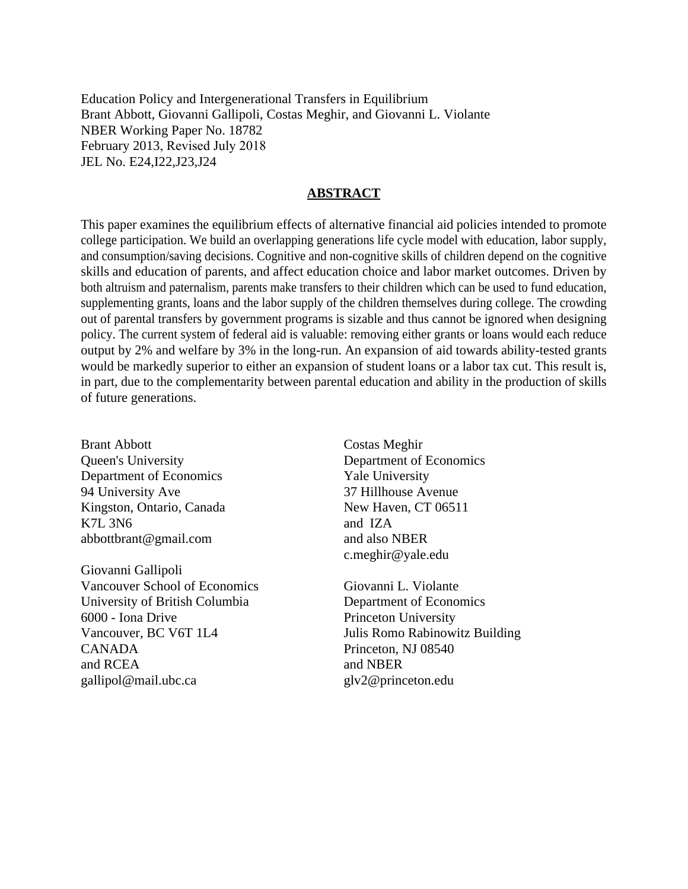Education Policy and Intergenerational Transfers in Equilibrium Brant Abbott, Giovanni Gallipoli, Costas Meghir, and Giovanni L. Violante NBER Working Paper No. 18782 February 2013, Revised July 2018 JEL No. E24,I22,J23,J24

#### **ABSTRACT**

This paper examines the equilibrium effects of alternative financial aid policies intended to promote college participation. We build an overlapping generations life cycle model with education, labor supply, and consumption/saving decisions. Cognitive and non-cognitive skills of children depend on the cognitive skills and education of parents, and affect education choice and labor market outcomes. Driven by both altruism and paternalism, parents make transfers to their children which can be used to fund education, supplementing grants, loans and the labor supply of the children themselves during college. The crowding out of parental transfers by government programs is sizable and thus cannot be ignored when designing policy. The current system of federal aid is valuable: removing either grants or loans would each reduce output by 2% and welfare by 3% in the long-run. An expansion of aid towards ability-tested grants would be markedly superior to either an expansion of student loans or a labor tax cut. This result is, in part, due to the complementarity between parental education and ability in the production of skills of future generations.

Brant Abbott Queen's University Department of Economics 94 University Ave Kingston, Ontario, Canada K7L 3N6 abbottbrant@gmail.com

Giovanni Gallipoli Vancouver School of Economics University of British Columbia 6000 - Iona Drive Vancouver, BC V6T 1L4 CANADA and RCEA gallipol@mail.ubc.ca

Costas Meghir Department of Economics Yale University 37 Hillhouse Avenue New Haven, CT 06511 and IZA and also NBER c.meghir@yale.edu

Giovanni L. Violante Department of Economics Princeton University Julis Romo Rabinowitz Building Princeton, NJ 08540 and NBER glv2@princeton.edu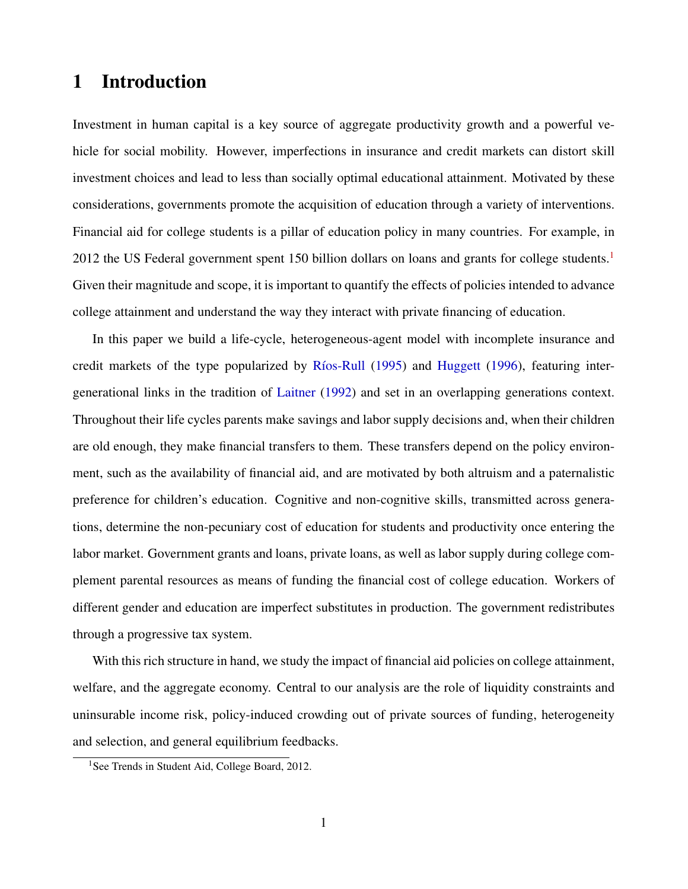# 1 Introduction

Investment in human capital is a key source of aggregate productivity growth and a powerful vehicle for social mobility. However, imperfections in insurance and credit markets can distort skill investment choices and lead to less than socially optimal educational attainment. Motivated by these considerations, governments promote the acquisition of education through a variety of interventions. Financial aid for college students is a pillar of education policy in many countries. For example, in 20[1](#page-2-0)2 the US Federal government spent 150 billion dollars on loans and grants for college students.<sup>1</sup> Given their magnitude and scope, it is important to quantify the effects of policies intended to advance college attainment and understand the way they interact with private financing of education.

In this paper we build a life-cycle, heterogeneous-agent model with incomplete insurance and credit markets of the type popularized by Ríos-Rull [\(1995\)](#page-61-0) and [Huggett](#page-60-0) [\(1996\)](#page-60-0), featuring intergenerational links in the tradition of [Laitner](#page-61-1) [\(1992\)](#page-61-1) and set in an overlapping generations context. Throughout their life cycles parents make savings and labor supply decisions and, when their children are old enough, they make financial transfers to them. These transfers depend on the policy environment, such as the availability of financial aid, and are motivated by both altruism and a paternalistic preference for children's education. Cognitive and non-cognitive skills, transmitted across generations, determine the non-pecuniary cost of education for students and productivity once entering the labor market. Government grants and loans, private loans, as well as labor supply during college complement parental resources as means of funding the financial cost of college education. Workers of different gender and education are imperfect substitutes in production. The government redistributes through a progressive tax system.

With this rich structure in hand, we study the impact of financial aid policies on college attainment, welfare, and the aggregate economy. Central to our analysis are the role of liquidity constraints and uninsurable income risk, policy-induced crowding out of private sources of funding, heterogeneity and selection, and general equilibrium feedbacks.

<span id="page-2-0"></span><sup>&</sup>lt;sup>1</sup>See Trends in Student Aid, College Board, 2012.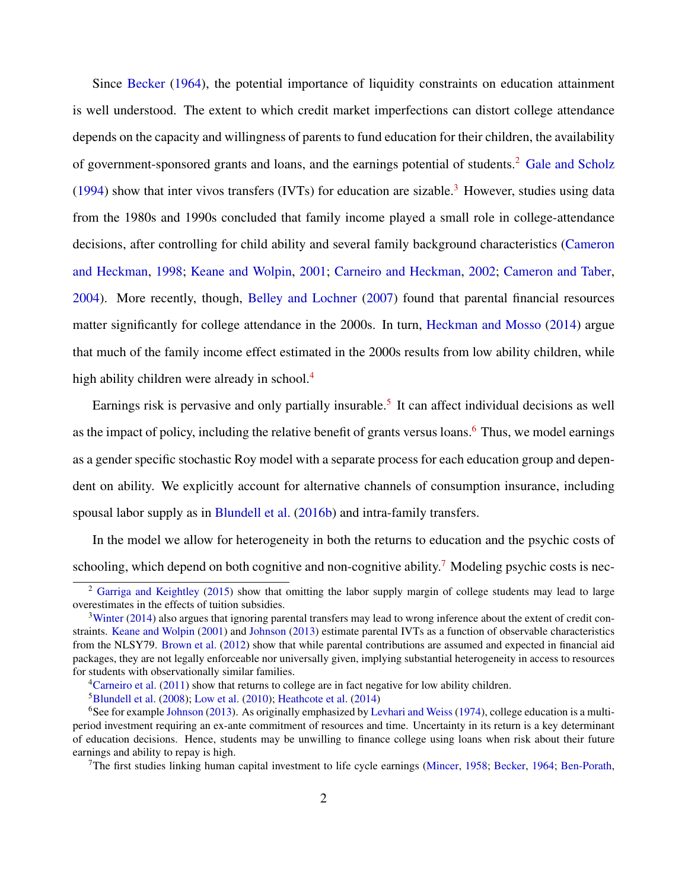Since [Becker](#page-58-0) [\(1964\)](#page-58-0), the potential importance of liquidity constraints on education attainment is well understood. The extent to which credit market imperfections can distort college attendance depends on the capacity and willingness of parents to fund education for their children, the availability of government-sponsored grants and loans, and the earnings potential of students.<sup>[2](#page-3-0)</sup> [Gale and Scholz](#page-59-0) [\(1994\)](#page-59-0) show that inter vivos transfers (IVTs) for education are sizable.<sup>[3](#page-3-1)</sup> However, studies using data from the 1980s and 1990s concluded that family income played a small role in college-attendance decisions, after controlling for child ability and several family background characteristics [\(Cameron](#page-58-1) [and Heckman,](#page-58-1) [1998;](#page-58-1) [Keane and Wolpin,](#page-61-2) [2001;](#page-61-2) [Carneiro and Heckman,](#page-58-2) [2002;](#page-58-2) [Cameron and Taber,](#page-58-3) [2004\)](#page-58-3). More recently, though, [Belley and Lochner](#page-58-4) [\(2007\)](#page-58-4) found that parental financial resources matter significantly for college attendance in the 2000s. In turn, [Heckman and Mosso](#page-60-1) [\(2014\)](#page-60-1) argue that much of the family income effect estimated in the 2000s results from low ability children, while high ability children were already in school.<sup>[4](#page-3-2)</sup>

Earnings risk is pervasive and only partially insurable.<sup>[5](#page-3-3)</sup> It can affect individual decisions as well as the impact of policy, including the relative benefit of grants versus loans.<sup>[6](#page-3-4)</sup> Thus, we model earnings as a gender specific stochastic Roy model with a separate process for each education group and dependent on ability. We explicitly account for alternative channels of consumption insurance, including spousal labor supply as in [Blundell et al.](#page-58-5) [\(2016b\)](#page-58-5) and intra-family transfers.

In the model we allow for heterogeneity in both the returns to education and the psychic costs of schooling, which depend on both cognitive and non-cognitive ability.<sup>[7](#page-3-5)</sup> Modeling psychic costs is nec-

<span id="page-3-0"></span><sup>&</sup>lt;sup>2</sup> [Garriga and Keightley](#page-59-1) [\(2015\)](#page-59-1) show that omitting the labor supply margin of college students may lead to large overestimates in the effects of tuition subsidies.

<span id="page-3-1"></span><sup>&</sup>lt;sup>3</sup>[Winter](#page-62-0) [\(2014\)](#page-62-0) also argues that ignoring parental transfers may lead to wrong inference about the extent of credit constraints. [Keane and Wolpin](#page-61-2) [\(2001\)](#page-61-2) and [Johnson](#page-60-2) [\(2013\)](#page-60-2) estimate parental IVTs as a function of observable characteristics from the NLSY79. [Brown et al.](#page-58-6) [\(2012\)](#page-58-6) show that while parental contributions are assumed and expected in financial aid packages, they are not legally enforceable nor universally given, implying substantial heterogeneity in access to resources for students with observationally similar families.

<span id="page-3-2"></span><sup>4</sup>[Carneiro et al.](#page-58-7) [\(2011\)](#page-58-7) show that returns to college are in fact negative for low ability children.

<span id="page-3-4"></span><span id="page-3-3"></span><sup>5</sup>[Blundell et al.](#page-58-8) [\(2008\)](#page-58-8); [Low et al.](#page-61-3) [\(2010\)](#page-61-3); [Heathcote et al.](#page-60-3) [\(2014\)](#page-60-3)

 $6$ See for example [Johnson](#page-60-2) [\(2013\)](#page-60-2). As originally emphasized by [Levhari and Weiss](#page-61-4) [\(1974\)](#page-61-4), college education is a multiperiod investment requiring an ex-ante commitment of resources and time. Uncertainty in its return is a key determinant of education decisions. Hence, students may be unwilling to finance college using loans when risk about their future earnings and ability to repay is high.

<span id="page-3-5"></span><sup>&</sup>lt;sup>7</sup>The first studies linking human capital investment to life cycle earnings [\(Mincer,](#page-61-5) [1958;](#page-61-5) [Becker,](#page-58-0) [1964;](#page-58-0) [Ben-Porath,](#page-58-9)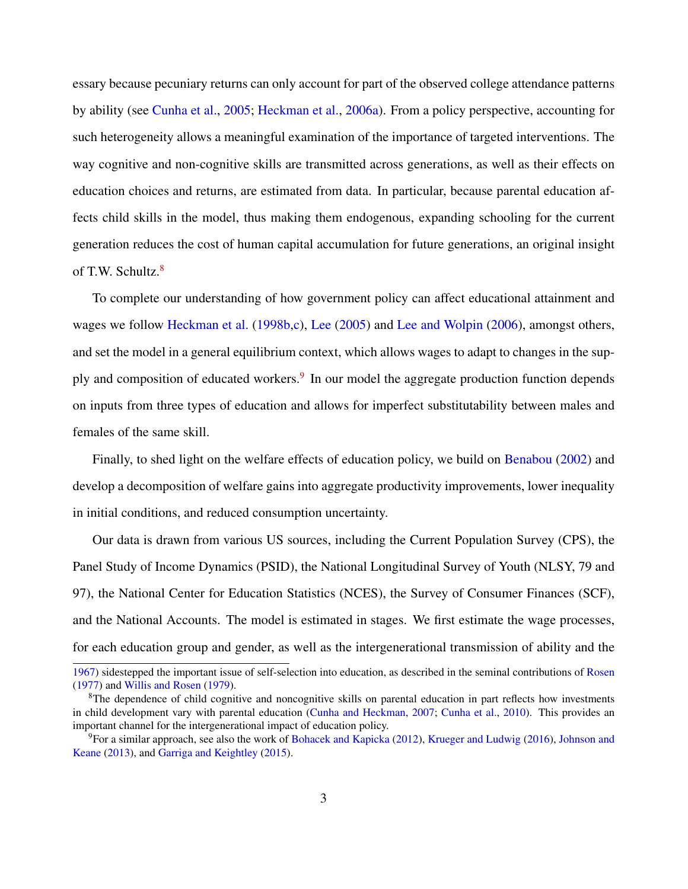essary because pecuniary returns can only account for part of the observed college attendance patterns by ability (see [Cunha et al.,](#page-59-2) [2005;](#page-59-2) [Heckman et al.,](#page-60-4) [2006a\)](#page-60-4). From a policy perspective, accounting for such heterogeneity allows a meaningful examination of the importance of targeted interventions. The way cognitive and non-cognitive skills are transmitted across generations, as well as their effects on education choices and returns, are estimated from data. In particular, because parental education affects child skills in the model, thus making them endogenous, expanding schooling for the current generation reduces the cost of human capital accumulation for future generations, an original insight of T.W. Schultz.<sup>[8](#page-4-0)</sup>

To complete our understanding of how government policy can affect educational attainment and wages we follow [Heckman et al.](#page-60-5) [\(1998b](#page-60-5)[,c\)](#page-60-6), [Lee](#page-61-6) [\(2005\)](#page-61-6) and [Lee and Wolpin](#page-61-7) [\(2006\)](#page-61-7), amongst others, and set the model in a general equilibrium context, which allows wages to adapt to changes in the sup-ply and composition of educated workers.<sup>[9](#page-4-1)</sup> In our model the aggregate production function depends on inputs from three types of education and allows for imperfect substitutability between males and females of the same skill.

Finally, to shed light on the welfare effects of education policy, we build on [Benabou](#page-58-10) [\(2002\)](#page-58-10) and develop a decomposition of welfare gains into aggregate productivity improvements, lower inequality in initial conditions, and reduced consumption uncertainty.

Our data is drawn from various US sources, including the Current Population Survey (CPS), the Panel Study of Income Dynamics (PSID), the National Longitudinal Survey of Youth (NLSY, 79 and 97), the National Center for Education Statistics (NCES), the Survey of Consumer Finances (SCF), and the National Accounts. The model is estimated in stages. We first estimate the wage processes, for each education group and gender, as well as the intergenerational transmission of ability and the

[<sup>1967\)</sup>](#page-58-9) sidestepped the important issue of self-selection into education, as described in the seminal contributions of [Rosen](#page-61-8) [\(1977\)](#page-61-8) and [Willis and Rosen](#page-62-1) [\(1979\)](#page-62-1).

<span id="page-4-0"></span><sup>&</sup>lt;sup>8</sup>The dependence of child cognitive and noncognitive skills on parental education in part reflects how investments in child development vary with parental education [\(Cunha and Heckman,](#page-59-3) [2007;](#page-59-3) [Cunha et al.,](#page-59-4) [2010\)](#page-59-4). This provides an important channel for the intergenerational impact of education policy.

<span id="page-4-1"></span> $9$ For a similar approach, see also the work of [Bohacek and Kapicka](#page-58-11) [\(2012\)](#page-58-11), [Krueger and Ludwig](#page-61-9) [\(2016\)](#page-61-9), [Johnson and](#page-60-7) [Keane](#page-60-7) [\(2013\)](#page-60-7), and [Garriga and Keightley](#page-59-1) [\(2015\)](#page-59-1).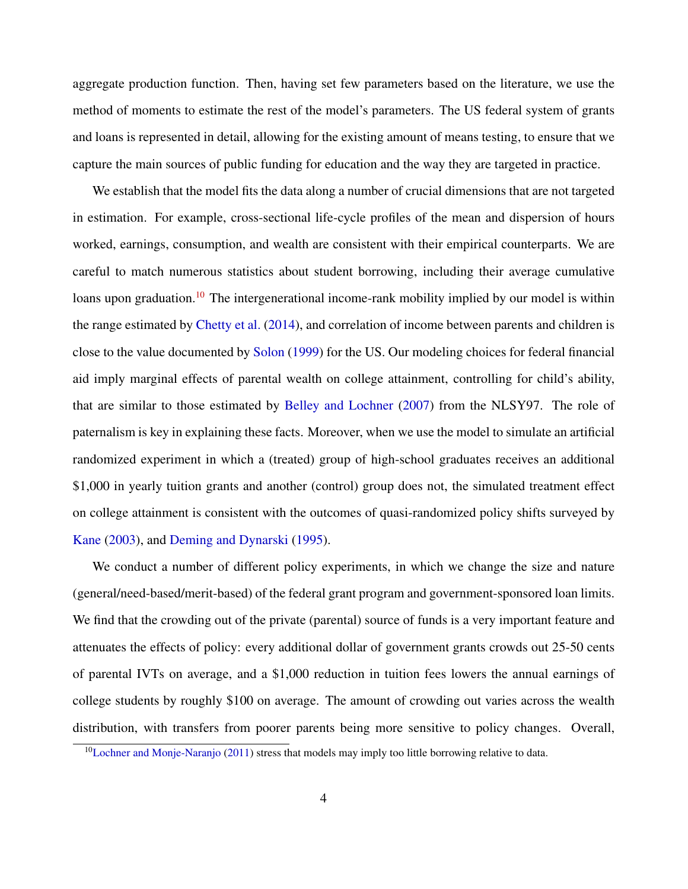aggregate production function. Then, having set few parameters based on the literature, we use the method of moments to estimate the rest of the model's parameters. The US federal system of grants and loans is represented in detail, allowing for the existing amount of means testing, to ensure that we capture the main sources of public funding for education and the way they are targeted in practice.

We establish that the model fits the data along a number of crucial dimensions that are not targeted in estimation. For example, cross-sectional life-cycle profiles of the mean and dispersion of hours worked, earnings, consumption, and wealth are consistent with their empirical counterparts. We are careful to match numerous statistics about student borrowing, including their average cumulative loans upon graduation.<sup>[10](#page-5-0)</sup> The intergenerational income-rank mobility implied by our model is within the range estimated by [Chetty et al.](#page-59-5) [\(2014\)](#page-59-5), and correlation of income between parents and children is close to the value documented by [Solon](#page-61-10) [\(1999\)](#page-61-10) for the US. Our modeling choices for federal financial aid imply marginal effects of parental wealth on college attainment, controlling for child's ability, that are similar to those estimated by [Belley and Lochner](#page-58-4) [\(2007\)](#page-58-4) from the NLSY97. The role of paternalism is key in explaining these facts. Moreover, when we use the model to simulate an artificial randomized experiment in which a (treated) group of high-school graduates receives an additional \$1,000 in yearly tuition grants and another (control) group does not, the simulated treatment effect on college attainment is consistent with the outcomes of quasi-randomized policy shifts surveyed by [Kane](#page-60-8) [\(2003\)](#page-60-8), and [Deming and Dynarski](#page-59-6) [\(1995\)](#page-59-6).

We conduct a number of different policy experiments, in which we change the size and nature (general/need-based/merit-based) of the federal grant program and government-sponsored loan limits. We find that the crowding out of the private (parental) source of funds is a very important feature and attenuates the effects of policy: every additional dollar of government grants crowds out 25-50 cents of parental IVTs on average, and a \$1,000 reduction in tuition fees lowers the annual earnings of college students by roughly \$100 on average. The amount of crowding out varies across the wealth distribution, with transfers from poorer parents being more sensitive to policy changes. Overall,

<span id="page-5-0"></span><sup>&</sup>lt;sup>10</sup>[Lochner and Monje-Naranjo](#page-61-11) [\(2011\)](#page-61-11) stress that models may imply too little borrowing relative to data.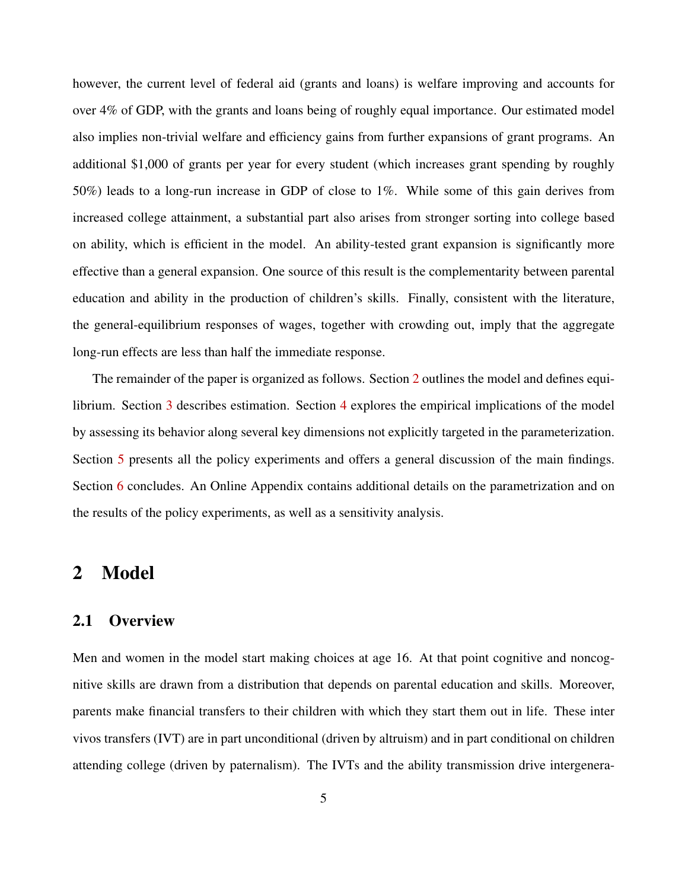however, the current level of federal aid (grants and loans) is welfare improving and accounts for over 4% of GDP, with the grants and loans being of roughly equal importance. Our estimated model also implies non-trivial welfare and efficiency gains from further expansions of grant programs. An additional \$1,000 of grants per year for every student (which increases grant spending by roughly 50%) leads to a long-run increase in GDP of close to 1%. While some of this gain derives from increased college attainment, a substantial part also arises from stronger sorting into college based on ability, which is efficient in the model. An ability-tested grant expansion is significantly more effective than a general expansion. One source of this result is the complementarity between parental education and ability in the production of children's skills. Finally, consistent with the literature, the general-equilibrium responses of wages, together with crowding out, imply that the aggregate long-run effects are less than half the immediate response.

The remainder of the paper is organized as follows. Section [2](#page-6-0) outlines the model and defines equilibrium. Section [3](#page-23-0) describes estimation. Section [4](#page-32-0) explores the empirical implications of the model by assessing its behavior along several key dimensions not explicitly targeted in the parameterization. Section [5](#page-41-0) presents all the policy experiments and offers a general discussion of the main findings. Section [6](#page-56-0) concludes. An Online Appendix contains additional details on the parametrization and on the results of the policy experiments, as well as a sensitivity analysis.

# <span id="page-6-0"></span>2 Model

### 2.1 Overview

Men and women in the model start making choices at age 16. At that point cognitive and noncognitive skills are drawn from a distribution that depends on parental education and skills. Moreover, parents make financial transfers to their children with which they start them out in life. These inter vivos transfers (IVT) are in part unconditional (driven by altruism) and in part conditional on children attending college (driven by paternalism). The IVTs and the ability transmission drive intergenera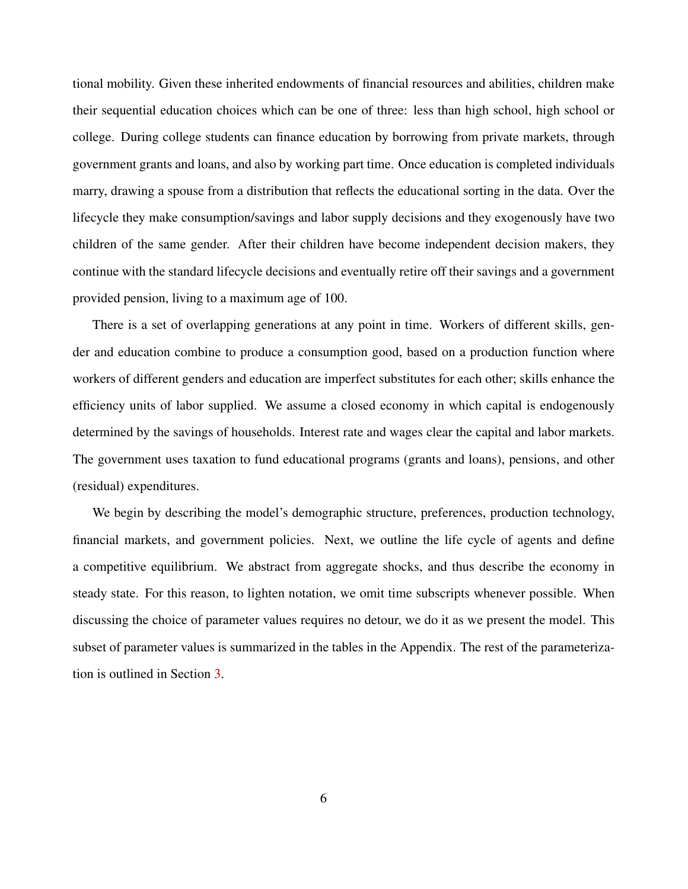tional mobility. Given these inherited endowments of financial resources and abilities, children make their sequential education choices which can be one of three: less than high school, high school or college. During college students can finance education by borrowing from private markets, through government grants and loans, and also by working part time. Once education is completed individuals marry, drawing a spouse from a distribution that reflects the educational sorting in the data. Over the lifecycle they make consumption/savings and labor supply decisions and they exogenously have two children of the same gender. After their children have become independent decision makers, they continue with the standard lifecycle decisions and eventually retire off their savings and a government provided pension, living to a maximum age of 100.

There is a set of overlapping generations at any point in time. Workers of different skills, gender and education combine to produce a consumption good, based on a production function where workers of different genders and education are imperfect substitutes for each other; skills enhance the efficiency units of labor supplied. We assume a closed economy in which capital is endogenously determined by the savings of households. Interest rate and wages clear the capital and labor markets. The government uses taxation to fund educational programs (grants and loans), pensions, and other (residual) expenditures.

We begin by describing the model's demographic structure, preferences, production technology, financial markets, and government policies. Next, we outline the life cycle of agents and define a competitive equilibrium. We abstract from aggregate shocks, and thus describe the economy in steady state. For this reason, to lighten notation, we omit time subscripts whenever possible. When discussing the choice of parameter values requires no detour, we do it as we present the model. This subset of parameter values is summarized in the tables in the Appendix. The rest of the parameterization is outlined in Section [3.](#page-23-0)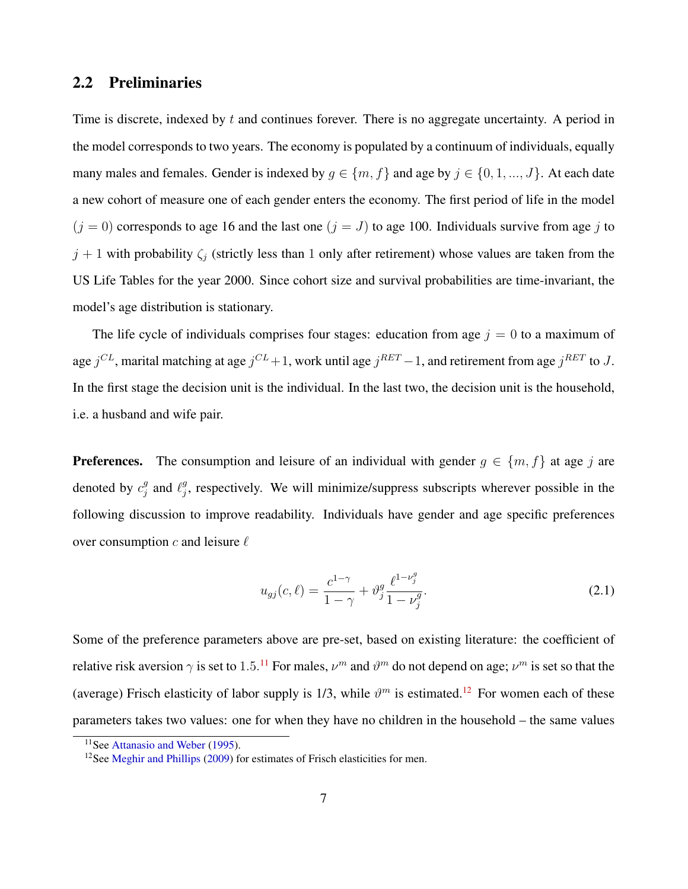# <span id="page-8-2"></span>2.2 Preliminaries

Time is discrete, indexed by  $t$  and continues forever. There is no aggregate uncertainty. A period in the model corresponds to two years. The economy is populated by a continuum of individuals, equally many males and females. Gender is indexed by  $g \in \{m, f\}$  and age by  $j \in \{0, 1, ..., J\}$ . At each date a new cohort of measure one of each gender enters the economy. The first period of life in the model  $(j = 0)$  corresponds to age 16 and the last one  $(j = J)$  to age 100. Individuals survive from age j to  $j + 1$  with probability  $\zeta_j$  (strictly less than 1 only after retirement) whose values are taken from the US Life Tables for the year 2000. Since cohort size and survival probabilities are time-invariant, the model's age distribution is stationary.

The life cycle of individuals comprises four stages: education from age  $j = 0$  to a maximum of age  $j^{CL}$ , marital matching at age  $j^{CL}+1$ , work until age  $j^{RET}-1$ , and retirement from age  $j^{RET}$  to J. In the first stage the decision unit is the individual. In the last two, the decision unit is the household, i.e. a husband and wife pair.

**Preferences.** The consumption and leisure of an individual with gender  $g \in \{m, f\}$  at age j are denoted by  $c_j^g$  $\int_j^g$  and  $\ell_j^g$  $j$ , respectively. We will minimize/suppress subscripts wherever possible in the following discussion to improve readability. Individuals have gender and age specific preferences over consumption c and leisure  $\ell$ 

$$
u_{gj}(c,\ell) = \frac{c^{1-\gamma}}{1-\gamma} + \vartheta_j^g \frac{\ell^{1-\nu_j^g}}{1-\nu_j^g}.
$$
\n(2.1)

Some of the preference parameters above are pre-set, based on existing literature: the coefficient of relative risk aversion  $\gamma$  is set to 1.5.<sup>[11](#page-8-0)</sup> For males,  $\nu^m$  and  $\vartheta^m$  do not depend on age;  $\nu^m$  is set so that the (average) Frisch elasticity of labor supply is 1/3, while  $\vartheta^m$  is estimated.<sup>[12](#page-8-1)</sup> For women each of these parameters takes two values: one for when they have no children in the household – the same values

<span id="page-8-0"></span><sup>&</sup>lt;sup>11</sup>See [Attanasio and Weber](#page-58-12) [\(1995\)](#page-58-12).

<span id="page-8-1"></span><sup>&</sup>lt;sup>12</sup>See [Meghir and Phillips](#page-61-12) [\(2009\)](#page-61-12) for estimates of Frisch elasticities for men.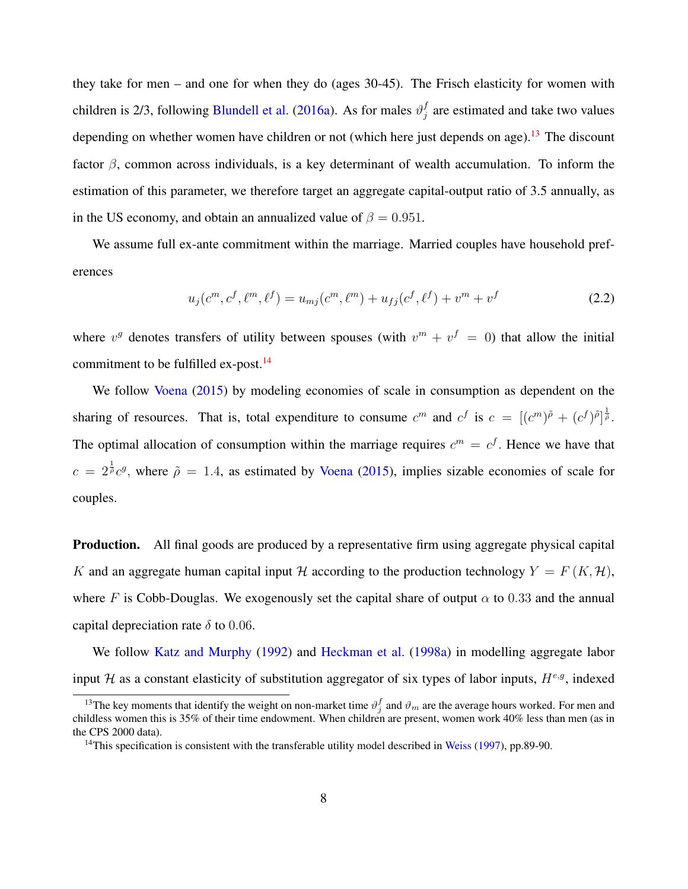they take for men – and one for when they do (ages 30-45). The Frisch elasticity for women with children is 2/3, following [Blundell et al.](#page-58-13) [\(2016a\)](#page-58-13). As for males  $\vartheta_i^f$  $j$  are estimated and take two values depending on whether women have children or not (which here just depends on age).<sup>[13](#page-9-0)</sup> The discount factor  $\beta$ , common across individuals, is a key determinant of wealth accumulation. To inform the estimation of this parameter, we therefore target an aggregate capital-output ratio of 3.5 annually, as in the US economy, and obtain an annualized value of  $\beta = 0.951$ .

We assume full ex-ante commitment within the marriage. Married couples have household preferences

$$
u_j(c^m, c^f, \ell^m, \ell^f) = u_{mj}(c^m, \ell^m) + u_{fj}(c^f, \ell^f) + v^m + v^f \tag{2.2}
$$

where  $v^g$  denotes transfers of utility between spouses (with  $v^m + v^f = 0$ ) that allow the initial commitment to be fulfilled ex-post.<sup>[14](#page-9-1)</sup>

We follow [Voena](#page-61-13) [\(2015\)](#page-61-13) by modeling economies of scale in consumption as dependent on the sharing of resources. That is, total expenditure to consume  $c^m$  and  $c^f$  is  $c = [(c^m)\tilde{p} + (c^f)\tilde{p}]^{\frac{1}{p}}$ . The optimal allocation of consumption within the marriage requires  $c^m = c^f$ . Hence we have that  $c = 2^{\frac{1}{\rho}}c^g$ , where  $\tilde{\rho} = 1.4$ , as estimated by [Voena](#page-61-13) [\(2015\)](#page-61-13), implies sizable economies of scale for couples.

**Production.** All final goods are produced by a representative firm using aggregate physical capital K and an aggregate human capital input H according to the production technology  $Y = F(K, \mathcal{H})$ , where F is Cobb-Douglas. We exogenously set the capital share of output  $\alpha$  to 0.33 and the annual capital depreciation rate  $\delta$  to 0.06.

We follow [Katz and Murphy](#page-60-9) [\(1992\)](#page-60-9) and [Heckman et al.](#page-60-10) [\(1998a\)](#page-60-10) in modelling aggregate labor input H as a constant elasticity of substitution aggregator of six types of labor inputs,  $H^{e,g}$ , indexed

<span id="page-9-0"></span><sup>&</sup>lt;sup>13</sup>The key moments that identify the weight on non-market time  $\vartheta_j^f$  and  $\vartheta_m$  are the average hours worked. For men and childless women this is 35% of their time endowment. When children are present, women work 40% less than men (as in the CPS 2000 data).

<span id="page-9-1"></span><sup>&</sup>lt;sup>14</sup>This specification is consistent with the transferable utility model described in [Weiss](#page-61-14) [\(1997\)](#page-61-14), pp.89-90.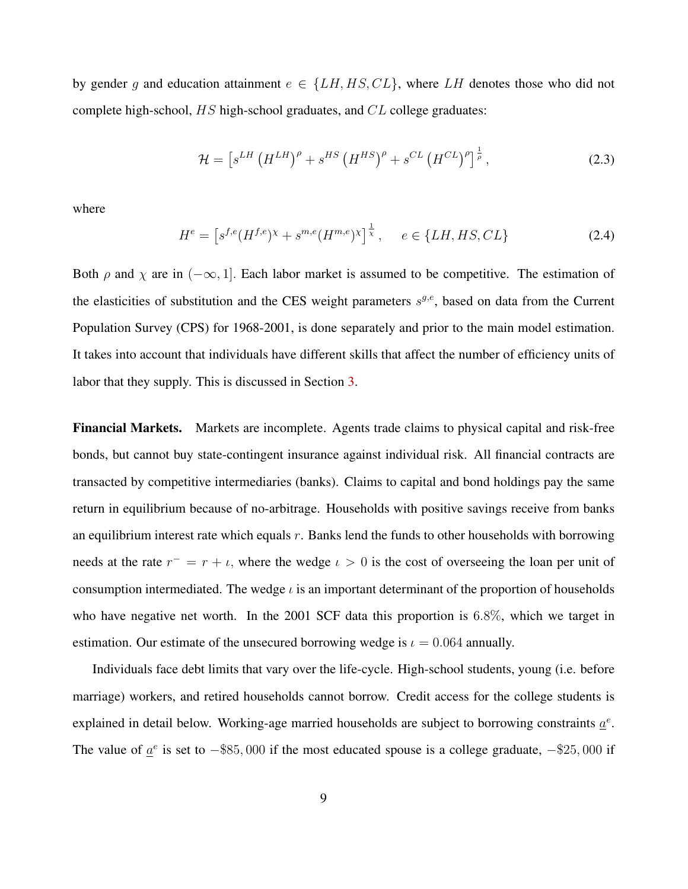by gender g and education attainment  $e \in \{LH, HS, CL\}$ , where LH denotes those who did not complete high-school, HS high-school graduates, and CL college graduates:

<span id="page-10-0"></span>
$$
\mathcal{H} = \left[ s^{LH} \left( H^{LH} \right)^{\rho} + s^{HS} \left( H^{HS} \right)^{\rho} + s^{CL} \left( H^{CL} \right)^{\rho} \right]^{\frac{1}{\rho}},\tag{2.3}
$$

where

<span id="page-10-1"></span>
$$
H^{e} = \left[ s^{f,e}(H^{f,e})^{\chi} + s^{m,e}(H^{m,e})^{\chi} \right]^{\frac{1}{\chi}}, \quad e \in \{LH, HS, CL\}
$$
 (2.4)

Both  $\rho$  and  $\chi$  are in  $(-\infty, 1]$ . Each labor market is assumed to be competitive. The estimation of the elasticities of substitution and the CES weight parameters  $s^{g,e}$ , based on data from the Current Population Survey (CPS) for 1968-2001, is done separately and prior to the main model estimation. It takes into account that individuals have different skills that affect the number of efficiency units of labor that they supply. This is discussed in Section [3.](#page-23-0)

Financial Markets. Markets are incomplete. Agents trade claims to physical capital and risk-free bonds, but cannot buy state-contingent insurance against individual risk. All financial contracts are transacted by competitive intermediaries (banks). Claims to capital and bond holdings pay the same return in equilibrium because of no-arbitrage. Households with positive savings receive from banks an equilibrium interest rate which equals  $r$ . Banks lend the funds to other households with borrowing needs at the rate  $r^- = r + \iota$ , where the wedge  $\iota > 0$  is the cost of overseeing the loan per unit of consumption intermediated. The wedge  $\iota$  is an important determinant of the proportion of households who have negative net worth. In the 2001 SCF data this proportion is 6.8%, which we target in estimation. Our estimate of the unsecured borrowing wedge is  $\iota = 0.064$  annually.

Individuals face debt limits that vary over the life-cycle. High-school students, young (i.e. before marriage) workers, and retired households cannot borrow. Credit access for the college students is explained in detail below. Working-age married households are subject to borrowing constraints  $\underline{a}^e$ . The value of  $\underline{a}^e$  is set to  $-\$85,000$  if the most educated spouse is a college graduate,  $-\$25,000$  if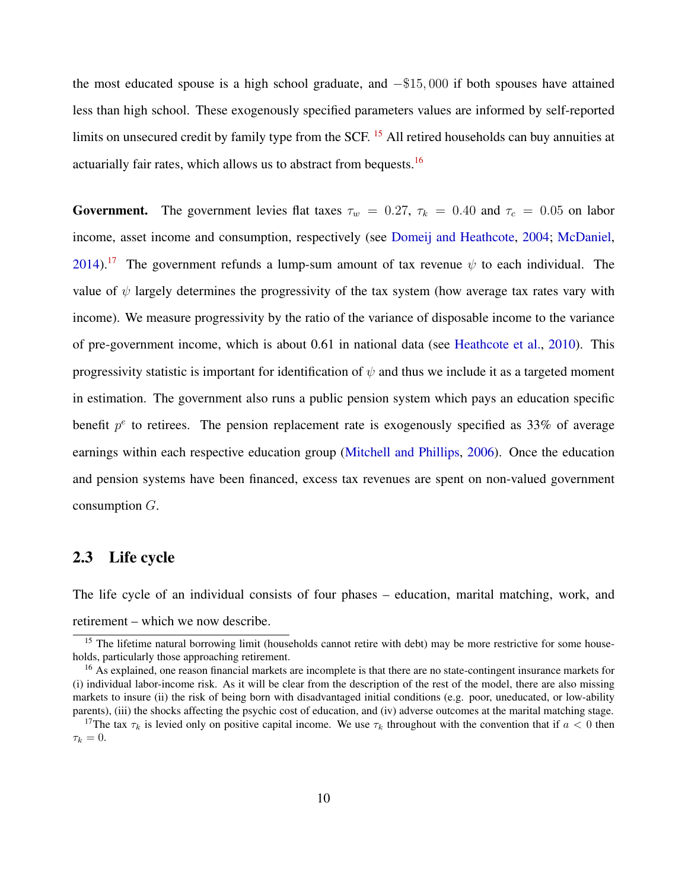the most educated spouse is a high school graduate, and −\$15, 000 if both spouses have attained less than high school. These exogenously specified parameters values are informed by self-reported limits on unsecured credit by family type from the SCF. <sup>[15](#page-11-0)</sup> All retired households can buy annuities at actuarially fair rates, which allows us to abstract from bequests.<sup>[16](#page-11-1)</sup>

Government. The government levies flat taxes  $\tau_w = 0.27$ ,  $\tau_k = 0.40$  and  $\tau_c = 0.05$  on labor income, asset income and consumption, respectively (see [Domeij and Heathcote,](#page-59-7) [2004;](#page-59-7) [McDaniel,](#page-61-15) [2014\)](#page-61-15).<sup>[17](#page-11-2)</sup> The government refunds a lump-sum amount of tax revenue  $\psi$  to each individual. The value of  $\psi$  largely determines the progressivity of the tax system (how average tax rates vary with income). We measure progressivity by the ratio of the variance of disposable income to the variance of pre-government income, which is about 0.61 in national data (see [Heathcote et al.,](#page-60-11) [2010\)](#page-60-11). This progressivity statistic is important for identification of  $\psi$  and thus we include it as a targeted moment in estimation. The government also runs a public pension system which pays an education specific benefit  $p^e$  to retirees. The pension replacement rate is exogenously specified as 33% of average earnings within each respective education group [\(Mitchell and Phillips,](#page-61-16) [2006\)](#page-61-16). Once the education and pension systems have been financed, excess tax revenues are spent on non-valued government consumption G.

# 2.3 Life cycle

The life cycle of an individual consists of four phases – education, marital matching, work, and retirement – which we now describe.

<span id="page-11-0"></span> $15$  The lifetime natural borrowing limit (households cannot retire with debt) may be more restrictive for some households, particularly those approaching retirement.

<span id="page-11-1"></span><sup>&</sup>lt;sup>16</sup> As explained, one reason financial markets are incomplete is that there are no state-contingent insurance markets for (i) individual labor-income risk. As it will be clear from the description of the rest of the model, there are also missing markets to insure (ii) the risk of being born with disadvantaged initial conditions (e.g. poor, uneducated, or low-ability parents), (iii) the shocks affecting the psychic cost of education, and (iv) adverse outcomes at the marital matching stage.

<span id="page-11-2"></span><sup>&</sup>lt;sup>17</sup>The tax  $\tau_k$  is levied only on positive capital income. We use  $\tau_k$  throughout with the convention that if  $a < 0$  then  $\tau_k = 0.$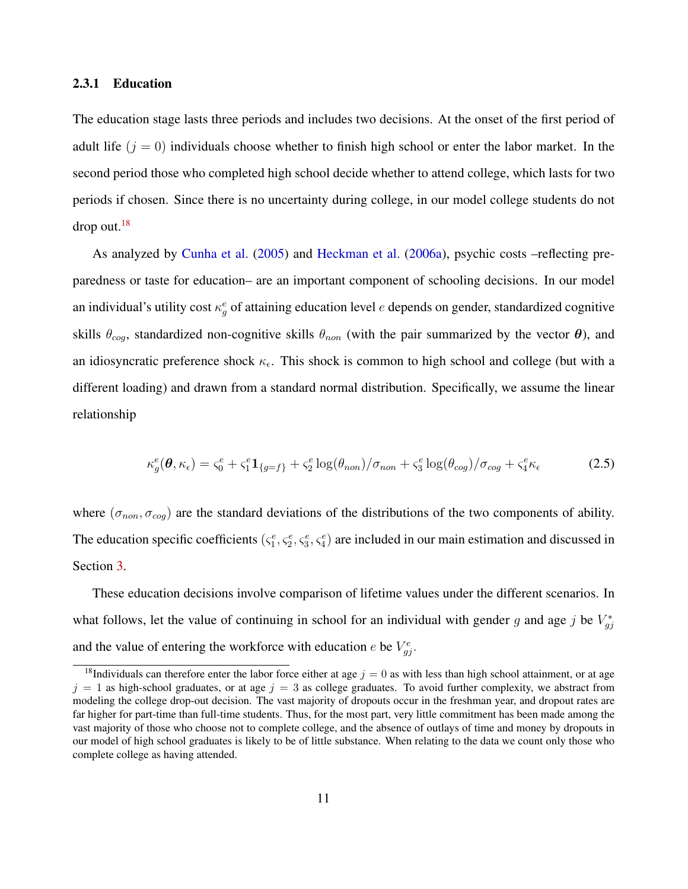#### 2.3.1 Education

The education stage lasts three periods and includes two decisions. At the onset of the first period of adult life  $(j = 0)$  individuals choose whether to finish high school or enter the labor market. In the second period those who completed high school decide whether to attend college, which lasts for two periods if chosen. Since there is no uncertainty during college, in our model college students do not drop out.[18](#page-12-0)

As analyzed by [Cunha et al.](#page-59-2) [\(2005\)](#page-59-2) and [Heckman et al.](#page-60-4) [\(2006a\)](#page-60-4), psychic costs –reflecting preparedness or taste for education– are an important component of schooling decisions. In our model an individual's utility cost  $\kappa_g^e$  of attaining education level e depends on gender, standardized cognitive skills  $\theta_{coq}$ , standardized non-cognitive skills  $\theta_{non}$  (with the pair summarized by the vector  $\theta$ ), and an idiosyncratic preference shock  $\kappa_{\epsilon}$ . This shock is common to high school and college (but with a different loading) and drawn from a standard normal distribution. Specifically, we assume the linear relationship

$$
\kappa_g^e(\boldsymbol{\theta}, \kappa_\epsilon) = \varsigma_0^e + \varsigma_1^e \mathbf{1}_{\{g=f\}} + \varsigma_2^e \log(\theta_{non})/\sigma_{non} + \varsigma_3^e \log(\theta_{cog})/\sigma_{cog} + \varsigma_4^e \kappa_\epsilon \tag{2.5}
$$

where  $(\sigma_{non}, \sigma_{cog})$  are the standard deviations of the distributions of the two components of ability. The education specific coefficients  $(c_1^e, c_2^e, c_3^e, c_4^e)$  are included in our main estimation and discussed in Section [3.](#page-23-0)

These education decisions involve comparison of lifetime values under the different scenarios. In what follows, let the value of continuing in school for an individual with gender g and age j be  $V_{gj}^*$ and the value of entering the workforce with education  $e$  be  $V_{gj}^e$ .

<span id="page-12-0"></span><sup>&</sup>lt;sup>18</sup>Individuals can therefore enter the labor force either at age  $j = 0$  as with less than high school attainment, or at age  $j = 1$  as high-school graduates, or at age  $j = 3$  as college graduates. To avoid further complexity, we abstract from modeling the college drop-out decision. The vast majority of dropouts occur in the freshman year, and dropout rates are far higher for part-time than full-time students. Thus, for the most part, very little commitment has been made among the vast majority of those who choose not to complete college, and the absence of outlays of time and money by dropouts in our model of high school graduates is likely to be of little substance. When relating to the data we count only those who complete college as having attended.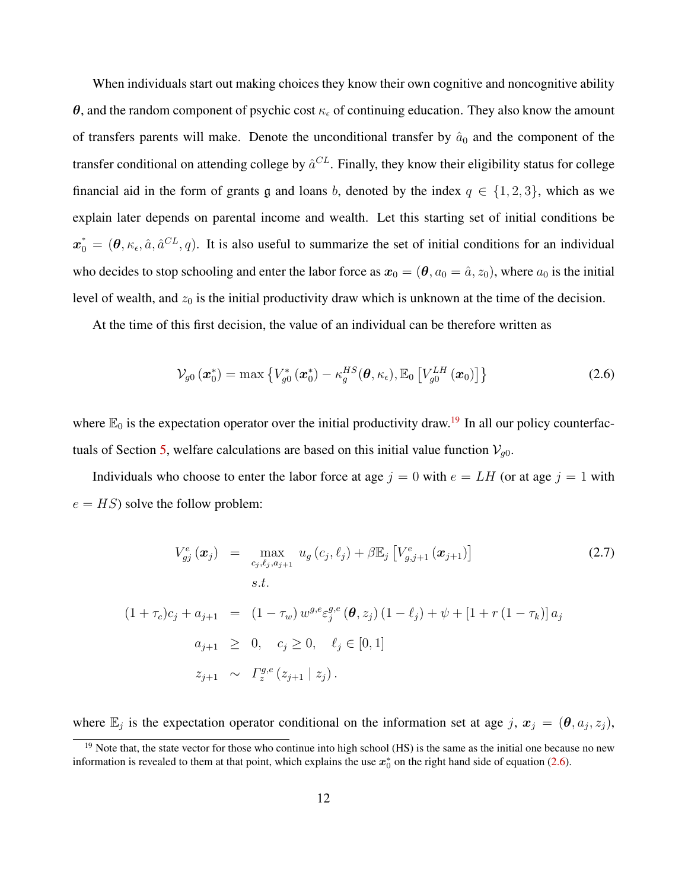When individuals start out making choices they know their own cognitive and noncognitive ability  $\theta$ , and the random component of psychic cost  $\kappa_{\epsilon}$  of continuing education. They also know the amount of transfers parents will make. Denote the unconditional transfer by  $\hat{a}_0$  and the component of the transfer conditional on attending college by  $\hat{a}^{CL}$ . Finally, they know their eligibility status for college financial aid in the form of grants g and loans b, denoted by the index  $q \in \{1,2,3\}$ , which as we explain later depends on parental income and wealth. Let this starting set of initial conditions be  $x_0^* = (\theta, \kappa_\epsilon, \hat{a}, \hat{a}^{CL}, q)$ . It is also useful to summarize the set of initial conditions for an individual who decides to stop schooling and enter the labor force as  $x_0 = (\theta, a_0 = \hat{a}, z_0)$ , where  $a_0$  is the initial level of wealth, and  $z_0$  is the initial productivity draw which is unknown at the time of the decision.

At the time of this first decision, the value of an individual can be therefore written as

<span id="page-13-1"></span>
$$
\mathcal{V}_{g0}\left(\boldsymbol{x}_{0}^{*}\right)=\max\left\{V_{g0}^{*}\left(\boldsymbol{x}_{0}^{*}\right)-\kappa_{g}^{HS}(\boldsymbol{\theta},\kappa_{\epsilon}),\mathbb{E}_{0}\left[V_{g0}^{LH}\left(\boldsymbol{x}_{0}\right)\right]\right\}\tag{2.6}
$$

where  $\mathbb{E}_0$  is the expectation operator over the initial productivity draw.<sup>[19](#page-13-0)</sup> In all our policy counterfac-tuals of Section [5,](#page-41-0) welfare calculations are based on this initial value function  $V_{q0}$ .

Individuals who choose to enter the labor force at age  $j = 0$  with  $e = LH$  (or at age  $j = 1$  with  $e = HS$ ) solve the follow problem:

<span id="page-13-2"></span>
$$
V_{gj}^{e}(\boldsymbol{x}_{j}) = \max_{c_{j}, \ell_{j}, a_{j+1}} u_{g}(c_{j}, \ell_{j}) + \beta \mathbb{E}_{j} \left[ V_{g,j+1}^{e}(\boldsymbol{x}_{j+1}) \right]
$$
(2.7)  
s.t.  

$$
(1 + \tau_{c})c_{j} + a_{j+1} = (1 - \tau_{w}) w^{g,e} \varepsilon_{j}^{g,e}(\boldsymbol{\theta}, z_{j}) (1 - \ell_{j}) + \psi + [1 + r (1 - \tau_{k})] a_{j}
$$

$$
a_{j+1} \geq 0, \quad c_{j} \geq 0, \quad \ell_{j} \in [0, 1]
$$

$$
z_{j+1} \sim \Gamma_{z}^{g,e}(z_{j+1} | z_{j}).
$$

where  $\mathbb{E}_j$  is the expectation operator conditional on the information set at age j,  $\mathbf{x}_j = (\theta, a_j, z_j)$ ,

<span id="page-13-0"></span> $19$  Note that, the state vector for those who continue into high school (HS) is the same as the initial one because no new information is revealed to them at that point, which explains the use  $x_0^*$  on the right hand side of equation [\(2.6\)](#page-13-1).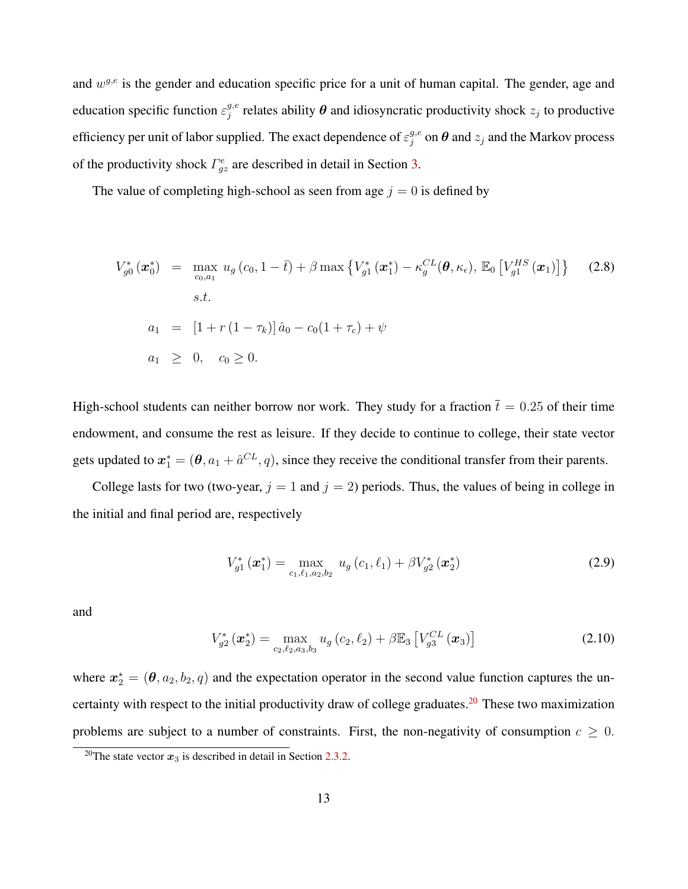and  $w^{g,e}$  is the gender and education specific price for a unit of human capital. The gender, age and education specific function  $\varepsilon_j^{g,e}$  $j^{g,e}$  relates ability  $\theta$  and idiosyncratic productivity shock  $z_j$  to productive efficiency per unit of labor supplied. The exact dependence of  $\varepsilon_i^{g,e}$  $_j^{g,e}$  on  $\boldsymbol{\theta}$  and  $z_j$  and the Markov process of the productivity shock  $\Gamma_{gz}^e$  are described in detail in Section [3.](#page-23-0)

The value of completing high-school as seen from age  $j = 0$  is defined by

<span id="page-14-1"></span>
$$
V_{g0}^* (\boldsymbol{x}_0^*) = \max_{c_0, a_1} u_g(c_0, 1 - \bar{t}) + \beta \max \left\{ V_{g1}^* (\boldsymbol{x}_1^*) - \kappa_g^{CL} (\boldsymbol{\theta}, \kappa_\epsilon), \mathbb{E}_0 \left[ V_{g1}^{HS} (\boldsymbol{x}_1) \right] \right\} \quad (2.8)
$$
  
s.t.  

$$
a_1 = [1 + r (1 - \tau_k)] \hat{a}_0 - c_0 (1 + \tau_c) + \psi
$$
  

$$
a_1 \geq 0, \quad c_0 \geq 0.
$$

High-school students can neither borrow nor work. They study for a fraction  $\bar{t} = 0.25$  of their time endowment, and consume the rest as leisure. If they decide to continue to college, their state vector gets updated to  $x_1^* = (\theta, a_1 + \hat{a}^{CL}, q)$ , since they receive the conditional transfer from their parents.

College lasts for two (two-year,  $j = 1$  and  $j = 2$ ) periods. Thus, the values of being in college in the initial and final period are, respectively

$$
V_{g1}^* \left( \boldsymbol{x}_1^* \right) = \max_{c_1, \ell_1, a_2, b_2} u_g \left( c_1, \ell_1 \right) + \beta V_{g2}^* \left( \boldsymbol{x}_2^* \right) \tag{2.9}
$$

and

$$
V_{g2}^{*}(\boldsymbol{x}_{2}^{*}) = \max_{c_{2}, \ell_{2}, a_{3}, b_{3}} u_{g}(c_{2}, \ell_{2}) + \beta \mathbb{E}_{3} \left[ V_{g3}^{CL}(\boldsymbol{x}_{3}) \right]
$$
(2.10)

where  $x_2^* = (\theta, a_2, b_2, q)$  and the expectation operator in the second value function captures the un-certainty with respect to the initial productivity draw of college graduates.<sup>[20](#page-14-0)</sup> These two maximization problems are subject to a number of constraints. First, the non-negativity of consumption  $c \geq 0$ .

<span id="page-14-0"></span><sup>&</sup>lt;sup>20</sup>The state vector  $x_3$  is described in detail in Section [2.3.2.](#page-18-0)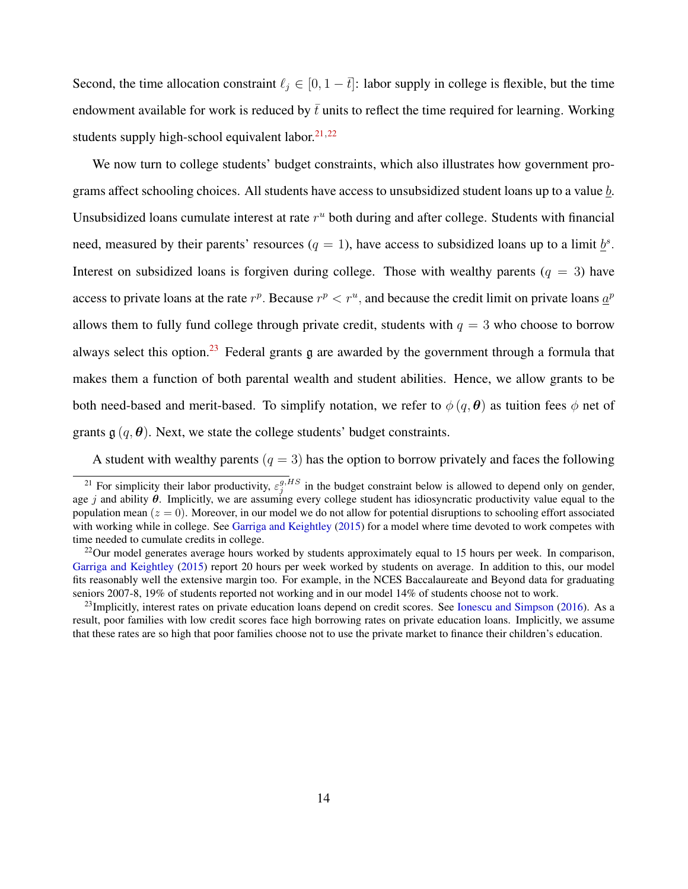Second, the time allocation constraint  $\ell_j \in [0, 1 - \bar{t}]$ : labor supply in college is flexible, but the time endowment available for work is reduced by  $\bar{t}$  units to reflect the time required for learning. Working students supply high-school equivalent labor.  $2^{1,22}$  $2^{1,22}$  $2^{1,22}$ 

We now turn to college students' budget constraints, which also illustrates how government programs affect schooling choices. All students have access to unsubsidized student loans up to a value  $b$ . Unsubsidized loans cumulate interest at rate  $r^u$  both during and after college. Students with financial need, measured by their parents' resources ( $q = 1$ ), have access to subsidized loans up to a limit  $\underline{b}^s$ . Interest on subsidized loans is forgiven during college. Those with wealthy parents ( $q = 3$ ) have access to private loans at the rate  $r^p$ . Because  $r^p < r^u$ , and because the credit limit on private loans  $\underline{a}^p$ allows them to fully fund college through private credit, students with  $q = 3$  who choose to borrow always select this option.<sup>[23](#page-15-2)</sup> Federal grants g are awarded by the government through a formula that makes them a function of both parental wealth and student abilities. Hence, we allow grants to be both need-based and merit-based. To simplify notation, we refer to  $\phi(q, \theta)$  as tuition fees  $\phi$  net of grants  $g(q, \theta)$ . Next, we state the college students' budget constraints.

A student with wealthy parents  $(q = 3)$  has the option to borrow privately and faces the following

<span id="page-15-0"></span><sup>&</sup>lt;sup>21</sup> For simplicity their labor productivity,  $\varepsilon_j^{g,HS}$  in the budget constraint below is allowed to depend only on gender, age j and ability  $\theta$ . Implicitly, we are assuming every college student has idiosyncratic productivity value equal to the population mean  $(z = 0)$ . Moreover, in our model we do not allow for potential disruptions to schooling effort associated with working while in college. See [Garriga and Keightley](#page-59-1) [\(2015\)](#page-59-1) for a model where time devoted to work competes with time needed to cumulate credits in college.

<span id="page-15-1"></span> $^{22}$ Our model generates average hours worked by students approximately equal to 15 hours per week. In comparison, [Garriga and Keightley](#page-59-1) [\(2015\)](#page-59-1) report 20 hours per week worked by students on average. In addition to this, our model fits reasonably well the extensive margin too. For example, in the NCES Baccalaureate and Beyond data for graduating seniors 2007-8, 19% of students reported not working and in our model 14% of students choose not to work.

<span id="page-15-2"></span> $^{23}$ Implicitly, interest rates on private education loans depend on credit scores. See [Ionescu and Simpson](#page-60-12) [\(2016\)](#page-60-12). As a result, poor families with low credit scores face high borrowing rates on private education loans. Implicitly, we assume that these rates are so high that poor families choose not to use the private market to finance their children's education.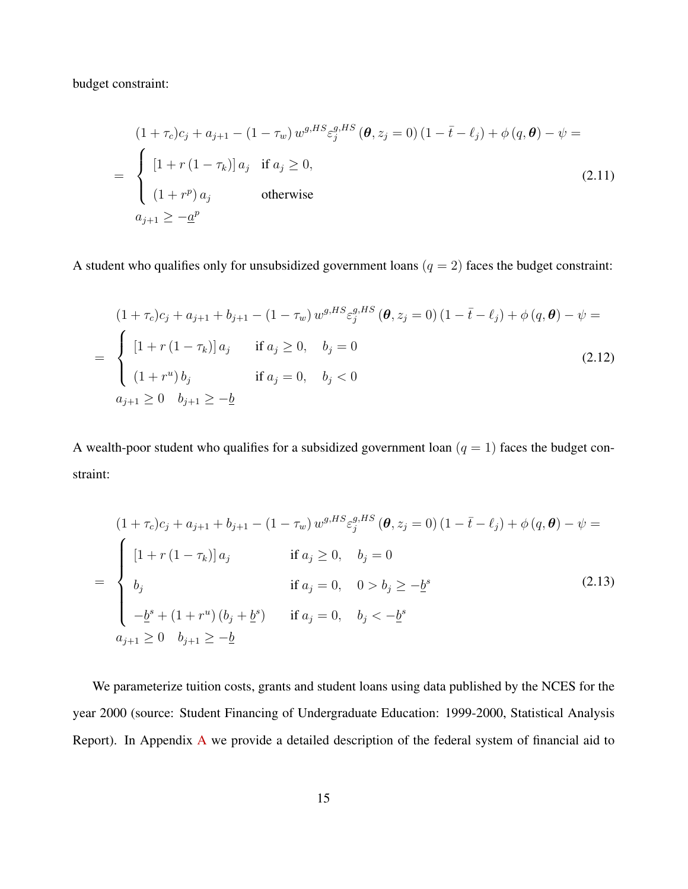budget constraint:

$$
(1 + \tau_c)c_j + a_{j+1} - (1 - \tau_w) w^{g,HS} \varepsilon_j^{g,HS} (\boldsymbol{\theta}, z_j = 0) (1 - \bar{t} - \ell_j) + \phi(q, \boldsymbol{\theta}) - \psi =
$$
\n
$$
= \begin{cases} [1 + r(1 - \tau_k)]a_j & \text{if } a_j \ge 0, \\ (1 + r^p)a_j & \text{otherwise} \end{cases}
$$
\n
$$
(2.11)
$$
\n
$$
a_{j+1} \ge -\underline{a}^p
$$

A student who qualifies only for unsubsidized government loans  $(q = 2)$  faces the budget constraint:

$$
(1 + \tau_c)c_j + a_{j+1} + b_{j+1} - (1 - \tau_w) w^{g,HS} \varepsilon_j^{g,HS} (\theta, z_j = 0) (1 - \bar{t} - \ell_j) + \phi(q, \theta) - \psi =
$$
\n
$$
= \begin{cases} [1 + r(1 - \tau_k)]a_j & \text{if } a_j \ge 0, \quad b_j = 0 \\ (1 + r^u)b_j & \text{if } a_j = 0, \quad b_j < 0 \end{cases}
$$
\n
$$
(2.12)
$$
\n
$$
a_{j+1} \ge 0 \quad b_{j+1} \ge -\underline{b}
$$

A wealth-poor student who qualifies for a subsidized government loan  $(q = 1)$  faces the budget constraint:

$$
(1 + \tau_c)c_j + a_{j+1} + b_{j+1} - (1 - \tau_w) w^{g,HS} \varepsilon_j^{g,HS} (\theta, z_j = 0) (1 - \bar{t} - \ell_j) + \phi(q, \theta) - \psi =
$$
  
\n
$$
\begin{cases}\n[1 + r(1 - \tau_k)] a_j & \text{if } a_j \ge 0, \quad b_j = 0 \\
b_j & \text{if } a_j = 0, \quad 0 > b_j \ge -\underline{b}^s \\
-\underline{b}^s + (1 + r^u)(b_j + \underline{b}^s) & \text{if } a_j = 0, \quad b_j < -\underline{b}^s \\
a_{j+1} \ge 0 & b_{j+1} \ge -\underline{b}\n\end{cases}
$$
\n(2.13)

We parameterize tuition costs, grants and student loans using data published by the NCES for the year 2000 (source: Student Financing of Undergraduate Education: 1999-2000, Statistical Analysis Report). In Appendix [A](#page-69-0) we provide a detailed description of the federal system of financial aid to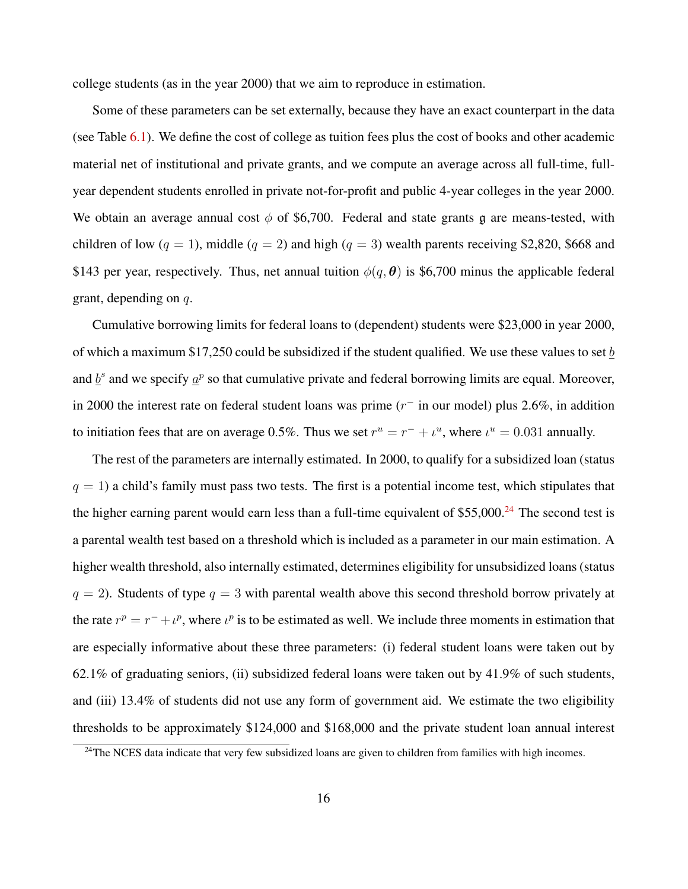college students (as in the year 2000) that we aim to reproduce in estimation.

Some of these parameters can be set externally, because they have an exact counterpart in the data (see Table [6.1\)](#page-64-0). We define the cost of college as tuition fees plus the cost of books and other academic material net of institutional and private grants, and we compute an average across all full-time, fullyear dependent students enrolled in private not-for-profit and public 4-year colleges in the year 2000. We obtain an average annual cost  $\phi$  of \$6,700. Federal and state grants g are means-tested, with children of low ( $q = 1$ ), middle ( $q = 2$ ) and high ( $q = 3$ ) wealth parents receiving \$2,820, \$668 and \$143 per year, respectively. Thus, net annual tuition  $\phi(q, \theta)$  is \$6,700 minus the applicable federal grant, depending on q.

Cumulative borrowing limits for federal loans to (dependent) students were \$23,000 in year 2000, of which a maximum \$17,250 could be subsidized if the student qualified. We use these values to set  $b$ and  $\underline{b}^s$  and we specify  $\underline{a}^p$  so that cumulative private and federal borrowing limits are equal. Moreover, in 2000 the interest rate on federal student loans was prime ( $r<sup>-</sup>$  in our model) plus 2.6%, in addition to initiation fees that are on average 0.5%. Thus we set  $r^u = r^- + \iota^u$ , where  $\iota^u = 0.031$  annually.

The rest of the parameters are internally estimated. In 2000, to qualify for a subsidized loan (status  $q = 1$ ) a child's family must pass two tests. The first is a potential income test, which stipulates that the higher earning parent would earn less than a full-time equivalent of  $$55,000.<sup>24</sup>$  $$55,000.<sup>24</sup>$  $$55,000.<sup>24</sup>$  The second test is a parental wealth test based on a threshold which is included as a parameter in our main estimation. A higher wealth threshold, also internally estimated, determines eligibility for unsubsidized loans (status  $q = 2$ ). Students of type  $q = 3$  with parental wealth above this second threshold borrow privately at the rate  $r^p = r^- + \iota^p$ , where  $\iota^p$  is to be estimated as well. We include three moments in estimation that are especially informative about these three parameters: (i) federal student loans were taken out by 62.1% of graduating seniors, (ii) subsidized federal loans were taken out by 41.9% of such students, and (iii) 13.4% of students did not use any form of government aid. We estimate the two eligibility thresholds to be approximately \$124,000 and \$168,000 and the private student loan annual interest

<span id="page-17-0"></span> $24$ The NCES data indicate that very few subsidized loans are given to children from families with high incomes.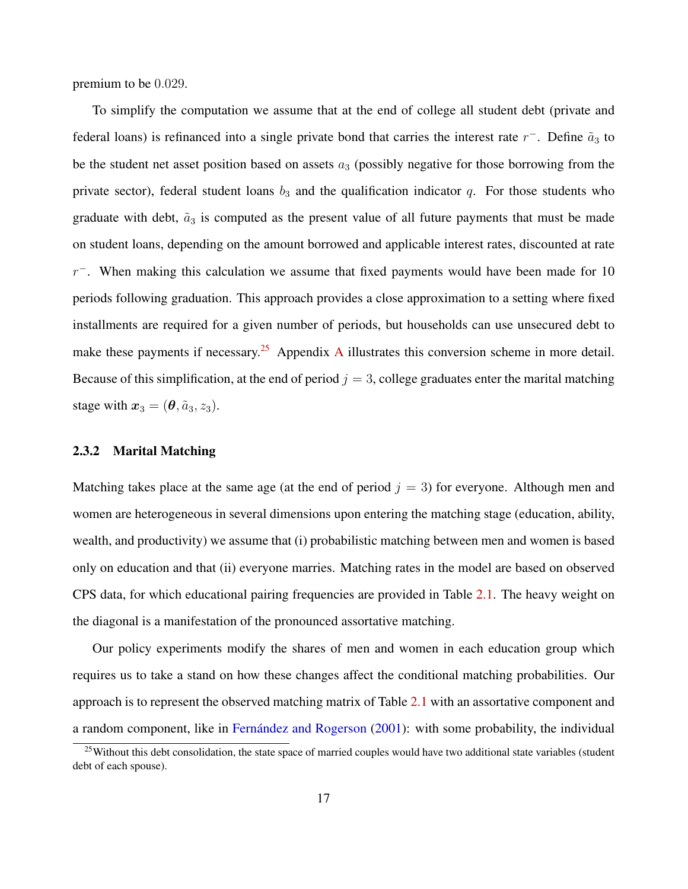premium to be 0.029.

To simplify the computation we assume that at the end of college all student debt (private and federal loans) is refinanced into a single private bond that carries the interest rate  $r^-$ . Define  $\tilde{a}_3$  to be the student net asset position based on assets  $a_3$  (possibly negative for those borrowing from the private sector), federal student loans  $b_3$  and the qualification indicator q. For those students who graduate with debt,  $\tilde{a}_3$  is computed as the present value of all future payments that must be made on student loans, depending on the amount borrowed and applicable interest rates, discounted at rate  $r^-$ . When making this calculation we assume that fixed payments would have been made for 10 periods following graduation. This approach provides a close approximation to a setting where fixed installments are required for a given number of periods, but households can use unsecured debt to make these payments if necessary.<sup>[25](#page-18-1)</sup> [A](#page-69-0)ppendix A illustrates this conversion scheme in more detail. Because of this simplification, at the end of period  $j = 3$ , college graduates enter the marital matching stage with  $x_3 = (\theta, \tilde{a}_3, z_3)$ .

#### <span id="page-18-0"></span>2.3.2 Marital Matching

Matching takes place at the same age (at the end of period  $j = 3$ ) for everyone. Although men and women are heterogeneous in several dimensions upon entering the matching stage (education, ability, wealth, and productivity) we assume that (i) probabilistic matching between men and women is based only on education and that (ii) everyone marries. Matching rates in the model are based on observed CPS data, for which educational pairing frequencies are provided in Table [2.1.](#page-19-0) The heavy weight on the diagonal is a manifestation of the pronounced assortative matching.

Our policy experiments modify the shares of men and women in each education group which requires us to take a stand on how these changes affect the conditional matching probabilities. Our approach is to represent the observed matching matrix of Table [2.1](#page-19-0) with an assortative component and a random component, like in Fernández and Rogerson [\(2001\)](#page-59-8): with some probability, the individual

<span id="page-18-1"></span><sup>&</sup>lt;sup>25</sup>Without this debt consolidation, the state space of married couples would have two additional state variables (student debt of each spouse).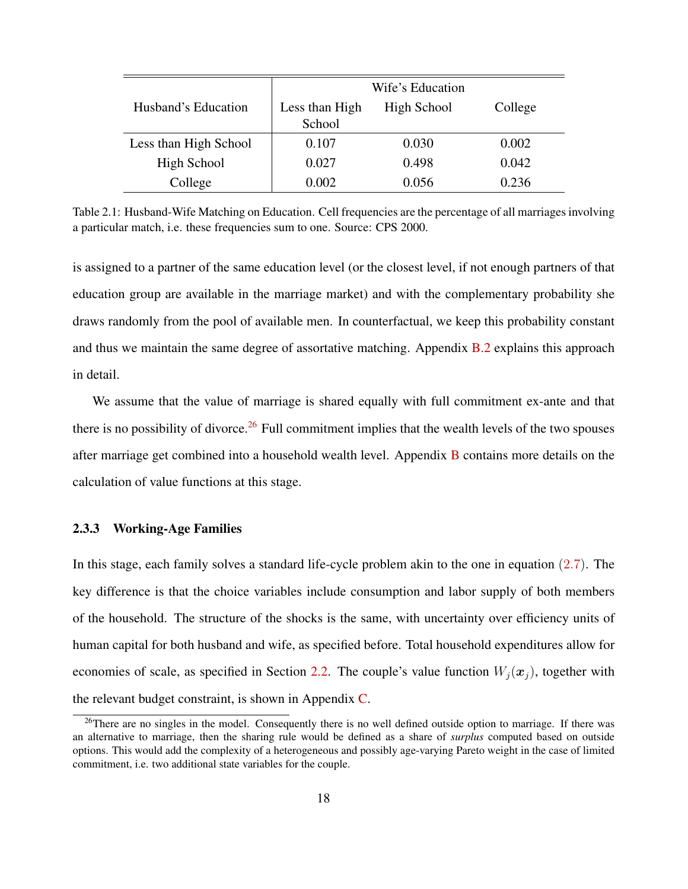<span id="page-19-0"></span>

|                       |                          | Wife's Education |         |
|-----------------------|--------------------------|------------------|---------|
| Husband's Education   | Less than High<br>School | High School      | College |
| Less than High School | 0.107                    | 0.030            | 0.002   |
| High School           | 0.027                    | 0.498            | 0.042   |
| College               | 0.002                    | 0.056            | 0.236   |

Table 2.1: Husband-Wife Matching on Education. Cell frequencies are the percentage of all marriages involving a particular match, i.e. these frequencies sum to one. Source: CPS 2000.

is assigned to a partner of the same education level (or the closest level, if not enough partners of that education group are available in the marriage market) and with the complementary probability she draws randomly from the pool of available men. In counterfactual, we keep this probability constant and thus we maintain the same degree of assortative matching. Appendix [B.2](#page-73-0) explains this approach in detail.

We assume that the value of marriage is shared equally with full commitment ex-ante and that there is no possibility of divorce.<sup>[26](#page-19-1)</sup> Full commitment implies that the wealth levels of the two spouses after marriage get combined into a household wealth level. Appendix [B](#page-72-0) contains more details on the calculation of value functions at this stage.

#### 2.3.3 Working-Age Families

In this stage, each family solves a standard life-cycle problem akin to the one in equation (2.[7\)](#page-13-2). The key difference is that the choice variables include consumption and labor supply of both members of the household. The structure of the shocks is the same, with uncertainty over efficiency units of human capital for both husband and wife, as specified before. Total household expenditures allow for economies of scale, as specified in Section [2.2.](#page-8-2) The couple's value function  $W_j(\mathbf{x}_j)$ , together with the relevant budget constraint, is shown in Appendix [C.](#page-75-0)

<span id="page-19-1"></span><sup>&</sup>lt;sup>26</sup>There are no singles in the model. Consequently there is no well defined outside option to marriage. If there was an alternative to marriage, then the sharing rule would be defined as a share of *surplus* computed based on outside options. This would add the complexity of a heterogeneous and possibly age-varying Pareto weight in the case of limited commitment, i.e. two additional state variables for the couple.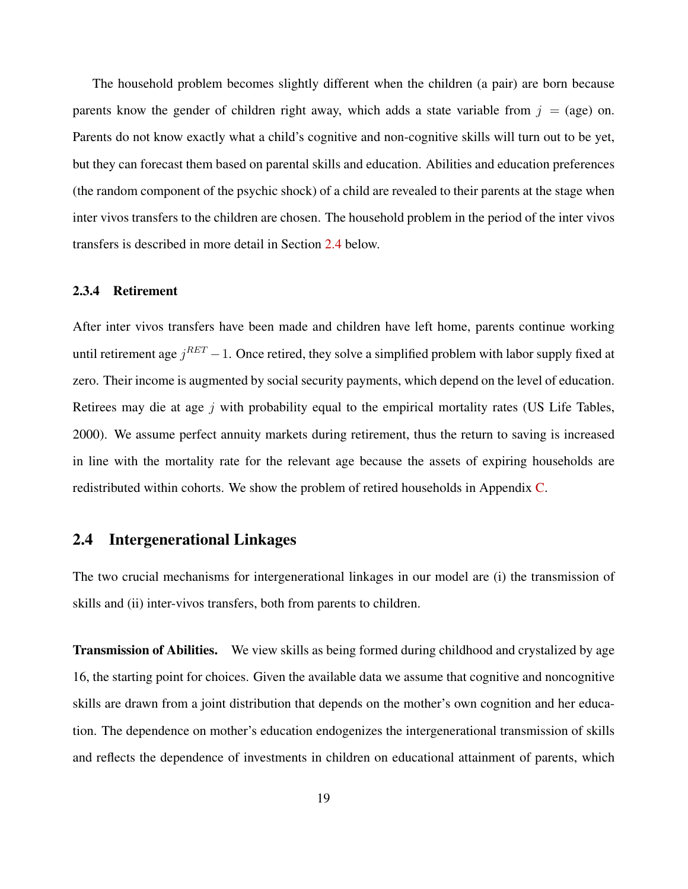The household problem becomes slightly different when the children (a pair) are born because parents know the gender of children right away, which adds a state variable from  $j = (age)$  on. Parents do not know exactly what a child's cognitive and non-cognitive skills will turn out to be yet, but they can forecast them based on parental skills and education. Abilities and education preferences (the random component of the psychic shock) of a child are revealed to their parents at the stage when inter vivos transfers to the children are chosen. The household problem in the period of the inter vivos transfers is described in more detail in Section [2.4](#page-20-0) below.

#### 2.3.4 Retirement

After inter vivos transfers have been made and children have left home, parents continue working until retirement age  $j^{RET} - 1$ . Once retired, they solve a simplified problem with labor supply fixed at zero. Their income is augmented by social security payments, which depend on the level of education. Retirees may die at age  $j$  with probability equal to the empirical mortality rates (US Life Tables, 2000). We assume perfect annuity markets during retirement, thus the return to saving is increased in line with the mortality rate for the relevant age because the assets of expiring households are redistributed within cohorts. We show the problem of retired households in Appendix [C.](#page-75-0)

### <span id="page-20-0"></span>2.4 Intergenerational Linkages

The two crucial mechanisms for intergenerational linkages in our model are (i) the transmission of skills and (ii) inter-vivos transfers, both from parents to children.

**Transmission of Abilities.** We view skills as being formed during childhood and crystalized by age 16, the starting point for choices. Given the available data we assume that cognitive and noncognitive skills are drawn from a joint distribution that depends on the mother's own cognition and her education. The dependence on mother's education endogenizes the intergenerational transmission of skills and reflects the dependence of investments in children on educational attainment of parents, which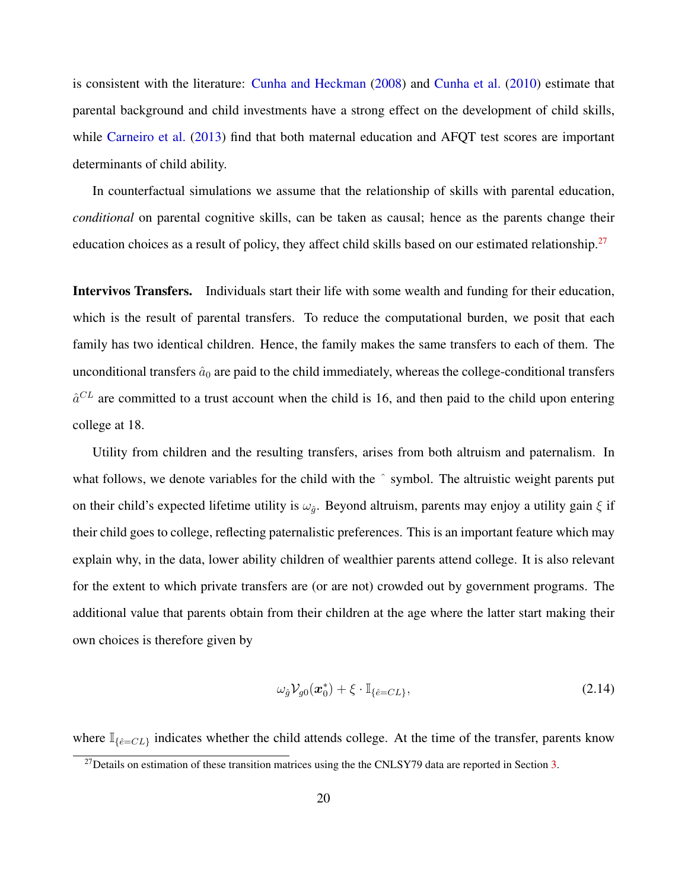is consistent with the literature: [Cunha and Heckman](#page-59-9) [\(2008\)](#page-59-9) and [Cunha et al.](#page-59-4) [\(2010\)](#page-59-4) estimate that parental background and child investments have a strong effect on the development of child skills, while [Carneiro et al.](#page-59-10) [\(2013\)](#page-59-10) find that both maternal education and AFQT test scores are important determinants of child ability.

In counterfactual simulations we assume that the relationship of skills with parental education, *conditional* on parental cognitive skills, can be taken as causal; hence as the parents change their education choices as a result of policy, they affect child skills based on our estimated relationship.<sup>[27](#page-21-0)</sup>

Intervivos Transfers. Individuals start their life with some wealth and funding for their education, which is the result of parental transfers. To reduce the computational burden, we posit that each family has two identical children. Hence, the family makes the same transfers to each of them. The unconditional transfers  $\hat{a}_0$  are paid to the child immediately, whereas the college-conditional transfers  $\hat{a}^{CL}$  are committed to a trust account when the child is 16, and then paid to the child upon entering college at 18.

Utility from children and the resulting transfers, arises from both altruism and paternalism. In what follows, we denote variables for the child with the  $\hat{ }$  symbol. The altruistic weight parents put on their child's expected lifetime utility is  $\omega_{\hat{a}}$ . Beyond altruism, parents may enjoy a utility gain  $\xi$  if their child goes to college, reflecting paternalistic preferences. This is an important feature which may explain why, in the data, lower ability children of wealthier parents attend college. It is also relevant for the extent to which private transfers are (or are not) crowded out by government programs. The additional value that parents obtain from their children at the age where the latter start making their own choices is therefore given by

<span id="page-21-1"></span>
$$
\omega_{\hat{g}} \mathcal{V}_{g0}(\boldsymbol{x}_0^*) + \xi \cdot \mathbb{I}_{\{\hat{e}=CL\}},\tag{2.14}
$$

where  $\mathbb{I}_{\{\hat{e}=CL\}}$  indicates whether the child attends college. At the time of the transfer, parents know

<span id="page-21-0"></span> $^{27}$ Details on estimation of these transition matrices using the the CNLSY79 data are reported in Section [3.](#page-23-0)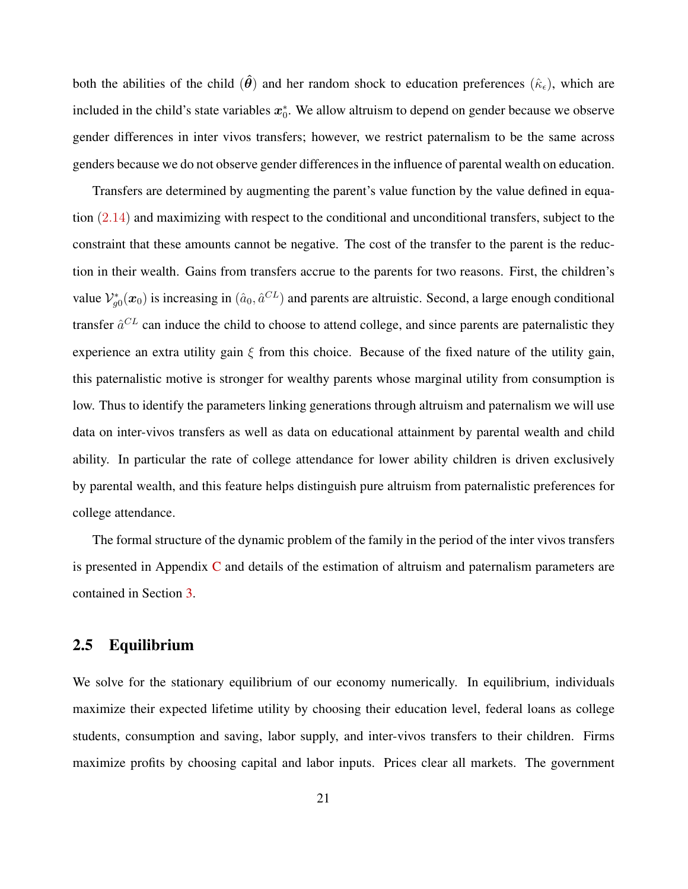both the abilities of the child  $(\hat{\theta})$  and her random shock to education preferences  $(\hat{\kappa}_{\epsilon})$ , which are included in the child's state variables  $x_0^*$ . We allow altruism to depend on gender because we observe gender differences in inter vivos transfers; however, we restrict paternalism to be the same across genders because we do not observe gender differences in the influence of parental wealth on education.

Transfers are determined by augmenting the parent's value function by the value defined in equation  $(2.14)$  $(2.14)$  and maximizing with respect to the conditional and unconditional transfers, subject to the constraint that these amounts cannot be negative. The cost of the transfer to the parent is the reduction in their wealth. Gains from transfers accrue to the parents for two reasons. First, the children's value  $\mathcal{V}_{g0}^*(x_0)$  is increasing in  $(\hat{a}_0, \hat{a}^{CL})$  and parents are altruistic. Second, a large enough conditional transfer  $\hat{a}^{CL}$  can induce the child to choose to attend college, and since parents are paternalistic they experience an extra utility gain  $\xi$  from this choice. Because of the fixed nature of the utility gain, this paternalistic motive is stronger for wealthy parents whose marginal utility from consumption is low. Thus to identify the parameters linking generations through altruism and paternalism we will use data on inter-vivos transfers as well as data on educational attainment by parental wealth and child ability. In particular the rate of college attendance for lower ability children is driven exclusively by parental wealth, and this feature helps distinguish pure altruism from paternalistic preferences for college attendance.

The formal structure of the dynamic problem of the family in the period of the inter vivos transfers is presented in Appendix [C](#page-75-0) and details of the estimation of altruism and paternalism parameters are contained in Section [3.](#page-23-0)

### 2.5 Equilibrium

We solve for the stationary equilibrium of our economy numerically. In equilibrium, individuals maximize their expected lifetime utility by choosing their education level, federal loans as college students, consumption and saving, labor supply, and inter-vivos transfers to their children. Firms maximize profits by choosing capital and labor inputs. Prices clear all markets. The government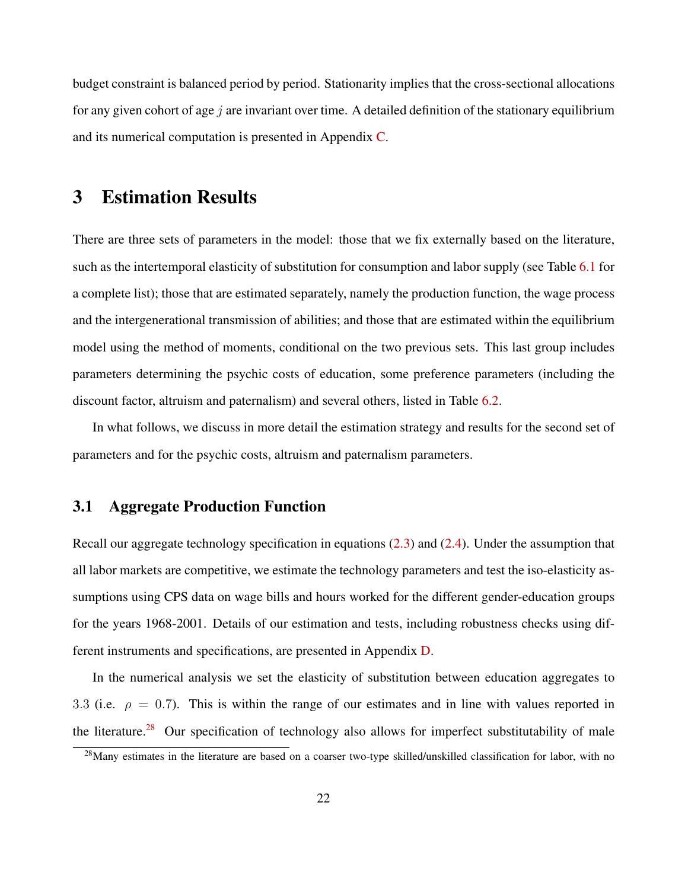budget constraint is balanced period by period. Stationarity implies that the cross-sectional allocations for any given cohort of age  $j$  are invariant over time. A detailed definition of the stationary equilibrium and its numerical computation is presented in Appendix [C.](#page-75-0)

# <span id="page-23-0"></span>3 Estimation Results

There are three sets of parameters in the model: those that we fix externally based on the literature, such as the intertemporal elasticity of substitution for consumption and labor supply (see Table [6.1](#page-64-0) for a complete list); those that are estimated separately, namely the production function, the wage process and the intergenerational transmission of abilities; and those that are estimated within the equilibrium model using the method of moments, conditional on the two previous sets. This last group includes parameters determining the psychic costs of education, some preference parameters (including the discount factor, altruism and paternalism) and several others, listed in Table [6.2.](#page-65-0)

In what follows, we discuss in more detail the estimation strategy and results for the second set of parameters and for the psychic costs, altruism and paternalism parameters.

# 3.1 Aggregate Production Function

Recall our aggregate technology specification in equations [\(2.3\)](#page-10-0) and [\(2.4\)](#page-10-1). Under the assumption that all labor markets are competitive, we estimate the technology parameters and test the iso-elasticity assumptions using CPS data on wage bills and hours worked for the different gender-education groups for the years 1968-2001. Details of our estimation and tests, including robustness checks using different instruments and specifications, are presented in Appendix [D.](#page-81-0)

In the numerical analysis we set the elasticity of substitution between education aggregates to 3.3 (i.e.  $\rho = 0.7$ ). This is within the range of our estimates and in line with values reported in the literature.<sup>[28](#page-23-1)</sup> Our specification of technology also allows for imperfect substitutability of male

<span id="page-23-1"></span><sup>&</sup>lt;sup>28</sup>Many estimates in the literature are based on a coarser two-type skilled/unskilled classification for labor, with no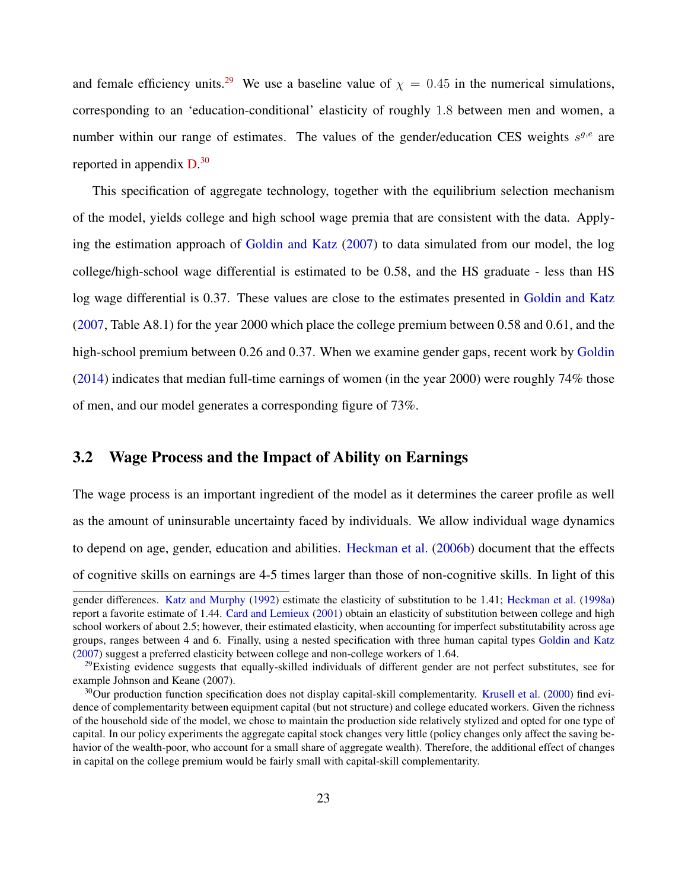and female efficiency units.<sup>[29](#page-24-0)</sup> We use a baseline value of  $\chi = 0.45$  in the numerical simulations, corresponding to an 'education-conditional' elasticity of roughly 1.8 between men and women, a number within our range of estimates. The values of the gender/education CES weights  $s^{g,e}$  are reported in appendix  $D^{30}$  $D^{30}$  $D^{30}$ 

This specification of aggregate technology, together with the equilibrium selection mechanism of the model, yields college and high school wage premia that are consistent with the data. Applying the estimation approach of [Goldin and Katz](#page-59-11) [\(2007\)](#page-59-11) to data simulated from our model, the log college/high-school wage differential is estimated to be 0.58, and the HS graduate - less than HS log wage differential is 0.37. These values are close to the estimates presented in [Goldin and Katz](#page-59-11) [\(2007,](#page-59-11) Table A8.1) for the year 2000 which place the college premium between 0.58 and 0.61, and the high-school premium between 0.26 and 0.37. When we examine gender gaps, recent work by [Goldin](#page-59-12) [\(2014\)](#page-59-12) indicates that median full-time earnings of women (in the year 2000) were roughly 74% those of men, and our model generates a corresponding figure of 73%.

## 3.2 Wage Process and the Impact of Ability on Earnings

The wage process is an important ingredient of the model as it determines the career profile as well as the amount of uninsurable uncertainty faced by individuals. We allow individual wage dynamics to depend on age, gender, education and abilities. [Heckman et al.](#page-60-13) [\(2006b\)](#page-60-13) document that the effects of cognitive skills on earnings are 4-5 times larger than those of non-cognitive skills. In light of this

gender differences. [Katz and Murphy](#page-60-9) [\(1992\)](#page-60-9) estimate the elasticity of substitution to be 1.41; [Heckman et al.](#page-60-10) [\(1998a\)](#page-60-10) report a favorite estimate of 1.44. [Card and Lemieux](#page-58-14) [\(2001\)](#page-58-14) obtain an elasticity of substitution between college and high school workers of about 2.5; however, their estimated elasticity, when accounting for imperfect substitutability across age groups, ranges between 4 and 6. Finally, using a nested specification with three human capital types [Goldin and Katz](#page-59-11) [\(2007\)](#page-59-11) suggest a preferred elasticity between college and non-college workers of 1.64.

<span id="page-24-0"></span> $29$ Existing evidence suggests that equally-skilled individuals of different gender are not perfect substitutes, see for example Johnson and Keane (2007).

<span id="page-24-1"></span> $30$ Our production function specification does not display capital-skill complementarity. [Krusell et al.](#page-61-17) [\(2000\)](#page-61-17) find evidence of complementarity between equipment capital (but not structure) and college educated workers. Given the richness of the household side of the model, we chose to maintain the production side relatively stylized and opted for one type of capital. In our policy experiments the aggregate capital stock changes very little (policy changes only affect the saving behavior of the wealth-poor, who account for a small share of aggregate wealth). Therefore, the additional effect of changes in capital on the college premium would be fairly small with capital-skill complementarity.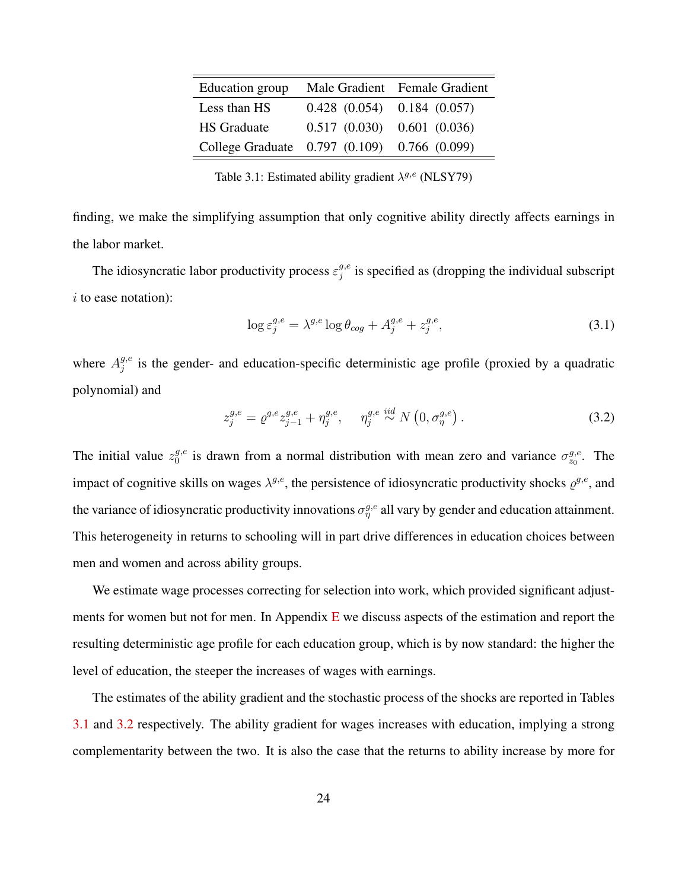<span id="page-25-0"></span>

| Education group                              |                                     | Male Gradient Female Gradient |
|----------------------------------------------|-------------------------------------|-------------------------------|
| Less than HS                                 | $0.428$ $(0.054)$ $0.184$ $(0.057)$ |                               |
| <b>HS</b> Graduate                           | $0.517(0.030)$ $0.601(0.036)$       |                               |
| College Graduate 0.797 (0.109) 0.766 (0.099) |                                     |                               |

Table 3.1: Estimated ability gradient  $\lambda^{g,e}$  (NLSY79)

finding, we make the simplifying assumption that only cognitive ability directly affects earnings in the labor market.

The idiosyncratic labor productivity process  $\varepsilon_i^{g,e}$  $j^{g,e}$  is specified as (dropping the individual subscript  $i$  to ease notation):

$$
\log \varepsilon_j^{g,e} = \lambda^{g,e} \log \theta_{cog} + A_j^{g,e} + z_j^{g,e},\tag{3.1}
$$

where  $A_i^{g,e}$  $j_e^{g,e}$  is the gender- and education-specific deterministic age profile (proxied by a quadratic polynomial) and

$$
z_j^{g,e} = \varrho^{g,e} z_{j-1}^{g,e} + \eta_j^{g,e}, \quad \eta_j^{g,e} \stackrel{iid}{\sim} N\left(0, \sigma_{\eta}^{g,e}\right). \tag{3.2}
$$

The initial value  $z_0^{g,e}$  $\sigma_0^{g,e}$  is drawn from a normal distribution with mean zero and variance  $\sigma_{z_0}^{g,e}$ . The impact of cognitive skills on wages  $\lambda^{g,e}$ , the persistence of idiosyncratic productivity shocks  $\varrho^{g,e}$ , and the variance of idiosyncratic productivity innovations  $\sigma_{\eta}^{g,e}$  all vary by gender and education attainment. This heterogeneity in returns to schooling will in part drive differences in education choices between men and women and across ability groups.

We estimate wage processes correcting for selection into work, which provided significant adjustments for women but not for men. In Appendix  $E$  we discuss aspects of the estimation and report the resulting deterministic age profile for each education group, which is by now standard: the higher the level of education, the steeper the increases of wages with earnings.

The estimates of the ability gradient and the stochastic process of the shocks are reported in Tables [3.1](#page-25-0) and [3.2](#page-26-0) respectively. The ability gradient for wages increases with education, implying a strong complementarity between the two. It is also the case that the returns to ability increase by more for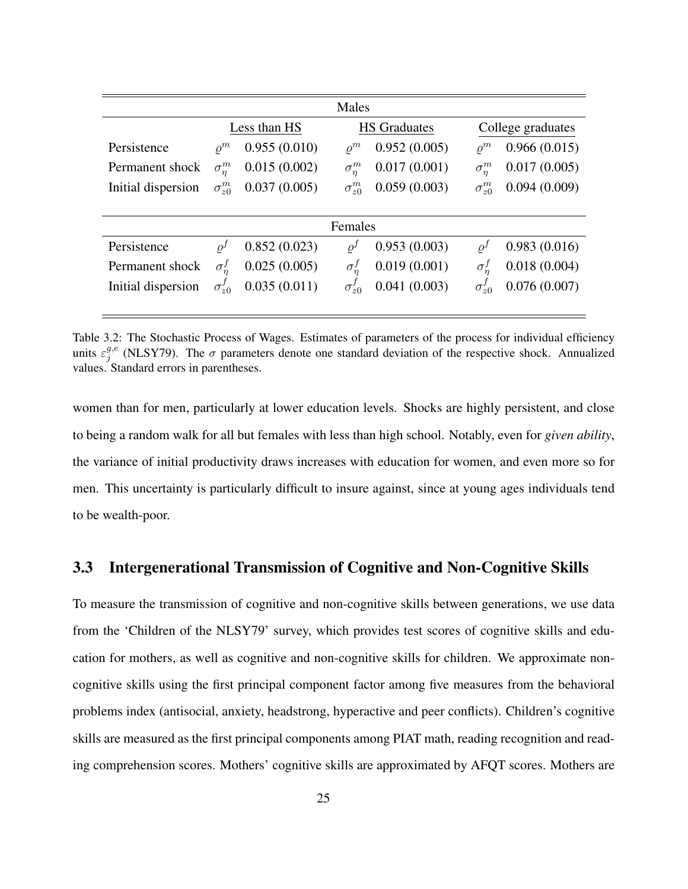<span id="page-26-0"></span>

| Males              |                     |              |                        |              |                        |              |
|--------------------|---------------------|--------------|------------------------|--------------|------------------------|--------------|
|                    | Less than HS        |              | <b>HS</b> Graduates    |              | College graduates      |              |
| Persistence        | $\rho^m$            | 0.955(0.010) | $\rho^m$               | 0.952(0.005) | $\rho^m$               | 0.966(0.015) |
| Permanent shock    | $\sigma_{\eta}^{m}$ | 0.015(0.002) | $\sigma_{\eta}^{m}$    | 0.017(0.001) | $\sigma_{\eta}^{m}$    | 0.017(0.005) |
| Initial dispersion | $\sigma_{z0}^m$     | 0.037(0.005) | $\sigma_{z0}^m$        | 0.059(0.003) | $\sigma_{z0}^m$        | 0.094(0.009) |
|                    |                     |              |                        |              |                        |              |
| Females            |                     |              |                        |              |                        |              |
| Persistence        | $\rho^{\jmath}$     | 0.852(0.023) | $\rho^f$               | 0.953(0.003) | $\rho^f$               | 0.983(0.016) |
| Permanent shock    | $\sigma_n^f$        | 0.025(0.005) | $\sigma_n^j$           | 0.019(0.001) | $\sigma_n^J$           | 0.018(0.004) |
| Initial dispersion |                     | 0.035(0.011) | $\sigma_{z0}^{\prime}$ | 0.041(0.003) | $\sigma_{z0}^{\prime}$ | 0.076(0.007) |
|                    |                     |              |                        |              |                        |              |

Table 3.2: The Stochastic Process of Wages. Estimates of parameters of the process for individual efficiency units  $\varepsilon_j^{g,e}$  $j_e^{g,e}$  (NLSY79). The  $\sigma$  parameters denote one standard deviation of the respective shock. Annualized values. Standard errors in parentheses.

women than for men, particularly at lower education levels. Shocks are highly persistent, and close to being a random walk for all but females with less than high school. Notably, even for *given ability*, the variance of initial productivity draws increases with education for women, and even more so for men. This uncertainty is particularly difficult to insure against, since at young ages individuals tend to be wealth-poor.

# 3.3 Intergenerational Transmission of Cognitive and Non-Cognitive Skills

To measure the transmission of cognitive and non-cognitive skills between generations, we use data from the 'Children of the NLSY79' survey, which provides test scores of cognitive skills and education for mothers, as well as cognitive and non-cognitive skills for children. We approximate noncognitive skills using the first principal component factor among five measures from the behavioral problems index (antisocial, anxiety, headstrong, hyperactive and peer conflicts). Children's cognitive skills are measured as the first principal components among PIAT math, reading recognition and reading comprehension scores. Mothers' cognitive skills are approximated by AFQT scores. Mothers are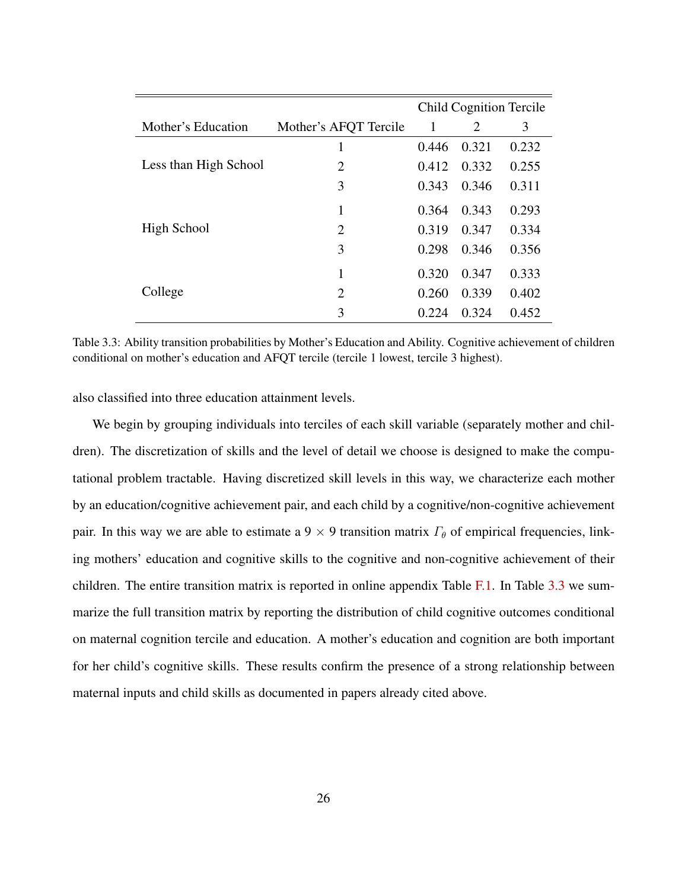<span id="page-27-0"></span>

|                       |                       | <b>Child Cognition Tercile</b> |       |       |
|-----------------------|-----------------------|--------------------------------|-------|-------|
| Mother's Education    | Mother's AFQT Tercile | 1                              | 2     | 3     |
| Less than High School | 1                     | 0.446                          | 0.321 | 0.232 |
|                       | 2                     | 0.412                          | 0.332 | 0.255 |
|                       | 3                     | 0.343                          | 0.346 | 0.311 |
|                       | $\mathbf{1}$          | 0.364                          | 0.343 | 0.293 |
| High School           | 2                     | 0.319                          | 0.347 | 0.334 |
|                       | 3                     | 0.298                          | 0.346 | 0.356 |
| College               | 1                     | 0.320                          | 0.347 | 0.333 |
|                       | $\overline{2}$        | 0.260                          | 0.339 | 0.402 |
|                       | 3                     | 0.224                          | 0.324 | 0.452 |

Table 3.3: Ability transition probabilities by Mother's Education and Ability. Cognitive achievement of children conditional on mother's education and AFQT tercile (tercile 1 lowest, tercile 3 highest).

also classified into three education attainment levels.

We begin by grouping individuals into terciles of each skill variable (separately mother and children). The discretization of skills and the level of detail we choose is designed to make the computational problem tractable. Having discretized skill levels in this way, we characterize each mother by an education/cognitive achievement pair, and each child by a cognitive/non-cognitive achievement pair. In this way we are able to estimate a 9  $\times$  9 transition matrix  $\Gamma_{\theta}$  of empirical frequencies, linking mothers' education and cognitive skills to the cognitive and non-cognitive achievement of their children. The entire transition matrix is reported in online appendix Table  $F<sub>1</sub>$ . In Table [3.3](#page-27-0) we summarize the full transition matrix by reporting the distribution of child cognitive outcomes conditional on maternal cognition tercile and education. A mother's education and cognition are both important for her child's cognitive skills. These results confirm the presence of a strong relationship between maternal inputs and child skills as documented in papers already cited above.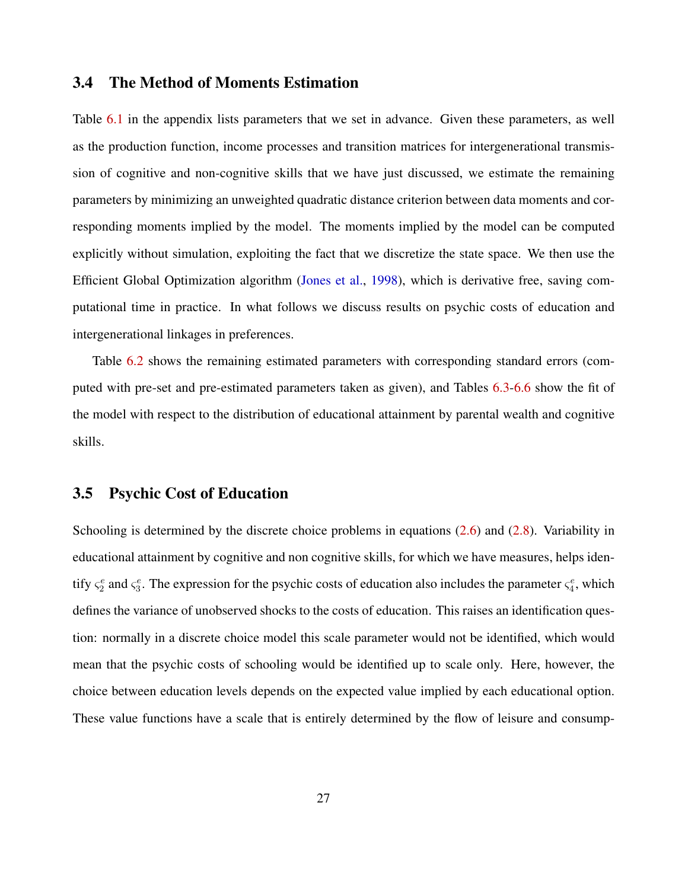## 3.4 The Method of Moments Estimation

Table [6.1](#page-64-0) in the appendix lists parameters that we set in advance. Given these parameters, as well as the production function, income processes and transition matrices for intergenerational transmission of cognitive and non-cognitive skills that we have just discussed, we estimate the remaining parameters by minimizing an unweighted quadratic distance criterion between data moments and corresponding moments implied by the model. The moments implied by the model can be computed explicitly without simulation, exploiting the fact that we discretize the state space. We then use the Efficient Global Optimization algorithm [\(Jones et al.,](#page-60-14) [1998\)](#page-60-14), which is derivative free, saving computational time in practice. In what follows we discuss results on psychic costs of education and intergenerational linkages in preferences.

Table [6.2](#page-65-0) shows the remaining estimated parameters with corresponding standard errors (computed with pre-set and pre-estimated parameters taken as given), and Tables [6.3-](#page-66-0)[6.6](#page-68-0) show the fit of the model with respect to the distribution of educational attainment by parental wealth and cognitive skills.

### 3.5 Psychic Cost of Education

Schooling is determined by the discrete choice problems in equations [\(2.6\)](#page-13-1) and [\(2.8\)](#page-14-1). Variability in educational attainment by cognitive and non cognitive skills, for which we have measures, helps identify  $\zeta_2^e$  and  $\zeta_3^e$ . The expression for the psychic costs of education also includes the parameter  $\zeta_4^e$ , which defines the variance of unobserved shocks to the costs of education. This raises an identification question: normally in a discrete choice model this scale parameter would not be identified, which would mean that the psychic costs of schooling would be identified up to scale only. Here, however, the choice between education levels depends on the expected value implied by each educational option. These value functions have a scale that is entirely determined by the flow of leisure and consump-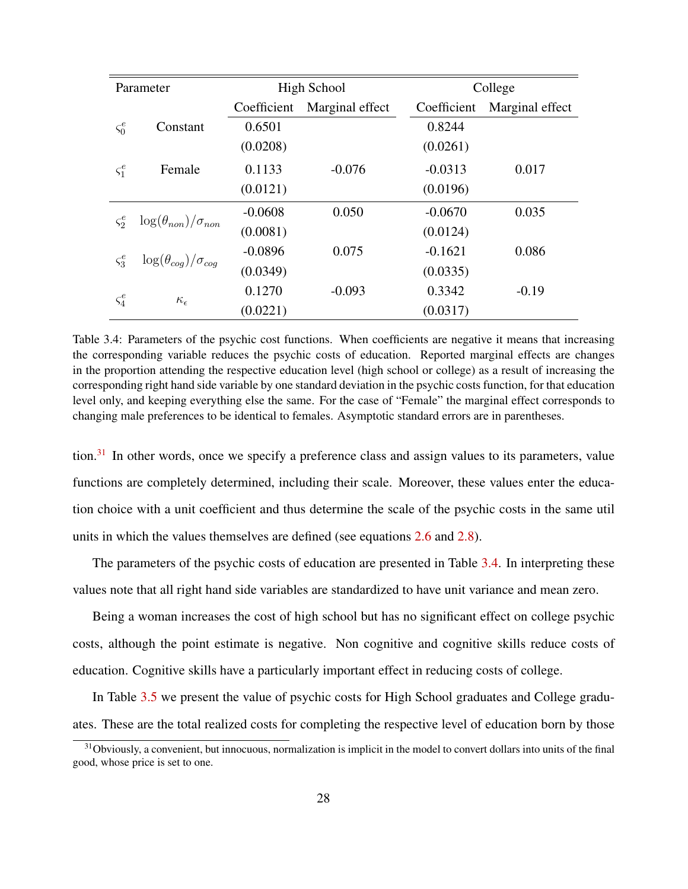<span id="page-29-1"></span>

|                 | Parameter                                            | <b>High School</b> |                 | College     |                 |
|-----------------|------------------------------------------------------|--------------------|-----------------|-------------|-----------------|
|                 |                                                      | Coefficient        | Marginal effect | Coefficient | Marginal effect |
| $\varsigma_0^e$ | Constant                                             | 0.6501             |                 | 0.8244      |                 |
|                 |                                                      | (0.0208)           |                 | (0.0261)    |                 |
| $\varsigma_1^e$ | Female                                               | 0.1133             | $-0.076$        | $-0.0313$   | 0.017           |
|                 |                                                      | (0.0121)           |                 | (0.0196)    |                 |
|                 | $\log(\theta_{non})/\sigma_{non}$<br>$\varsigma_2^e$ | $-0.0608$          | 0.050           | $-0.0670$   | 0.035           |
|                 |                                                      | (0.0081)           |                 | (0.0124)    |                 |
| $\varsigma_3^e$ | $\log(\theta_{cog})/\sigma_{cog}$                    | $-0.0896$          | 0.075           | $-0.1621$   | 0.086           |
|                 |                                                      | (0.0349)           |                 | (0.0335)    |                 |
| $\varsigma_4^e$ | $\kappa_{\epsilon}$                                  | 0.1270             | $-0.093$        | 0.3342      | $-0.19$         |
|                 |                                                      | (0.0221)           |                 | (0.0317)    |                 |

Table 3.4: Parameters of the psychic cost functions. When coefficients are negative it means that increasing the corresponding variable reduces the psychic costs of education. Reported marginal effects are changes in the proportion attending the respective education level (high school or college) as a result of increasing the corresponding right hand side variable by one standard deviation in the psychic costs function, for that education level only, and keeping everything else the same. For the case of "Female" the marginal effect corresponds to changing male preferences to be identical to females. Asymptotic standard errors are in parentheses.

tion.<sup>[31](#page-29-0)</sup> In other words, once we specify a preference class and assign values to its parameters, value functions are completely determined, including their scale. Moreover, these values enter the education choice with a unit coefficient and thus determine the scale of the psychic costs in the same util units in which the values themselves are defined (see equations [2.6](#page-13-1) and [2.8\)](#page-14-1).

The parameters of the psychic costs of education are presented in Table [3.4.](#page-29-1) In interpreting these values note that all right hand side variables are standardized to have unit variance and mean zero.

Being a woman increases the cost of high school but has no significant effect on college psychic costs, although the point estimate is negative. Non cognitive and cognitive skills reduce costs of education. Cognitive skills have a particularly important effect in reducing costs of college.

In Table [3.5](#page-30-0) we present the value of psychic costs for High School graduates and College graduates. These are the total realized costs for completing the respective level of education born by those

<span id="page-29-0"></span><sup>&</sup>lt;sup>31</sup>Obviously, a convenient, but innocuous, normalization is implicit in the model to convert dollars into units of the final good, whose price is set to one.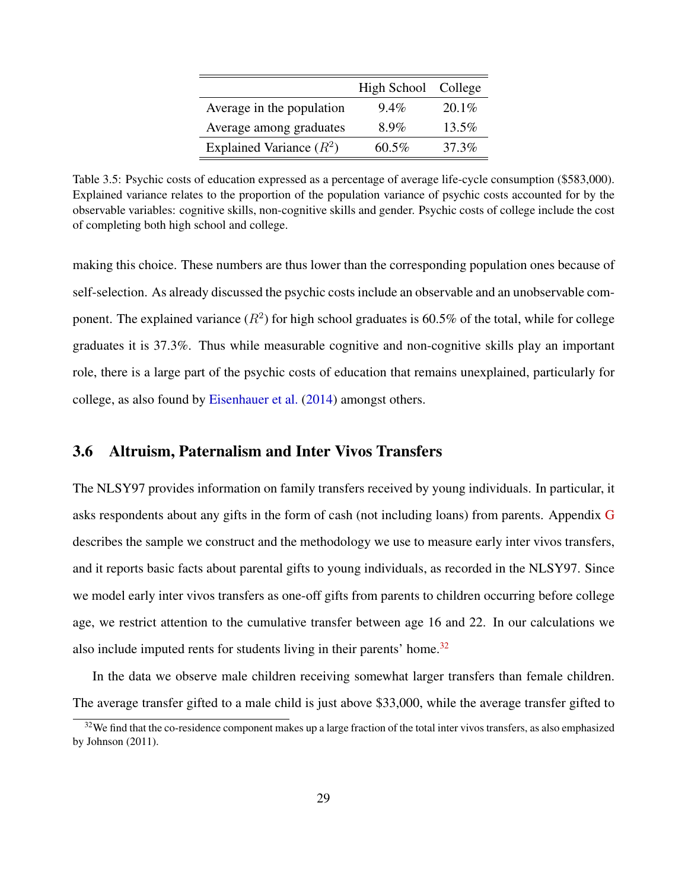|                            | High School | College |
|----------------------------|-------------|---------|
| Average in the population  | $9.4\%$     | 20.1%   |
| Average among graduates    | 8.9%        | 13.5%   |
| Explained Variance $(R^2)$ | $60.5\%$    | 37.3%   |

<span id="page-30-0"></span>Table 3.5: Psychic costs of education expressed as a percentage of average life-cycle consumption (\$583,000). Explained variance relates to the proportion of the population variance of psychic costs accounted for by the observable variables: cognitive skills, non-cognitive skills and gender. Psychic costs of college include the cost of completing both high school and college.

making this choice. These numbers are thus lower than the corresponding population ones because of self-selection. As already discussed the psychic costs include an observable and an unobservable component. The explained variance  $(R^2)$  for high school graduates is 60.5% of the total, while for college graduates it is 37.3%. Thus while measurable cognitive and non-cognitive skills play an important role, there is a large part of the psychic costs of education that remains unexplained, particularly for college, as also found by [Eisenhauer et al.](#page-59-13) [\(2014\)](#page-59-13) amongst others.

# 3.6 Altruism, Paternalism and Inter Vivos Transfers

The NLSY97 provides information on family transfers received by young individuals. In particular, it asks respondents about any gifts in the form of cash (not including loans) from parents. Appendix [G](#page-90-1) describes the sample we construct and the methodology we use to measure early inter vivos transfers, and it reports basic facts about parental gifts to young individuals, as recorded in the NLSY97. Since we model early inter vivos transfers as one-off gifts from parents to children occurring before college age, we restrict attention to the cumulative transfer between age 16 and 22. In our calculations we also include imputed rents for students living in their parents' home.<sup>[32](#page-30-1)</sup>

In the data we observe male children receiving somewhat larger transfers than female children. The average transfer gifted to a male child is just above \$33,000, while the average transfer gifted to

<span id="page-30-1"></span><sup>&</sup>lt;sup>32</sup>We find that the co-residence component makes up a large fraction of the total inter vivos transfers, as also emphasized by Johnson (2011).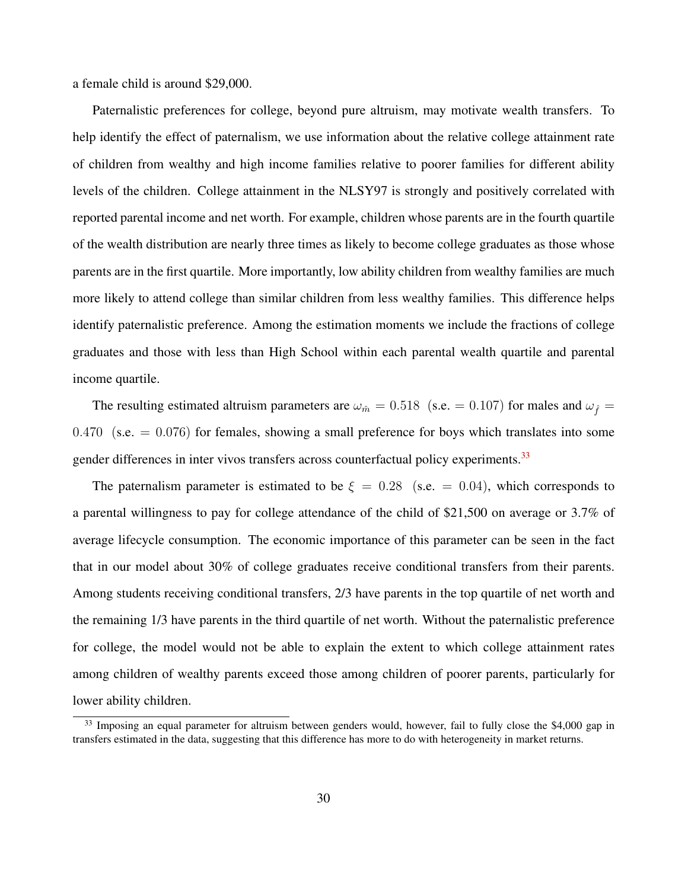a female child is around \$29,000.

Paternalistic preferences for college, beyond pure altruism, may motivate wealth transfers. To help identify the effect of paternalism, we use information about the relative college attainment rate of children from wealthy and high income families relative to poorer families for different ability levels of the children. College attainment in the NLSY97 is strongly and positively correlated with reported parental income and net worth. For example, children whose parents are in the fourth quartile of the wealth distribution are nearly three times as likely to become college graduates as those whose parents are in the first quartile. More importantly, low ability children from wealthy families are much more likely to attend college than similar children from less wealthy families. This difference helps identify paternalistic preference. Among the estimation moments we include the fractions of college graduates and those with less than High School within each parental wealth quartile and parental income quartile.

The resulting estimated altruism parameters are  $\omega_{\hat{m}} = 0.518$  (s.e. = 0.107) for males and  $\omega_{\hat{f}} =$  $0.470$  (s.e.  $= 0.076$ ) for females, showing a small preference for boys which translates into some gender differences in inter vivos transfers across counterfactual policy experiments.<sup>[33](#page-31-0)</sup>

The paternalism parameter is estimated to be  $\xi = 0.28$  (s.e. = 0.04), which corresponds to a parental willingness to pay for college attendance of the child of \$21,500 on average or 3.7% of average lifecycle consumption. The economic importance of this parameter can be seen in the fact that in our model about 30% of college graduates receive conditional transfers from their parents. Among students receiving conditional transfers, 2/3 have parents in the top quartile of net worth and the remaining 1/3 have parents in the third quartile of net worth. Without the paternalistic preference for college, the model would not be able to explain the extent to which college attainment rates among children of wealthy parents exceed those among children of poorer parents, particularly for lower ability children.

<span id="page-31-0"></span><sup>&</sup>lt;sup>33</sup> Imposing an equal parameter for altruism between genders would, however, fail to fully close the \$4,000 gap in transfers estimated in the data, suggesting that this difference has more to do with heterogeneity in market returns.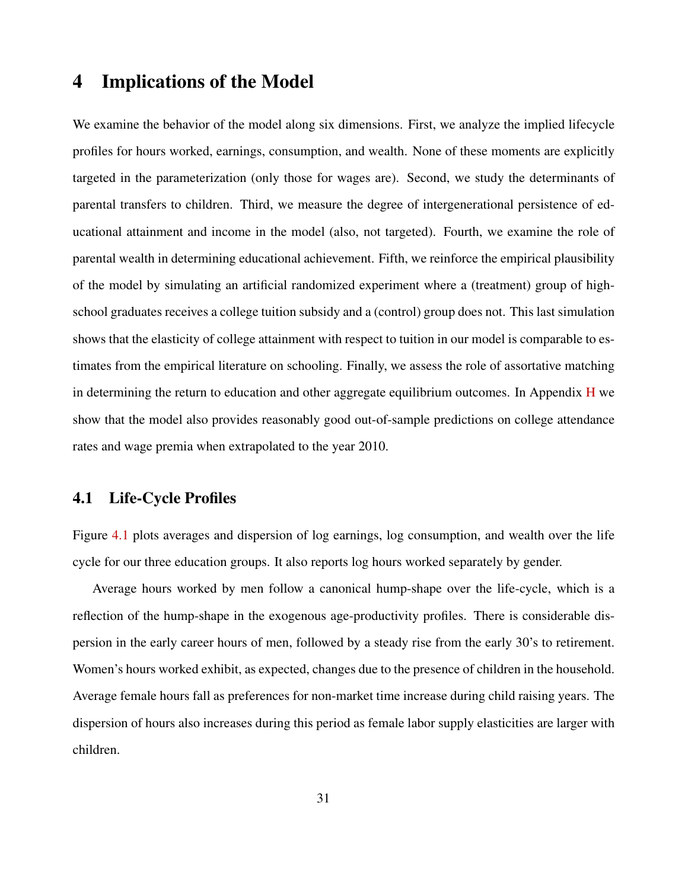# <span id="page-32-0"></span>4 Implications of the Model

We examine the behavior of the model along six dimensions. First, we analyze the implied lifecycle profiles for hours worked, earnings, consumption, and wealth. None of these moments are explicitly targeted in the parameterization (only those for wages are). Second, we study the determinants of parental transfers to children. Third, we measure the degree of intergenerational persistence of educational attainment and income in the model (also, not targeted). Fourth, we examine the role of parental wealth in determining educational achievement. Fifth, we reinforce the empirical plausibility of the model by simulating an artificial randomized experiment where a (treatment) group of highschool graduates receives a college tuition subsidy and a (control) group does not. This last simulation shows that the elasticity of college attainment with respect to tuition in our model is comparable to estimates from the empirical literature on schooling. Finally, we assess the role of assortative matching in determining the return to education and other aggregate equilibrium outcomes. In Appendix [H](#page-93-0) we show that the model also provides reasonably good out-of-sample predictions on college attendance rates and wage premia when extrapolated to the year 2010.

# 4.1 Life-Cycle Profiles

Figure [4.1](#page-33-0) plots averages and dispersion of log earnings, log consumption, and wealth over the life cycle for our three education groups. It also reports log hours worked separately by gender.

Average hours worked by men follow a canonical hump-shape over the life-cycle, which is a reflection of the hump-shape in the exogenous age-productivity profiles. There is considerable dispersion in the early career hours of men, followed by a steady rise from the early 30's to retirement. Women's hours worked exhibit, as expected, changes due to the presence of children in the household. Average female hours fall as preferences for non-market time increase during child raising years. The dispersion of hours also increases during this period as female labor supply elasticities are larger with children.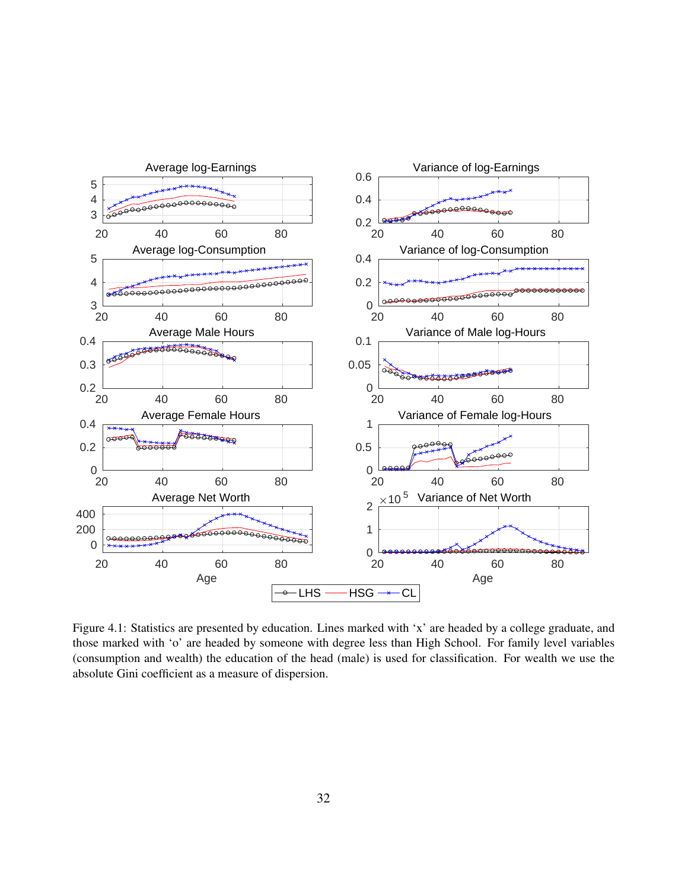<span id="page-33-0"></span>

Figure 4.1: Statistics are presented by education. Lines marked with 'x' are headed by a college graduate, and those marked with 'o' are headed by someone with degree less than High School. For family level variables (consumption and wealth) the education of the head (male) is used for classification. For wealth we use the absolute Gini coefficient as a measure of dispersion.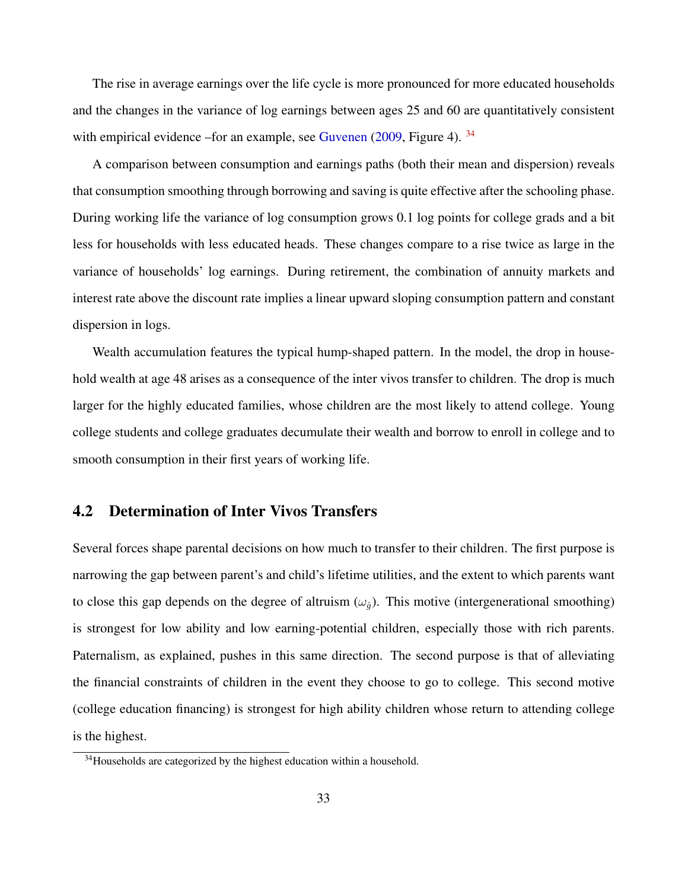The rise in average earnings over the life cycle is more pronounced for more educated households and the changes in the variance of log earnings between ages 25 and 60 are quantitatively consistent with empirical evidence –for an example, see [Guvenen](#page-59-14)  $(2009,$  Figure 4).  $34$ 

A comparison between consumption and earnings paths (both their mean and dispersion) reveals that consumption smoothing through borrowing and saving is quite effective after the schooling phase. During working life the variance of log consumption grows 0.1 log points for college grads and a bit less for households with less educated heads. These changes compare to a rise twice as large in the variance of households' log earnings. During retirement, the combination of annuity markets and interest rate above the discount rate implies a linear upward sloping consumption pattern and constant dispersion in logs.

Wealth accumulation features the typical hump-shaped pattern. In the model, the drop in household wealth at age 48 arises as a consequence of the inter vivos transfer to children. The drop is much larger for the highly educated families, whose children are the most likely to attend college. Young college students and college graduates decumulate their wealth and borrow to enroll in college and to smooth consumption in their first years of working life.

## 4.2 Determination of Inter Vivos Transfers

Several forces shape parental decisions on how much to transfer to their children. The first purpose is narrowing the gap between parent's and child's lifetime utilities, and the extent to which parents want to close this gap depends on the degree of altruism  $(\omega_{\hat{p}})$ . This motive (intergenerational smoothing) is strongest for low ability and low earning-potential children, especially those with rich parents. Paternalism, as explained, pushes in this same direction. The second purpose is that of alleviating the financial constraints of children in the event they choose to go to college. This second motive (college education financing) is strongest for high ability children whose return to attending college is the highest.

<span id="page-34-0"></span> $34$ Households are categorized by the highest education within a household.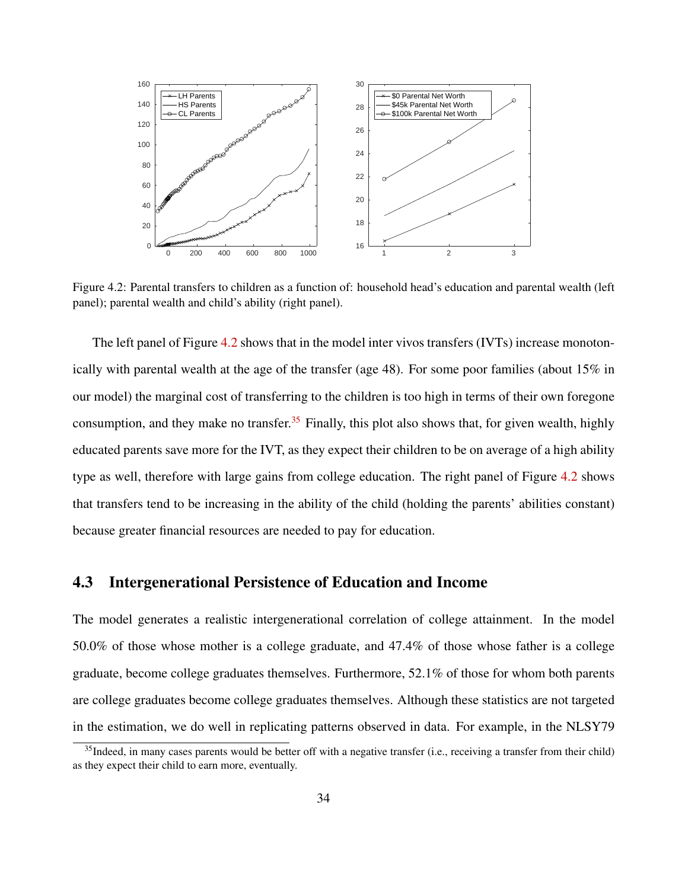<span id="page-35-0"></span>

Figure 4.2: Parental transfers to children as a function of: household head's education and parental wealth (left panel); parental wealth and child's ability (right panel).

The left panel of Figure [4.2](#page-35-0) shows that in the model inter vivos transfers (IVTs) increase monotonically with parental wealth at the age of the transfer (age 48). For some poor families (about 15% in our model) the marginal cost of transferring to the children is too high in terms of their own foregone consumption, and they make no transfer.<sup>[35](#page-35-1)</sup> Finally, this plot also shows that, for given wealth, highly educated parents save more for the IVT, as they expect their children to be on average of a high ability type as well, therefore with large gains from college education. The right panel of Figure [4.2](#page-35-0) shows that transfers tend to be increasing in the ability of the child (holding the parents' abilities constant) because greater financial resources are needed to pay for education.

# 4.3 Intergenerational Persistence of Education and Income

The model generates a realistic intergenerational correlation of college attainment. In the model 50.0% of those whose mother is a college graduate, and 47.4% of those whose father is a college graduate, become college graduates themselves. Furthermore, 52.1% of those for whom both parents are college graduates become college graduates themselves. Although these statistics are not targeted in the estimation, we do well in replicating patterns observed in data. For example, in the NLSY79

<span id="page-35-1"></span> $35$ Indeed, in many cases parents would be better off with a negative transfer (i.e., receiving a transfer from their child) as they expect their child to earn more, eventually.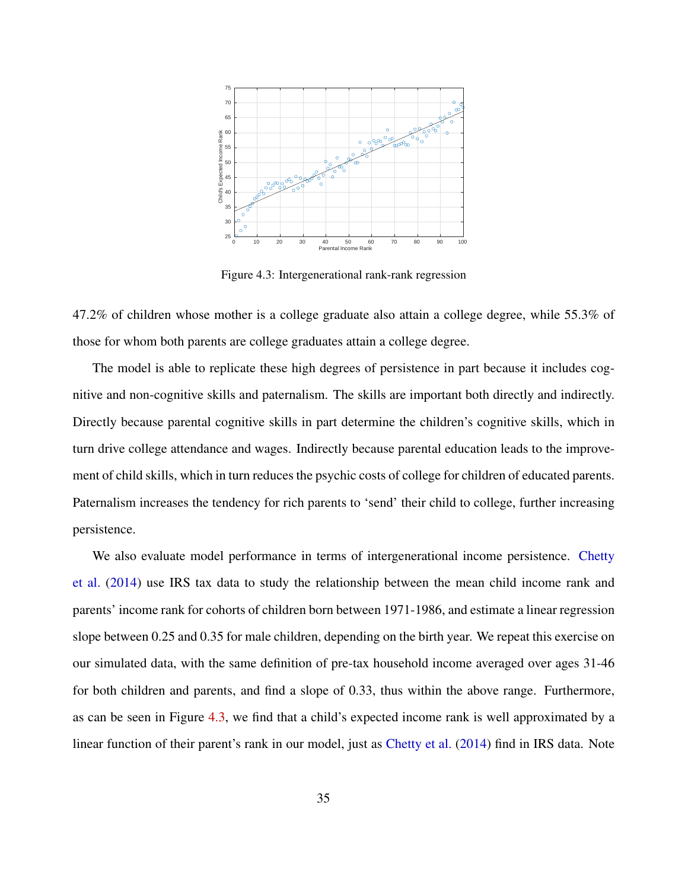<span id="page-36-0"></span>

Figure 4.3: Intergenerational rank-rank regression

47.2% of children whose mother is a college graduate also attain a college degree, while 55.3% of those for whom both parents are college graduates attain a college degree.

The model is able to replicate these high degrees of persistence in part because it includes cognitive and non-cognitive skills and paternalism. The skills are important both directly and indirectly. Directly because parental cognitive skills in part determine the children's cognitive skills, which in turn drive college attendance and wages. Indirectly because parental education leads to the improvement of child skills, which in turn reduces the psychic costs of college for children of educated parents. Paternalism increases the tendency for rich parents to 'send' their child to college, further increasing persistence.

We also evaluate model performance in terms of intergenerational income persistence. [Chetty](#page-59-0) [et al.](#page-59-0) [\(2014\)](#page-59-0) use IRS tax data to study the relationship between the mean child income rank and parents' income rank for cohorts of children born between 1971-1986, and estimate a linear regression slope between 0.25 and 0.35 for male children, depending on the birth year. We repeat this exercise on our simulated data, with the same definition of pre-tax household income averaged over ages 31-46 for both children and parents, and find a slope of 0.33, thus within the above range. Furthermore, as can be seen in Figure [4.3,](#page-36-0) we find that a child's expected income rank is well approximated by a linear function of their parent's rank in our model, just as [Chetty et al.](#page-59-0) [\(2014\)](#page-59-0) find in IRS data. Note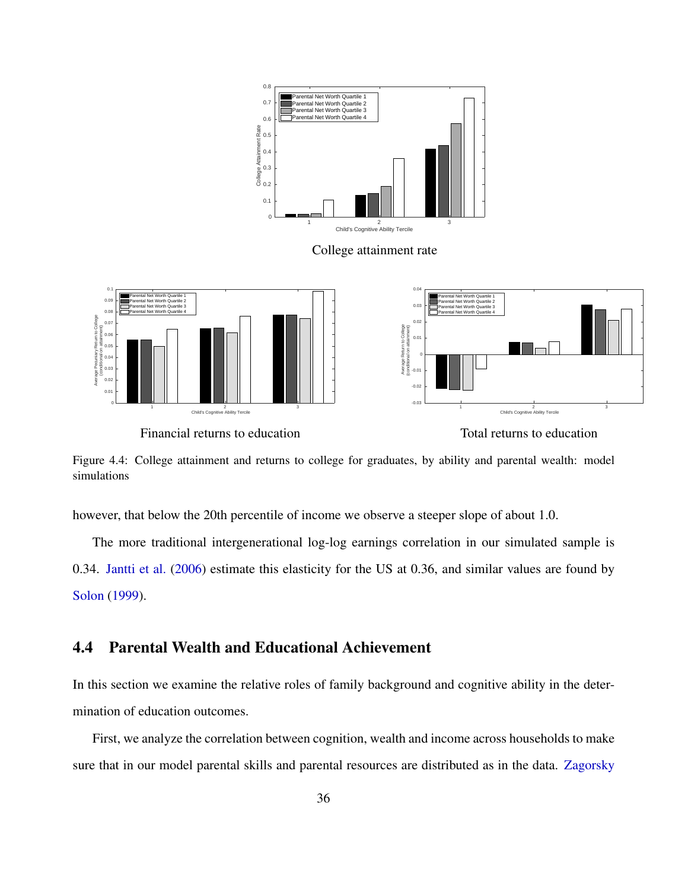<span id="page-37-0"></span>

Figure 4.4: College attainment and returns to college for graduates, by ability and parental wealth: model simulations

however, that below the 20th percentile of income we observe a steeper slope of about 1.0.

The more traditional intergenerational log-log earnings correlation in our simulated sample is 0.34. [Jantti et al.](#page-60-0) [\(2006\)](#page-60-0) estimate this elasticity for the US at 0.36, and similar values are found by [Solon](#page-61-0) [\(1999\)](#page-61-0).

#### 4.4 Parental Wealth and Educational Achievement

In this section we examine the relative roles of family background and cognitive ability in the determination of education outcomes.

First, we analyze the correlation between cognition, wealth and income across households to make sure that in our model parental skills and parental resources are distributed as in the data. [Zagorsky](#page-62-0)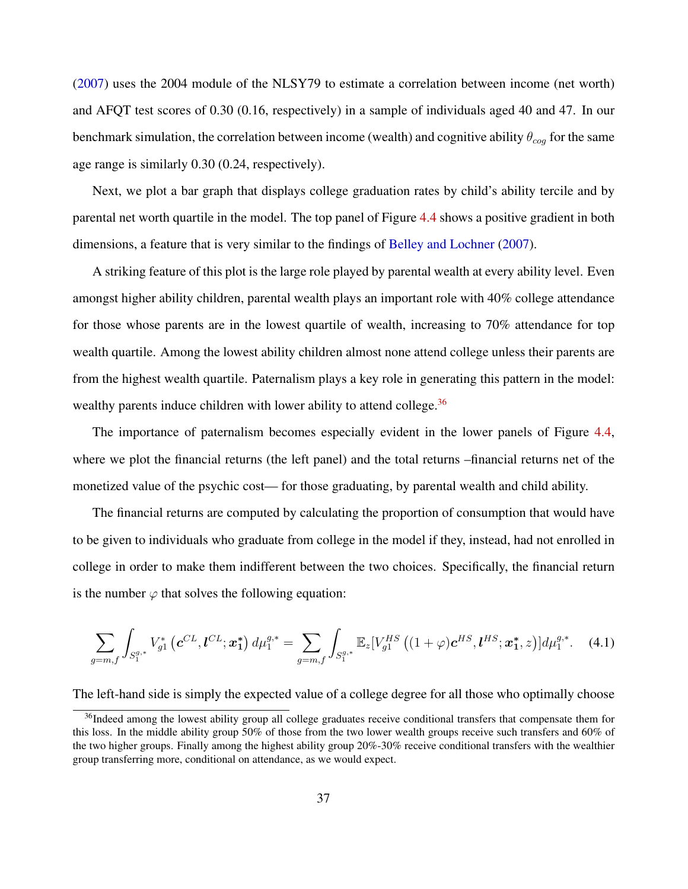[\(2007\)](#page-62-0) uses the 2004 module of the NLSY79 to estimate a correlation between income (net worth) and AFQT test scores of 0.30 (0.16, respectively) in a sample of individuals aged 40 and 47. In our benchmark simulation, the correlation between income (wealth) and cognitive ability  $\theta_{\text{coq}}$  for the same age range is similarly 0.30 (0.24, respectively).

Next, we plot a bar graph that displays college graduation rates by child's ability tercile and by parental net worth quartile in the model. The top panel of Figure [4.4](#page-37-0) shows a positive gradient in both dimensions, a feature that is very similar to the findings of [Belley and Lochner](#page-58-0) [\(2007\)](#page-58-0).

A striking feature of this plot is the large role played by parental wealth at every ability level. Even amongst higher ability children, parental wealth plays an important role with 40% college attendance for those whose parents are in the lowest quartile of wealth, increasing to 70% attendance for top wealth quartile. Among the lowest ability children almost none attend college unless their parents are from the highest wealth quartile. Paternalism plays a key role in generating this pattern in the model: wealthy parents induce children with lower ability to attend college.<sup>[36](#page-38-0)</sup>

The importance of paternalism becomes especially evident in the lower panels of Figure [4.4,](#page-37-0) where we plot the financial returns (the left panel) and the total returns –financial returns net of the monetized value of the psychic cost— for those graduating, by parental wealth and child ability.

The financial returns are computed by calculating the proportion of consumption that would have to be given to individuals who graduate from college in the model if they, instead, had not enrolled in college in order to make them indifferent between the two choices. Specifically, the financial return is the number  $\varphi$  that solves the following equation:

$$
\sum_{g=m,f} \int_{S_1^{g,*}} V_{g1}^* \left( \mathbf{c}^{CL}, \mathbf{l}^{CL}; \mathbf{x}_1^* \right) d\mu_1^{g,*} = \sum_{g=m,f} \int_{S_1^{g,*}} \mathbb{E}_z [V_{g1}^{HS} \left( (1+\varphi) \mathbf{c}^{HS}, \mathbf{l}^{HS}; \mathbf{x}_1^*, z \right) ] d\mu_1^{g,*}.\tag{4.1}
$$

The left-hand side is simply the expected value of a college degree for all those who optimally choose

<span id="page-38-0"></span><sup>&</sup>lt;sup>36</sup>Indeed among the lowest ability group all college graduates receive conditional transfers that compensate them for this loss. In the middle ability group 50% of those from the two lower wealth groups receive such transfers and 60% of the two higher groups. Finally among the highest ability group 20%-30% receive conditional transfers with the wealthier group transferring more, conditional on attendance, as we would expect.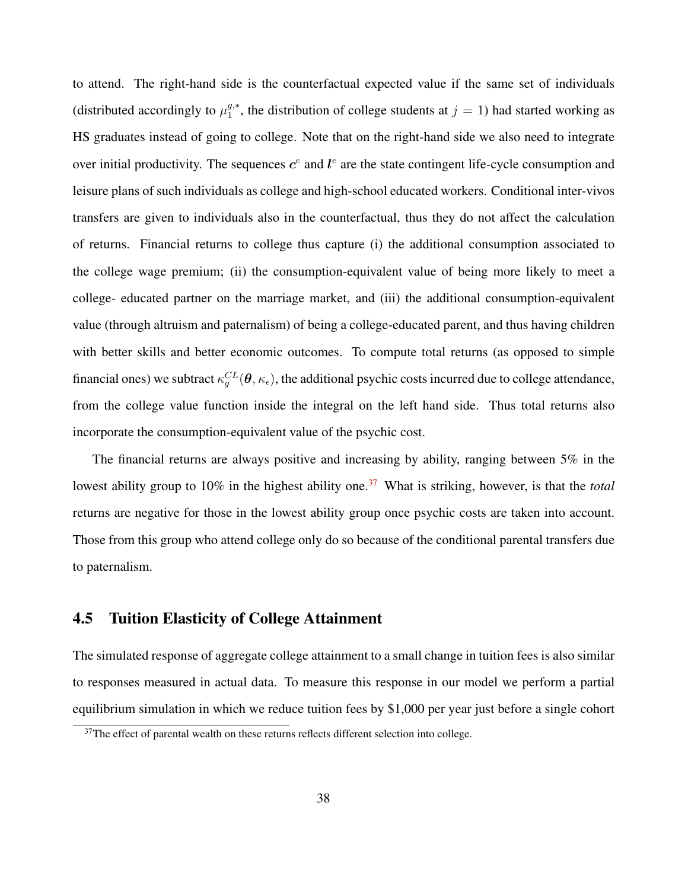to attend. The right-hand side is the counterfactual expected value if the same set of individuals (distributed accordingly to  $\mu_1^{g,*}$  $j^{(g, *)}_{1}$ , the distribution of college students at  $j = 1$ ) had started working as HS graduates instead of going to college. Note that on the right-hand side we also need to integrate over initial productivity. The sequences  $c^e$  and  $l^e$  are the state contingent life-cycle consumption and leisure plans of such individuals as college and high-school educated workers. Conditional inter-vivos transfers are given to individuals also in the counterfactual, thus they do not affect the calculation of returns. Financial returns to college thus capture (i) the additional consumption associated to the college wage premium; (ii) the consumption-equivalent value of being more likely to meet a college- educated partner on the marriage market, and (iii) the additional consumption-equivalent value (through altruism and paternalism) of being a college-educated parent, and thus having children with better skills and better economic outcomes. To compute total returns (as opposed to simple financial ones) we subtract  $\kappa_g^{CL}(\theta, \kappa_\epsilon)$ , the additional psychic costs incurred due to college attendance, from the college value function inside the integral on the left hand side. Thus total returns also incorporate the consumption-equivalent value of the psychic cost.

The financial returns are always positive and increasing by ability, ranging between 5% in the lowest ability group to 10% in the highest ability one.<sup>[37](#page-39-0)</sup> What is striking, however, is that the *total* returns are negative for those in the lowest ability group once psychic costs are taken into account. Those from this group who attend college only do so because of the conditional parental transfers due to paternalism.

### 4.5 Tuition Elasticity of College Attainment

The simulated response of aggregate college attainment to a small change in tuition fees is also similar to responses measured in actual data. To measure this response in our model we perform a partial equilibrium simulation in which we reduce tuition fees by \$1,000 per year just before a single cohort

<span id="page-39-0"></span> $37$ The effect of parental wealth on these returns reflects different selection into college.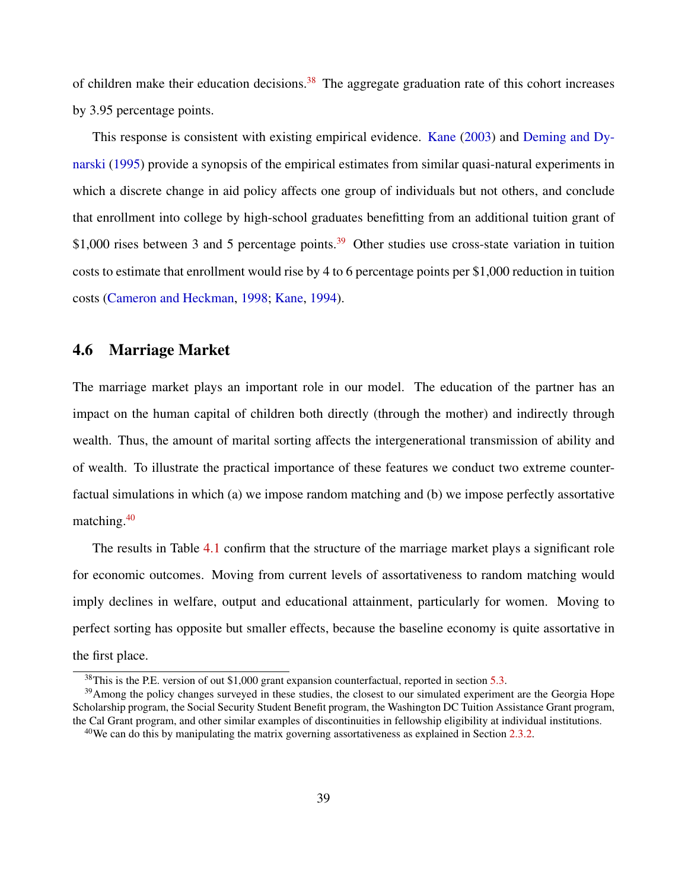of children make their education decisions.<sup>[38](#page-40-0)</sup> The aggregate graduation rate of this cohort increases by 3.95 percentage points.

This response is consistent with existing empirical evidence. [Kane](#page-60-1) [\(2003\)](#page-60-1) and [Deming and Dy](#page-59-1)[narski](#page-59-1) [\(1995\)](#page-59-1) provide a synopsis of the empirical estimates from similar quasi-natural experiments in which a discrete change in aid policy affects one group of individuals but not others, and conclude that enrollment into college by high-school graduates benefitting from an additional tuition grant of \$1,000 rises between 3 and 5 percentage points.<sup>[39](#page-40-1)</sup> Other studies use cross-state variation in tuition costs to estimate that enrollment would rise by 4 to 6 percentage points per \$1,000 reduction in tuition costs [\(Cameron and Heckman,](#page-58-1) [1998;](#page-58-1) [Kane,](#page-60-2) [1994\)](#page-60-2).

#### 4.6 Marriage Market

The marriage market plays an important role in our model. The education of the partner has an impact on the human capital of children both directly (through the mother) and indirectly through wealth. Thus, the amount of marital sorting affects the intergenerational transmission of ability and of wealth. To illustrate the practical importance of these features we conduct two extreme counterfactual simulations in which (a) we impose random matching and (b) we impose perfectly assortative matching.[40](#page-40-2)

The results in Table [4.1](#page-41-0) confirm that the structure of the marriage market plays a significant role for economic outcomes. Moving from current levels of assortativeness to random matching would imply declines in welfare, output and educational attainment, particularly for women. Moving to perfect sorting has opposite but smaller effects, because the baseline economy is quite assortative in the first place.

<span id="page-40-1"></span><span id="page-40-0"></span><sup>&</sup>lt;sup>38</sup>This is the P.E. version of out \$1,000 grant expansion counterfactual, reported in section [5.3.](#page-49-0)

<sup>&</sup>lt;sup>39</sup>Among the policy changes surveyed in these studies, the closest to our simulated experiment are the Georgia Hope Scholarship program, the Social Security Student Benefit program, the Washington DC Tuition Assistance Grant program, the Cal Grant program, and other similar examples of discontinuities in fellowship eligibility at individual institutions.

<span id="page-40-2"></span> $40$ We can do this by manipulating the matrix governing assortativeness as explained in Section [2.3.2.](#page-18-0)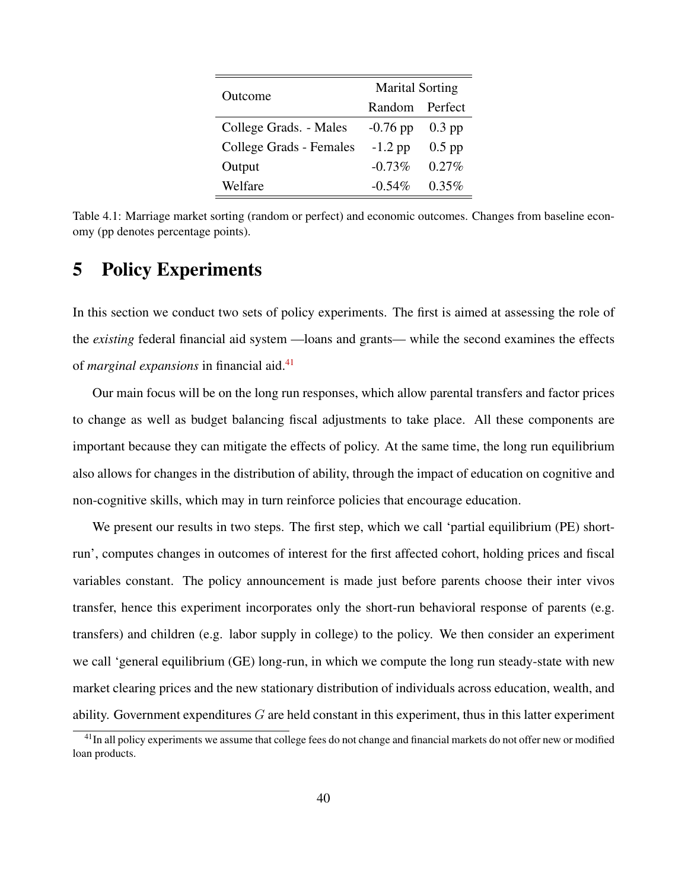<span id="page-41-0"></span>

| Outcome                 | <b>Marital Sorting</b> |          |  |  |
|-------------------------|------------------------|----------|--|--|
|                         | Random Perfect         |          |  |  |
| College Grads. - Males  | $-0.76$ pp             | $0.3$ pp |  |  |
| College Grads - Females | $-1.2$ pp              | $0.5$ pp |  |  |
| Output                  | $-0.73\%$              | $0.27\%$ |  |  |
| Welfare                 | $-0.54\%$              | $0.35\%$ |  |  |

Table 4.1: Marriage market sorting (random or perfect) and economic outcomes. Changes from baseline economy (pp denotes percentage points).

# 5 Policy Experiments

In this section we conduct two sets of policy experiments. The first is aimed at assessing the role of the *existing* federal financial aid system —loans and grants— while the second examines the effects of *marginal expansions* in financial aid.[41](#page-41-1)

Our main focus will be on the long run responses, which allow parental transfers and factor prices to change as well as budget balancing fiscal adjustments to take place. All these components are important because they can mitigate the effects of policy. At the same time, the long run equilibrium also allows for changes in the distribution of ability, through the impact of education on cognitive and non-cognitive skills, which may in turn reinforce policies that encourage education.

We present our results in two steps. The first step, which we call 'partial equilibrium (PE) shortrun', computes changes in outcomes of interest for the first affected cohort, holding prices and fiscal variables constant. The policy announcement is made just before parents choose their inter vivos transfer, hence this experiment incorporates only the short-run behavioral response of parents (e.g. transfers) and children (e.g. labor supply in college) to the policy. We then consider an experiment we call 'general equilibrium (GE) long-run, in which we compute the long run steady-state with new market clearing prices and the new stationary distribution of individuals across education, wealth, and ability. Government expenditures  $G$  are held constant in this experiment, thus in this latter experiment

<span id="page-41-1"></span><sup>&</sup>lt;sup>41</sup>In all policy experiments we assume that college fees do not change and financial markets do not offer new or modified loan products.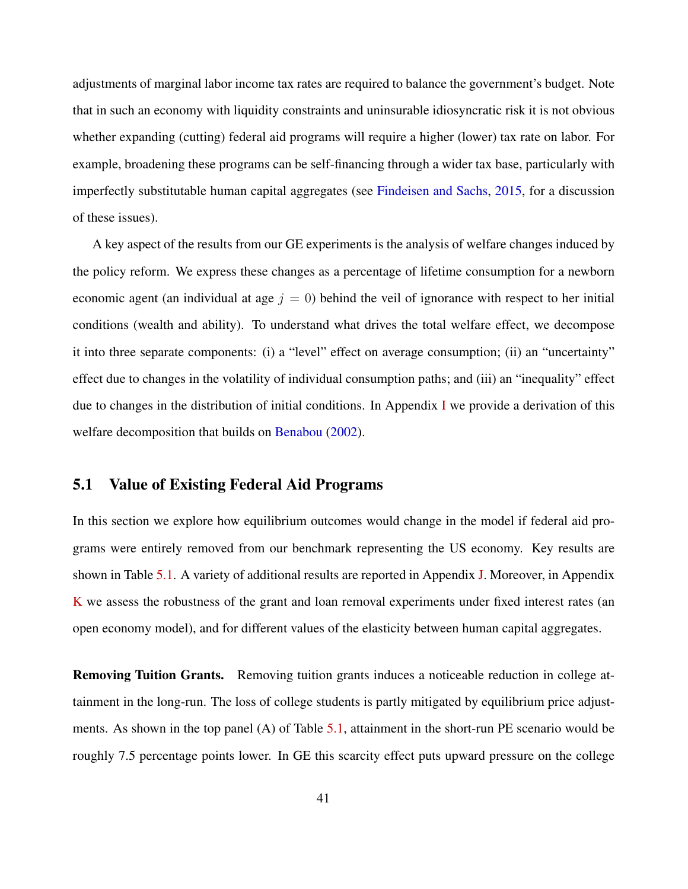adjustments of marginal labor income tax rates are required to balance the government's budget. Note that in such an economy with liquidity constraints and uninsurable idiosyncratic risk it is not obvious whether expanding (cutting) federal aid programs will require a higher (lower) tax rate on labor. For example, broadening these programs can be self-financing through a wider tax base, particularly with imperfectly substitutable human capital aggregates (see [Findeisen and Sachs,](#page-59-2) [2015,](#page-59-2) for a discussion of these issues).

A key aspect of the results from our GE experiments is the analysis of welfare changes induced by the policy reform. We express these changes as a percentage of lifetime consumption for a newborn economic agent (an individual at age  $j = 0$ ) behind the veil of ignorance with respect to her initial conditions (wealth and ability). To understand what drives the total welfare effect, we decompose it into three separate components: (i) a "level" effect on average consumption; (ii) an "uncertainty" effect due to changes in the volatility of individual consumption paths; and (iii) an "inequality" effect due to changes in the distribution of initial conditions. In Appendix [I](#page-94-0) we provide a derivation of this welfare decomposition that builds on [Benabou](#page-58-2) [\(2002\)](#page-58-2).

#### 5.1 Value of Existing Federal Aid Programs

In this section we explore how equilibrium outcomes would change in the model if federal aid programs were entirely removed from our benchmark representing the US economy. Key results are shown in Table [5.1.](#page-43-0) A variety of additional results are reported in Appendix [J.](#page-97-0) Moreover, in Appendix [K](#page-112-0) we assess the robustness of the grant and loan removal experiments under fixed interest rates (an open economy model), and for different values of the elasticity between human capital aggregates.

**Removing Tuition Grants.** Removing tuition grants induces a noticeable reduction in college attainment in the long-run. The loss of college students is partly mitigated by equilibrium price adjustments. As shown in the top panel (A) of Table [5.1,](#page-43-0) attainment in the short-run PE scenario would be roughly 7.5 percentage points lower. In GE this scarcity effect puts upward pressure on the college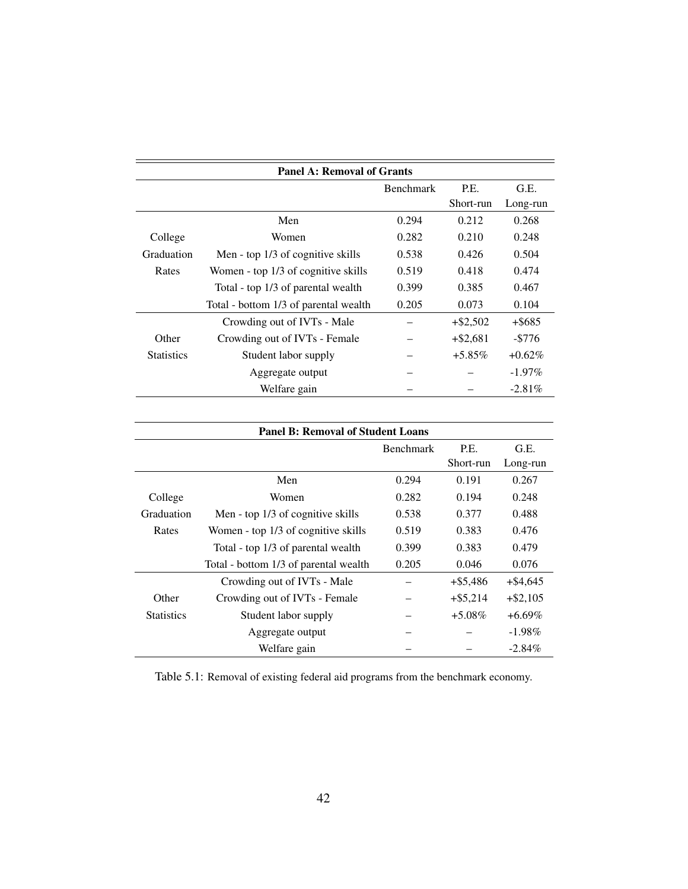<span id="page-43-0"></span>

| <b>Panel A: Removal of Grants</b> |                                       |       |             |           |  |  |  |
|-----------------------------------|---------------------------------------|-------|-------------|-----------|--|--|--|
| <b>Benchmark</b><br>P.E.<br>G.E.  |                                       |       |             |           |  |  |  |
|                                   |                                       |       | Short-run   | Long-run  |  |  |  |
|                                   | Men                                   | 0.294 | 0.212       | 0.268     |  |  |  |
| College                           | Women                                 | 0.282 | 0.210       | 0.248     |  |  |  |
| Graduation                        | Men - top 1/3 of cognitive skills     | 0.538 | 0.426       | 0.504     |  |  |  |
| Rates                             | Women - top 1/3 of cognitive skills   | 0.519 | 0.418       | 0.474     |  |  |  |
|                                   | Total - top 1/3 of parental wealth    | 0.399 | 0.385       | 0.467     |  |  |  |
|                                   | Total - bottom 1/3 of parental wealth | 0.205 | 0.073       | 0.104     |  |  |  |
|                                   | Crowding out of IVTs - Male           |       | $+$ \$2,502 | $+$ \$685 |  |  |  |
| Other                             | Crowding out of IVTs - Female         |       | $+$ \$2,681 | $-\$776$  |  |  |  |
| <b>Statistics</b>                 | Student labor supply                  |       | $+5.85\%$   | $+0.62\%$ |  |  |  |
|                                   | Aggregate output                      |       |             | $-1.97\%$ |  |  |  |
|                                   | Welfare gain                          |       |             | $-2.81\%$ |  |  |  |

| <b>Panel B: Removal of Student Loans</b> |                                       |       |             |             |  |
|------------------------------------------|---------------------------------------|-------|-------------|-------------|--|
|                                          | PE <sub>c</sub>                       | G.E.  |             |             |  |
|                                          |                                       |       | Short-run   | Long-run    |  |
|                                          | Men                                   | 0.294 | 0.191       | 0.267       |  |
| College                                  | Women                                 | 0.282 | 0.194       | 0.248       |  |
| Graduation                               | Men - top 1/3 of cognitive skills     | 0.538 | 0.377       | 0.488       |  |
| Rates                                    | Women - top 1/3 of cognitive skills   | 0.519 | 0.383       | 0.476       |  |
|                                          | Total - top 1/3 of parental wealth    | 0.399 | 0.383       | 0.479       |  |
|                                          | Total - bottom 1/3 of parental wealth | 0.205 | 0.046       | 0.076       |  |
|                                          | Crowding out of IVTs - Male           |       | $+$ \$5,486 | $+$ \$4,645 |  |
| Other                                    | Crowding out of IVTs - Female         |       | $+$ \$5,214 | $+$ \$2,105 |  |
| <b>Statistics</b>                        | Student labor supply                  |       | $+5.08\%$   | $+6.69\%$   |  |
|                                          | Aggregate output                      |       |             | $-1.98\%$   |  |
|                                          | Welfare gain                          |       |             | $-2.84\%$   |  |

Table 5.1: Removal of existing federal aid programs from the benchmark economy.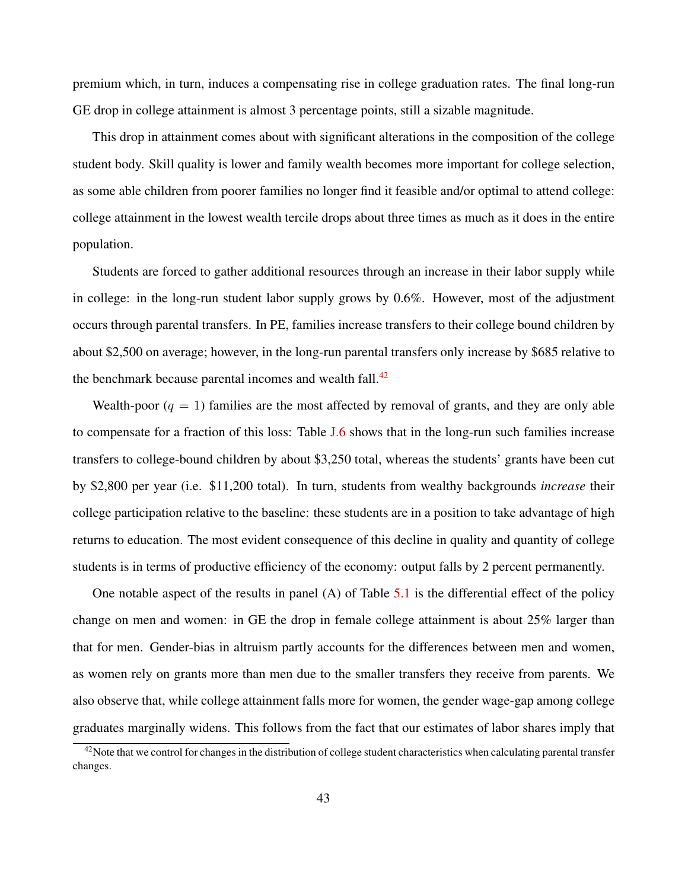premium which, in turn, induces a compensating rise in college graduation rates. The final long-run GE drop in college attainment is almost 3 percentage points, still a sizable magnitude.

This drop in attainment comes about with significant alterations in the composition of the college student body. Skill quality is lower and family wealth becomes more important for college selection, as some able children from poorer families no longer find it feasible and/or optimal to attend college: college attainment in the lowest wealth tercile drops about three times as much as it does in the entire population.

Students are forced to gather additional resources through an increase in their labor supply while in college: in the long-run student labor supply grows by 0.6%. However, most of the adjustment occurs through parental transfers. In PE, families increase transfers to their college bound children by about \$2,500 on average; however, in the long-run parental transfers only increase by \$685 relative to the benchmark because parental incomes and wealth fall.<sup>[42](#page-44-0)</sup>

Wealth-poor  $(q = 1)$  families are the most affected by removal of grants, and they are only able to compensate for a fraction of this loss: Table [J.6](#page-101-0) shows that in the long-run such families increase transfers to college-bound children by about \$3,250 total, whereas the students' grants have been cut by \$2,800 per year (i.e. \$11,200 total). In turn, students from wealthy backgrounds *increase* their college participation relative to the baseline: these students are in a position to take advantage of high returns to education. The most evident consequence of this decline in quality and quantity of college students is in terms of productive efficiency of the economy: output falls by 2 percent permanently.

One notable aspect of the results in panel (A) of Table [5.1](#page-43-0) is the differential effect of the policy change on men and women: in GE the drop in female college attainment is about 25% larger than that for men. Gender-bias in altruism partly accounts for the differences between men and women, as women rely on grants more than men due to the smaller transfers they receive from parents. We also observe that, while college attainment falls more for women, the gender wage-gap among college graduates marginally widens. This follows from the fact that our estimates of labor shares imply that

<span id="page-44-0"></span><sup>&</sup>lt;sup>42</sup>Note that we control for changes in the distribution of college student characteristics when calculating parental transfer changes.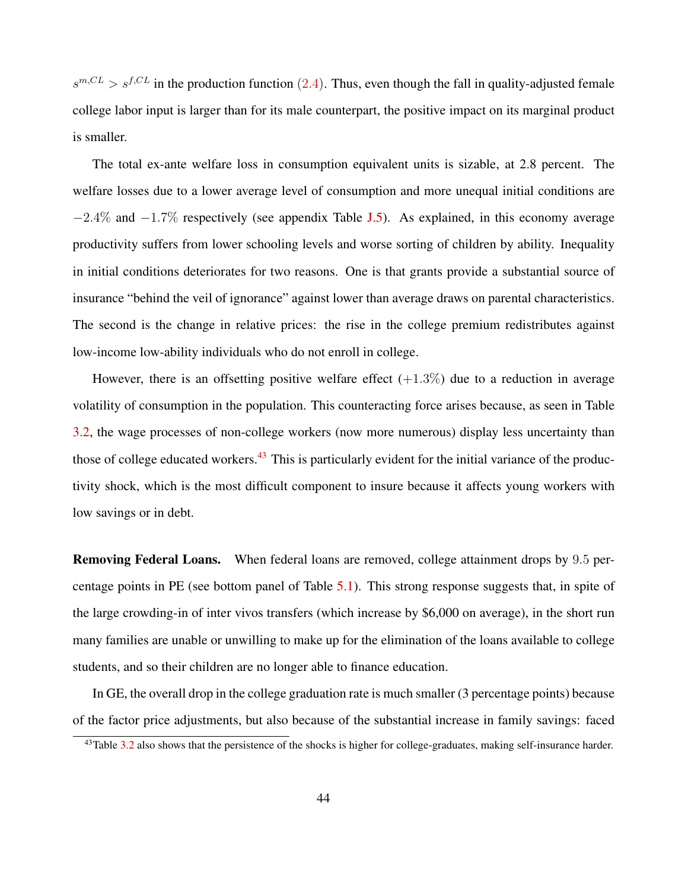$s^{m,CL} > s^{f,CL}$  in the production function (2.[4\)](#page-10-0). Thus, even though the fall in quality-adjusted female college labor input is larger than for its male counterpart, the positive impact on its marginal product is smaller.

The total ex-ante welfare loss in consumption equivalent units is sizable, at 2.8 percent. The welfare losses due to a lower average level of consumption and more unequal initial conditions are  $-2.4\%$  and  $-1.7\%$  respectively (see appendix Table [J.5\)](#page-101-1). As explained, in this economy average productivity suffers from lower schooling levels and worse sorting of children by ability. Inequality in initial conditions deteriorates for two reasons. One is that grants provide a substantial source of insurance "behind the veil of ignorance" against lower than average draws on parental characteristics. The second is the change in relative prices: the rise in the college premium redistributes against low-income low-ability individuals who do not enroll in college.

However, there is an offsetting positive welfare effect  $(+1.3\%)$  due to a reduction in average volatility of consumption in the population. This counteracting force arises because, as seen in Table [3.2,](#page-26-0) the wage processes of non-college workers (now more numerous) display less uncertainty than those of college educated workers.<sup>[43](#page-45-0)</sup> This is particularly evident for the initial variance of the productivity shock, which is the most difficult component to insure because it affects young workers with low savings or in debt.

**Removing Federal Loans.** When federal loans are removed, college attainment drops by 9.5 percentage points in PE (see bottom panel of Table [5.1\)](#page-43-0). This strong response suggests that, in spite of the large crowding-in of inter vivos transfers (which increase by \$6,000 on average), in the short run many families are unable or unwilling to make up for the elimination of the loans available to college students, and so their children are no longer able to finance education.

In GE, the overall drop in the college graduation rate is much smaller (3 percentage points) because of the factor price adjustments, but also because of the substantial increase in family savings: faced

<span id="page-45-0"></span> $43$ Table  $3.2$  also shows that the persistence of the shocks is higher for college-graduates, making self-insurance harder.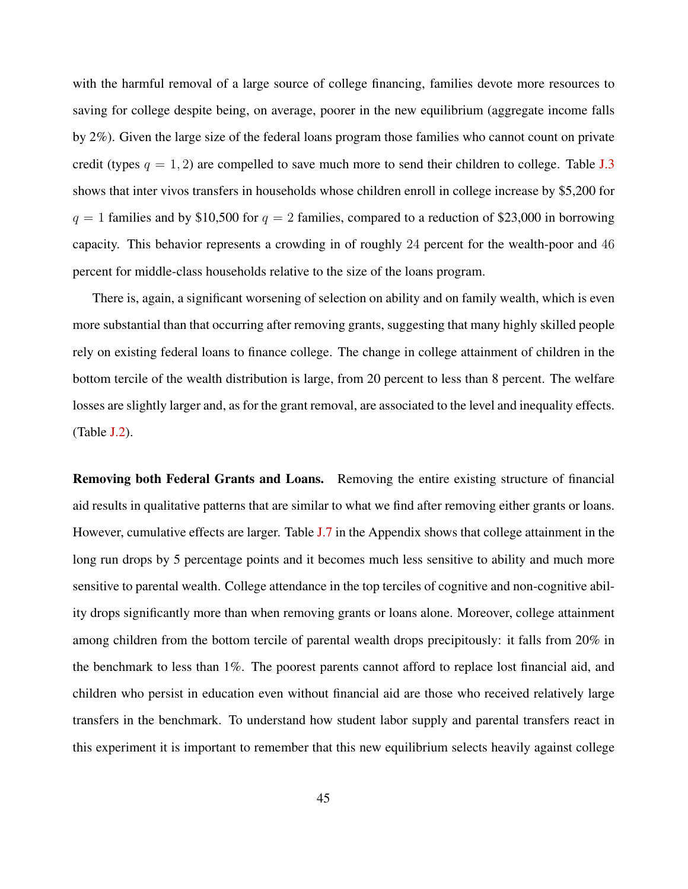with the harmful removal of a large source of college financing, families devote more resources to saving for college despite being, on average, poorer in the new equilibrium (aggregate income falls by 2%). Given the large size of the federal loans program those families who cannot count on private credit (types  $q = 1, 2$ ) are compelled to save much more to send their children to college. Table [J.3](#page-99-0) shows that inter vivos transfers in households whose children enroll in college increase by \$5,200 for  $q = 1$  families and by \$10,500 for  $q = 2$  families, compared to a reduction of \$23,000 in borrowing capacity. This behavior represents a crowding in of roughly 24 percent for the wealth-poor and 46 percent for middle-class households relative to the size of the loans program.

There is, again, a significant worsening of selection on ability and on family wealth, which is even more substantial than that occurring after removing grants, suggesting that many highly skilled people rely on existing federal loans to finance college. The change in college attainment of children in the bottom tercile of the wealth distribution is large, from 20 percent to less than 8 percent. The welfare losses are slightly larger and, as for the grant removal, are associated to the level and inequality effects. (Table [J.2\)](#page-71-0).

Removing both Federal Grants and Loans. Removing the entire existing structure of financial aid results in qualitative patterns that are similar to what we find after removing either grants or loans. However, cumulative effects are larger. Table [J.7](#page-102-0) in the Appendix shows that college attainment in the long run drops by 5 percentage points and it becomes much less sensitive to ability and much more sensitive to parental wealth. College attendance in the top terciles of cognitive and non-cognitive ability drops significantly more than when removing grants or loans alone. Moreover, college attainment among children from the bottom tercile of parental wealth drops precipitously: it falls from 20% in the benchmark to less than 1%. The poorest parents cannot afford to replace lost financial aid, and children who persist in education even without financial aid are those who received relatively large transfers in the benchmark. To understand how student labor supply and parental transfers react in this experiment it is important to remember that this new equilibrium selects heavily against college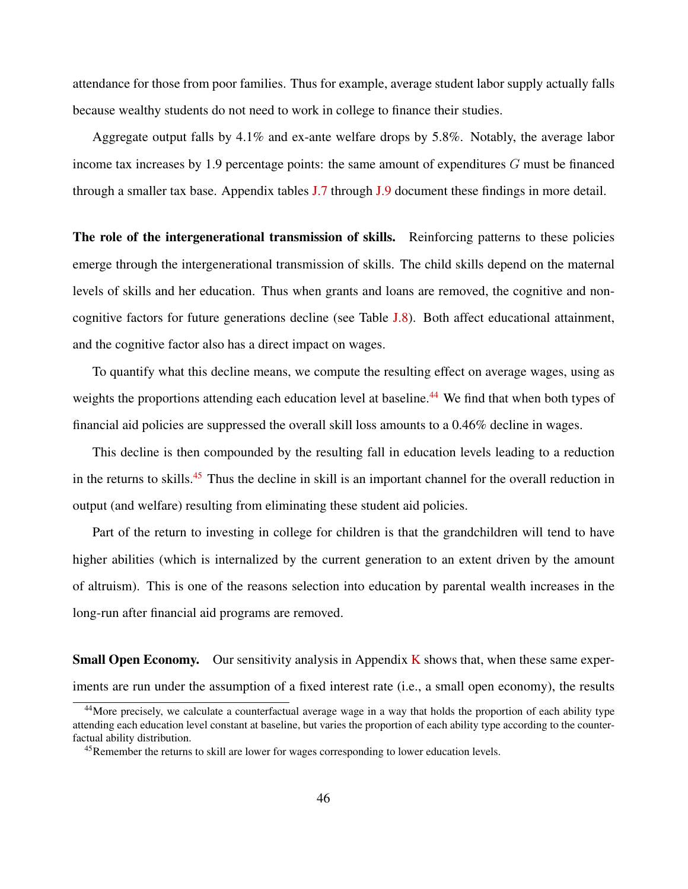attendance for those from poor families. Thus for example, average student labor supply actually falls because wealthy students do not need to work in college to finance their studies.

Aggregate output falls by 4.1% and ex-ante welfare drops by 5.8%. Notably, the average labor income tax increases by 1.9 percentage points: the same amount of expenditures G must be financed through a smaller tax base. Appendix tables [J.7](#page-102-0) through [J.9](#page-103-0) document these findings in more detail.

The role of the intergenerational transmission of skills. Reinforcing patterns to these policies emerge through the intergenerational transmission of skills. The child skills depend on the maternal levels of skills and her education. Thus when grants and loans are removed, the cognitive and noncognitive factors for future generations decline (see Table [J.8\)](#page-103-1). Both affect educational attainment, and the cognitive factor also has a direct impact on wages.

To quantify what this decline means, we compute the resulting effect on average wages, using as weights the proportions attending each education level at baseline.<sup>[44](#page-47-0)</sup> We find that when both types of financial aid policies are suppressed the overall skill loss amounts to a 0.46% decline in wages.

This decline is then compounded by the resulting fall in education levels leading to a reduction in the returns to skills.[45](#page-47-1) Thus the decline in skill is an important channel for the overall reduction in output (and welfare) resulting from eliminating these student aid policies.

Part of the return to investing in college for children is that the grandchildren will tend to have higher abilities (which is internalized by the current generation to an extent driven by the amount of altruism). This is one of the reasons selection into education by parental wealth increases in the long-run after financial aid programs are removed.

**Small Open Economy.** Our sensitivity analysis in Appendix  $\bf{K}$  $\bf{K}$  $\bf{K}$  shows that, when these same experiments are run under the assumption of a fixed interest rate (i.e., a small open economy), the results

<span id="page-47-0"></span><sup>&</sup>lt;sup>44</sup>More precisely, we calculate a counterfactual average wage in a way that holds the proportion of each ability type attending each education level constant at baseline, but varies the proportion of each ability type according to the counterfactual ability distribution.

<span id="page-47-1"></span><sup>&</sup>lt;sup>45</sup>Remember the returns to skill are lower for wages corresponding to lower education levels.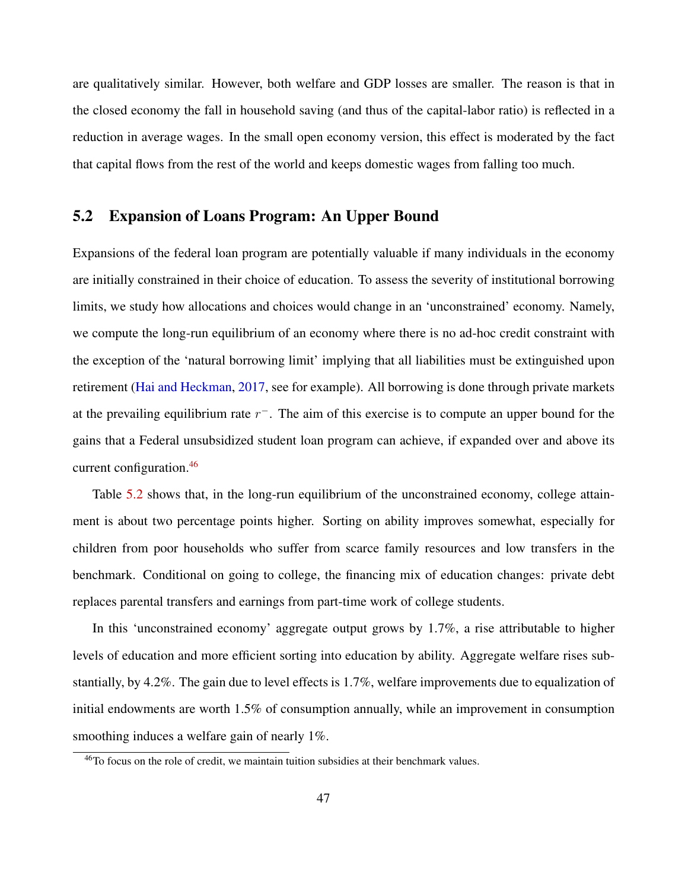are qualitatively similar. However, both welfare and GDP losses are smaller. The reason is that in the closed economy the fall in household saving (and thus of the capital-labor ratio) is reflected in a reduction in average wages. In the small open economy version, this effect is moderated by the fact that capital flows from the rest of the world and keeps domestic wages from falling too much.

#### 5.2 Expansion of Loans Program: An Upper Bound

Expansions of the federal loan program are potentially valuable if many individuals in the economy are initially constrained in their choice of education. To assess the severity of institutional borrowing limits, we study how allocations and choices would change in an 'unconstrained' economy. Namely, we compute the long-run equilibrium of an economy where there is no ad-hoc credit constraint with the exception of the 'natural borrowing limit' implying that all liabilities must be extinguished upon retirement [\(Hai and Heckman,](#page-60-3) [2017,](#page-60-3) see for example). All borrowing is done through private markets at the prevailing equilibrium rate  $r^-$ . The aim of this exercise is to compute an upper bound for the gains that a Federal unsubsidized student loan program can achieve, if expanded over and above its current configuration.<sup>[46](#page-48-0)</sup>

Table [5.2](#page-49-1) shows that, in the long-run equilibrium of the unconstrained economy, college attainment is about two percentage points higher. Sorting on ability improves somewhat, especially for children from poor households who suffer from scarce family resources and low transfers in the benchmark. Conditional on going to college, the financing mix of education changes: private debt replaces parental transfers and earnings from part-time work of college students.

In this 'unconstrained economy' aggregate output grows by 1.7%, a rise attributable to higher levels of education and more efficient sorting into education by ability. Aggregate welfare rises substantially, by 4.2%. The gain due to level effects is 1.7%, welfare improvements due to equalization of initial endowments are worth 1.5% of consumption annually, while an improvement in consumption smoothing induces a welfare gain of nearly 1%.

<span id="page-48-0"></span><sup>&</sup>lt;sup>46</sup>To focus on the role of credit, we maintain tuition subsidies at their benchmark values.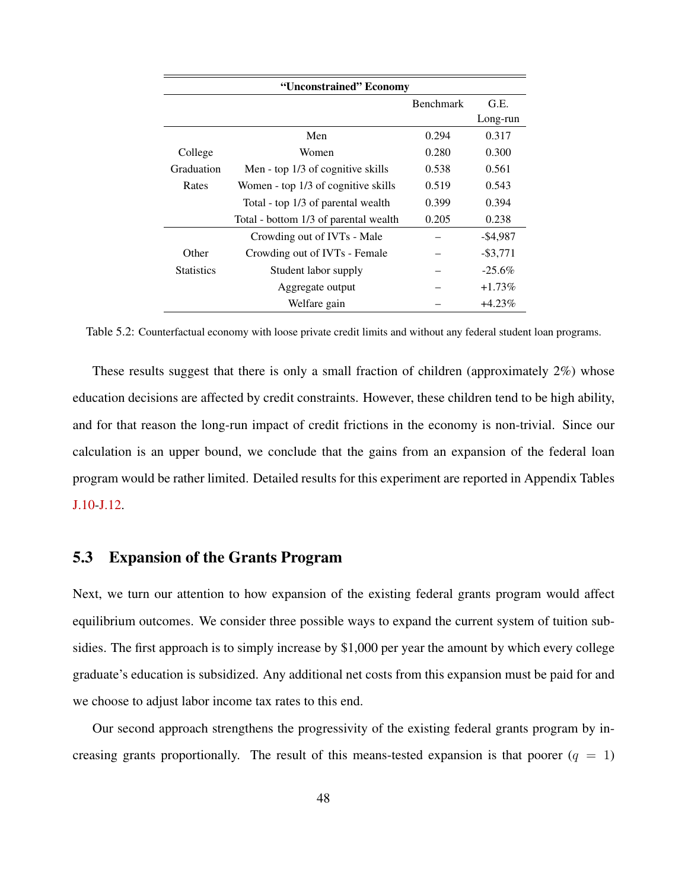<span id="page-49-1"></span>

| "Unconstrained" Economy |                                       |       |             |  |  |
|-------------------------|---------------------------------------|-------|-------------|--|--|
|                         | <b>Benchmark</b>                      | G.E.  |             |  |  |
|                         |                                       |       | Long-run    |  |  |
|                         | Men                                   | 0.294 | 0.317       |  |  |
| College                 | Women                                 | 0.280 | 0.300       |  |  |
| Graduation              | Men - top 1/3 of cognitive skills     | 0.538 | 0.561       |  |  |
| Rates                   | Women - top 1/3 of cognitive skills   | 0.519 | 0.543       |  |  |
|                         | Total - top 1/3 of parental wealth    | 0.399 | 0.394       |  |  |
|                         | Total - bottom 1/3 of parental wealth | 0.205 | 0.238       |  |  |
|                         | Crowding out of IVTs - Male           |       | $-$ \$4,987 |  |  |
| Other                   | Crowding out of IVTs - Female         |       | $-$ \$3,771 |  |  |
| <b>Statistics</b>       | Student labor supply                  |       | $-25.6\%$   |  |  |
|                         | Aggregate output                      |       | $+1.73\%$   |  |  |
|                         | Welfare gain                          |       | $+4.23\%$   |  |  |

Table 5.2: Counterfactual economy with loose private credit limits and without any federal student loan programs.

These results suggest that there is only a small fraction of children (approximately 2%) whose education decisions are affected by credit constraints. However, these children tend to be high ability, and for that reason the long-run impact of credit frictions in the economy is non-trivial. Since our calculation is an upper bound, we conclude that the gains from an expansion of the federal loan program would be rather limited. Detailed results for this experiment are reported in Appendix Tables [J.10](#page-104-0)[-J.12.](#page-105-0)

#### <span id="page-49-0"></span>5.3 Expansion of the Grants Program

Next, we turn our attention to how expansion of the existing federal grants program would affect equilibrium outcomes. We consider three possible ways to expand the current system of tuition subsidies. The first approach is to simply increase by \$1,000 per year the amount by which every college graduate's education is subsidized. Any additional net costs from this expansion must be paid for and we choose to adjust labor income tax rates to this end.

Our second approach strengthens the progressivity of the existing federal grants program by increasing grants proportionally. The result of this means-tested expansion is that poorer  $(q = 1)$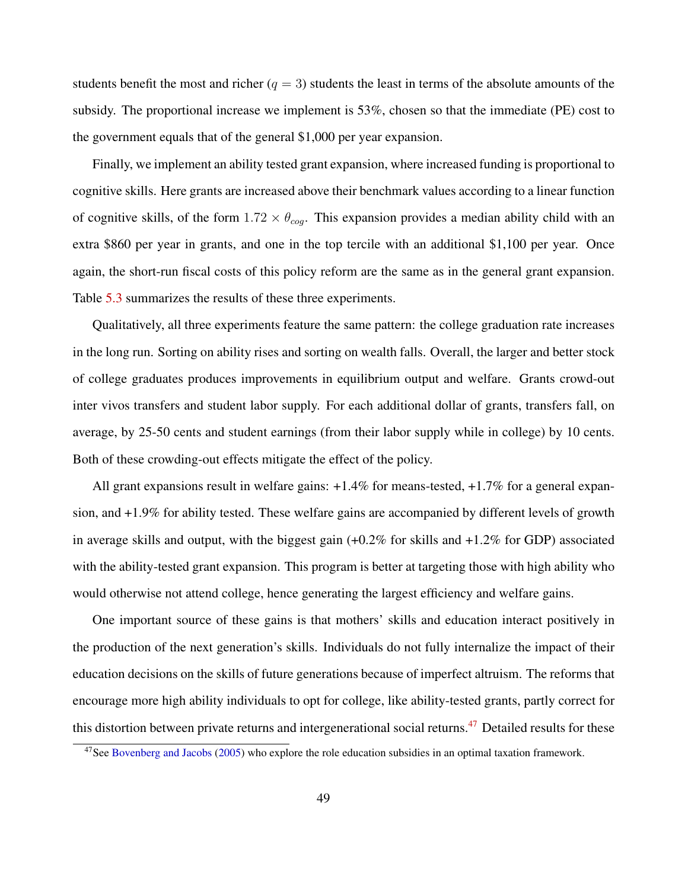students benefit the most and richer  $(q = 3)$  students the least in terms of the absolute amounts of the subsidy. The proportional increase we implement is 53%, chosen so that the immediate (PE) cost to the government equals that of the general \$1,000 per year expansion.

Finally, we implement an ability tested grant expansion, where increased funding is proportional to cognitive skills. Here grants are increased above their benchmark values according to a linear function of cognitive skills, of the form  $1.72 \times \theta_{cog}$ . This expansion provides a median ability child with an extra \$860 per year in grants, and one in the top tercile with an additional \$1,100 per year. Once again, the short-run fiscal costs of this policy reform are the same as in the general grant expansion. Table [5.3](#page-51-0) summarizes the results of these three experiments.

Qualitatively, all three experiments feature the same pattern: the college graduation rate increases in the long run. Sorting on ability rises and sorting on wealth falls. Overall, the larger and better stock of college graduates produces improvements in equilibrium output and welfare. Grants crowd-out inter vivos transfers and student labor supply. For each additional dollar of grants, transfers fall, on average, by 25-50 cents and student earnings (from their labor supply while in college) by 10 cents. Both of these crowding-out effects mitigate the effect of the policy.

All grant expansions result in welfare gains: +1.4% for means-tested, +1.7% for a general expansion, and +1.9% for ability tested. These welfare gains are accompanied by different levels of growth in average skills and output, with the biggest gain  $(+0.2\%$  for skills and  $+1.2\%$  for GDP) associated with the ability-tested grant expansion. This program is better at targeting those with high ability who would otherwise not attend college, hence generating the largest efficiency and welfare gains.

One important source of these gains is that mothers' skills and education interact positively in the production of the next generation's skills. Individuals do not fully internalize the impact of their education decisions on the skills of future generations because of imperfect altruism. The reforms that encourage more high ability individuals to opt for college, like ability-tested grants, partly correct for this distortion between private returns and intergenerational social returns.<sup>[47](#page-50-0)</sup> Detailed results for these

<span id="page-50-0"></span><sup>&</sup>lt;sup>47</sup>See [Bovenberg and Jacobs](#page-58-3) [\(2005\)](#page-58-3) who explore the role education subsidies in an optimal taxation framework.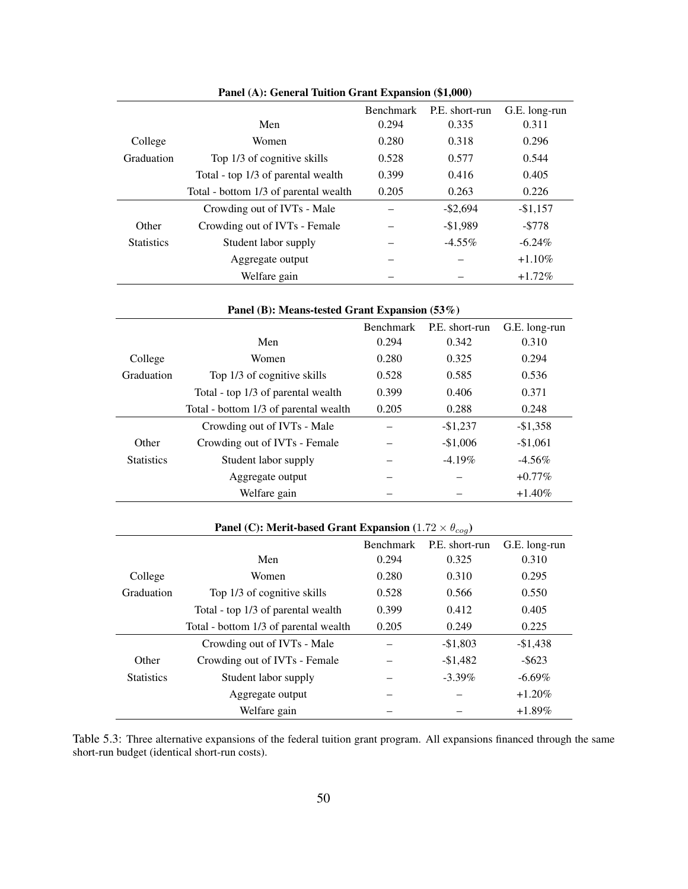<span id="page-51-0"></span>

|                   |                                               | <b>Benchmark</b> | P.E. short-run | G.E. long-run           |
|-------------------|-----------------------------------------------|------------------|----------------|-------------------------|
|                   | Men                                           | 0.294            | 0.335          | 0.311                   |
| College           | Women                                         | 0.280            | 0.318          | 0.296                   |
| Graduation        | Top 1/3 of cognitive skills                   | 0.528            | 0.577          | 0.544                   |
|                   | Total - top 1/3 of parental wealth            | 0.399            | 0.416          | 0.405                   |
|                   | Total - bottom 1/3 of parental wealth         | 0.205            | 0.263          | 0.226                   |
|                   | Crowding out of IVTs - Male                   |                  | $-$ \$2,694    | $-$1,157$               |
| Other             | Crowding out of IVTs - Female                 |                  | $-$1,989$      | $-5778$                 |
| <b>Statistics</b> | Student labor supply                          |                  | $-4.55\%$      | $-6.24\%$               |
|                   | Aggregate output                              |                  |                | $+1.10\%$               |
|                   | Welfare gain                                  |                  |                | $+1.72%$                |
|                   |                                               |                  |                |                         |
|                   | Panel (B): Means-tested Grant Expansion (53%) |                  |                |                         |
|                   |                                               | Renchmark        | $DF$ chort run | $G \to \text{long min}$ |

|                   |                                       | <b>Benchmark</b> | P.E. short-run | G.E. long-run |
|-------------------|---------------------------------------|------------------|----------------|---------------|
|                   | Men                                   | 0.294            | 0.342          | 0.310         |
| College           | Women                                 | 0.280            | 0.325          | 0.294         |
| Graduation        | Top 1/3 of cognitive skills           | 0.528            | 0.585          | 0.536         |
|                   | Total - top 1/3 of parental wealth    | 0.399            | 0.406          | 0.371         |
|                   | Total - bottom 1/3 of parental wealth | 0.205            | 0.288          | 0.248         |
|                   | Crowding out of IVTs - Male           |                  | $-$1,237$      | $-$1,358$     |
| Other             | Crowding out of IVTs - Female         |                  | $-$1,006$      | $-$1,061$     |
| <b>Statistics</b> | Student labor supply                  |                  | $-4.19%$       | $-4.56\%$     |
|                   | Aggregate output                      |                  |                | $+0.77\%$     |
|                   | Welfare gain                          |                  |                | $+1.40\%$     |

| <b>Panel (C): Merit-based Grant Expansion (</b> 1.72 $\times$ $\theta_{cog}$ ) |  |  |  |  |  |
|--------------------------------------------------------------------------------|--|--|--|--|--|
|--------------------------------------------------------------------------------|--|--|--|--|--|

|                   |                                       | <b>Benchmark</b> | P.E. short-run | G.E. long-run |
|-------------------|---------------------------------------|------------------|----------------|---------------|
|                   | Men                                   | 0.294            | 0.325          | 0.310         |
| College           | Women                                 | 0.280            | 0.310          | 0.295         |
| Graduation        | Top 1/3 of cognitive skills           | 0.528            | 0.566          | 0.550         |
|                   | Total - top 1/3 of parental wealth    | 0.399            | 0.412          | 0.405         |
|                   | Total - bottom 1/3 of parental wealth | 0.205            | 0.249          | 0.225         |
|                   | Crowding out of IVTs - Male           |                  | $-$1,803$      | $-\$1,438$    |
| Other             | Crowding out of IVTs - Female         |                  | $-\$1,482$     | $-$ \$623     |
| <b>Statistics</b> | Student labor supply                  |                  | $-3.39\%$      | $-6.69\%$     |
|                   | Aggregate output                      |                  |                | $+1.20\%$     |
|                   | Welfare gain                          |                  |                | $+1.89\%$     |

Table 5.3: Three alternative expansions of the federal tuition grant program. All expansions financed through the same short-run budget (identical short-run costs).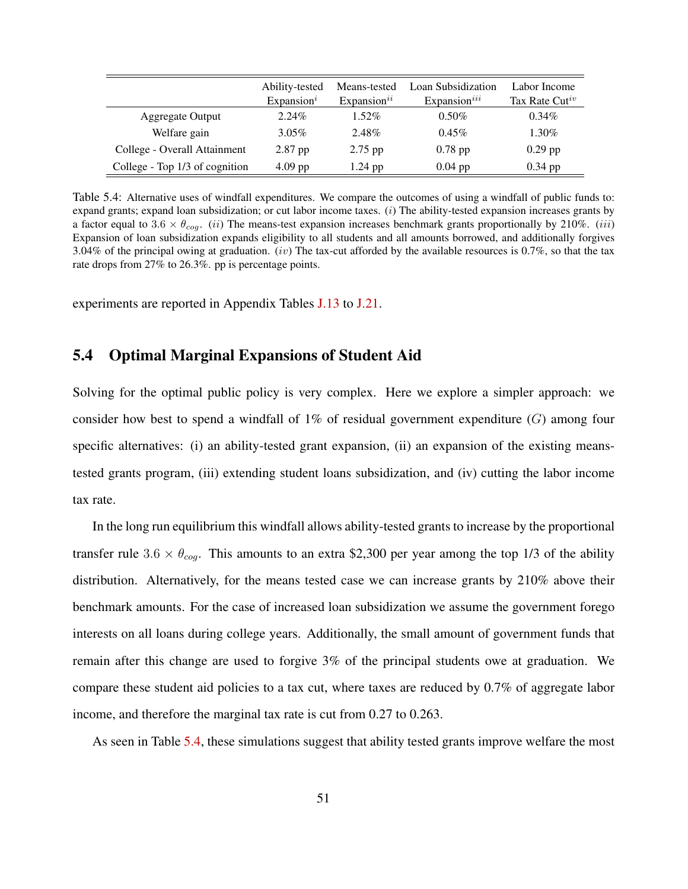<span id="page-52-0"></span>

|                                | Ability-tested                      | Means-tested      | Loan Subsidization       | Labor Income               |
|--------------------------------|-------------------------------------|-------------------|--------------------------|----------------------------|
|                                | Expansion <sup><math>i</math></sup> | Expansion $^{ii}$ | Expansion <sup>iii</sup> | Tax Rate Cut <sup>iv</sup> |
| <b>Aggregate Output</b>        | $2.24\%$                            | $1.52\%$          | $0.50\%$                 | $0.34\%$                   |
| Welfare gain                   | $3.05\%$                            | 2.48%             | $0.45\%$                 | 1.30%                      |
| College - Overall Attainment   | $2.87$ pp                           | $2.75$ pp         | $0.78$ pp                | $0.29$ pp                  |
| College - Top 1/3 of cognition | $4.09$ pp                           | $1.24$ pp         | $0.04$ pp                | $0.34$ pp                  |

Table 5.4: Alternative uses of windfall expenditures. We compare the outcomes of using a windfall of public funds to: expand grants; expand loan subsidization; or cut labor income taxes. (i) The ability-tested expansion increases grants by a factor equal to  $3.6 \times \theta_{\text{coa}}$ . (ii) The means-test expansion increases benchmark grants proportionally by 210%. (iii) Expansion of loan subsidization expands eligibility to all students and all amounts borrowed, and additionally forgives 3.04% of the principal owing at graduation. (*iv*) The tax-cut afforded by the available resources is  $0.7\%$ , so that the tax rate drops from 27% to 26.3%. pp is percentage points.

experiments are reported in Appendix Tables [J.13](#page-106-0) to [J.21.](#page-111-0)

#### 5.4 Optimal Marginal Expansions of Student Aid

Solving for the optimal public policy is very complex. Here we explore a simpler approach: we consider how best to spend a windfall of  $1\%$  of residual government expenditure  $(G)$  among four specific alternatives: (i) an ability-tested grant expansion, (ii) an expansion of the existing meanstested grants program, (iii) extending student loans subsidization, and (iv) cutting the labor income tax rate.

In the long run equilibrium this windfall allows ability-tested grants to increase by the proportional transfer rule 3.6  $\times$   $\theta_{coq}$ . This amounts to an extra \$2,300 per year among the top 1/3 of the ability distribution. Alternatively, for the means tested case we can increase grants by 210% above their benchmark amounts. For the case of increased loan subsidization we assume the government forego interests on all loans during college years. Additionally, the small amount of government funds that remain after this change are used to forgive 3% of the principal students owe at graduation. We compare these student aid policies to a tax cut, where taxes are reduced by 0.7% of aggregate labor income, and therefore the marginal tax rate is cut from 0.27 to 0.263.

As seen in Table [5.4,](#page-52-0) these simulations suggest that ability tested grants improve welfare the most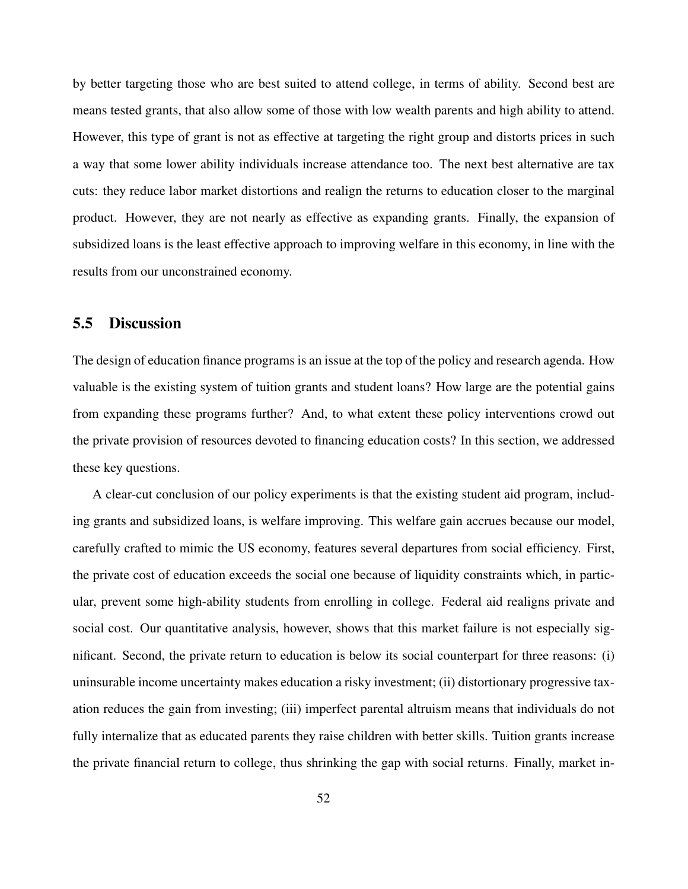by better targeting those who are best suited to attend college, in terms of ability. Second best are means tested grants, that also allow some of those with low wealth parents and high ability to attend. However, this type of grant is not as effective at targeting the right group and distorts prices in such a way that some lower ability individuals increase attendance too. The next best alternative are tax cuts: they reduce labor market distortions and realign the returns to education closer to the marginal product. However, they are not nearly as effective as expanding grants. Finally, the expansion of subsidized loans is the least effective approach to improving welfare in this economy, in line with the results from our unconstrained economy.

#### 5.5 Discussion

The design of education finance programs is an issue at the top of the policy and research agenda. How valuable is the existing system of tuition grants and student loans? How large are the potential gains from expanding these programs further? And, to what extent these policy interventions crowd out the private provision of resources devoted to financing education costs? In this section, we addressed these key questions.

A clear-cut conclusion of our policy experiments is that the existing student aid program, including grants and subsidized loans, is welfare improving. This welfare gain accrues because our model, carefully crafted to mimic the US economy, features several departures from social efficiency. First, the private cost of education exceeds the social one because of liquidity constraints which, in particular, prevent some high-ability students from enrolling in college. Federal aid realigns private and social cost. Our quantitative analysis, however, shows that this market failure is not especially significant. Second, the private return to education is below its social counterpart for three reasons: (i) uninsurable income uncertainty makes education a risky investment; (ii) distortionary progressive taxation reduces the gain from investing; (iii) imperfect parental altruism means that individuals do not fully internalize that as educated parents they raise children with better skills. Tuition grants increase the private financial return to college, thus shrinking the gap with social returns. Finally, market in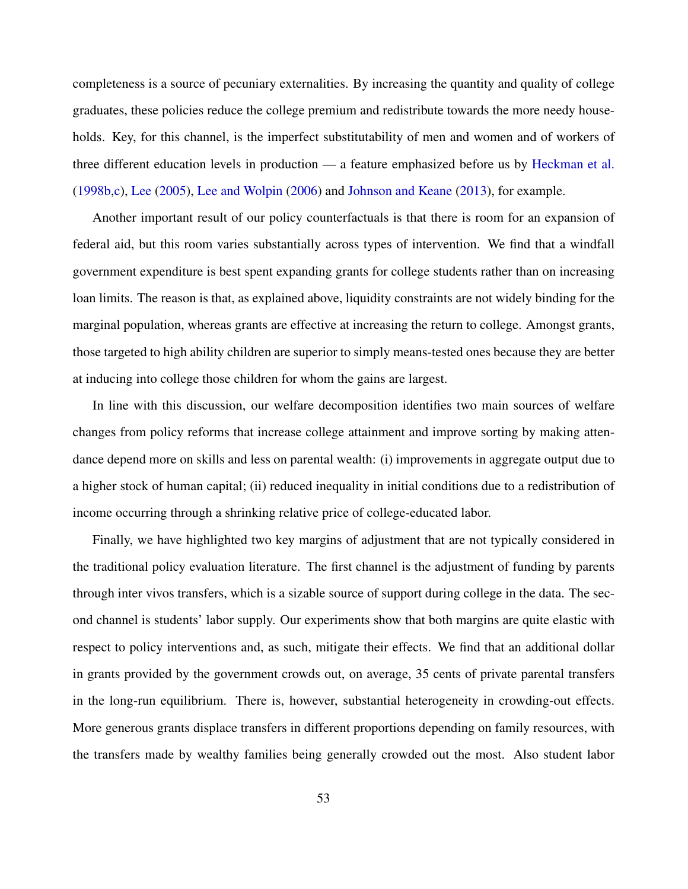completeness is a source of pecuniary externalities. By increasing the quantity and quality of college graduates, these policies reduce the college premium and redistribute towards the more needy households. Key, for this channel, is the imperfect substitutability of men and women and of workers of three different education levels in production — a feature emphasized before us by [Heckman et al.](#page-60-4) [\(1998b,](#page-60-4)[c\)](#page-60-5), [Lee](#page-61-1) [\(2005\)](#page-61-1), [Lee and Wolpin](#page-61-2) [\(2006\)](#page-61-2) and [Johnson and Keane](#page-60-6) [\(2013\)](#page-60-6), for example.

Another important result of our policy counterfactuals is that there is room for an expansion of federal aid, but this room varies substantially across types of intervention. We find that a windfall government expenditure is best spent expanding grants for college students rather than on increasing loan limits. The reason is that, as explained above, liquidity constraints are not widely binding for the marginal population, whereas grants are effective at increasing the return to college. Amongst grants, those targeted to high ability children are superior to simply means-tested ones because they are better at inducing into college those children for whom the gains are largest.

In line with this discussion, our welfare decomposition identifies two main sources of welfare changes from policy reforms that increase college attainment and improve sorting by making attendance depend more on skills and less on parental wealth: (i) improvements in aggregate output due to a higher stock of human capital; (ii) reduced inequality in initial conditions due to a redistribution of income occurring through a shrinking relative price of college-educated labor.

Finally, we have highlighted two key margins of adjustment that are not typically considered in the traditional policy evaluation literature. The first channel is the adjustment of funding by parents through inter vivos transfers, which is a sizable source of support during college in the data. The second channel is students' labor supply. Our experiments show that both margins are quite elastic with respect to policy interventions and, as such, mitigate their effects. We find that an additional dollar in grants provided by the government crowds out, on average, 35 cents of private parental transfers in the long-run equilibrium. There is, however, substantial heterogeneity in crowding-out effects. More generous grants displace transfers in different proportions depending on family resources, with the transfers made by wealthy families being generally crowded out the most. Also student labor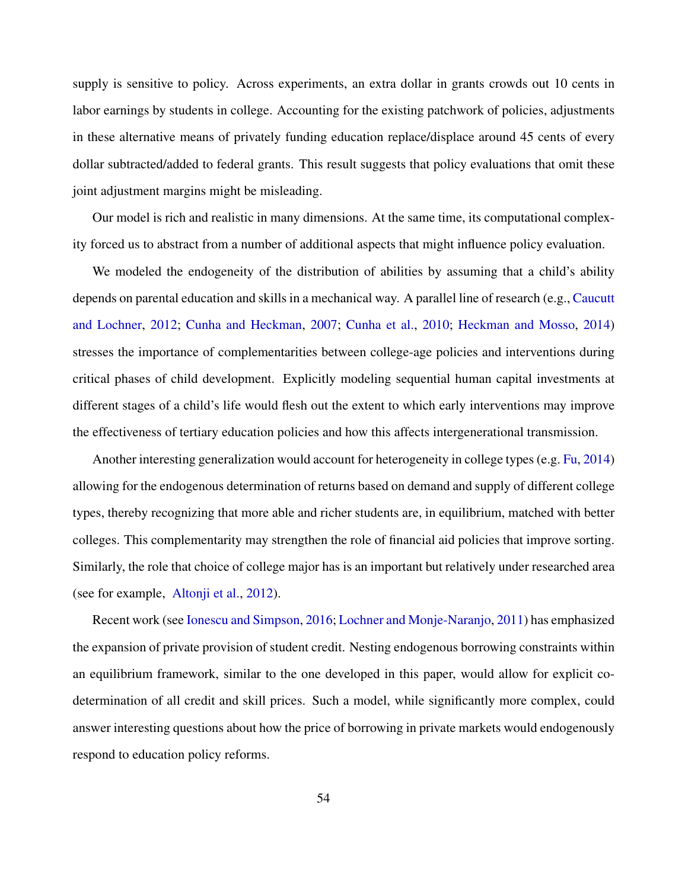supply is sensitive to policy. Across experiments, an extra dollar in grants crowds out 10 cents in labor earnings by students in college. Accounting for the existing patchwork of policies, adjustments in these alternative means of privately funding education replace/displace around 45 cents of every dollar subtracted/added to federal grants. This result suggests that policy evaluations that omit these joint adjustment margins might be misleading.

Our model is rich and realistic in many dimensions. At the same time, its computational complexity forced us to abstract from a number of additional aspects that might influence policy evaluation.

We modeled the endogeneity of the distribution of abilities by assuming that a child's ability depends on parental education and skills in a mechanical way. A parallel line of research (e.g., [Caucutt](#page-59-3) [and Lochner,](#page-59-3) [2012;](#page-59-3) [Cunha and Heckman,](#page-59-4) [2007;](#page-59-4) [Cunha et al.,](#page-59-5) [2010;](#page-59-5) [Heckman and Mosso,](#page-60-7) [2014\)](#page-60-7) stresses the importance of complementarities between college-age policies and interventions during critical phases of child development. Explicitly modeling sequential human capital investments at different stages of a child's life would flesh out the extent to which early interventions may improve the effectiveness of tertiary education policies and how this affects intergenerational transmission.

Another interesting generalization would account for heterogeneity in college types (e.g. [Fu,](#page-59-6) [2014\)](#page-59-6) allowing for the endogenous determination of returns based on demand and supply of different college types, thereby recognizing that more able and richer students are, in equilibrium, matched with better colleges. This complementarity may strengthen the role of financial aid policies that improve sorting. Similarly, the role that choice of college major has is an important but relatively under researched area (see for example, [Altonji et al.,](#page-58-4) [2012\)](#page-58-4).

Recent work (see [Ionescu and Simpson,](#page-60-8) [2016;](#page-60-8) [Lochner and Monje-Naranjo,](#page-61-3) [2011\)](#page-61-3) has emphasized the expansion of private provision of student credit. Nesting endogenous borrowing constraints within an equilibrium framework, similar to the one developed in this paper, would allow for explicit codetermination of all credit and skill prices. Such a model, while significantly more complex, could answer interesting questions about how the price of borrowing in private markets would endogenously respond to education policy reforms.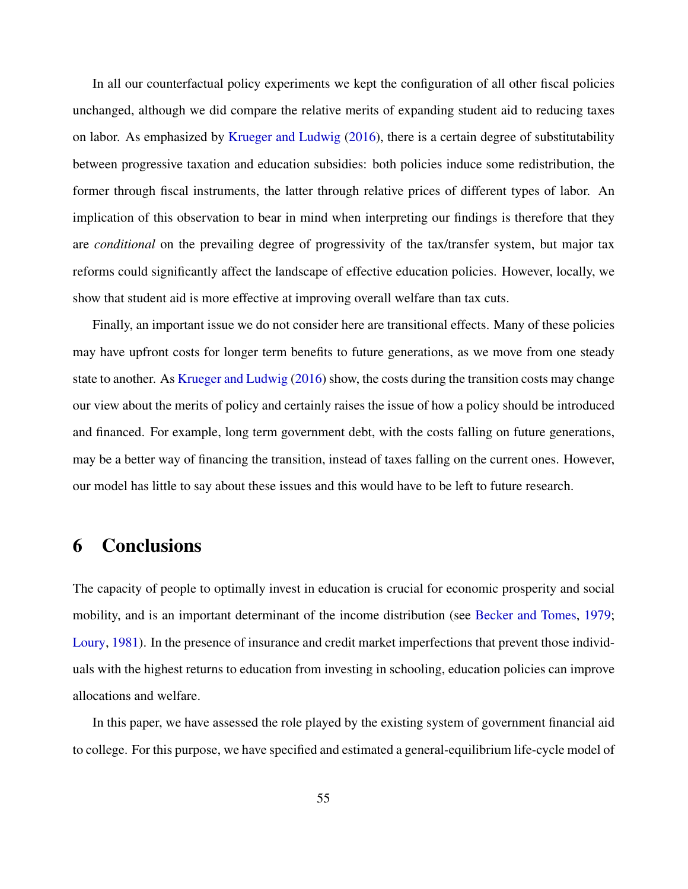In all our counterfactual policy experiments we kept the configuration of all other fiscal policies unchanged, although we did compare the relative merits of expanding student aid to reducing taxes on labor. As emphasized by [Krueger and Ludwig](#page-61-4) [\(2016\)](#page-61-4), there is a certain degree of substitutability between progressive taxation and education subsidies: both policies induce some redistribution, the former through fiscal instruments, the latter through relative prices of different types of labor. An implication of this observation to bear in mind when interpreting our findings is therefore that they are *conditional* on the prevailing degree of progressivity of the tax/transfer system, but major tax reforms could significantly affect the landscape of effective education policies. However, locally, we show that student aid is more effective at improving overall welfare than tax cuts.

Finally, an important issue we do not consider here are transitional effects. Many of these policies may have upfront costs for longer term benefits to future generations, as we move from one steady state to another. As [Krueger and Ludwig](#page-61-4) [\(2016\)](#page-61-4) show, the costs during the transition costs may change our view about the merits of policy and certainly raises the issue of how a policy should be introduced and financed. For example, long term government debt, with the costs falling on future generations, may be a better way of financing the transition, instead of taxes falling on the current ones. However, our model has little to say about these issues and this would have to be left to future research.

# 6 Conclusions

The capacity of people to optimally invest in education is crucial for economic prosperity and social mobility, and is an important determinant of the income distribution (see [Becker and Tomes,](#page-58-5) [1979;](#page-58-5) [Loury,](#page-61-5) [1981\)](#page-61-5). In the presence of insurance and credit market imperfections that prevent those individuals with the highest returns to education from investing in schooling, education policies can improve allocations and welfare.

In this paper, we have assessed the role played by the existing system of government financial aid to college. For this purpose, we have specified and estimated a general-equilibrium life-cycle model of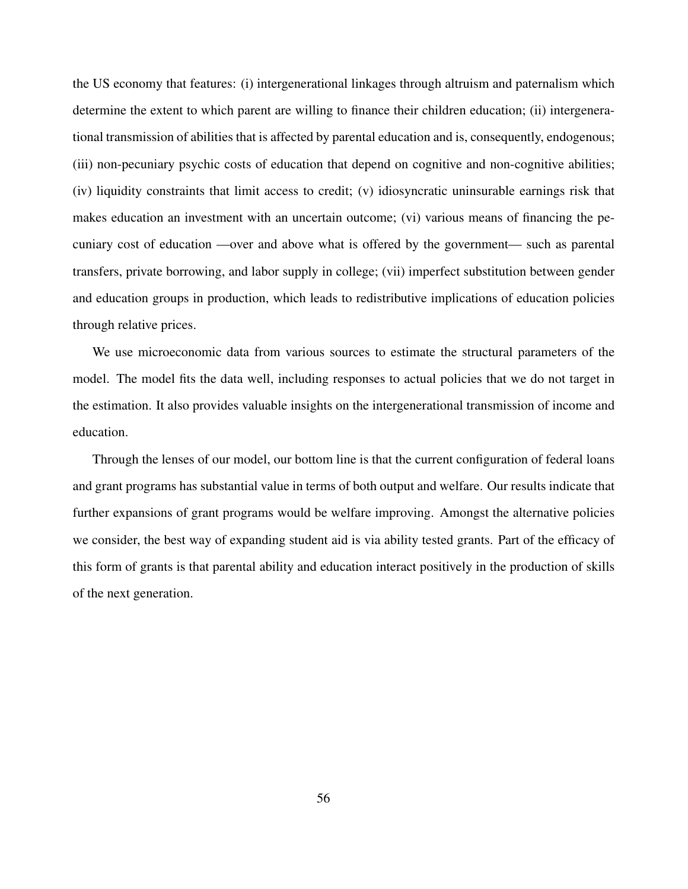the US economy that features: (i) intergenerational linkages through altruism and paternalism which determine the extent to which parent are willing to finance their children education; (ii) intergenerational transmission of abilities that is affected by parental education and is, consequently, endogenous; (iii) non-pecuniary psychic costs of education that depend on cognitive and non-cognitive abilities; (iv) liquidity constraints that limit access to credit; (v) idiosyncratic uninsurable earnings risk that makes education an investment with an uncertain outcome; (vi) various means of financing the pecuniary cost of education —over and above what is offered by the government— such as parental transfers, private borrowing, and labor supply in college; (vii) imperfect substitution between gender and education groups in production, which leads to redistributive implications of education policies through relative prices.

We use microeconomic data from various sources to estimate the structural parameters of the model. The model fits the data well, including responses to actual policies that we do not target in the estimation. It also provides valuable insights on the intergenerational transmission of income and education.

Through the lenses of our model, our bottom line is that the current configuration of federal loans and grant programs has substantial value in terms of both output and welfare. Our results indicate that further expansions of grant programs would be welfare improving. Amongst the alternative policies we consider, the best way of expanding student aid is via ability tested grants. Part of the efficacy of this form of grants is that parental ability and education interact positively in the production of skills of the next generation.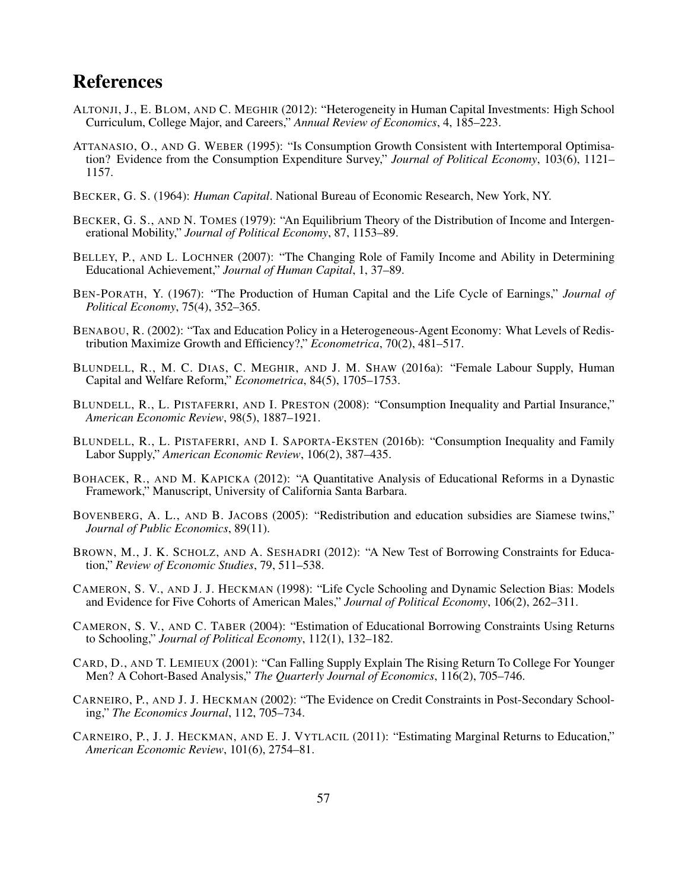## References

- <span id="page-58-4"></span>ALTONJI, J., E. BLOM, AND C. MEGHIR (2012): "Heterogeneity in Human Capital Investments: High School Curriculum, College Major, and Careers," *Annual Review of Economics*, 4, 185–223.
- ATTANASIO, O., AND G. WEBER (1995): "Is Consumption Growth Consistent with Intertemporal Optimisation? Evidence from the Consumption Expenditure Survey," *Journal of Political Economy*, 103(6), 1121– 1157.
- BECKER, G. S. (1964): *Human Capital*. National Bureau of Economic Research, New York, NY.
- <span id="page-58-5"></span>BECKER, G. S., AND N. TOMES (1979): "An Equilibrium Theory of the Distribution of Income and Intergenerational Mobility," *Journal of Political Economy*, 87, 1153–89.
- <span id="page-58-0"></span>BELLEY, P., AND L. LOCHNER (2007): "The Changing Role of Family Income and Ability in Determining Educational Achievement," *Journal of Human Capital*, 1, 37–89.
- BEN-PORATH, Y. (1967): "The Production of Human Capital and the Life Cycle of Earnings," *Journal of Political Economy*, 75(4), 352–365.
- <span id="page-58-2"></span>BENABOU, R. (2002): "Tax and Education Policy in a Heterogeneous-Agent Economy: What Levels of Redistribution Maximize Growth and Efficiency?," *Econometrica*, 70(2), 481–517.
- BLUNDELL, R., M. C. DIAS, C. MEGHIR, AND J. M. SHAW (2016a): "Female Labour Supply, Human Capital and Welfare Reform," *Econometrica*, 84(5), 1705–1753.
- BLUNDELL, R., L. PISTAFERRI, AND I. PRESTON (2008): "Consumption Inequality and Partial Insurance," *American Economic Review*, 98(5), 1887–1921.
- BLUNDELL, R., L. PISTAFERRI, AND I. SAPORTA-EKSTEN (2016b): "Consumption Inequality and Family Labor Supply," *American Economic Review*, 106(2), 387–435.
- BOHACEK, R., AND M. KAPICKA (2012): "A Quantitative Analysis of Educational Reforms in a Dynastic Framework," Manuscript, University of California Santa Barbara.
- <span id="page-58-3"></span>BOVENBERG, A. L., AND B. JACOBS (2005): "Redistribution and education subsidies are Siamese twins," *Journal of Public Economics*, 89(11).
- BROWN, M., J. K. SCHOLZ, AND A. SESHADRI (2012): "A New Test of Borrowing Constraints for Education," *Review of Economic Studies*, 79, 511–538.
- <span id="page-58-1"></span>CAMERON, S. V., AND J. J. HECKMAN (1998): "Life Cycle Schooling and Dynamic Selection Bias: Models and Evidence for Five Cohorts of American Males," *Journal of Political Economy*, 106(2), 262–311.
- CAMERON, S. V., AND C. TABER (2004): "Estimation of Educational Borrowing Constraints Using Returns to Schooling," *Journal of Political Economy*, 112(1), 132–182.
- CARD, D., AND T. LEMIEUX (2001): "Can Falling Supply Explain The Rising Return To College For Younger Men? A Cohort-Based Analysis," *The Quarterly Journal of Economics*, 116(2), 705–746.
- CARNEIRO, P., AND J. J. HECKMAN (2002): "The Evidence on Credit Constraints in Post-Secondary Schooling," *The Economics Journal*, 112, 705–734.
- CARNEIRO, P., J. J. HECKMAN, AND E. J. VYTLACIL (2011): "Estimating Marginal Returns to Education," *American Economic Review*, 101(6), 2754–81.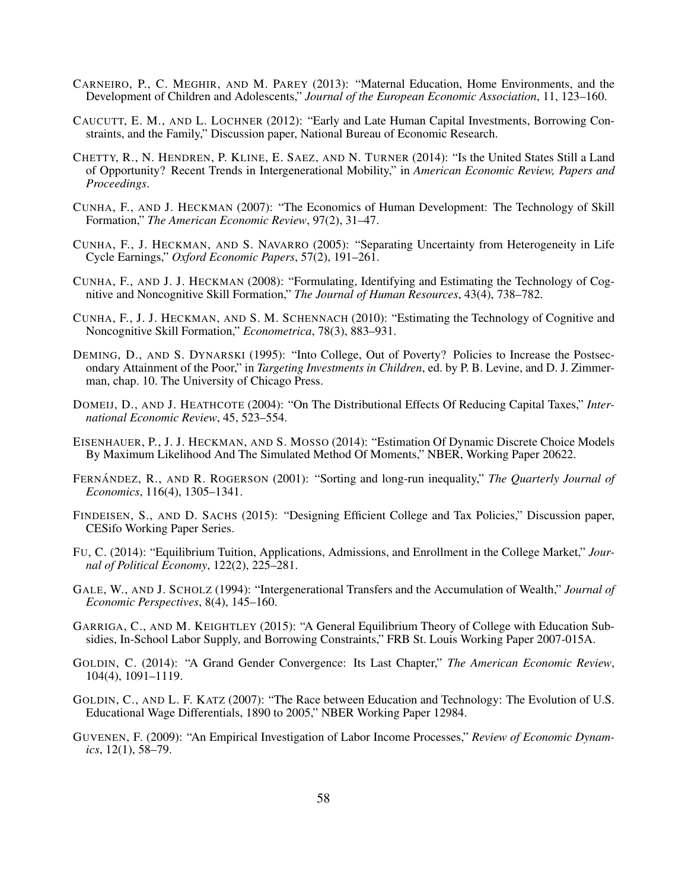- CARNEIRO, P., C. MEGHIR, AND M. PAREY (2013): "Maternal Education, Home Environments, and the Development of Children and Adolescents," *Journal of the European Economic Association*, 11, 123–160.
- <span id="page-59-3"></span>CAUCUTT, E. M., AND L. LOCHNER (2012): "Early and Late Human Capital Investments, Borrowing Constraints, and the Family," Discussion paper, National Bureau of Economic Research.
- <span id="page-59-0"></span>CHETTY, R., N. HENDREN, P. KLINE, E. SAEZ, AND N. TURNER (2014): "Is the United States Still a Land of Opportunity? Recent Trends in Intergenerational Mobility," in *American Economic Review, Papers and Proceedings*.
- <span id="page-59-4"></span>CUNHA, F., AND J. HECKMAN (2007): "The Economics of Human Development: The Technology of Skill Formation," *The American Economic Review*, 97(2), 31–47.
- CUNHA, F., J. HECKMAN, AND S. NAVARRO (2005): "Separating Uncertainty from Heterogeneity in Life Cycle Earnings," *Oxford Economic Papers*, 57(2), 191–261.
- CUNHA, F., AND J. J. HECKMAN (2008): "Formulating, Identifying and Estimating the Technology of Cognitive and Noncognitive Skill Formation," *The Journal of Human Resources*, 43(4), 738–782.
- <span id="page-59-5"></span>CUNHA, F., J. J. HECKMAN, AND S. M. SCHENNACH (2010): "Estimating the Technology of Cognitive and Noncognitive Skill Formation," *Econometrica*, 78(3), 883–931.
- <span id="page-59-1"></span>DEMING, D., AND S. DYNARSKI (1995): "Into College, Out of Poverty? Policies to Increase the Postsecondary Attainment of the Poor," in *Targeting Investments in Children*, ed. by P. B. Levine, and D. J. Zimmerman, chap. 10. The University of Chicago Press.
- DOMEIJ, D., AND J. HEATHCOTE (2004): "On The Distributional Effects Of Reducing Capital Taxes," *International Economic Review*, 45, 523–554.
- EISENHAUER, P., J. J. HECKMAN, AND S. MOSSO (2014): "Estimation Of Dynamic Discrete Choice Models By Maximum Likelihood And The Simulated Method Of Moments," NBER, Working Paper 20622.
- FERNANDEZ, R., AND R. ROGERSON (2001): "Sorting and long-run inequality," *The Quarterly Journal of Economics*, 116(4), 1305–1341.
- <span id="page-59-2"></span>FINDEISEN, S., AND D. SACHS (2015): "Designing Efficient College and Tax Policies," Discussion paper, CESifo Working Paper Series.
- <span id="page-59-6"></span>FU, C. (2014): "Equilibrium Tuition, Applications, Admissions, and Enrollment in the College Market," *Journal of Political Economy*, 122(2), 225–281.
- GALE, W., AND J. SCHOLZ (1994): "Intergenerational Transfers and the Accumulation of Wealth," *Journal of Economic Perspectives*, 8(4), 145–160.
- GARRIGA, C., AND M. KEIGHTLEY (2015): "A General Equilibrium Theory of College with Education Subsidies, In-School Labor Supply, and Borrowing Constraints," FRB St. Louis Working Paper 2007-015A.
- GOLDIN, C. (2014): "A Grand Gender Convergence: Its Last Chapter," *The American Economic Review*, 104(4), 1091–1119.
- GOLDIN, C., AND L. F. KATZ (2007): "The Race between Education and Technology: The Evolution of U.S. Educational Wage Differentials, 1890 to 2005," NBER Working Paper 12984.
- GUVENEN, F. (2009): "An Empirical Investigation of Labor Income Processes," *Review of Economic Dynamics*, 12(1), 58–79.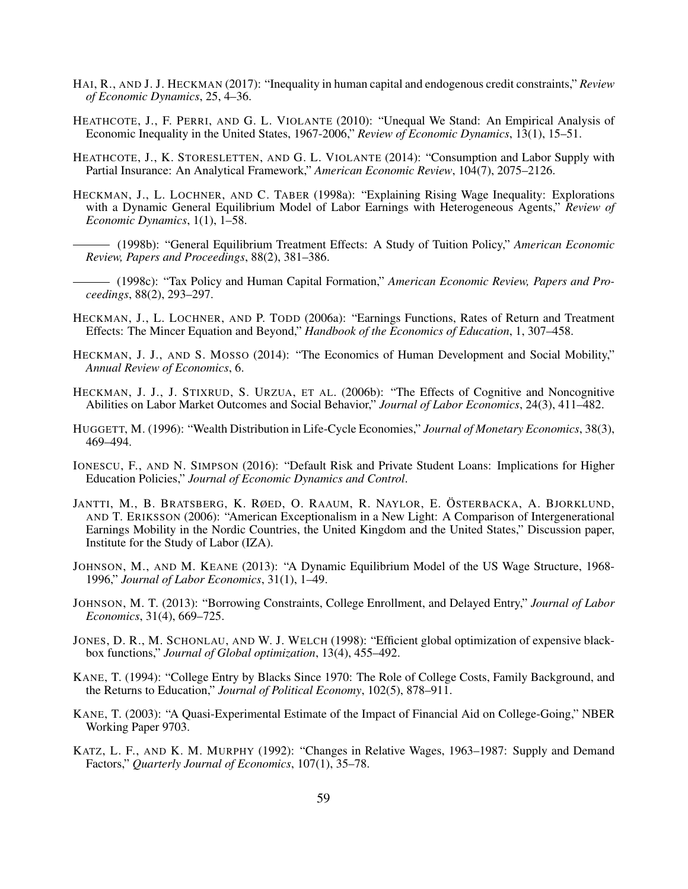- <span id="page-60-3"></span>HAI, R., AND J. J. HECKMAN (2017): "Inequality in human capital and endogenous credit constraints," *Review of Economic Dynamics*, 25, 4–36.
- HEATHCOTE, J., F. PERRI, AND G. L. VIOLANTE (2010): "Unequal We Stand: An Empirical Analysis of Economic Inequality in the United States, 1967-2006," *Review of Economic Dynamics*, 13(1), 15–51.
- HEATHCOTE, J., K. STORESLETTEN, AND G. L. VIOLANTE (2014): "Consumption and Labor Supply with Partial Insurance: An Analytical Framework," *American Economic Review*, 104(7), 2075–2126.
- HECKMAN, J., L. LOCHNER, AND C. TABER (1998a): "Explaining Rising Wage Inequality: Explorations with a Dynamic General Equilibrium Model of Labor Earnings with Heterogeneous Agents," *Review of Economic Dynamics*, 1(1), 1–58.
- <span id="page-60-4"></span>(1998b): "General Equilibrium Treatment Effects: A Study of Tuition Policy," *American Economic Review, Papers and Proceedings*, 88(2), 381–386.
- <span id="page-60-5"></span>(1998c): "Tax Policy and Human Capital Formation," *American Economic Review, Papers and Proceedings*, 88(2), 293–297.
- HECKMAN, J., L. LOCHNER, AND P. TODD (2006a): "Earnings Functions, Rates of Return and Treatment Effects: The Mincer Equation and Beyond," *Handbook of the Economics of Education*, 1, 307–458.
- <span id="page-60-7"></span>HECKMAN, J. J., AND S. MOSSO (2014): "The Economics of Human Development and Social Mobility," *Annual Review of Economics*, 6.
- HECKMAN, J. J., J. STIXRUD, S. URZUA, ET AL. (2006b): "The Effects of Cognitive and Noncognitive Abilities on Labor Market Outcomes and Social Behavior," *Journal of Labor Economics*, 24(3), 411–482.
- HUGGETT, M. (1996): "Wealth Distribution in Life-Cycle Economies," *Journal of Monetary Economics*, 38(3), 469–494.
- <span id="page-60-8"></span>IONESCU, F., AND N. SIMPSON (2016): "Default Risk and Private Student Loans: Implications for Higher Education Policies," *Journal of Economic Dynamics and Control*.
- <span id="page-60-0"></span>JANTTI, M., B. BRATSBERG, K. RØED, O. RAAUM, R. NAYLOR, E. ÖSTERBACKA, A. BJORKLUND, AND T. ERIKSSON (2006): "American Exceptionalism in a New Light: A Comparison of Intergenerational Earnings Mobility in the Nordic Countries, the United Kingdom and the United States," Discussion paper, Institute for the Study of Labor (IZA).
- <span id="page-60-6"></span>JOHNSON, M., AND M. KEANE (2013): "A Dynamic Equilibrium Model of the US Wage Structure, 1968- 1996," *Journal of Labor Economics*, 31(1), 1–49.
- JOHNSON, M. T. (2013): "Borrowing Constraints, College Enrollment, and Delayed Entry," *Journal of Labor Economics*, 31(4), 669–725.
- JONES, D. R., M. SCHONLAU, AND W. J. WELCH (1998): "Efficient global optimization of expensive blackbox functions," *Journal of Global optimization*, 13(4), 455–492.
- <span id="page-60-2"></span>KANE, T. (1994): "College Entry by Blacks Since 1970: The Role of College Costs, Family Background, and the Returns to Education," *Journal of Political Economy*, 102(5), 878–911.
- <span id="page-60-1"></span>KANE, T. (2003): "A Quasi-Experimental Estimate of the Impact of Financial Aid on College-Going," NBER Working Paper 9703.
- KATZ, L. F., AND K. M. MURPHY (1992): "Changes in Relative Wages, 1963–1987: Supply and Demand Factors," *Quarterly Journal of Economics*, 107(1), 35–78.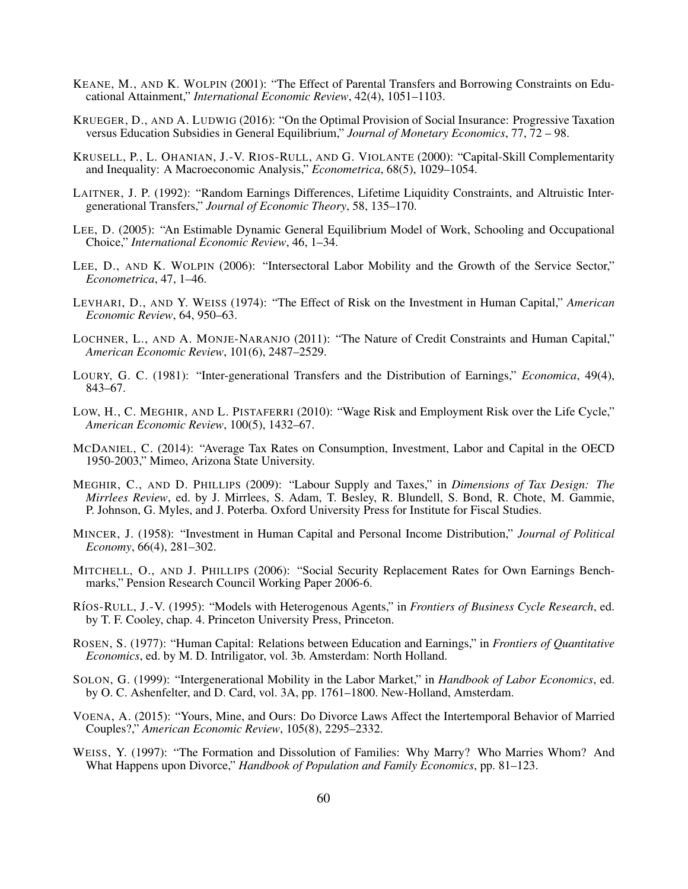- KEANE, M., AND K. WOLPIN (2001): "The Effect of Parental Transfers and Borrowing Constraints on Educational Attainment," *International Economic Review*, 42(4), 1051–1103.
- <span id="page-61-4"></span>KRUEGER, D., AND A. LUDWIG (2016): "On the Optimal Provision of Social Insurance: Progressive Taxation versus Education Subsidies in General Equilibrium," *Journal of Monetary Economics*, 77, 72 – 98.
- KRUSELL, P., L. OHANIAN, J.-V. RIOS-RULL, AND G. VIOLANTE (2000): "Capital-Skill Complementarity and Inequality: A Macroeconomic Analysis," *Econometrica*, 68(5), 1029–1054.
- LAITNER, J. P. (1992): "Random Earnings Differences, Lifetime Liquidity Constraints, and Altruistic Intergenerational Transfers," *Journal of Economic Theory*, 58, 135–170.
- <span id="page-61-1"></span>LEE, D. (2005): "An Estimable Dynamic General Equilibrium Model of Work, Schooling and Occupational Choice," *International Economic Review*, 46, 1–34.
- <span id="page-61-2"></span>LEE, D., AND K. WOLPIN (2006): "Intersectoral Labor Mobility and the Growth of the Service Sector," *Econometrica*, 47, 1–46.
- LEVHARI, D., AND Y. WEISS (1974): "The Effect of Risk on the Investment in Human Capital," *American Economic Review*, 64, 950–63.
- <span id="page-61-3"></span>LOCHNER, L., AND A. MONJE-NARANJO (2011): "The Nature of Credit Constraints and Human Capital," *American Economic Review*, 101(6), 2487–2529.
- <span id="page-61-5"></span>LOURY, G. C. (1981): "Inter-generational Transfers and the Distribution of Earnings," *Economica*, 49(4), 843–67.
- LOW, H., C. MEGHIR, AND L. PISTAFERRI (2010): "Wage Risk and Employment Risk over the Life Cycle," *American Economic Review*, 100(5), 1432–67.
- MCDANIEL, C. (2014): "Average Tax Rates on Consumption, Investment, Labor and Capital in the OECD 1950-2003," Mimeo, Arizona State University.
- MEGHIR, C., AND D. PHILLIPS (2009): "Labour Supply and Taxes," in *Dimensions of Tax Design: The Mirrlees Review*, ed. by J. Mirrlees, S. Adam, T. Besley, R. Blundell, S. Bond, R. Chote, M. Gammie, P. Johnson, G. Myles, and J. Poterba. Oxford University Press for Institute for Fiscal Studies.
- MINCER, J. (1958): "Investment in Human Capital and Personal Income Distribution," *Journal of Political Economy*, 66(4), 281–302.
- MITCHELL, O., AND J. PHILLIPS (2006): "Social Security Replacement Rates for Own Earnings Benchmarks," Pension Research Council Working Paper 2006-6.
- RíOS-RULL, J.-V. (1995): "Models with Heterogenous Agents," in *Frontiers of Business Cycle Research*, ed. by T. F. Cooley, chap. 4. Princeton University Press, Princeton.
- ROSEN, S. (1977): "Human Capital: Relations between Education and Earnings," in *Frontiers of Quantitative Economics*, ed. by M. D. Intriligator, vol. 3b. Amsterdam: North Holland.
- <span id="page-61-0"></span>SOLON, G. (1999): "Intergenerational Mobility in the Labor Market," in *Handbook of Labor Economics*, ed. by O. C. Ashenfelter, and D. Card, vol. 3A, pp. 1761–1800. New-Holland, Amsterdam.
- <span id="page-61-6"></span>VOENA, A. (2015): "Yours, Mine, and Ours: Do Divorce Laws Affect the Intertemporal Behavior of Married Couples?," *American Economic Review*, 105(8), 2295–2332.
- WEISS, Y. (1997): "The Formation and Dissolution of Families: Why Marry? Who Marries Whom? And What Happens upon Divorce," *Handbook of Population and Family Economics*, pp. 81–123.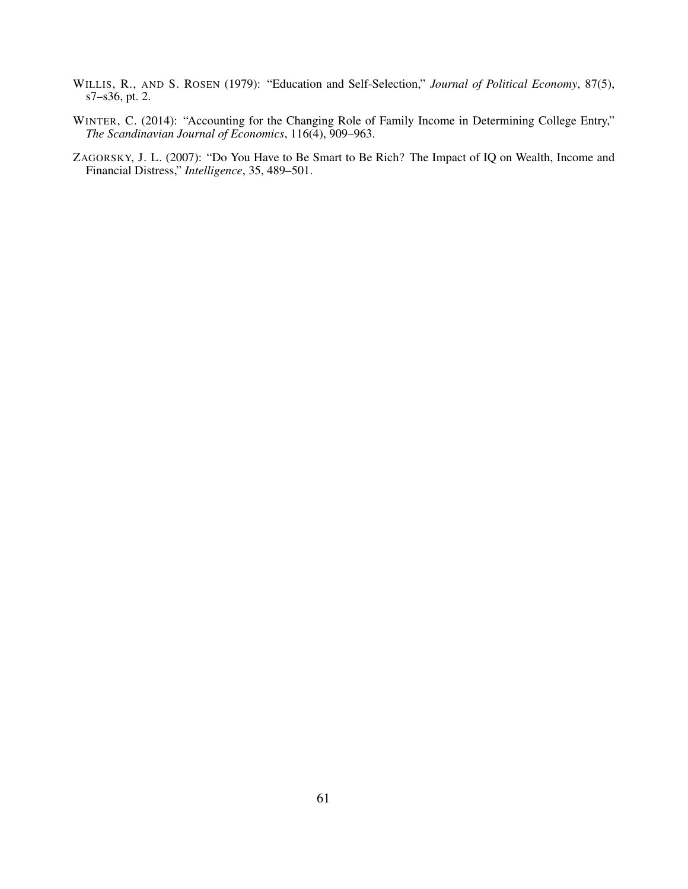- WILLIS, R., AND S. ROSEN (1979): "Education and Self-Selection," *Journal of Political Economy*, 87(5), s7–s36, pt. 2.
- WINTER, C. (2014): "Accounting for the Changing Role of Family Income in Determining College Entry," *The Scandinavian Journal of Economics*, 116(4), 909–963.
- <span id="page-62-0"></span>ZAGORSKY, J. L. (2007): "Do You Have to Be Smart to Be Rich? The Impact of IQ on Wealth, Income and Financial Distress," *Intelligence*, 35, 489–501.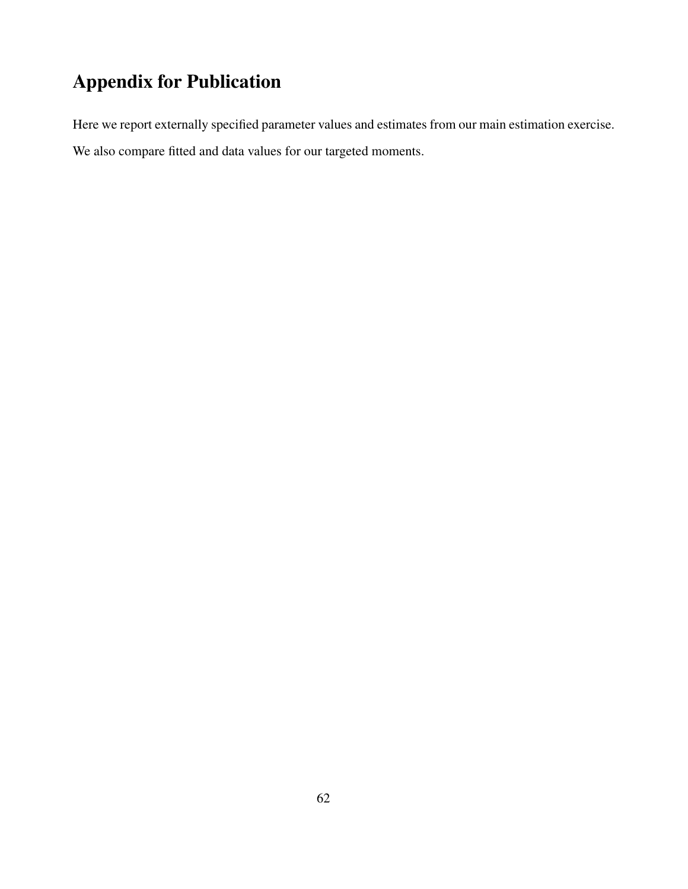# Appendix for Publication

Here we report externally specified parameter values and estimates from our main estimation exercise. We also compare fitted and data values for our targeted moments.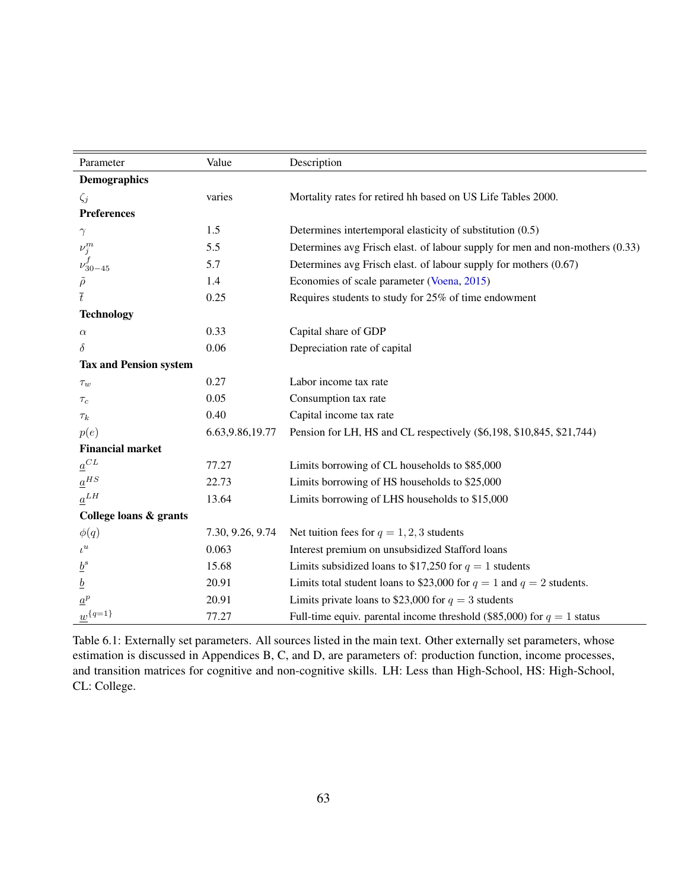| Parameter                     | Value             | Description                                                                  |
|-------------------------------|-------------------|------------------------------------------------------------------------------|
| <b>Demographics</b>           |                   |                                                                              |
| $\zeta_j$                     | varies            | Mortality rates for retired hh based on US Life Tables 2000.                 |
| <b>Preferences</b>            |                   |                                                                              |
| $\gamma$                      | 1.5               | Determines intertemporal elasticity of substitution (0.5)                    |
| $\nu_j^m$                     | 5.5               | Determines avg Frisch elast. of labour supply for men and non-mothers (0.33) |
| $\nu_{30-45}^{f}$             | 5.7               | Determines avg Frisch elast. of labour supply for mothers (0.67)             |
| $\tilde{\rho}$                | 1.4               | Economies of scale parameter (Voena, 2015)                                   |
|                               | 0.25              | Requires students to study for 25% of time endowment                         |
| <b>Technology</b>             |                   |                                                                              |
| $\alpha$                      | 0.33              | Capital share of GDP                                                         |
| δ                             | 0.06              | Depreciation rate of capital                                                 |
| <b>Tax and Pension system</b> |                   |                                                                              |
| $\tau_w$                      | 0.27              | Labor income tax rate                                                        |
| $\tau_c$                      | 0.05              | Consumption tax rate                                                         |
| $\tau_k$                      | 0.40              | Capital income tax rate                                                      |
| p(e)                          | 6.63, 9.86, 19.77 | Pension for LH, HS and CL respectively (\$6,198, \$10,845, \$21,744)         |
| <b>Financial market</b>       |                   |                                                                              |
| $\underline{a}^{CL}$          | 77.27             | Limits borrowing of CL households to \$85,000                                |
| $a^{HS}$                      | 22.73             | Limits borrowing of HS households to \$25,000                                |
| $a^{LH}$                      | 13.64             | Limits borrowing of LHS households to \$15,000                               |
| College loans & grants        |                   |                                                                              |
| $\phi(q)$                     | 7.30, 9.26, 9.74  | Net tuition fees for $q = 1, 2, 3$ students                                  |
| $\iota^u$                     | 0.063             | Interest premium on unsubsidized Stafford loans                              |
| $\underline{b}^s$             | 15.68             | Limits subsidized loans to \$17,250 for $q = 1$ students                     |
| $\underline{b}$               | 20.91             | Limits total student loans to \$23,000 for $q = 1$ and $q = 2$ students.     |
| $a^p$                         | 20.91             | Limits private loans to \$23,000 for $q = 3$ students                        |
| $w^{\{q=1\}}$                 | 77.27             | Full-time equiv. parental income threshold (\$85,000) for $q = 1$ status     |

Table 6.1: Externally set parameters. All sources listed in the main text. Other externally set parameters, whose estimation is discussed in Appendices B, C, and D, are parameters of: production function, income processes, and transition matrices for cognitive and non-cognitive skills. LH: Less than High-School, HS: High-School, CL: College.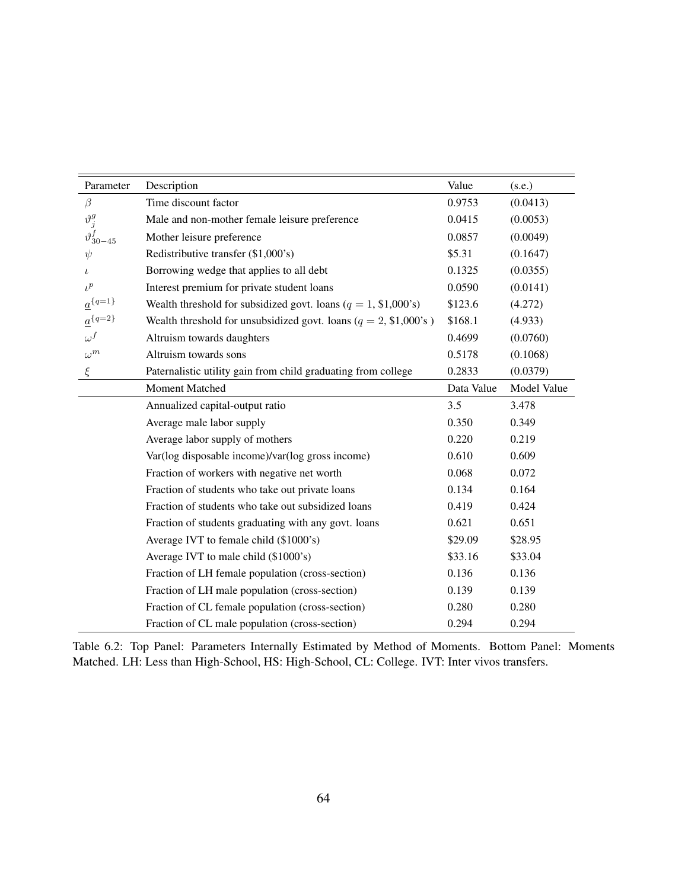| Parameter               | Description                                                          | Value      | (s.e.)      |
|-------------------------|----------------------------------------------------------------------|------------|-------------|
| $\beta$                 | Time discount factor                                                 | 0.9753     | (0.0413)    |
| $\vartheta^g_j$         | Male and non-mother female leisure preference                        | 0.0415     | (0.0053)    |
| $\vartheta_{30-45}^{f}$ | Mother leisure preference                                            | 0.0857     | (0.0049)    |
| $\psi$                  | Redistributive transfer (\$1,000's)                                  | \$5.31     | (0.1647)    |
| $\mathcal{L}$           | Borrowing wedge that applies to all debt                             | 0.1325     | (0.0355)    |
| $l^p$                   | Interest premium for private student loans                           | 0.0590     | (0.0141)    |
| $a^{\{q=1\}}$           | Wealth threshold for subsidized govt. loans ( $q = 1$ , \$1,000's)   | \$123.6    | (4.272)     |
| $a^{\{q=2\}}$           | Wealth threshold for unsubsidized govt. loans ( $q = 2$ , \$1,000's) | \$168.1    | (4.933)     |
| $\omega^f$              | Altruism towards daughters                                           | 0.4699     | (0.0760)    |
| $\omega^m$              | Altruism towards sons                                                | 0.5178     | (0.1068)    |
| ξ                       | Paternalistic utility gain from child graduating from college        | 0.2833     | (0.0379)    |
|                         | <b>Moment Matched</b>                                                | Data Value | Model Value |
|                         | Annualized capital-output ratio                                      | 3.5        | 3.478       |
|                         | Average male labor supply                                            | 0.350      | 0.349       |
|                         | Average labor supply of mothers                                      | 0.220      | 0.219       |
|                         | Var(log disposable income)/var(log gross income)                     | 0.610      | 0.609       |
|                         | Fraction of workers with negative net worth                          | 0.068      | 0.072       |
|                         | Fraction of students who take out private loans                      | 0.134      | 0.164       |
|                         | Fraction of students who take out subsidized loans                   | 0.419      | 0.424       |
|                         | Fraction of students graduating with any govt. loans                 | 0.621      | 0.651       |
|                         | Average IVT to female child (\$1000's)                               | \$29.09    | \$28.95     |
|                         | Average IVT to male child (\$1000's)                                 | \$33.16    | \$33.04     |
|                         | Fraction of LH female population (cross-section)                     | 0.136      | 0.136       |
|                         | Fraction of LH male population (cross-section)                       | 0.139      | 0.139       |
|                         | Fraction of CL female population (cross-section)                     | 0.280      | 0.280       |
|                         | Fraction of CL male population (cross-section)                       | 0.294      | 0.294       |

Table 6.2: Top Panel: Parameters Internally Estimated by Method of Moments. Bottom Panel: Moments Matched. LH: Less than High-School, HS: High-School, CL: College. IVT: Inter vivos transfers.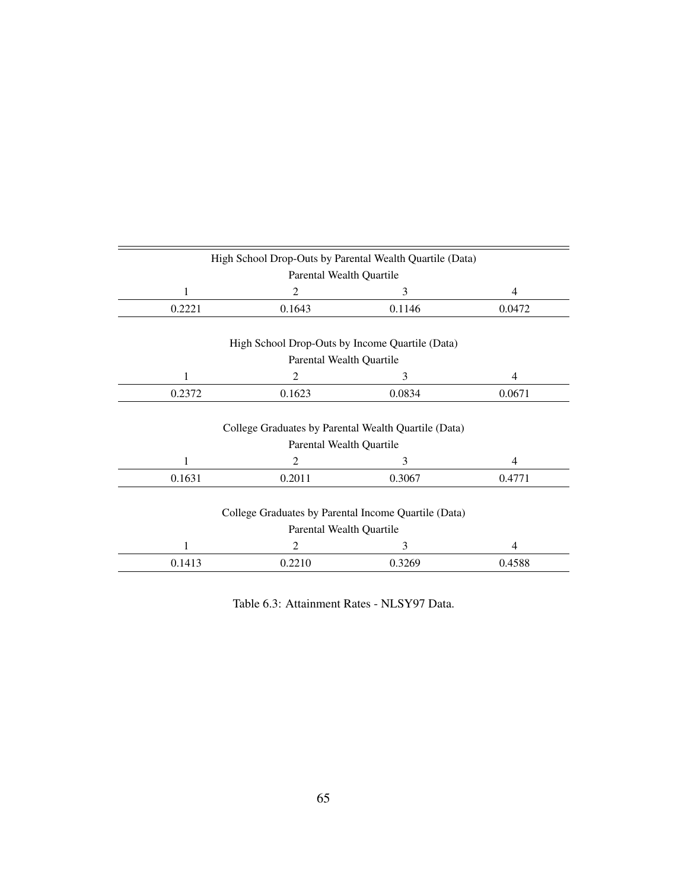|                          |                          | High School Drop-Outs by Parental Wealth Quartile (Data) |        |  |  |  |
|--------------------------|--------------------------|----------------------------------------------------------|--------|--|--|--|
| Parental Wealth Quartile |                          |                                                          |        |  |  |  |
| 1                        | 2                        | 3                                                        | 4      |  |  |  |
| 0.2221                   | 0.1643                   | 0.1146                                                   | 0.0472 |  |  |  |
|                          |                          |                                                          |        |  |  |  |
|                          |                          | High School Drop-Outs by Income Quartile (Data)          |        |  |  |  |
|                          | Parental Wealth Quartile |                                                          |        |  |  |  |
| 1                        | 2                        | 3                                                        | 4      |  |  |  |
| 0.2372                   | 0.1623                   | 0.0834                                                   | 0.0671 |  |  |  |
|                          |                          |                                                          |        |  |  |  |
|                          |                          | College Graduates by Parental Wealth Quartile (Data)     |        |  |  |  |
| Parental Wealth Quartile |                          |                                                          |        |  |  |  |
| 1                        | 2                        | 3                                                        | 4      |  |  |  |
| 0.1631                   | 0.2011                   | 0.3067                                                   | 0.4771 |  |  |  |
|                          |                          |                                                          |        |  |  |  |
|                          |                          | College Graduates by Parental Income Quartile (Data)     |        |  |  |  |
|                          | Parental Wealth Quartile |                                                          |        |  |  |  |
| 1                        | 2                        | 3                                                        | 4      |  |  |  |
| 0.1413                   | 0.2210                   | 0.3269                                                   | 0.4588 |  |  |  |

Table 6.3: Attainment Rates - NLSY97 Data.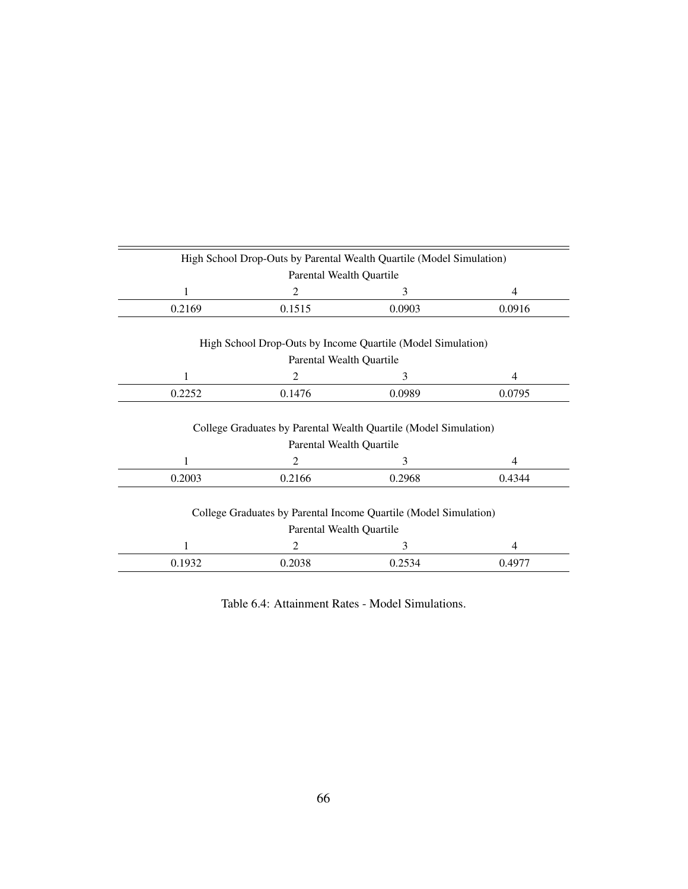|                          |                          | High School Drop-Outs by Parental Wealth Quartile (Model Simulation) |                |  |  |  |
|--------------------------|--------------------------|----------------------------------------------------------------------|----------------|--|--|--|
| Parental Wealth Quartile |                          |                                                                      |                |  |  |  |
| 1                        | 2                        | 3                                                                    | 4              |  |  |  |
| 0.2169                   | 0.1515                   | 0.0903                                                               | 0.0916         |  |  |  |
|                          |                          |                                                                      |                |  |  |  |
|                          |                          | High School Drop-Outs by Income Quartile (Model Simulation)          |                |  |  |  |
|                          | Parental Wealth Quartile |                                                                      |                |  |  |  |
| 1                        | $\overline{2}$           | 3                                                                    | 4              |  |  |  |
| 0.2252                   | 0.1476                   | 0.0989                                                               | 0.0795         |  |  |  |
|                          |                          |                                                                      |                |  |  |  |
|                          |                          | College Graduates by Parental Wealth Quartile (Model Simulation)     |                |  |  |  |
|                          | Parental Wealth Quartile |                                                                      |                |  |  |  |
| 1                        | 2                        | 3                                                                    | 4              |  |  |  |
| 0.2003                   | 0.2166                   | 0.2968                                                               | 0.4344         |  |  |  |
|                          |                          |                                                                      |                |  |  |  |
|                          |                          | College Graduates by Parental Income Quartile (Model Simulation)     |                |  |  |  |
|                          | Parental Wealth Quartile |                                                                      |                |  |  |  |
| 1                        | 2                        | 3                                                                    | $\overline{4}$ |  |  |  |
| 0.1932                   | 0.2038                   | 0.2534                                                               | 0.4977         |  |  |  |

Table 6.4: Attainment Rates - Model Simulations.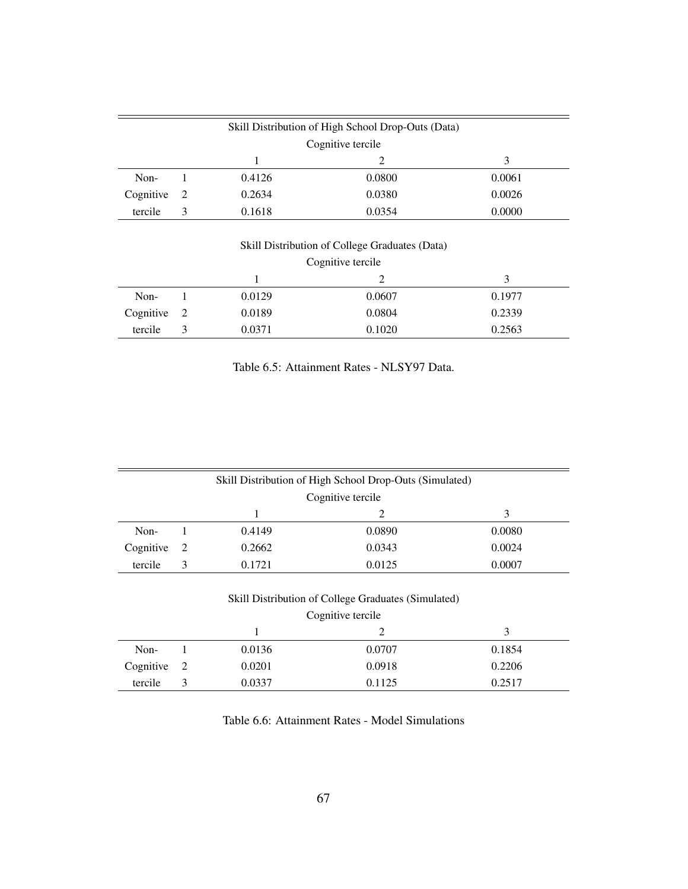| Skill Distribution of High School Drop-Outs (Data) |    |        |        |        |  |
|----------------------------------------------------|----|--------|--------|--------|--|
| Cognitive tercile                                  |    |        |        |        |  |
|                                                    |    |        |        | 3      |  |
| Non-                                               |    | 0.4126 | 0.0800 | 0.0061 |  |
| Cognitive                                          | -2 | 0.2634 | 0.0380 | 0.0026 |  |
| tercile                                            |    | 0.1618 | 0.0354 | 0.0000 |  |

| Skill Distribution of College Graduates (Data) |  |  |  |
|------------------------------------------------|--|--|--|
|------------------------------------------------|--|--|--|

| Cognitive tercile |              |        |        |        |  |
|-------------------|--------------|--------|--------|--------|--|
|                   |              |        |        | ≺      |  |
| Non-              |              | 0.0129 | 0.0607 | 0.1977 |  |
| Cognitive         | <sup>2</sup> | 0.0189 | 0.0804 | 0.2339 |  |
| tercile           |              | 0.0371 | 0.1020 | 0.2563 |  |

Table 6.5: Attainment Rates - NLSY97 Data.

| Skill Distribution of High School Drop-Outs (Simulated) |   |        |        |        |  |  |
|---------------------------------------------------------|---|--------|--------|--------|--|--|
| Cognitive tercile                                       |   |        |        |        |  |  |
| 3<br>2<br>1                                             |   |        |        |        |  |  |
| Non-                                                    | 1 | 0.4149 | 0.0890 | 0.0080 |  |  |
| Cognitive                                               | 2 | 0.2662 | 0.0343 | 0.0024 |  |  |
| tercile                                                 | 3 | 0.1721 | 0.0125 | 0.0007 |  |  |
|                                                         |   |        |        |        |  |  |
| Skill Distribution of College Graduates (Simulated)     |   |        |        |        |  |  |
| Cognitive tercile                                       |   |        |        |        |  |  |
|                                                         |   | 1      | 2      | 3      |  |  |
| Non-                                                    | 1 | 0.0136 | 0.0707 | 0.1854 |  |  |
| Cognitive                                               | 2 | 0.0201 | 0.0918 | 0.2206 |  |  |

Table 6.6: Attainment Rates - Model Simulations

tercile 3 0.0337 0.1125 0.2517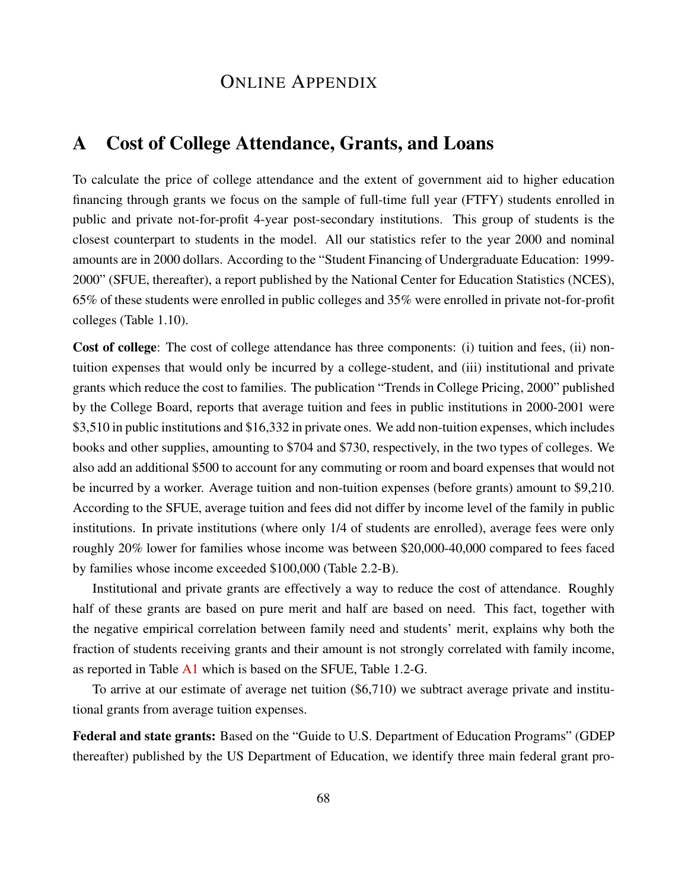## ONLINE APPENDIX

## A Cost of College Attendance, Grants, and Loans

To calculate the price of college attendance and the extent of government aid to higher education financing through grants we focus on the sample of full-time full year (FTFY) students enrolled in public and private not-for-profit 4-year post-secondary institutions. This group of students is the closest counterpart to students in the model. All our statistics refer to the year 2000 and nominal amounts are in 2000 dollars. According to the "Student Financing of Undergraduate Education: 1999- 2000" (SFUE, thereafter), a report published by the National Center for Education Statistics (NCES), 65% of these students were enrolled in public colleges and 35% were enrolled in private not-for-profit colleges (Table 1.10).

Cost of college: The cost of college attendance has three components: (i) tuition and fees, (ii) nontuition expenses that would only be incurred by a college-student, and (iii) institutional and private grants which reduce the cost to families. The publication "Trends in College Pricing, 2000" published by the College Board, reports that average tuition and fees in public institutions in 2000-2001 were \$3,510 in public institutions and \$16,332 in private ones. We add non-tuition expenses, which includes books and other supplies, amounting to \$704 and \$730, respectively, in the two types of colleges. We also add an additional \$500 to account for any commuting or room and board expenses that would not be incurred by a worker. Average tuition and non-tuition expenses (before grants) amount to \$9,210. According to the SFUE, average tuition and fees did not differ by income level of the family in public institutions. In private institutions (where only 1/4 of students are enrolled), average fees were only roughly 20% lower for families whose income was between \$20,000-40,000 compared to fees faced by families whose income exceeded \$100,000 (Table 2.2-B).

Institutional and private grants are effectively a way to reduce the cost of attendance. Roughly half of these grants are based on pure merit and half are based on need. This fact, together with the negative empirical correlation between family need and students' merit, explains why both the fraction of students receiving grants and their amount is not strongly correlated with family income, as reported in Table [A1](#page-70-0) which is based on the SFUE, Table 1.2-G.

To arrive at our estimate of average net tuition (\$6,710) we subtract average private and institutional grants from average tuition expenses.

Federal and state grants: Based on the "Guide to U.S. Department of Education Programs" (GDEP thereafter) published by the US Department of Education, we identify three main federal grant pro-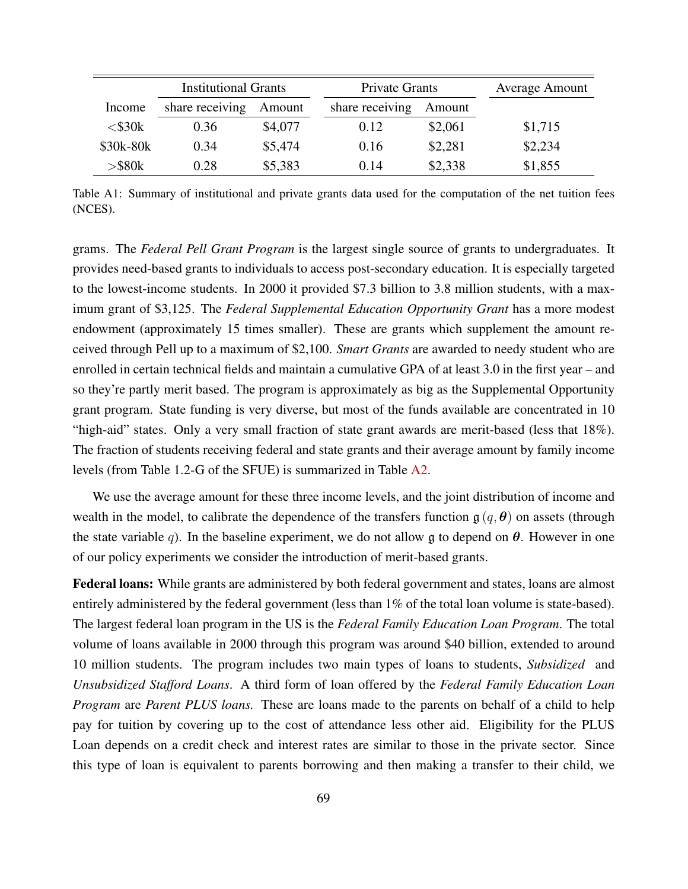<span id="page-70-0"></span>

|              | <b>Institutional Grants</b> |         |                 | <b>Private Grants</b> |         |  |
|--------------|-----------------------------|---------|-----------------|-----------------------|---------|--|
| Income       | share receiving             | Amount  | share receiving | Amount                |         |  |
| $<$ \$30 $k$ | 0.36                        | \$4,077 | 0.12            | \$2,061               | \$1,715 |  |
| \$30k-80k    | 0.34                        | \$5,474 | 0.16            | \$2,281               | \$2,234 |  |
| $>$ \$80 $k$ | 0.28                        | \$5,383 | 0.14            | \$2,338               | \$1,855 |  |

Table A1: Summary of institutional and private grants data used for the computation of the net tuition fees (NCES).

grams. The *Federal Pell Grant Program* is the largest single source of grants to undergraduates. It provides need-based grants to individuals to access post-secondary education. It is especially targeted to the lowest-income students. In 2000 it provided \$7.3 billion to 3.8 million students, with a maximum grant of \$3,125. The *Federal Supplemental Education Opportunity Grant* has a more modest endowment (approximately 15 times smaller). These are grants which supplement the amount received through Pell up to a maximum of \$2,100. *Smart Grants* are awarded to needy student who are enrolled in certain technical fields and maintain a cumulative GPA of at least 3.0 in the first year – and so they're partly merit based. The program is approximately as big as the Supplemental Opportunity grant program. State funding is very diverse, but most of the funds available are concentrated in 10 "high-aid" states. Only a very small fraction of state grant awards are merit-based (less that 18%). The fraction of students receiving federal and state grants and their average amount by family income levels (from Table 1.2-G of the SFUE) is summarized in Table [A2.](#page-71-1)

We use the average amount for these three income levels, and the joint distribution of income and wealth in the model, to calibrate the dependence of the transfers function  $g(q, \theta)$  on assets (through the state variable q). In the baseline experiment, we do not allow g to depend on  $\theta$ . However in one of our policy experiments we consider the introduction of merit-based grants.

Federal loans: While grants are administered by both federal government and states, loans are almost entirely administered by the federal government (less than 1% of the total loan volume is state-based). The largest federal loan program in the US is the *Federal Family Education Loan Program*. The total volume of loans available in 2000 through this program was around \$40 billion, extended to around 10 million students. The program includes two main types of loans to students, *Subsidized* and *Unsubsidized Stafford Loans*. A third form of loan offered by the *Federal Family Education Loan Program* are *Parent PLUS loans.* These are loans made to the parents on behalf of a child to help pay for tuition by covering up to the cost of attendance less other aid. Eligibility for the PLUS Loan depends on a credit check and interest rates are similar to those in the private sector. Since this type of loan is equivalent to parents borrowing and then making a transfer to their child, we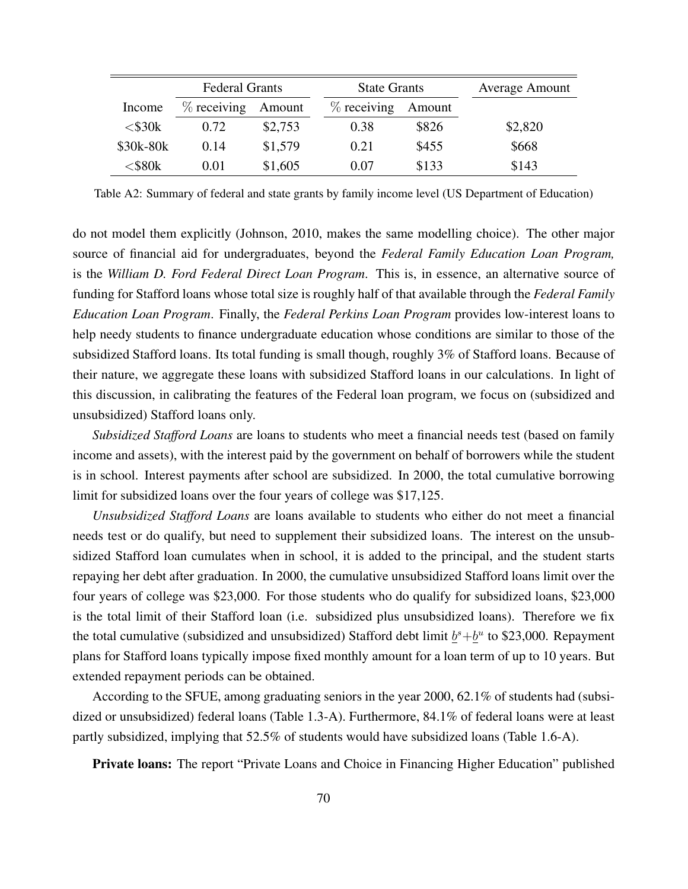<span id="page-71-0"></span>

|              | <b>Federal Grants</b> |         | <b>State Grants</b> |                | <b>Average Amount</b> |         |  |
|--------------|-----------------------|---------|---------------------|----------------|-----------------------|---------|--|
| Income       | $\%$ receiving        | Amount  |                     | $\%$ receiving | Amount                |         |  |
| $<$ \$30 $k$ | 0.72                  | \$2,753 |                     | 0.38           | \$826                 | \$2,820 |  |
| \$30k-80k    | 0.14                  | \$1,579 |                     | 0.21           | \$455                 | \$668   |  |
| <\$80k       | 0.01                  | \$1,605 |                     | 0.07           | \$133                 | \$143   |  |

<span id="page-71-1"></span>Table A2: Summary of federal and state grants by family income level (US Department of Education)

do not model them explicitly (Johnson, 2010, makes the same modelling choice). The other major source of financial aid for undergraduates, beyond the *Federal Family Education Loan Program,* is the *William D. Ford Federal Direct Loan Program*. This is, in essence, an alternative source of funding for Stafford loans whose total size is roughly half of that available through the *Federal Family Education Loan Program*. Finally, the *Federal Perkins Loan Program* provides low-interest loans to help needy students to finance undergraduate education whose conditions are similar to those of the subsidized Stafford loans. Its total funding is small though, roughly 3% of Stafford loans. Because of their nature, we aggregate these loans with subsidized Stafford loans in our calculations. In light of this discussion, in calibrating the features of the Federal loan program, we focus on (subsidized and unsubsidized) Stafford loans only.

*Subsidized Stafford Loans* are loans to students who meet a financial needs test (based on family income and assets), with the interest paid by the government on behalf of borrowers while the student is in school. Interest payments after school are subsidized. In 2000, the total cumulative borrowing limit for subsidized loans over the four years of college was \$17,125.

*Unsubsidized Stafford Loans* are loans available to students who either do not meet a financial needs test or do qualify, but need to supplement their subsidized loans. The interest on the unsubsidized Stafford loan cumulates when in school, it is added to the principal, and the student starts repaying her debt after graduation. In 2000, the cumulative unsubsidized Stafford loans limit over the four years of college was \$23,000. For those students who do qualify for subsidized loans, \$23,000 is the total limit of their Stafford loan (i.e. subsidized plus unsubsidized loans). Therefore we fix the total cumulative (subsidized and unsubsidized) Stafford debt limit  $\underline{b}^s + \underline{b}^u$  to \$23,000. Repayment plans for Stafford loans typically impose fixed monthly amount for a loan term of up to 10 years. But extended repayment periods can be obtained.

According to the SFUE, among graduating seniors in the year 2000, 62.1% of students had (subsidized or unsubsidized) federal loans (Table 1.3-A). Furthermore, 84.1% of federal loans were at least partly subsidized, implying that 52.5% of students would have subsidized loans (Table 1.6-A).

Private loans: The report "Private Loans and Choice in Financing Higher Education" published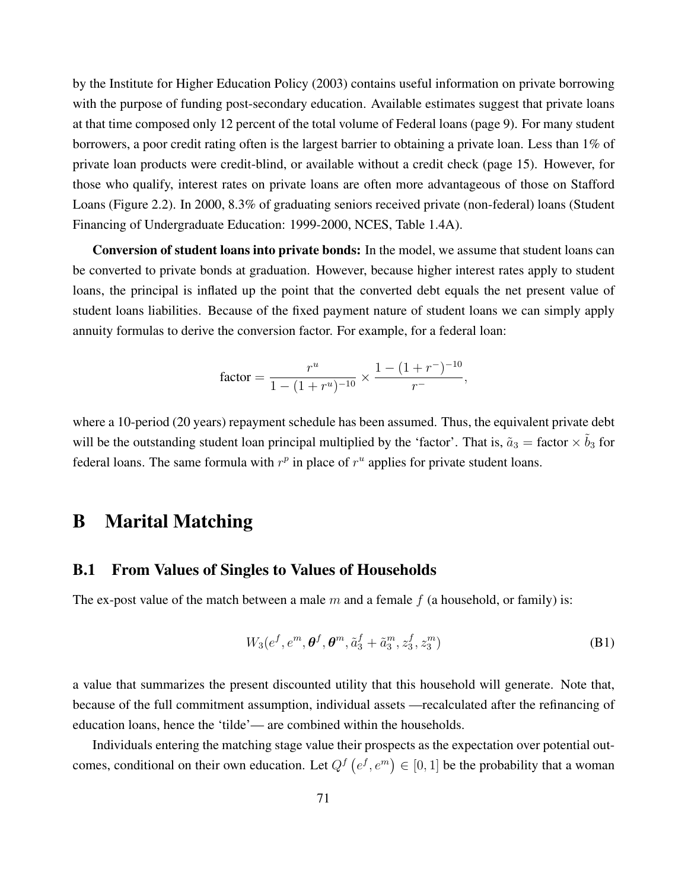by the Institute for Higher Education Policy (2003) contains useful information on private borrowing with the purpose of funding post-secondary education. Available estimates suggest that private loans at that time composed only 12 percent of the total volume of Federal loans (page 9). For many student borrowers, a poor credit rating often is the largest barrier to obtaining a private loan. Less than 1% of private loan products were credit-blind, or available without a credit check (page 15). However, for those who qualify, interest rates on private loans are often more advantageous of those on Stafford Loans (Figure 2.2). In 2000, 8.3% of graduating seniors received private (non-federal) loans (Student Financing of Undergraduate Education: 1999-2000, NCES, Table 1.4A).

Conversion of student loans into private bonds: In the model, we assume that student loans can be converted to private bonds at graduation. However, because higher interest rates apply to student loans, the principal is inflated up the point that the converted debt equals the net present value of student loans liabilities. Because of the fixed payment nature of student loans we can simply apply annuity formulas to derive the conversion factor. For example, for a federal loan:

factor = 
$$
\frac{r^u}{1 - (1 + r^u)^{-10}} \times \frac{1 - (1 + r^-)^{-10}}{r^-},
$$

where a 10-period (20 years) repayment schedule has been assumed. Thus, the equivalent private debt will be the outstanding student loan principal multiplied by the 'factor'. That is,  $\tilde{a}_3$  = factor  $\times \tilde{b}_3$  for federal loans. The same formula with  $r^p$  in place of  $r^u$  applies for private student loans.

## B Marital Matching

#### B.1 From Values of Singles to Values of Households

The ex-post value of the match between a male m and a female  $f$  (a household, or family) is:

<span id="page-72-0"></span>
$$
W_3(e^f, e^m, \boldsymbol{\theta}^f, \boldsymbol{\theta}^m, \tilde{a}_3^f + \tilde{a}_3^m, z_3^f, z_3^m)
$$
 (B1)

a value that summarizes the present discounted utility that this household will generate. Note that, because of the full commitment assumption, individual assets —recalculated after the refinancing of education loans, hence the 'tilde'— are combined within the households.

Individuals entering the matching stage value their prospects as the expectation over potential outcomes, conditional on their own education. Let  $Q^f(e^f, e^m) \in [0,1]$  be the probability that a woman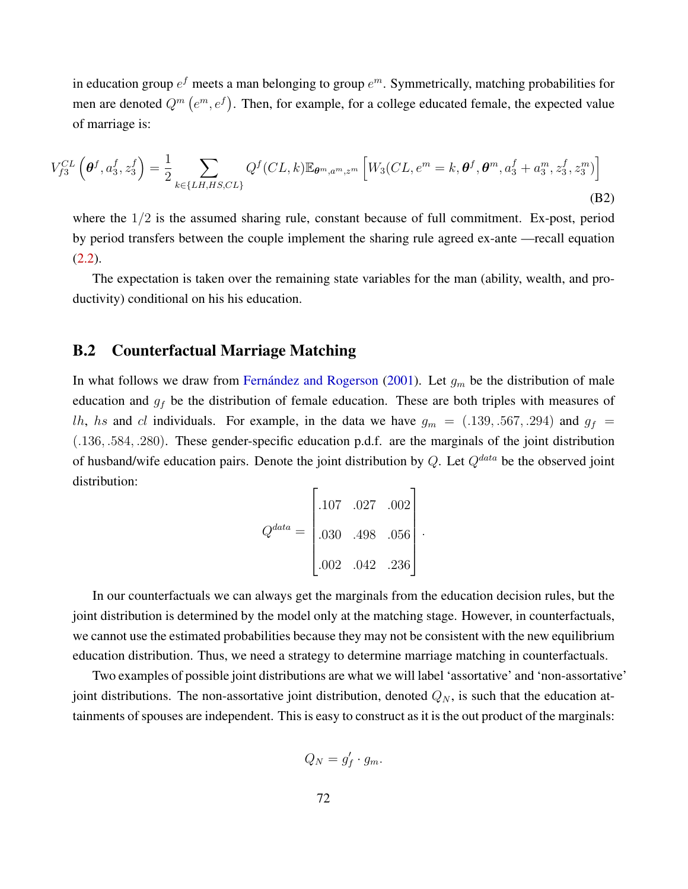in education group  $e^f$  meets a man belonging to group  $e^m$ . Symmetrically, matching probabilities for men are denoted  $Q^m$   $(e^m, e^f)$ . Then, for example, for a college educated female, the expected value of marriage is:

<span id="page-73-0"></span>
$$
V_{f3}^{CL}\left(\boldsymbol{\theta}^{f}, a_{3}^{f}, z_{3}^{f}\right) = \frac{1}{2} \sum_{k \in \{LH, HS, CL\}} Q^{f}(CL, k) \mathbb{E}_{\boldsymbol{\theta}^{m}, a^{m}, z^{m}} \left[W_{3}(CL, e^{m} = k, \boldsymbol{\theta}^{f}, \boldsymbol{\theta}^{m}, a_{3}^{f} + a_{3}^{m}, z_{3}^{f}, z_{3}^{m})\right]
$$
\n(B2)

where the  $1/2$  is the assumed sharing rule, constant because of full commitment. Ex-post, period by period transfers between the couple implement the sharing rule agreed ex-ante —recall equation  $(2.2).$  $(2.2).$ 

The expectation is taken over the remaining state variables for the man (ability, wealth, and productivity) conditional on his his education.

### B.2 Counterfactual Marriage Matching

In what follows we draw from Fernández and Rogerson [\(2001\)](#page-59-0). Let  $g_m$  be the distribution of male education and  $g_f$  be the distribution of female education. These are both triples with measures of lh, hs and cl individuals. For example, in the data we have  $g_m = (.139, .567, .294)$  and  $g_f =$ (.136, .584, .280). These gender-specific education p.d.f. are the marginals of the joint distribution of husband/wife education pairs. Denote the joint distribution by  $Q$ . Let  $Q^{data}$  be the observed joint distribution:

$$
Q^{data} = \begin{bmatrix} .107 & .027 & .002 \\ .030 & .498 & .056 \\ .002 & .042 & .236 \end{bmatrix}.
$$

In our counterfactuals we can always get the marginals from the education decision rules, but the joint distribution is determined by the model only at the matching stage. However, in counterfactuals, we cannot use the estimated probabilities because they may not be consistent with the new equilibrium education distribution. Thus, we need a strategy to determine marriage matching in counterfactuals.

Two examples of possible joint distributions are what we will label 'assortative' and 'non-assortative' joint distributions. The non-assortative joint distribution, denoted  $Q_N$ , is such that the education attainments of spouses are independent. This is easy to construct as it is the out product of the marginals:

$$
Q_N = g'_f \cdot g_m.
$$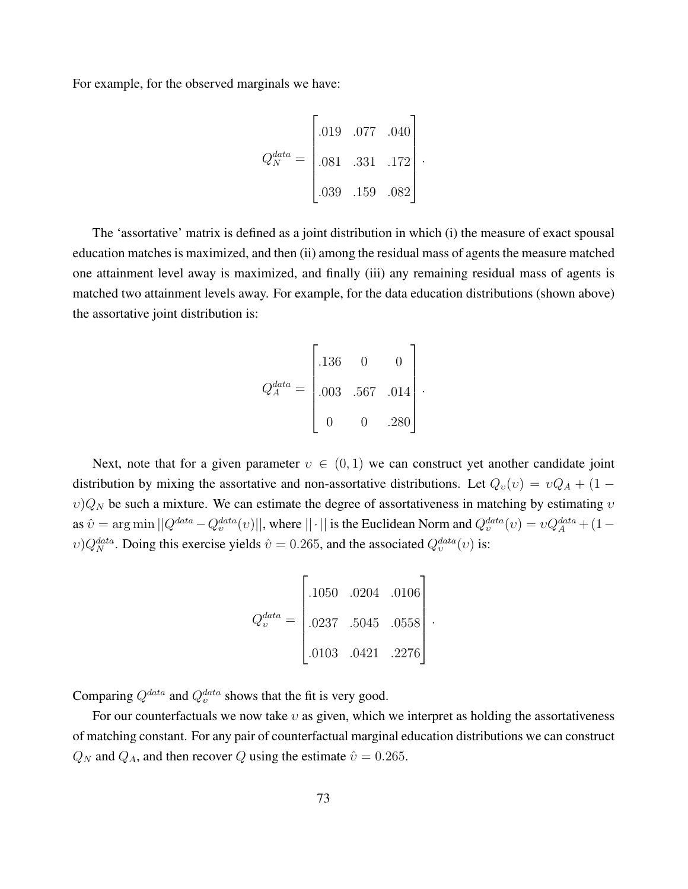For example, for the observed marginals we have:

$$
Q_N^{data} = \begin{bmatrix} .019 & .077 & .040 \\ .081 & .331 & .172 \\ .039 & .159 & .082 \end{bmatrix}.
$$

The 'assortative' matrix is defined as a joint distribution in which (i) the measure of exact spousal education matches is maximized, and then (ii) among the residual mass of agents the measure matched one attainment level away is maximized, and finally (iii) any remaining residual mass of agents is matched two attainment levels away. For example, for the data education distributions (shown above) the assortative joint distribution is:

$$
Q_A^{data} = \begin{bmatrix} .136 & 0 & 0 \\ .003 & .567 & .014 \\ 0 & 0 & .280 \end{bmatrix}.
$$

Next, note that for a given parameter  $v \in (0,1)$  we can construct yet another candidate joint distribution by mixing the assortative and non-assortative distributions. Let  $Q_v(v) = vQ_A + (1$  $v)Q_N$  be such a mixture. We can estimate the degree of assortativeness in matching by estimating  $v$ as  $\hat{v} = \arg \min ||Q^{data} - Q_v^{data}(v)||$ , where  $|| \cdot ||$  is the Euclidean Norm and  $Q_v^{data}(v) = vQ_A^{data} + (1$  $v)Q_N^{data}$ . Doing this exercise yields  $\hat{v} = 0.265$ , and the associated  $Q_v^{data}(v)$  is:

$$
Q_v^{data} = \begin{bmatrix} .1050 & .0204 & .0106 \\ .0237 & .5045 & .0558 \\ .0103 & .0421 & .2276 \end{bmatrix}.
$$

Comparing  $Q^{data}$  and  $Q_v^{data}$  shows that the fit is very good.

For our counterfactuals we now take  $v$  as given, which we interpret as holding the assortativeness of matching constant. For any pair of counterfactual marginal education distributions we can construct  $Q_N$  and  $Q_A$ , and then recover Q using the estimate  $\hat{v} = 0.265$ .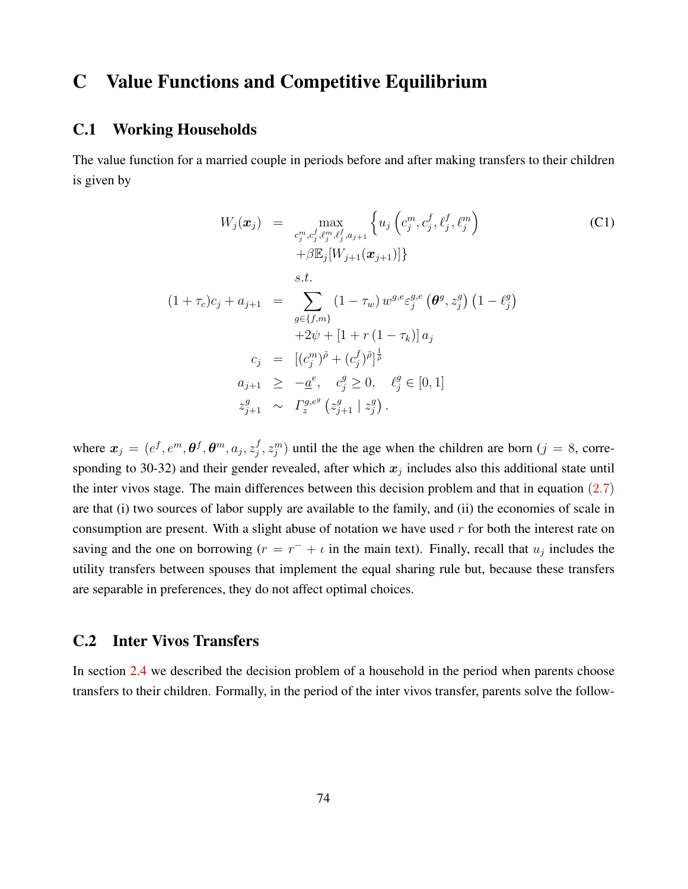### C Value Functions and Competitive Equilibrium

### C.1 Working Households

The value function for a married couple in periods before and after making transfers to their children is given by

$$
W_j(\mathbf{x}_j) = \max_{c_j^m, c_j^f, \ell_j^m, \ell_j^f, a_{j+1}} \left\{ u_j \left( c_j^m, c_j^f, \ell_j^f, \ell_j^m \right) \right\}
$$
\n
$$
+ \beta \mathbb{E}_j[W_{j+1}(\mathbf{x}_{j+1})] \right\}
$$
\n
$$
s.t.
$$
\n
$$
(1 + \tau_c)c_j + a_{j+1} = \sum_{g \in \{f, m\}} (1 - \tau_w) w^{g,e} \varepsilon_j^{g,e} \left(\mathbf{\theta}^g, z_j^g\right) \left(1 - \ell_j^g\right)
$$
\n
$$
+ 2\psi + \left[1 + r\left(1 - \tau_k\right)\right] a_j
$$
\n
$$
c_j = \left[ (c_j^m)^{\tilde{\rho}} + (c_j^f)^{\tilde{\rho}} \right]^{\frac{1}{\tilde{\rho}}}
$$
\n
$$
a_{j+1} \geq -\underline{a}^e, \quad c_j^g \geq 0, \quad \ell_j^g \in [0, 1]
$$
\n
$$
z_{j+1}^g \sim \Gamma_z^{g,e^g} \left( z_{j+1}^g \mid z_j^g \right).
$$
\n
$$
(C1)
$$

where  $\boldsymbol{x}_j = (e^f, e^m, \boldsymbol{\theta}^f, \boldsymbol{\theta}^m, a_j, z_j^f)$  $j, z_j^m$ ) until the the age when the children are born ( $j = 8$ , corresponding to 30-32) and their gender revealed, after which  $x_j$  includes also this additional state until the inter vivos stage. The main differences between this decision problem and that in equation (2.[7\)](#page-13-0) are that (i) two sources of labor supply are available to the family, and (ii) the economies of scale in consumption are present. With a slight abuse of notation we have used  $r$  for both the interest rate on saving and the one on borrowing  $(r = r^- + \iota)$  in the main text). Finally, recall that  $u_j$  includes the utility transfers between spouses that implement the equal sharing rule but, because these transfers are separable in preferences, they do not affect optimal choices.

#### C.2 Inter Vivos Transfers

In section [2.4](#page-20-0) we described the decision problem of a household in the period when parents choose transfers to their children. Formally, in the period of the inter vivos transfer, parents solve the follow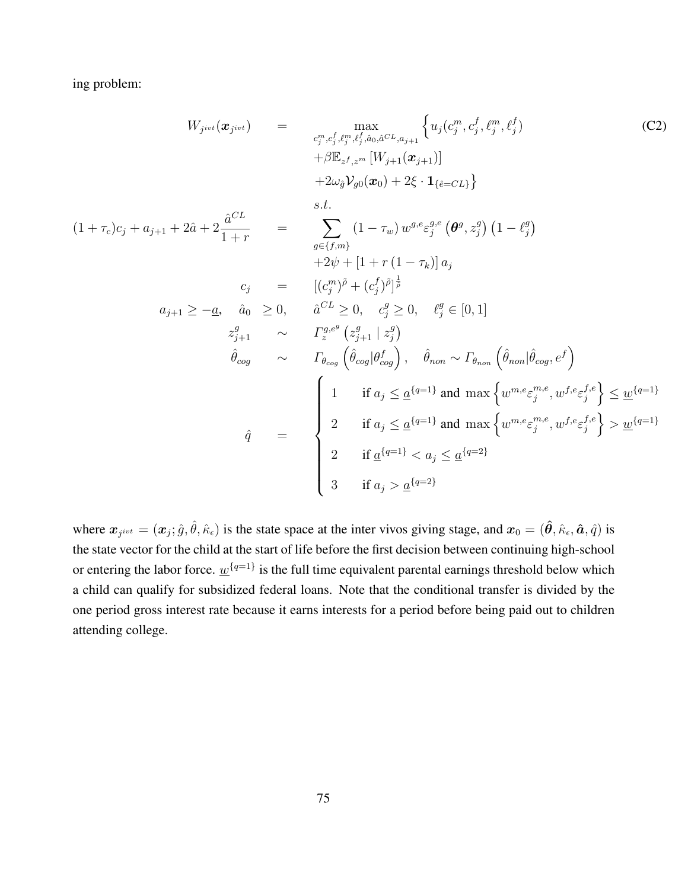ing problem:

$$
W_{j}^{ivt}(\boldsymbol{x}_{j}^{ivt}) = \max_{\substack{c_{j}^{m}, c_{j}^{f}, \ell_{j}^{m}, \ell_{j}^{f}, \hat{a}_{0}, \hat{a}^{C}L, a_{j+1} \\ \neq \beta \mathbb{E}_{z^{f}, z^{m}} [W_{j+1}(\boldsymbol{x}_{j+1})]}} \{\mathcal{H}_{z^{g}, z^{m}} [W_{j+1}(\boldsymbol{x}_{j+1})] + 2\omega_{g} \mathcal{V}_{g0}(\boldsymbol{x}_{0}) + 2\xi \cdot \mathbf{1}_{\{\tilde{e}=CL\}} \} \tag{C2}
$$
\n
$$
(1 + \tau_{c})c_{j} + a_{j+1} + 2\hat{a} + 2\frac{\hat{a}^{CL}}{1+r} = \sum_{g \in \{f, m\}} (1 - \tau_{w}) w^{g,c} \varepsilon_{j}^{g,c} (\boldsymbol{\theta}^{g}, z_{j}^{g}) (1 - \ell_{j}^{g})
$$
\n
$$
+ 2\psi + [1 + r(1 - \tau_{k})] a_{j}
$$
\n
$$
c_{j} = [(c_{j}^{m})^{\tilde{\rho}} + (c_{j}^{f})^{\tilde{\rho}}]^{\frac{1}{\tilde{\rho}}}
$$
\n
$$
a_{j+1} \geq -\underline{a}, \quad \hat{a}_{0} \geq 0, \quad \hat{a}^{CL} \geq 0, \quad c_{j}^{g} \geq 0, \quad \ell_{j}^{g} \in [0, 1]
$$
\n
$$
z_{j+1}^{g} \sim \Gamma_{z}^{g,e} (z_{j+1}^{g} | z_{j}^{g})
$$
\n
$$
\hat{\theta}_{cog} \sim \Gamma_{\theta_{cog}} (\hat{\theta}_{cog} | \theta_{cog}^{f}) , \quad \hat{\theta}_{non} \sim \Gamma_{\theta_{non}} (\hat{\theta}_{non} | \hat{\theta}_{cog}, \epsilon^{f})
$$
\n
$$
\hat{q} = \begin{cases} 1 & \text{if } a_{j} \leq \underline{a}^{(q=1)} \text{ and } \max \{w^{m,e}\epsilon_{j}^{m,e}, w^{f,e}\epsilon_{j}^{f,e}\} \leq \underline{w}^{\{q=1\}} \\ 2 & \text{if } a_{j} \leq \underline{a}^{\{q=
$$

where  $x_{j^{ivt}} = (\mathbf{x}_j; \hat{g}, \hat{\theta}, \hat{\kappa}_{\epsilon})$  is the state space at the inter vivos giving stage, and  $\mathbf{x}_0 = (\hat{\theta}, \hat{\kappa}_{\epsilon}, \hat{\mathbf{a}}, \hat{q})$  is the state vector for the child at the start of life before the first decision between continuing high-school or entering the labor force.  $\underline{w}^{\{q=1\}}$  is the full time equivalent parental earnings threshold below which a child can qualify for subsidized federal loans. Note that the conditional transfer is divided by the one period gross interest rate because it earns interests for a period before being paid out to children attending college.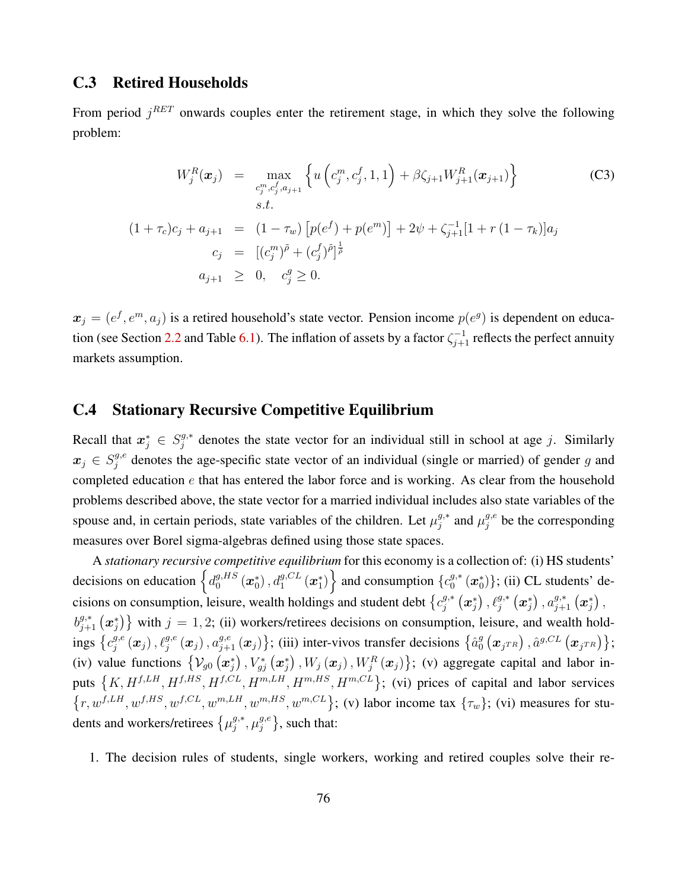### C.3 Retired Households

From period  $j^{RET}$  onwards couples enter the retirement stage, in which they solve the following problem:

<span id="page-77-0"></span>
$$
W_j^R(\boldsymbol{x}_j) = \max_{\substack{c_j^m, c_j^f, a_{j+1} \\ s.t.}} \left\{ u\left(c_j^m, c_j^f, 1, 1\right) + \beta \zeta_{j+1} W_{j+1}^R(\boldsymbol{x}_{j+1}) \right\}
$$
(C3)  
s.t.  

$$
(1 + \tau_c)c_j + a_{j+1} = (1 - \tau_w) \left[ p(e^f) + p(e^m) \right] + 2\psi + \zeta_{j+1}^{-1} [1 + r(1 - \tau_k)] a_j
$$

$$
c_j = [(c_j^m)^{\tilde{\rho}} + (c_j^f)^{\tilde{\rho}}]^\frac{1}{\tilde{\rho}}
$$

$$
a_{j+1} \geq 0, \quad c_j^g \geq 0.
$$

 $x_j = (e^f, e^m, a_j)$  is a retired household's state vector. Pension income  $p(e^g)$  is dependent on educa-tion (see Section [2.2](#page-8-0) and Table [6.1\)](#page-64-0). The inflation of assets by a factor  $\zeta_{j+1}^{-1}$  reflects the perfect annuity markets assumption.

### C.4 Stationary Recursive Competitive Equilibrium

Recall that  $x_j^* \in S_j^{g,*}$  $j^{g,*}$  denotes the state vector for an individual still in school at age j. Similarly  $\boldsymbol{x}_j \in S^{g,e}_i$  $j_e^{g,e}$  denotes the age-specific state vector of an individual (single or married) of gender g and completed education  $e$  that has entered the labor force and is working. As clear from the household problems described above, the state vector for a married individual includes also state variables of the spouse and, in certain periods, state variables of the children. Let  $\mu_i^{g,*}$  $j^{g,*}$  and  $\mu_j^{g,e}$  $j^{g,e}$  be the corresponding measures over Borel sigma-algebras defined using those state spaces.

A *stationary recursive competitive equilibrium* for this economy is a collection of: (i) HS students' decisions on education  $\left\{d_0^{g,HS}\right\}$  $\{g^{g,HS}_{0}(\boldsymbol{x}^*_0), d^{g,CL}_1(\boldsymbol{x}^*_1)\}$  and consumption  $\{c^{g,*}_0\}$  $\binom{g,*}{0}$   $(x_0^*)$ ; (ii) CL students' decisions on consumption, leisure, wealth holdings and student debt  ${c_i^{g,*}}$  $_{j}^{g,*}\left( \boldsymbol{x}_{j}^{*}\right)$  ,  $\ell_{j}^{g,*}\left( \boldsymbol{x}_{j}^{*}\right)$  ,  $a_{j+1}^{g,*}\left( \boldsymbol{x}_{j}^{*}\right)$  ,  $b_{j+1}^{g,*}(x_j^*)\}$  with  $j = 1, 2$ ; (ii) workers/retirees decisions on consumption, leisure, and wealth holdings  $\{c_j^{g,e}$  $j^{g,e}_j(\bm{x}_j)$  ,  $\ell^{g,e}_j(\bm{x}_j)$  ,  $a^{g,e}_{j+1}(\bm{x}_j)$ }; (iii) inter-vivos transfer decisions  $\left\{\hat{a}^g_0\right\}$  $_{0}^{g}\left( \boldsymbol{x}_{j^{TR}}\right) ,$   $\hat{a}^{g,CL}\left( \boldsymbol{x}_{j^{TR}}\right) \} ;$ (iv) value functions  $\{V_{g0}\left(\bm{x}_j^*\right), V_{gj}^*\left(\bm{x}_j^*\right), W_j\left(\bm{x}_j\right), W_j^R\left(\bm{x}_j\right)\}\;$ ; (v) aggregate capital and labor inputs  ${K, H^{f, LH}, H^{f,HS}, H^{f,CL}, H^{m, LH}, H^{m,HS}, H^{m,CL}}$ ; (vi) prices of capital and labor services  $\{r, w^{f, LH}, w^{f,HS}, w^{f,CL}, w^{m, LH}, w^{m,HS}, w^{m,CL}\};$  (v) labor income tax  $\{\tau_w\};$  (vi) measures for students and workers/retirees  $\{\mu_i^{g,*}\}$  $j^{g,*}, \mu_j^{g,e}$  $_{j}^{g,e}$ }, such that:

1. The decision rules of students, single workers, working and retired couples solve their re-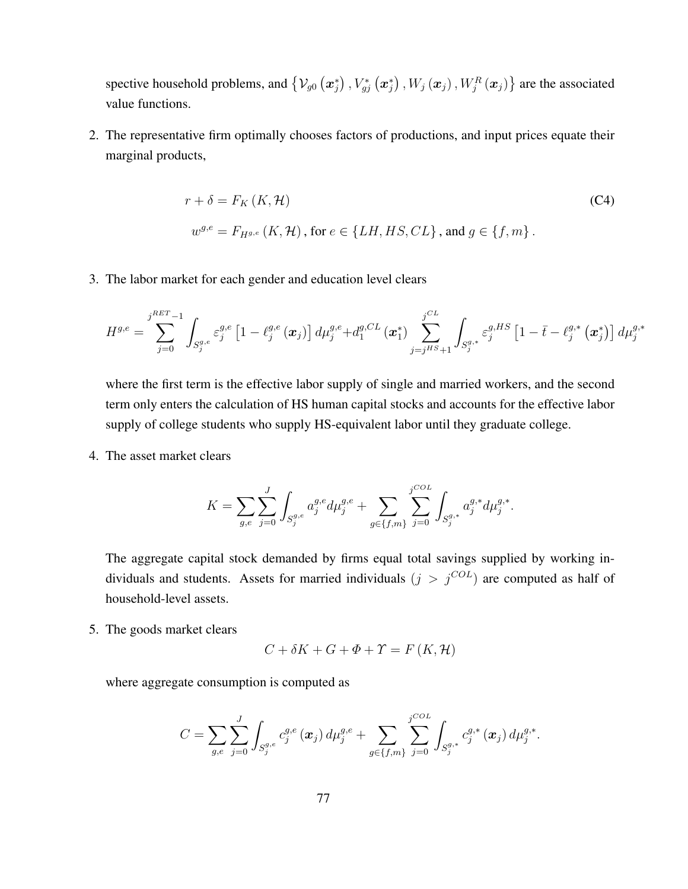spective household problems, and  $\{V_{g0}\left(\bm{x}_j^*\right), V_{gj}^*\left(\bm{x}_j^*\right), W_j\left(\bm{x}_j\right), W_j^R\left(\bm{x}_j\right)\}\)$  are the associated value functions.

2. The representative firm optimally chooses factors of productions, and input prices equate their marginal products,

$$
r + \delta = F_K(K, \mathcal{H})
$$
\n
$$
w^{g,e} = F_{H^{g,e}}(K, \mathcal{H}), \text{ for } e \in \{LH, HS, CL\}, \text{ and } g \in \{f, m\}.
$$
\n(C4)

3. The labor market for each gender and education level clears

$$
H^{g,e} = \sum_{j=0}^{j^{RET}-1} \int_{S^{g,e}_j} \varepsilon_j^{g,e} \left[1 - \ell_j^{g,e} \left(\bm{x}_j \right) \right] d\mu_j^{g,e} + d_1^{g,CL} \left(\bm{x}_1^* \right) \sum_{j=j^{HS}+1}^{j^{CL}} \int_{S^{g,*}_j} \varepsilon_j^{g,HS} \left[1 - \bar{t} - \ell_j^{g,*} \left(\bm{x}_j^* \right) \right] d\mu_j^{g,*}
$$

where the first term is the effective labor supply of single and married workers, and the second term only enters the calculation of HS human capital stocks and accounts for the effective labor supply of college students who supply HS-equivalent labor until they graduate college.

4. The asset market clears

$$
K=\sum_{g,e}\sum_{j=0}^J\int_{S_j^{g,e}}a_j^{g,e}d\mu_j^{g,e}+\sum_{g\in\{f,m\}}\sum_{j=0}^{j^{COL}}\int_{S_j^{g,*}}a_j^{g,*}d\mu_j^{g,*}.
$$

The aggregate capital stock demanded by firms equal total savings supplied by working individuals and students. Assets for married individuals  $(j > j^{COL})$  are computed as half of household-level assets.

5. The goods market clears

$$
C + \delta K + G + \Phi + \Upsilon = F(K, \mathcal{H})
$$

where aggregate consumption is computed as

$$
C = \sum_{g,e} \sum_{j=0}^{J} \int_{S_j^{g,e}} c_j^{g,e} (\boldsymbol{x}_j) d\mu_j^{g,e} + \sum_{g \in \{f,m\}} \sum_{j=0}^{j^{COL}} \int_{S_j^{g,*}} c_j^{g,*} (\boldsymbol{x}_j) d\mu_j^{g,*}.
$$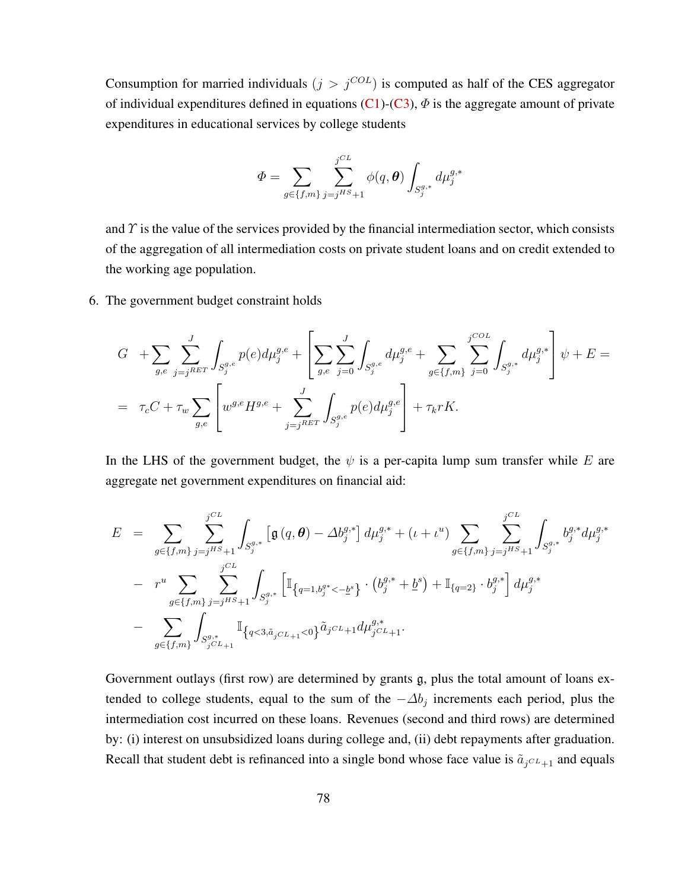Consumption for married individuals  $(j > j^{COL})$  is computed as half of the CES aggregator of individual expenditures defined in equations  $(C1)-(C3)$  $(C1)-(C3)$  $(C1)-(C3)$ ,  $\Phi$  is the aggregate amount of private expenditures in educational services by college students

$$
\varPhi=\sum_{g\in\{f,m\}}\sum_{j=j^{HS}+1}^{j^{CL}}\phi(q,\boldsymbol{\theta})\int_{S_{j}^{g,*}}d\mu_{j}^{g,*}
$$

and  $\gamma$  is the value of the services provided by the financial intermediation sector, which consists of the aggregation of all intermediation costs on private student loans and on credit extended to the working age population.

6. The government budget constraint holds

$$
G + \sum_{g,e} \sum_{j=j^{REF}}^{J} \int_{S_j^{g,e}} p(e) d\mu_j^{g,e} + \left[ \sum_{g,e} \sum_{j=0}^{J} \int_{S_j^{g,e}} d\mu_j^{g,e} + \sum_{g \in \{f,m\}} \sum_{j=0}^{j^{COL}} \int_{S_j^{g,*}} d\mu_j^{g,*} \right] \psi + E =
$$
  
=  $\tau_c C + \tau_w \sum_{g,e} \left[ w^{g,e} H^{g,e} + \sum_{j=j^{REF}}^{J} \int_{S_j^{g,e}} p(e) d\mu_j^{g,e} \right] + \tau_k r K.$ 

In the LHS of the government budget, the  $\psi$  is a per-capita lump sum transfer while E are aggregate net government expenditures on financial aid:

$$
E = \sum_{g \in \{f,m\}} \sum_{j=j^{HS}+1}^{j^{CL}} \int_{S_j^{g,*}} \left[ \mathfrak{g}(q, \theta) - \Delta b_j^{g,*} \right] d\mu_j^{g,*} + (\iota + \iota^u) \sum_{g \in \{f,m\}} \sum_{j=j^{HS}+1}^{j^{CL}} \int_{S_j^{g,*}} b_j^{g,*} d\mu_j^{g,*}
$$
  

$$
- r^u \sum_{g \in \{f,m\}} \sum_{j=j^{HS}+1}^{j^{CL}} \int_{S_j^{g,*}} \left[ \mathbb{I}_{\{q=1,b_j^{g,*} < -\underline{b}^s\}} \cdot (b_j^{g,*} + \underline{b}^s) + \mathbb{I}_{\{q=2\}} \cdot b_j^{g,*} \right] d\mu_j^{g,*}
$$
  

$$
- \sum_{g \in \{f,m\}} \int_{S_j^{g,*}} \mathbb{I}_{\{q < 3, \tilde{a}_j \subset L_{+1} < 0\}} \tilde{a}_j \subset L_{+1} d\mu_{j \subset L_{+1}}^{g,*}.
$$

Government outlays (first row) are determined by grants g, plus the total amount of loans extended to college students, equal to the sum of the  $-\Delta b_j$  increments each period, plus the intermediation cost incurred on these loans. Revenues (second and third rows) are determined by: (i) interest on unsubsidized loans during college and, (ii) debt repayments after graduation. Recall that student debt is refinanced into a single bond whose face value is  $\tilde{a}_{jCL+1}$  and equals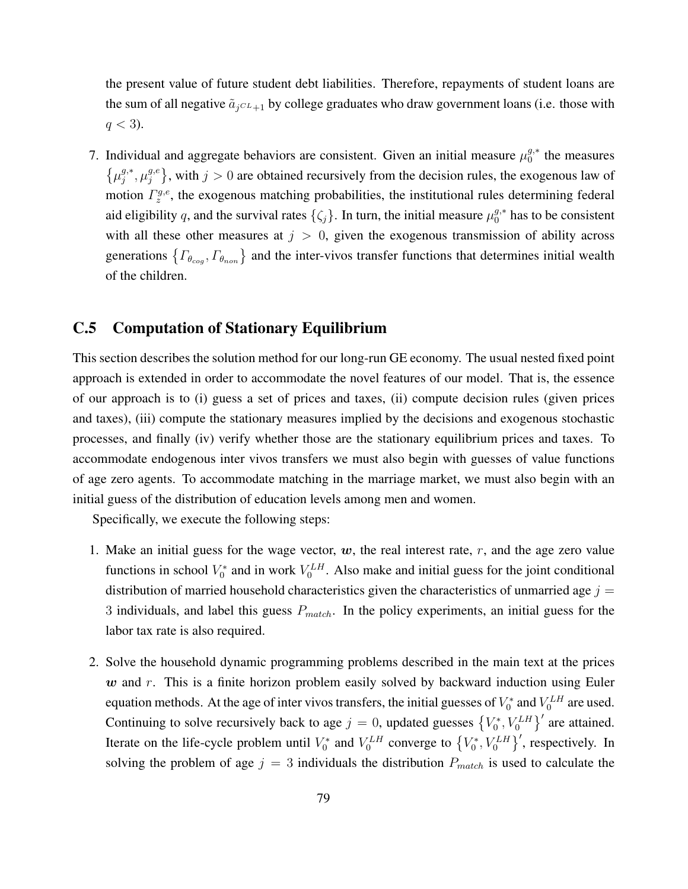the present value of future student debt liabilities. Therefore, repayments of student loans are the sum of all negative  $\tilde{a}_{jCL+1}$  by college graduates who draw government loans (i.e. those with  $q < 3$ ).

7. Individual and aggregate behaviors are consistent. Given an initial measure  $\mu_0^{g,*}$  $_0^{g,*}$  the measures  $\{\mu_i^{g,*}$  $j^{g,*}, \mu_j^{g,e}$  $\{g,e\}$ , with  $j>0$  are obtained recursively from the decision rules, the exogenous law of motion  $\Gamma^{g,e}_{z}$ , the exogenous matching probabilities, the institutional rules determining federal aid eligibility q, and the survival rates  $\{\zeta_j\}$ . In turn, the initial measure  $\mu_0^{g,*}$  has to be consistent with all these other measures at  $j > 0$ , given the exogenous transmission of ability across generations  $\{ \Gamma_{\theta_{cog}}, \Gamma_{\theta_{non}} \}$  and the inter-vivos transfer functions that determines initial wealth of the children.

### C.5 Computation of Stationary Equilibrium

This section describes the solution method for our long-run GE economy. The usual nested fixed point approach is extended in order to accommodate the novel features of our model. That is, the essence of our approach is to (i) guess a set of prices and taxes, (ii) compute decision rules (given prices and taxes), (iii) compute the stationary measures implied by the decisions and exogenous stochastic processes, and finally (iv) verify whether those are the stationary equilibrium prices and taxes. To accommodate endogenous inter vivos transfers we must also begin with guesses of value functions of age zero agents. To accommodate matching in the marriage market, we must also begin with an initial guess of the distribution of education levels among men and women.

Specifically, we execute the following steps:

- 1. Make an initial guess for the wage vector,  $w$ , the real interest rate,  $r$ , and the age zero value functions in school  $V_0^*$  and in work  $V_0^{LH}$ . Also make and initial guess for the joint conditional distribution of married household characteristics given the characteristics of unmarried age  $j =$ 3 individuals, and label this guess  $P_{match}$ . In the policy experiments, an initial guess for the labor tax rate is also required.
- 2. Solve the household dynamic programming problems described in the main text at the prices  $w$  and  $r$ . This is a finite horizon problem easily solved by backward induction using Euler equation methods. At the age of inter vivos transfers, the initial guesses of  $V_0^*$  and  $V_0^{LH}$  are used. Continuing to solve recursively back to age  $j = 0$ , updated guesses  ${V_0^*, V_0^{LH}}'$  are attained. Iterate on the life-cycle problem until  $V_0^*$  and  $V_0^{LH}$  converge to  ${V_0^*, V_0^{LH}}'$ , respectively. In solving the problem of age  $j = 3$  individuals the distribution  $P_{match}$  is used to calculate the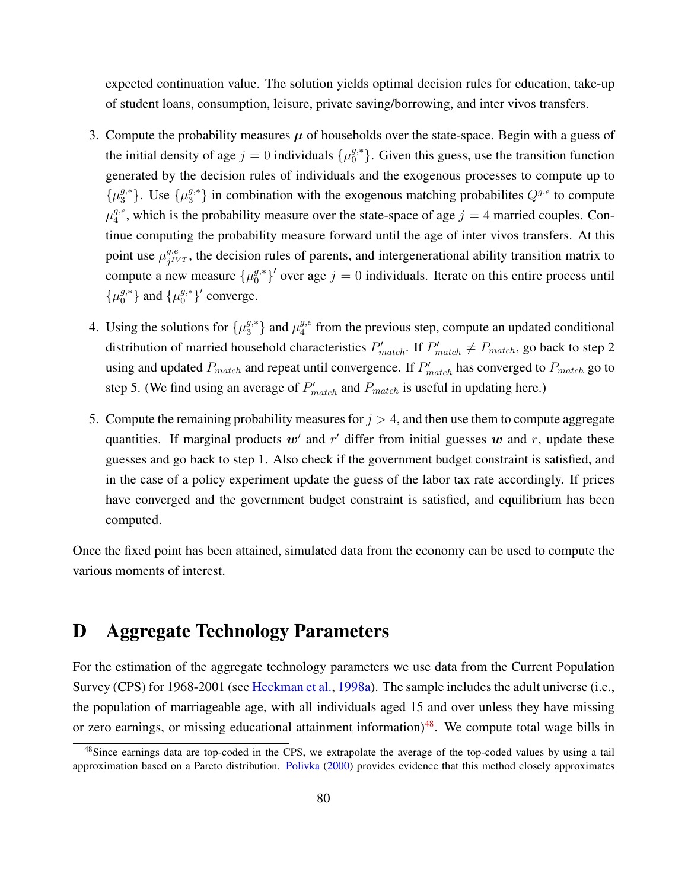expected continuation value. The solution yields optimal decision rules for education, take-up of student loans, consumption, leisure, private saving/borrowing, and inter vivos transfers.

- 3. Compute the probability measures  $\mu$  of households over the state-space. Begin with a guess of the initial density of age  $j = 0$  individuals  $\{\mu_0^{g,*}\}\)$ . Given this guess, use the transition function generated by the decision rules of individuals and the exogenous processes to compute up to  $\{\mu_3^{g,*}\}\$ . Use  $\{\mu_3^{g,*}\}\$  in combination with the exogenous matching probabilites  $Q^{g,e}$  to compute  $\mu^{g,e}_4$  $_4^{g,e}$ , which is the probability measure over the state-space of age  $j = 4$  married couples. Continue computing the probability measure forward until the age of inter vivos transfers. At this point use  $\mu_{jI}^{g,e}$  $g_{jl}^{g,e}$ , the decision rules of parents, and intergenerational ability transition matrix to compute a new measure  $\{\mu_0^{g,*}\}$  over age  $j = 0$  individuals. Iterate on this entire process until  $\{\mu_0^{g,*}\}\$  and  $\{\mu_0^{g,*}\}'$  converge.
- 4. Using the solutions for  $\{\mu_3^{g,*}\}\$  and  $\mu_4^{g,e}$  $\frac{q,e}{4}$  from the previous step, compute an updated conditional distribution of married household characteristics  $P'_{match}$ . If  $P'_{match} \neq P_{match}$ , go back to step 2 using and updated  $P_{match}$  and repeat until convergence. If  $P'_{match}$  has converged to  $P_{match}$  go to step 5. (We find using an average of  $P'_{match}$  and  $P_{match}$  is useful in updating here.)
- 5. Compute the remaining probability measures for  $j > 4$ , and then use them to compute aggregate quantities. If marginal products  $w'$  and  $r'$  differ from initial guesses w and r, update these guesses and go back to step 1. Also check if the government budget constraint is satisfied, and in the case of a policy experiment update the guess of the labor tax rate accordingly. If prices have converged and the government budget constraint is satisfied, and equilibrium has been computed.

Once the fixed point has been attained, simulated data from the economy can be used to compute the various moments of interest.

# D Aggregate Technology Parameters

For the estimation of the aggregate technology parameters we use data from the Current Population Survey (CPS) for 1968-2001 (see [Heckman et al.,](#page-60-0) [1998a\)](#page-60-0). The sample includes the adult universe (i.e., the population of marriageable age, with all individuals aged 15 and over unless they have missing or zero earnings, or missing educational attainment information)<sup>[48](#page-81-0)</sup>. We compute total wage bills in

<span id="page-81-0"></span><sup>&</sup>lt;sup>48</sup>Since earnings data are top-coded in the CPS, we extrapolate the average of the top-coded values by using a tail approximation based on a Pareto distribution. [Polivka](#page-114-0) [\(2000\)](#page-114-0) provides evidence that this method closely approximates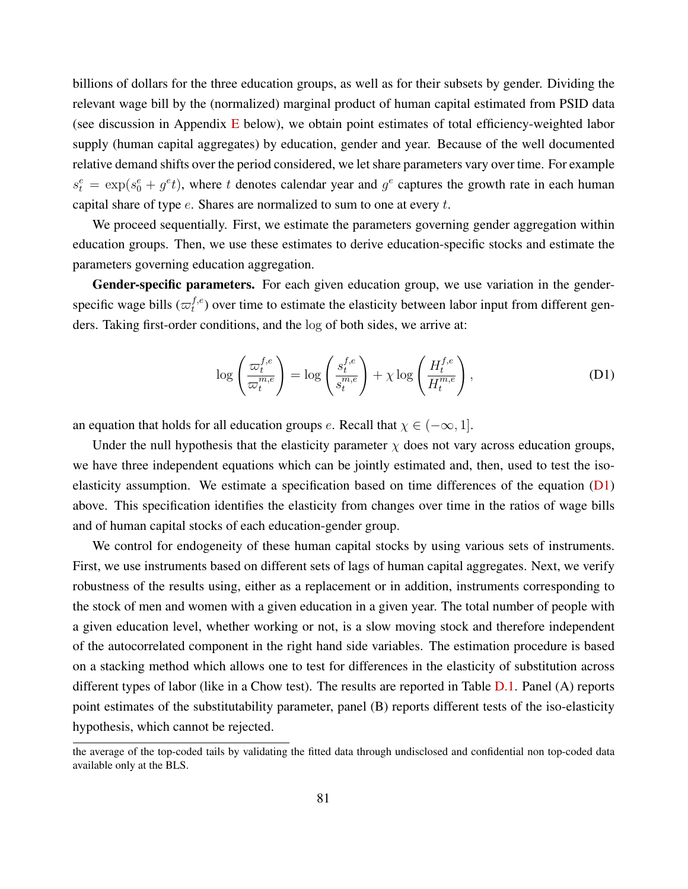billions of dollars for the three education groups, as well as for their subsets by gender. Dividing the relevant wage bill by the (normalized) marginal product of human capital estimated from PSID data (see discussion in Appendix [E](#page-86-0) below), we obtain point estimates of total efficiency-weighted labor supply (human capital aggregates) by education, gender and year. Because of the well documented relative demand shifts over the period considered, we let share parameters vary over time. For example  $s_t^e = \exp(s_0^e + g^e t)$ , where t denotes calendar year and  $g^e$  captures the growth rate in each human capital share of type  $e$ . Shares are normalized to sum to one at every  $t$ .

We proceed sequentially. First, we estimate the parameters governing gender aggregation within education groups. Then, we use these estimates to derive education-specific stocks and estimate the parameters governing education aggregation.

Gender-specific parameters. For each given education group, we use variation in the genderspecific wage bills ( $\varpi_t^{f,e}$  $t^{(f,e)}$  over time to estimate the elasticity between labor input from different genders. Taking first-order conditions, and the log of both sides, we arrive at:

$$
\log\left(\frac{\overline{\omega}_t^{f,e}}{\overline{\omega}_t^{m,e}}\right) = \log\left(\frac{s_t^{f,e}}{s_t^{m,e}}\right) + \chi \log\left(\frac{H_t^{f,e}}{H_t^{m,e}}\right),\tag{D1}
$$

an equation that holds for all education groups e. Recall that  $\chi \in (-\infty, 1]$ .

Under the null hypothesis that the elasticity parameter  $\chi$  does not vary across education groups, we have three independent equations which can be jointly estimated and, then, used to test the isoelasticity assumption. We estimate a specification based on time differences of the equation  $(D1)$ above. This specification identifies the elasticity from changes over time in the ratios of wage bills and of human capital stocks of each education-gender group.

We control for endogeneity of these human capital stocks by using various sets of instruments. First, we use instruments based on different sets of lags of human capital aggregates. Next, we verify robustness of the results using, either as a replacement or in addition, instruments corresponding to the stock of men and women with a given education in a given year. The total number of people with a given education level, whether working or not, is a slow moving stock and therefore independent of the autocorrelated component in the right hand side variables. The estimation procedure is based on a stacking method which allows one to test for differences in the elasticity of substitution across different types of labor (like in a Chow test). The results are reported in Table [D.1.](#page-70-0) Panel (A) reports point estimates of the substitutability parameter, panel (B) reports different tests of the iso-elasticity hypothesis, which cannot be rejected.

the average of the top-coded tails by validating the fitted data through undisclosed and confidential non top-coded data available only at the BLS.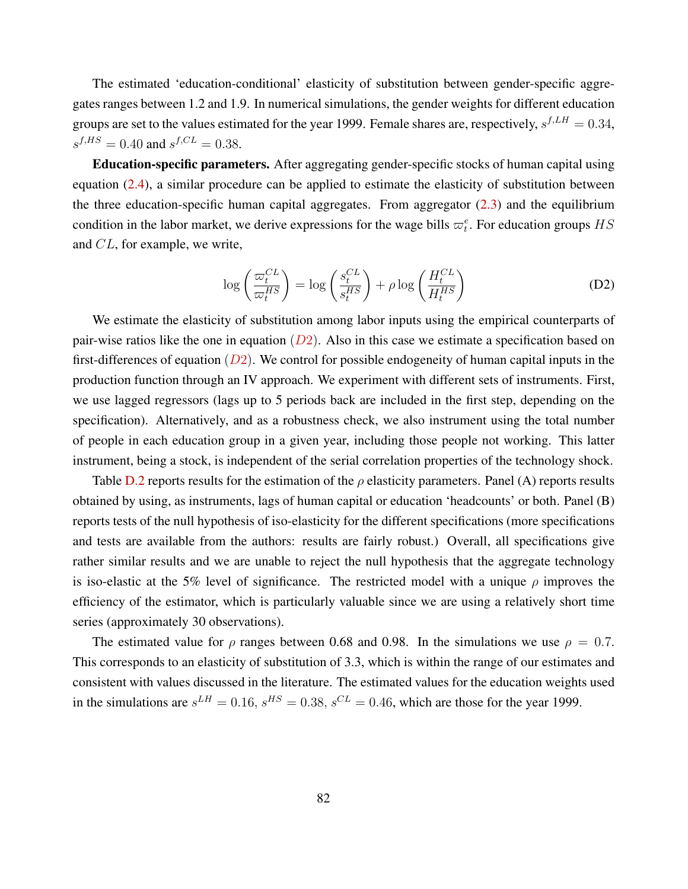The estimated 'education-conditional' elasticity of substitution between gender-specific aggregates ranges between 1.2 and 1.9. In numerical simulations, the gender weights for different education groups are set to the values estimated for the year 1999. Female shares are, respectively,  $s^{f, LH} = 0.34$ ,  $s^{f,HS} = 0.40$  and  $s^{f,CL} = 0.38$ .

Education-specific parameters. After aggregating gender-specific stocks of human capital using equation [\(2.4\)](#page-10-0), a similar procedure can be applied to estimate the elasticity of substitution between the three education-specific human capital aggregates. From aggregator  $(2.3)$  and the equilibrium condition in the labor market, we derive expressions for the wage bills  $\varpi_t^e$ . For education groups  $HS$ and CL, for example, we write,

$$
\log\left(\frac{\varpi_t^{CL}}{\varpi_t^{HS}}\right) = \log\left(\frac{s_t^{CL}}{s_t^{HS}}\right) + \rho \log\left(\frac{H_t^{CL}}{H_t^{HS}}\right)
$$
(D2)

We estimate the elasticity of substitution among labor inputs using the empirical counterparts of pair-wise ratios like the one in equation  $(D2)$  $(D2)$  $(D2)$ . Also in this case we estimate a specification based on first-differences of equation  $(D2)$  $(D2)$  $(D2)$ . We control for possible endogeneity of human capital inputs in the production function through an IV approach. We experiment with different sets of instruments. First, we use lagged regressors (lags up to 5 periods back are included in the first step, depending on the specification). Alternatively, and as a robustness check, we also instrument using the total number of people in each education group in a given year, including those people not working. This latter instrument, being a stock, is independent of the serial correlation properties of the technology shock.

Table  $D.2$  reports results for the estimation of the  $\rho$  elasticity parameters. Panel (A) reports results obtained by using, as instruments, lags of human capital or education 'headcounts' or both. Panel (B) reports tests of the null hypothesis of iso-elasticity for the different specifications (more specifications and tests are available from the authors: results are fairly robust.) Overall, all specifications give rather similar results and we are unable to reject the null hypothesis that the aggregate technology is iso-elastic at the 5% level of significance. The restricted model with a unique  $\rho$  improves the efficiency of the estimator, which is particularly valuable since we are using a relatively short time series (approximately 30 observations).

The estimated value for  $\rho$  ranges between 0.68 and 0.98. In the simulations we use  $\rho = 0.7$ . This corresponds to an elasticity of substitution of 3.3, which is within the range of our estimates and consistent with values discussed in the literature. The estimated values for the education weights used in the simulations are  $s^{LH} = 0.16$ ,  $s^{HS} = 0.38$ ,  $s^{CL} = 0.46$ , which are those for the year 1999.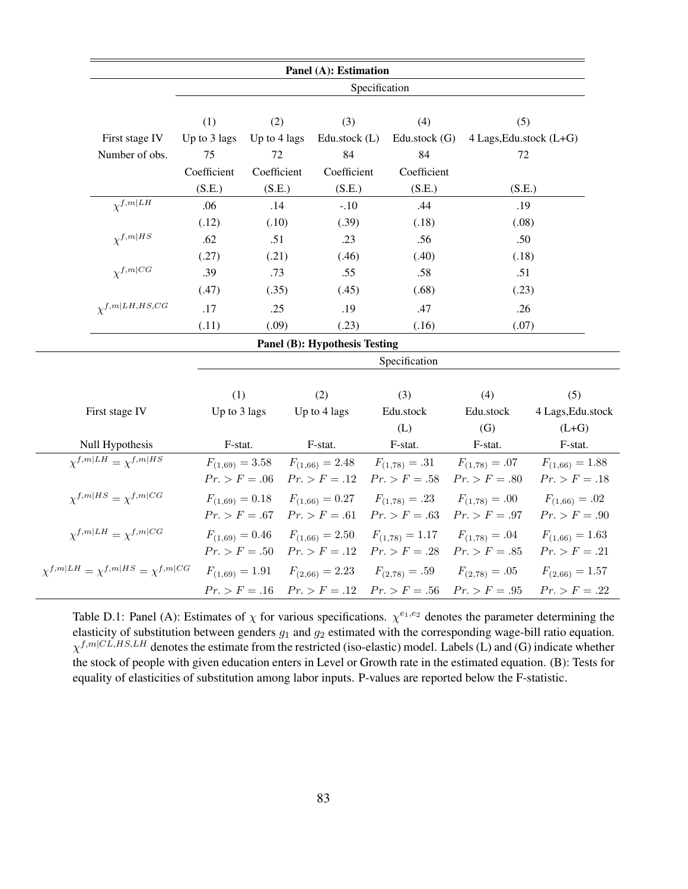|                                                   |                     |              | Panel (A): Estimation |                                       |                                        |                     |
|---------------------------------------------------|---------------------|--------------|-----------------------|---------------------------------------|----------------------------------------|---------------------|
|                                                   |                     |              |                       | Specification                         |                                        |                     |
|                                                   | (1)                 | (2)          | (3)                   | (4)                                   | (5)                                    |                     |
| First stage IV                                    | Up to 3 lags        | Up to 4 lags | Edu.stock (L)         | Edu.stock $(G)$                       | 4 Lags, Edu.stock (L+G)                |                     |
| Number of obs.                                    | 75                  | 72           | 84                    | 84                                    | 72                                     |                     |
|                                                   | Coefficient         | Coefficient  | Coefficient           | Coefficient                           |                                        |                     |
|                                                   | (S.E.)              | (S.E.)       | (S.E.)                | (S.E.)                                | (S.E.)                                 |                     |
| $\chi^{f,m LH}$                                   | .06                 | .14          | $-.10$                | .44                                   | .19                                    |                     |
|                                                   | (.12)               | (.10)        | (.39)                 | (.18)                                 | (.08)                                  |                     |
| $\chi^{f,m HS}$                                   | .62                 | .51          | .23                   | .56                                   | .50                                    |                     |
|                                                   | (.27)               | (.21)        | (.46)                 | (.40)                                 | (.18)                                  |                     |
| $\chi^{f,m CG}$                                   | .39                 | .73          | .55                   | .58                                   | .51                                    |                     |
|                                                   | (.47)               | (.35)        | (.45)                 | (.68)                                 | (.23)                                  |                     |
| $\chi^{f,m LH,HS,CG}$                             | .17                 | .25          | .19                   | .47                                   | .26                                    |                     |
|                                                   | (.11)               | (.09)        | (.23)                 | (.16)                                 | (.07)                                  |                     |
| Panel (B): Hypothesis Testing                     |                     |              |                       |                                       |                                        |                     |
|                                                   | Specification       |              |                       |                                       |                                        |                     |
|                                                   | (1)                 |              | (2)                   | (3)                                   | (4)                                    | (5)                 |
| First stage IV                                    | Up to 3 lags        |              | Up to 4 lags          | Edu.stock                             | Edu.stock                              | 4 Lags, Edu.stock   |
|                                                   |                     |              |                       | (L)                                   | (G)                                    | $(L+G)$             |
| Null Hypothesis                                   | F-stat.             |              | F-stat.               | F-stat.                               | F-stat.                                | F-stat.             |
| $\overline{\chi^{f,m}} LH\rangle = \chi^{f,m HS}$ | $F_{(1,69)} = 3.58$ |              | $F_{(1,66)} = 2.48$   | $F_{(1,78)} = .31$                    | $F_{(1,78)} = .07$                     | $F_{(1,66)} = 1.88$ |
|                                                   | $Pr. > F = .06$     |              | $Pr. > F = .12$       | $Pr. > F = .58$                       | $Pr. > F = .80$                        | $Pr. > F = .18$     |
| $\chi^{f,m HS} = \chi^{f,m CG}$                   | $F_{(1,69)} = 0.18$ |              | $F_{(1,66)} = 0.27$   |                                       | $F_{(1,78)} = .23$ $F_{(1,78)} = .00$  | $F_{(1,66)} = .02$  |
|                                                   | $Pr. > F = .67$     |              | $Pr. > F = .61$       |                                       | $Pr. > F = .63$ $Pr. > F = .97$        | $Pr. > F = .90$     |
| $\chi^{f,m LH} = \chi^{f,m CG}$                   | $F_{(1,69)} = 0.46$ |              | $F_{(1,66)} = 2.50$   |                                       | $F_{(1.78)} = 1.17$ $F_{(1.78)} = .04$ | $F_{(1,66)} = 1.63$ |
|                                                   | $Pr. > F = .50$     |              | $Pr. > F = .12$       |                                       | $Pr. > F = .28$ $Pr. > F = .85$        | $Pr. > F = .21$     |
| $\chi^{f,m LH} = \chi^{f,m HS} = \chi^{f,m CG}$   | $F_{(1,69)} = 1.91$ |              | $F_{(2,66)} = 2.23$   | $F_{(2.78)} = .59$ $F_{(2.78)} = .05$ |                                        | $F_{(2,66)} = 1.57$ |
|                                                   | $Pr. > F = .16$     |              | $Pr. > F = .12$       | $Pr. > F = .56$                       | $Pr. > F = .95$                        | $Pr. > F = .22$     |

Table D.1: Panel (A): Estimates of  $\chi$  for various specifications.  $\chi^{e_1,e_2}$  denotes the parameter determining the elasticity of substitution between genders  $g_1$  and  $g_2$  estimated with the corresponding wage-bill ratio equation.  $\chi^{f,m|CL,HS,LH}$  denotes the estimate from the restricted (iso-elastic) model. Labels (L) and (G) indicate whether the stock of people with given education enters in Level or Growth rate in the estimated equation. (B): Tests for equality of elasticities of substitution among labor inputs. P-values are reported below the F-statistic.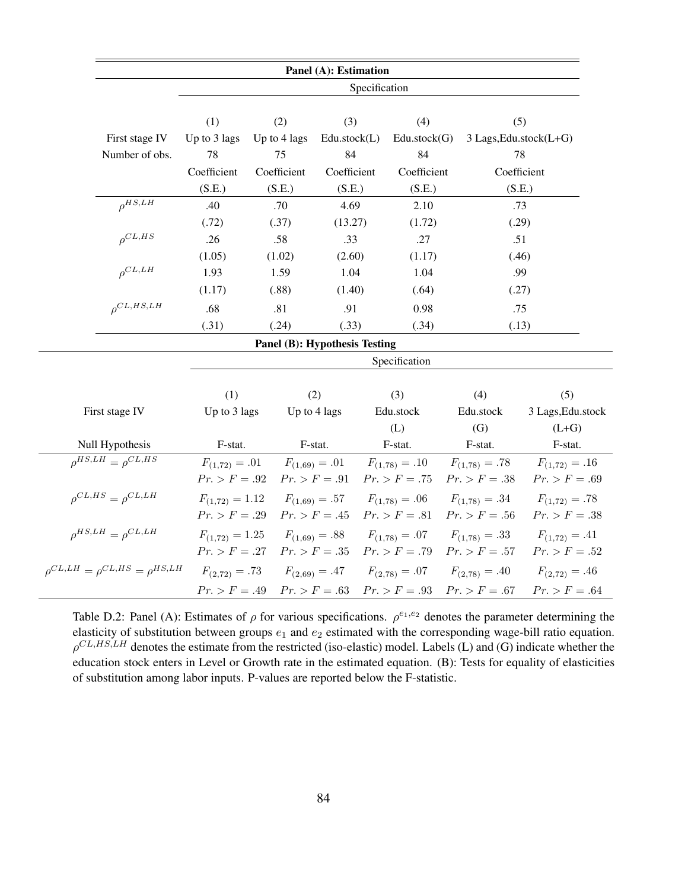|                                               |                    |                                 | Panel (A): Estimation         |                    |                                                                                                                |                                                 |
|-----------------------------------------------|--------------------|---------------------------------|-------------------------------|--------------------|----------------------------------------------------------------------------------------------------------------|-------------------------------------------------|
|                                               | Specification      |                                 |                               |                    |                                                                                                                |                                                 |
|                                               | (1)                | (2)                             | (3)                           | (4)                | (5)                                                                                                            |                                                 |
| First stage IV                                | Up to 3 lags       | Up to 4 lags                    | Edu.stock(L)                  | Edu.stock(G)       | 3 Lags, Edu.stock(L+G)                                                                                         |                                                 |
| Number of obs.                                | 78                 | 75                              | 84                            | 84                 | 78                                                                                                             |                                                 |
|                                               | Coefficient        | Coefficient                     | Coefficient                   | Coefficient        | Coefficient                                                                                                    |                                                 |
|                                               | (S.E.)             | (S.E.)                          | (S.E.)                        | (S.E.)             | (S.E.)                                                                                                         |                                                 |
| $\rho^{HS,LH}$                                | .40                | .70                             | 4.69                          | 2.10               | .73                                                                                                            |                                                 |
|                                               | (.72)              | (.37)                           | (13.27)                       | (1.72)             | (.29)                                                                                                          |                                                 |
| $\rho^{CL,HS}$                                | .26                | $.58\,$                         | .33                           | .27                | .51                                                                                                            |                                                 |
|                                               | (1.05)             | (1.02)                          | (2.60)                        | (1.17)             | (.46)                                                                                                          |                                                 |
| $\rho^{CL,LH}$                                | 1.93               | 1.59                            | 1.04                          | 1.04               | .99                                                                                                            |                                                 |
|                                               | (1.17)             | (.88)                           | (1.40)                        | (.64)              | (.27)                                                                                                          |                                                 |
| $O^{CL,HS,LH}$                                | .68                | .81                             | .91                           | 0.98               | .75                                                                                                            |                                                 |
|                                               | (.31)              | (.24)                           | (.33)                         | (.34)              | (.13)                                                                                                          |                                                 |
|                                               |                    |                                 | Panel (B): Hypothesis Testing |                    |                                                                                                                |                                                 |
|                                               | Specification      |                                 |                               |                    |                                                                                                                |                                                 |
|                                               | (1)                |                                 | (2)                           | (3)                | (4)                                                                                                            | (5)                                             |
| First stage IV                                | Up to 3 lags       |                                 | Up to 4 lags                  | Edu.stock          | Edu.stock                                                                                                      | 3 Lags, Edu.stock                               |
|                                               |                    |                                 |                               | (L)                | (G)                                                                                                            | $(L+G)$                                         |
| Null Hypothesis                               | F-stat.            | F-stat.                         |                               | F-stat.            | F-stat.                                                                                                        | F-stat.                                         |
| $\rho^{HS, LH} = \rho^{CL,HS}$                | $F_{(1,72)} = .01$ | $F_{(1,69)} = .01$              |                               | $F_{(1,78)} = .10$ |                                                                                                                | $F_{(1,78)} = .78$ $F_{(1,72)} = .16$           |
|                                               |                    | $Pr. > F = .92$ $Pr. > F = .91$ |                               | $Pr. > F = .75$    | $Pr. > F = .38$                                                                                                | $Pr. > F = .69$                                 |
| $\rho^{CL,HS} = \rho^{CL,LH}$                 |                    | $Pr. > F = .29$ $Pr. > F = .45$ |                               |                    | $F_{(1,72)} = 1.12$ $F_{(1,69)} = .57$ $F_{(1,78)} = .06$ $F_{(1,78)} = .34$ $F_{(1,72)} = .78$                | $Pr. > F = .81$ $Pr. > F = .56$ $Pr. > F = .38$ |
| $\rho^{HS, LH} = \rho^{CL, LH}$               |                    |                                 |                               |                    | $F_{(1,72)} = 1.25$ $F_{(1,69)} = .88$ $F_{(1,78)} = .07$ $F_{(1,78)} = .33$ $F_{(1,72)} = .41$                |                                                 |
|                                               |                    | $Pr. > F = .27$ $Pr. > F = .35$ |                               |                    | $Pr. > F = .79$ $Pr. > F = .57$                                                                                | $Pr. > F = .52$                                 |
| $\rho^{CL, LH} = \rho^{CL,HS} = \rho^{HS,LH}$ |                    | $Pr. > F = .49$ $Pr. > F = .63$ |                               |                    | $F_{(2.72)} = .73$ $F_{(2.69)} = .47$ $F_{(2.78)} = .07$ $F_{(2.78)} = .40$<br>$Pr. > F = .93$ $Pr. > F = .67$ | $F_{(2,72)} = .46$<br>$Pr. > F = .64$           |

Table D.2: Panel (A): Estimates of  $\rho$  for various specifications.  $\rho^{e_1,e_2}$  denotes the parameter determining the elasticity of substitution between groups  $e_1$  and  $e_2$  estimated with the corresponding wage-bill ratio equation.  $\rho^{CL,HS,LH}$  denotes the estimate from the restricted (iso-elastic) model. Labels (L) and (G) indicate whether the education stock enters in Level or Growth rate in the estimated equation. (B): Tests for equality of elasticities of substitution among labor inputs. P-values are reported below the F-statistic.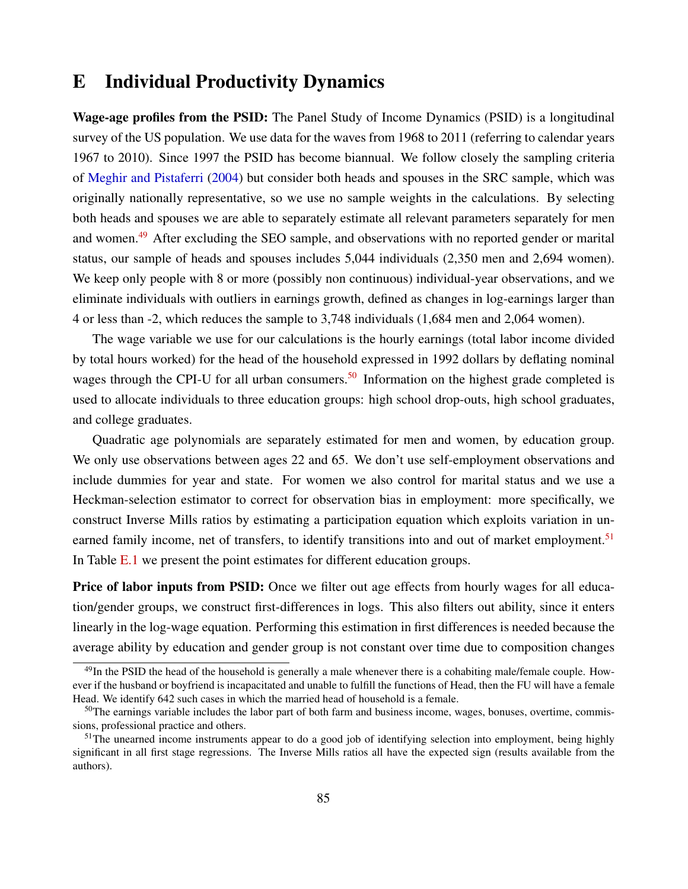# E Individual Productivity Dynamics

<span id="page-86-0"></span>Wage-age profiles from the PSID: The Panel Study of Income Dynamics (PSID) is a longitudinal survey of the US population. We use data for the waves from 1968 to 2011 (referring to calendar years 1967 to 2010). Since 1997 the PSID has become biannual. We follow closely the sampling criteria of [Meghir and Pistaferri](#page-114-1) [\(2004\)](#page-114-1) but consider both heads and spouses in the SRC sample, which was originally nationally representative, so we use no sample weights in the calculations. By selecting both heads and spouses we are able to separately estimate all relevant parameters separately for men and women.<sup>[49](#page-86-1)</sup> After excluding the SEO sample, and observations with no reported gender or marital status, our sample of heads and spouses includes 5,044 individuals (2,350 men and 2,694 women). We keep only people with 8 or more (possibly non continuous) individual-year observations, and we eliminate individuals with outliers in earnings growth, defined as changes in log-earnings larger than 4 or less than -2, which reduces the sample to 3,748 individuals (1,684 men and 2,064 women).

The wage variable we use for our calculations is the hourly earnings (total labor income divided by total hours worked) for the head of the household expressed in 1992 dollars by deflating nominal wages through the CPI-U for all urban consumers.<sup>[50](#page-86-2)</sup> Information on the highest grade completed is used to allocate individuals to three education groups: high school drop-outs, high school graduates, and college graduates.

Quadratic age polynomials are separately estimated for men and women, by education group. We only use observations between ages 22 and 65. We don't use self-employment observations and include dummies for year and state. For women we also control for marital status and we use a Heckman-selection estimator to correct for observation bias in employment: more specifically, we construct Inverse Mills ratios by estimating a participation equation which exploits variation in un-earned family income, net of transfers, to identify transitions into and out of market employment.<sup>[51](#page-86-3)</sup> In Table [E.1](#page-70-0) we present the point estimates for different education groups.

**Price of labor inputs from PSID:** Once we filter out age effects from hourly wages for all education/gender groups, we construct first-differences in logs. This also filters out ability, since it enters linearly in the log-wage equation. Performing this estimation in first differences is needed because the average ability by education and gender group is not constant over time due to composition changes

<span id="page-86-1"></span> $^{49}$ In the PSID the head of the household is generally a male whenever there is a cohabiting male/female couple. However if the husband or boyfriend is incapacitated and unable to fulfill the functions of Head, then the FU will have a female Head. We identify 642 such cases in which the married head of household is a female.

<span id="page-86-2"></span> $50$ The earnings variable includes the labor part of both farm and business income, wages, bonuses, overtime, commissions, professional practice and others.

<span id="page-86-3"></span> $51$ The unearned income instruments appear to do a good job of identifying selection into employment, being highly significant in all first stage regressions. The Inverse Mills ratios all have the expected sign (results available from the authors).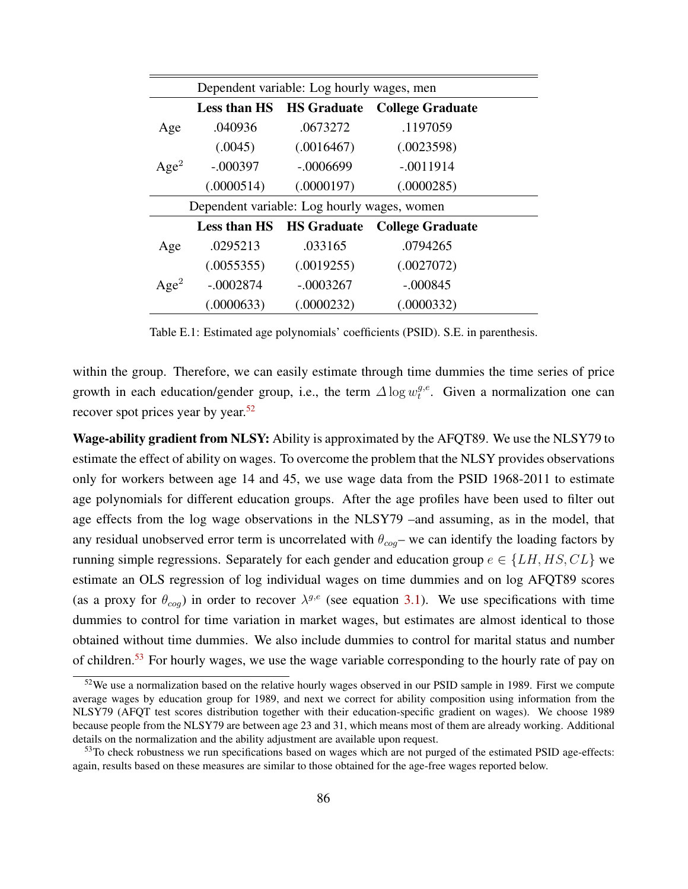|                  | Dependent variable: Log hourly wages, men   |                          |                         |  |  |
|------------------|---------------------------------------------|--------------------------|-------------------------|--|--|
|                  |                                             | Less than HS HS Graduate | <b>College Graduate</b> |  |  |
| Age              | .040936                                     | .0673272                 | .1197059                |  |  |
|                  | (.0045)                                     | (.0016467)               | (.0023598)              |  |  |
| Age <sup>2</sup> | $-.000397$                                  | $-.0006699$              | $-.0011914$             |  |  |
|                  | (.0000514)                                  | (.0000197)               | (.0000285)              |  |  |
|                  | Dependent variable: Log hourly wages, women |                          |                         |  |  |
|                  |                                             | Less than HS HS Graduate | <b>College Graduate</b> |  |  |
| Age              | .0295213                                    | .033165                  | .0794265                |  |  |
|                  | (.0055355)                                  | (.0019255)               | (.0027072)              |  |  |
| Age <sup>2</sup> | $-.0002874$                                 | $-.0003267$              | $-.000845$              |  |  |
|                  | (.0000633)                                  | (.0000232)               | (.0000332)              |  |  |

Table E.1: Estimated age polynomials' coefficients (PSID). S.E. in parenthesis.

within the group. Therefore, we can easily estimate through time dummies the time series of price growth in each education/gender group, i.e., the term  $\Delta \log w_t^{g,e}$  $t^{g,e}$ . Given a normalization one can recover spot prices year by year.<sup>[52](#page-87-0)</sup>

Wage-ability gradient from NLSY: Ability is approximated by the AFQT89. We use the NLSY79 to estimate the effect of ability on wages. To overcome the problem that the NLSY provides observations only for workers between age 14 and 45, we use wage data from the PSID 1968-2011 to estimate age polynomials for different education groups. After the age profiles have been used to filter out age effects from the log wage observations in the NLSY79 –and assuming, as in the model, that any residual unobserved error term is uncorrelated with  $\theta_{coq}$  we can identify the loading factors by running simple regressions. Separately for each gender and education group  $e \in \{LH, HS, CL\}$  we estimate an OLS regression of log individual wages on time dummies and on log AFQT89 scores (as a proxy for  $\theta_{cog}$ ) in order to recover  $\lambda^{g,e}$  (see equation [3.1\)](#page-25-0). We use specifications with time dummies to control for time variation in market wages, but estimates are almost identical to those obtained without time dummies. We also include dummies to control for marital status and number of children.[53](#page-87-1) For hourly wages, we use the wage variable corresponding to the hourly rate of pay on

<span id="page-87-0"></span> $52$  We use a normalization based on the relative hourly wages observed in our PSID sample in 1989. First we compute average wages by education group for 1989, and next we correct for ability composition using information from the NLSY79 (AFQT test scores distribution together with their education-specific gradient on wages). We choose 1989 because people from the NLSY79 are between age 23 and 31, which means most of them are already working. Additional details on the normalization and the ability adjustment are available upon request.

<span id="page-87-1"></span><sup>&</sup>lt;sup>53</sup>To check robustness we run specifications based on wages which are not purged of the estimated PSID age-effects: again, results based on these measures are similar to those obtained for the age-free wages reported below.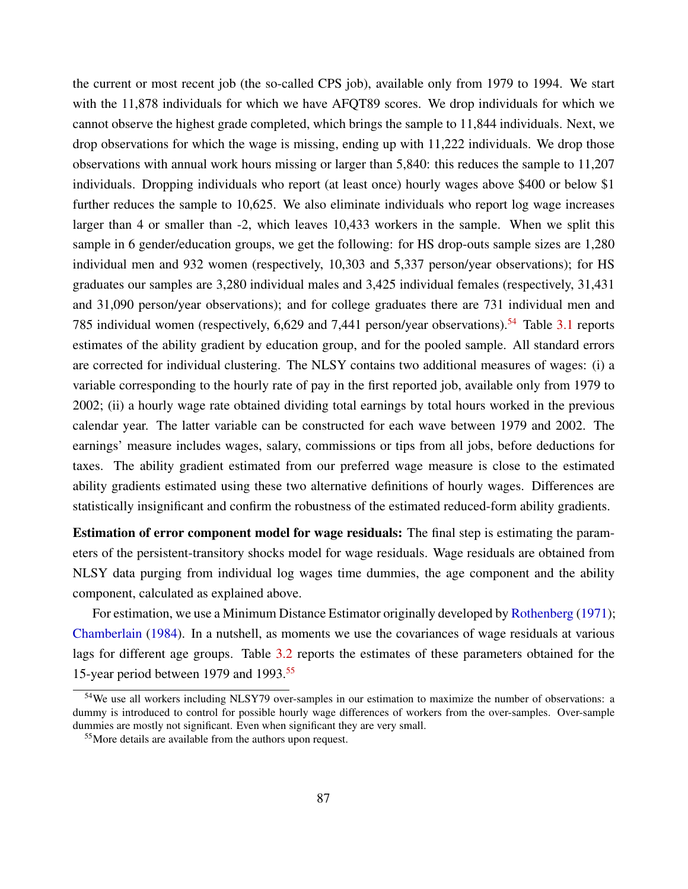the current or most recent job (the so-called CPS job), available only from 1979 to 1994. We start with the 11,878 individuals for which we have AFQT89 scores. We drop individuals for which we cannot observe the highest grade completed, which brings the sample to 11,844 individuals. Next, we drop observations for which the wage is missing, ending up with 11,222 individuals. We drop those observations with annual work hours missing or larger than 5,840: this reduces the sample to 11,207 individuals. Dropping individuals who report (at least once) hourly wages above \$400 or below \$1 further reduces the sample to 10,625. We also eliminate individuals who report log wage increases larger than 4 or smaller than -2, which leaves 10,433 workers in the sample. When we split this sample in 6 gender/education groups, we get the following: for HS drop-outs sample sizes are 1,280 individual men and 932 women (respectively, 10,303 and 5,337 person/year observations); for HS graduates our samples are 3,280 individual males and 3,425 individual females (respectively, 31,431 and 31,090 person/year observations); and for college graduates there are 731 individual men and 785 individual women (respectively, 6,629 and 7,441 person/year observations).<sup>[54](#page-88-0)</sup> Table [3.1](#page-25-1) reports estimates of the ability gradient by education group, and for the pooled sample. All standard errors are corrected for individual clustering. The NLSY contains two additional measures of wages: (i) a variable corresponding to the hourly rate of pay in the first reported job, available only from 1979 to 2002; (ii) a hourly wage rate obtained dividing total earnings by total hours worked in the previous calendar year. The latter variable can be constructed for each wave between 1979 and 2002. The earnings' measure includes wages, salary, commissions or tips from all jobs, before deductions for taxes. The ability gradient estimated from our preferred wage measure is close to the estimated ability gradients estimated using these two alternative definitions of hourly wages. Differences are statistically insignificant and confirm the robustness of the estimated reduced-form ability gradients.

Estimation of error component model for wage residuals: The final step is estimating the parameters of the persistent-transitory shocks model for wage residuals. Wage residuals are obtained from NLSY data purging from individual log wages time dummies, the age component and the ability component, calculated as explained above.

For estimation, we use a Minimum Distance Estimator originally developed by [Rothenberg](#page-114-2) [\(1971\)](#page-114-2); [Chamberlain](#page-114-3) [\(1984\)](#page-114-3). In a nutshell, as moments we use the covariances of wage residuals at various lags for different age groups. Table [3.2](#page-26-0) reports the estimates of these parameters obtained for the 15-year period between 1979 and 1993.[55](#page-88-1)

<span id="page-88-0"></span><sup>54</sup>We use all workers including NLSY79 over-samples in our estimation to maximize the number of observations: a dummy is introduced to control for possible hourly wage differences of workers from the over-samples. Over-sample dummies are mostly not significant. Even when significant they are very small.

<span id="page-88-1"></span><sup>&</sup>lt;sup>55</sup>More details are available from the authors upon request.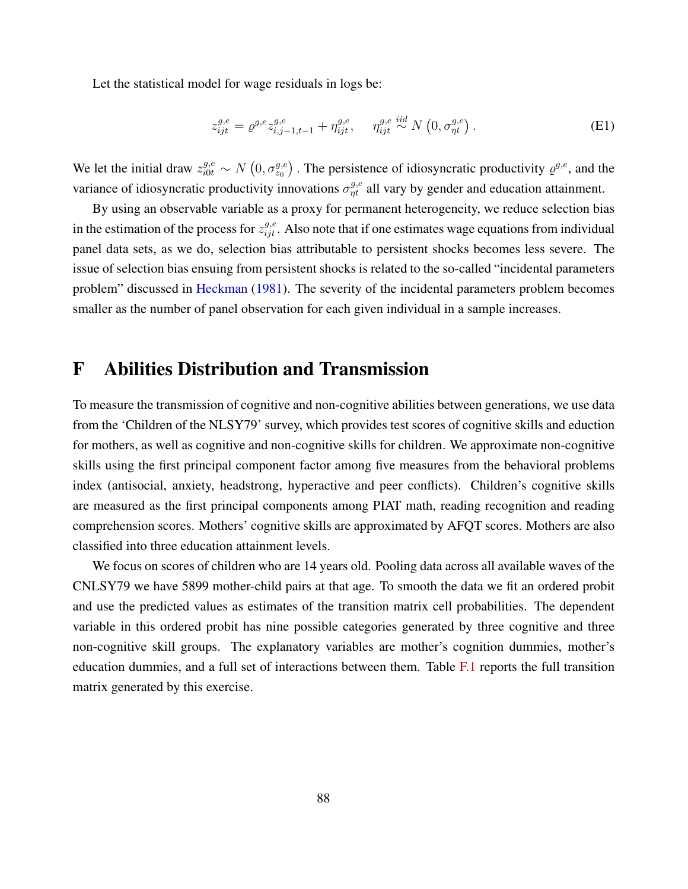Let the statistical model for wage residuals in logs be:

$$
z_{ijt}^{g,e} = \varrho^{g,e} z_{i,j-1,t-1}^{g,e} + \eta_{ijt}^{g,e}, \quad \eta_{ijt}^{g,e} \stackrel{iid}{\sim} N\left(0, \sigma_{\eta t}^{g,e}\right). \tag{E1}
$$

We let the initial draw  $z_{i0t}^{g,e} \sim N(0, \sigma_{z_0}^{g,e})$ . The persistence of idiosyncratic productivity  $\varrho^{g,e}$ , and the variance of idiosyncratic productivity innovations  $\sigma_{\eta t}^{g,e}$  all vary by gender and education attainment.

By using an observable variable as a proxy for permanent heterogeneity, we reduce selection bias in the estimation of the process for  $z_{ijt}^{g,e}$ . Also note that if one estimates wage equations from individual panel data sets, as we do, selection bias attributable to persistent shocks becomes less severe. The issue of selection bias ensuing from persistent shocks is related to the so-called "incidental parameters problem" discussed in [Heckman](#page-114-4) [\(1981\)](#page-114-4). The severity of the incidental parameters problem becomes smaller as the number of panel observation for each given individual in a sample increases.

# F Abilities Distribution and Transmission

To measure the transmission of cognitive and non-cognitive abilities between generations, we use data from the 'Children of the NLSY79' survey, which provides test scores of cognitive skills and eduction for mothers, as well as cognitive and non-cognitive skills for children. We approximate non-cognitive skills using the first principal component factor among five measures from the behavioral problems index (antisocial, anxiety, headstrong, hyperactive and peer conflicts). Children's cognitive skills are measured as the first principal components among PIAT math, reading recognition and reading comprehension scores. Mothers' cognitive skills are approximated by AFQT scores. Mothers are also classified into three education attainment levels.

We focus on scores of children who are 14 years old. Pooling data across all available waves of the CNLSY79 we have 5899 mother-child pairs at that age. To smooth the data we fit an ordered probit and use the predicted values as estimates of the transition matrix cell probabilities. The dependent variable in this ordered probit has nine possible categories generated by three cognitive and three non-cognitive skill groups. The explanatory variables are mother's cognition dummies, mother's education dummies, and a full set of interactions between them. Table [F.1](#page-90-0) reports the full transition matrix generated by this exercise.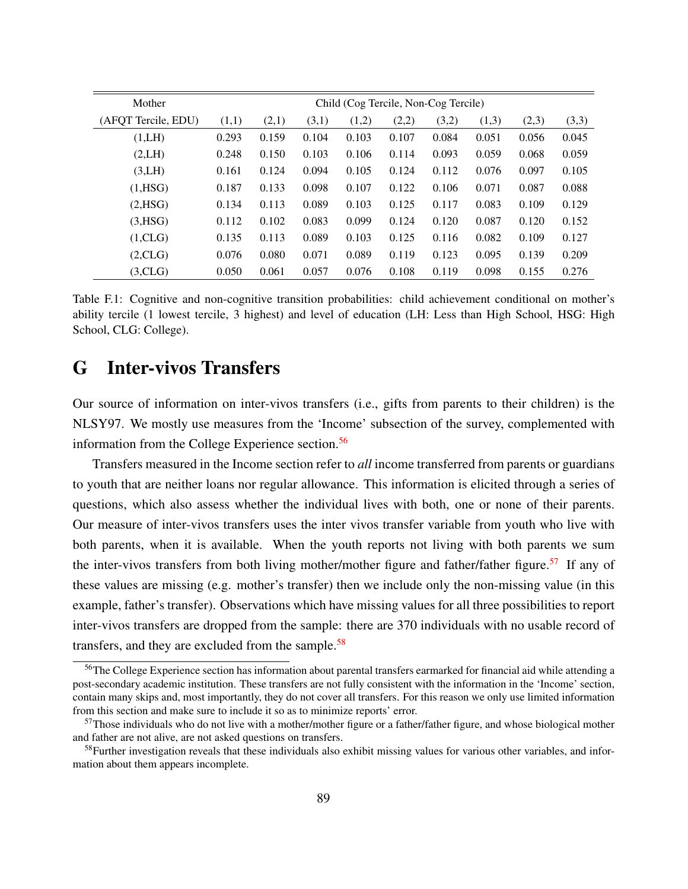| Mother              |       |       |       |       | Child (Cog Tercile, Non-Cog Tercile) |       |       |       |       |
|---------------------|-------|-------|-------|-------|--------------------------------------|-------|-------|-------|-------|
| (AFOT Tercile, EDU) | (1,1) | (2,1) | (3,1) | (1,2) | (2,2)                                | (3,2) | (1,3) | (2,3) | (3,3) |
| (1,LH)              | 0.293 | 0.159 | 0.104 | 0.103 | 0.107                                | 0.084 | 0.051 | 0.056 | 0.045 |
| (2,LH)              | 0.248 | 0.150 | 0.103 | 0.106 | 0.114                                | 0.093 | 0.059 | 0.068 | 0.059 |
| (3,LH)              | 0.161 | 0.124 | 0.094 | 0.105 | 0.124                                | 0.112 | 0.076 | 0.097 | 0.105 |
| (1, HSG)            | 0.187 | 0.133 | 0.098 | 0.107 | 0.122                                | 0.106 | 0.071 | 0.087 | 0.088 |
| (2, HSG)            | 0.134 | 0.113 | 0.089 | 0.103 | 0.125                                | 0.117 | 0.083 | 0.109 | 0.129 |
| (3, HSG)            | 0.112 | 0.102 | 0.083 | 0.099 | 0.124                                | 0.120 | 0.087 | 0.120 | 0.152 |
| (1, CLG)            | 0.135 | 0.113 | 0.089 | 0.103 | 0.125                                | 0.116 | 0.082 | 0.109 | 0.127 |
| (2, CLG)            | 0.076 | 0.080 | 0.071 | 0.089 | 0.119                                | 0.123 | 0.095 | 0.139 | 0.209 |
| (3, CLG)            | 0.050 | 0.061 | 0.057 | 0.076 | 0.108                                | 0.119 | 0.098 | 0.155 | 0.276 |

<span id="page-90-0"></span>Table F.1: Cognitive and non-cognitive transition probabilities: child achievement conditional on mother's ability tercile (1 lowest tercile, 3 highest) and level of education (LH: Less than High School, HSG: High School, CLG: College).

# G Inter-vivos Transfers

Our source of information on inter-vivos transfers (i.e., gifts from parents to their children) is the NLSY97. We mostly use measures from the 'Income' subsection of the survey, complemented with information from the College Experience section.<sup>[56](#page-90-1)</sup>

Transfers measured in the Income section refer to *all* income transferred from parents or guardians to youth that are neither loans nor regular allowance. This information is elicited through a series of questions, which also assess whether the individual lives with both, one or none of their parents. Our measure of inter-vivos transfers uses the inter vivos transfer variable from youth who live with both parents, when it is available. When the youth reports not living with both parents we sum the inter-vivos transfers from both living mother/mother figure and father/father figure.<sup>[57](#page-90-2)</sup> If any of these values are missing (e.g. mother's transfer) then we include only the non-missing value (in this example, father's transfer). Observations which have missing values for all three possibilities to report inter-vivos transfers are dropped from the sample: there are 370 individuals with no usable record of transfers, and they are excluded from the sample.<sup>[58](#page-90-3)</sup>

<span id="page-90-1"></span><sup>&</sup>lt;sup>56</sup>The College Experience section has information about parental transfers earmarked for financial aid while attending a post-secondary academic institution. These transfers are not fully consistent with the information in the 'Income' section, contain many skips and, most importantly, they do not cover all transfers. For this reason we only use limited information from this section and make sure to include it so as to minimize reports' error.

<span id="page-90-2"></span> $57$ Those individuals who do not live with a mother/mother figure or a father/father figure, and whose biological mother and father are not alive, are not asked questions on transfers.

<span id="page-90-3"></span> $58$ Further investigation reveals that these individuals also exhibit missing values for various other variables, and information about them appears incomplete.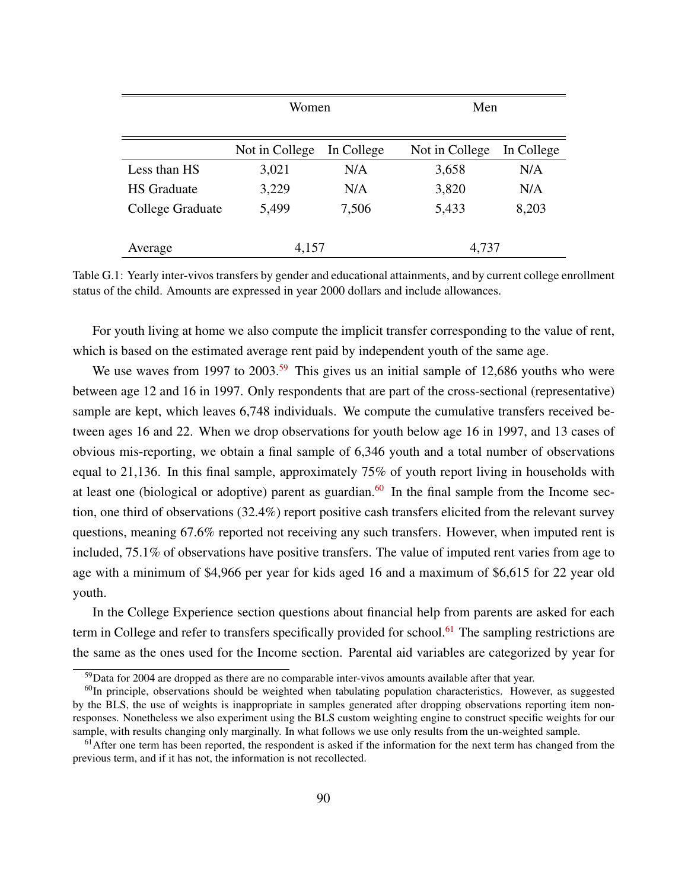|                    | Women          |            | Men            |            |  |
|--------------------|----------------|------------|----------------|------------|--|
|                    | Not in College | In College | Not in College | In College |  |
| Less than HS       | 3,021          | N/A        | 3,658          | N/A        |  |
| <b>HS</b> Graduate | 3,229          | N/A        | 3,820          | N/A        |  |
| College Graduate   | 5,499          | 7,506      | 5,433          | 8,203      |  |
| Average            | 4,157          |            | 4,737          |            |  |

Table G.1: Yearly inter-vivos transfers by gender and educational attainments, and by current college enrollment status of the child. Amounts are expressed in year 2000 dollars and include allowances.

For youth living at home we also compute the implicit transfer corresponding to the value of rent, which is based on the estimated average rent paid by independent youth of the same age.

We use waves from 1997 to 2003.<sup>[59](#page-91-0)</sup> This gives us an initial sample of 12,686 youths who were between age 12 and 16 in 1997. Only respondents that are part of the cross-sectional (representative) sample are kept, which leaves 6,748 individuals. We compute the cumulative transfers received between ages 16 and 22. When we drop observations for youth below age 16 in 1997, and 13 cases of obvious mis-reporting, we obtain a final sample of 6,346 youth and a total number of observations equal to 21,136. In this final sample, approximately 75% of youth report living in households with at least one (biological or adoptive) parent as guardian.<sup>[60](#page-91-1)</sup> In the final sample from the Income section, one third of observations (32.4%) report positive cash transfers elicited from the relevant survey questions, meaning 67.6% reported not receiving any such transfers. However, when imputed rent is included, 75.1% of observations have positive transfers. The value of imputed rent varies from age to age with a minimum of \$4,966 per year for kids aged 16 and a maximum of \$6,615 for 22 year old youth.

In the College Experience section questions about financial help from parents are asked for each term in College and refer to transfers specifically provided for school.<sup>[61](#page-91-2)</sup> The sampling restrictions are the same as the ones used for the Income section. Parental aid variables are categorized by year for

<span id="page-91-1"></span><span id="page-91-0"></span><sup>&</sup>lt;sup>59</sup>Data for 2004 are dropped as there are no comparable inter-vivos amounts available after that year.

 $60$ In principle, observations should be weighted when tabulating population characteristics. However, as suggested by the BLS, the use of weights is inappropriate in samples generated after dropping observations reporting item nonresponses. Nonetheless we also experiment using the BLS custom weighting engine to construct specific weights for our sample, with results changing only marginally. In what follows we use only results from the un-weighted sample.

<span id="page-91-2"></span> $<sup>61</sup>$  After one term has been reported, the respondent is asked if the information for the next term has changed from the</sup> previous term, and if it has not, the information is not recollected.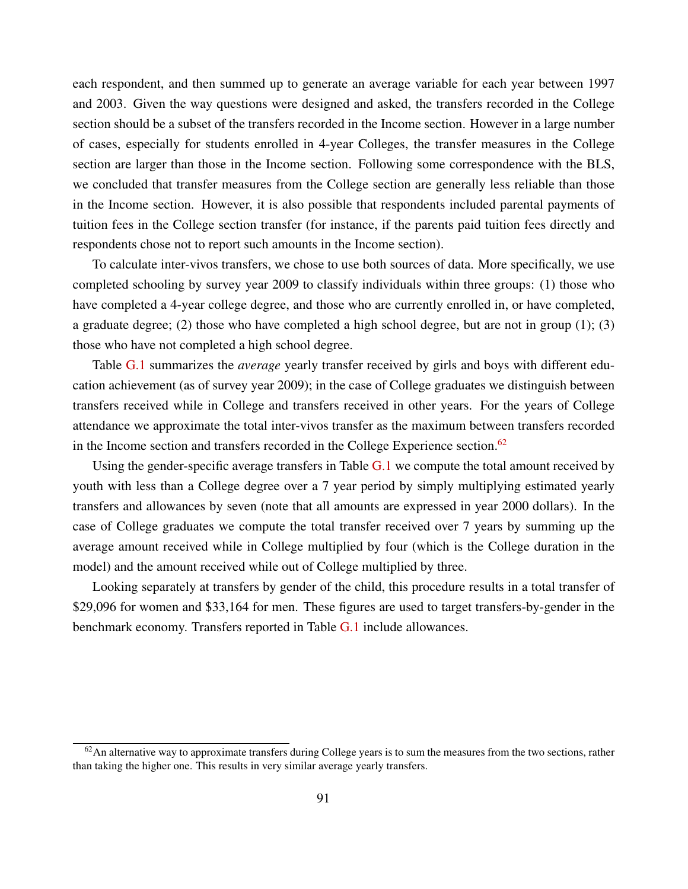each respondent, and then summed up to generate an average variable for each year between 1997 and 2003. Given the way questions were designed and asked, the transfers recorded in the College section should be a subset of the transfers recorded in the Income section. However in a large number of cases, especially for students enrolled in 4-year Colleges, the transfer measures in the College section are larger than those in the Income section. Following some correspondence with the BLS, we concluded that transfer measures from the College section are generally less reliable than those in the Income section. However, it is also possible that respondents included parental payments of tuition fees in the College section transfer (for instance, if the parents paid tuition fees directly and respondents chose not to report such amounts in the Income section).

To calculate inter-vivos transfers, we chose to use both sources of data. More specifically, we use completed schooling by survey year 2009 to classify individuals within three groups: (1) those who have completed a 4-year college degree, and those who are currently enrolled in, or have completed, a graduate degree; (2) those who have completed a high school degree, but are not in group  $(1)$ ; (3) those who have not completed a high school degree.

Table [G.1](#page-70-0) summarizes the *average* yearly transfer received by girls and boys with different education achievement (as of survey year 2009); in the case of College graduates we distinguish between transfers received while in College and transfers received in other years. For the years of College attendance we approximate the total inter-vivos transfer as the maximum between transfers recorded in the Income section and transfers recorded in the College Experience section.<sup>[62](#page-92-0)</sup>

Using the gender-specific average transfers in Table [G.1](#page-70-0) we compute the total amount received by youth with less than a College degree over a 7 year period by simply multiplying estimated yearly transfers and allowances by seven (note that all amounts are expressed in year 2000 dollars). In the case of College graduates we compute the total transfer received over 7 years by summing up the average amount received while in College multiplied by four (which is the College duration in the model) and the amount received while out of College multiplied by three.

Looking separately at transfers by gender of the child, this procedure results in a total transfer of \$29,096 for women and \$33,164 for men. These figures are used to target transfers-by-gender in the benchmark economy. Transfers reported in Table [G.1](#page-70-0) include allowances.

<span id="page-92-0"></span> $62$ An alternative way to approximate transfers during College years is to sum the measures from the two sections, rather than taking the higher one. This results in very similar average yearly transfers.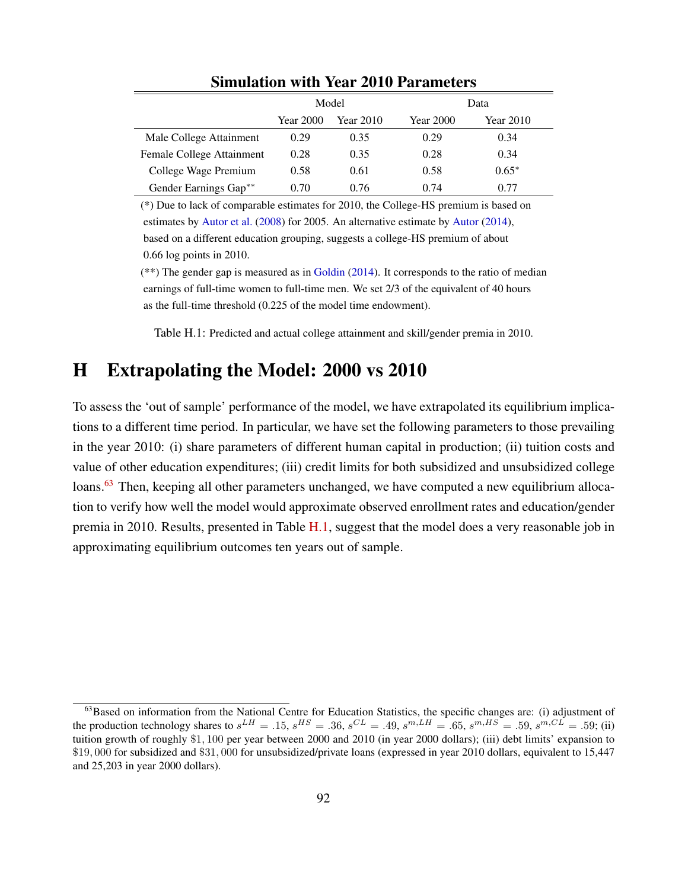|                           | Model     |                  |                  | Data      |  |
|---------------------------|-----------|------------------|------------------|-----------|--|
|                           | Year 2000 | <b>Year 2010</b> | <b>Year 2000</b> | Year 2010 |  |
| Male College Attainment   | 0.29      | 0.35             | 0.29             | 0.34      |  |
| Female College Attainment | 0.28      | 0.35             | 0.28             | 0.34      |  |
| College Wage Premium      | 0.58      | 0.61             | 0.58             | $0.65*$   |  |
| Gender Earnings Gap**     | 0.70      | 0.76             | 0.74             | 0.77      |  |

### Simulation with Year 2010 Parameters

(\*) Due to lack of comparable estimates for 2010, the College-HS premium is based on estimates by [Autor et al.](#page-114-5) [\(2008\)](#page-114-5) for 2005. An alternative estimate by [Autor](#page-114-6) [\(2014\)](#page-114-6), based on a different education grouping, suggests a college-HS premium of about 0.66 log points in 2010.

(\*\*) The gender gap is measured as in [Goldin](#page-59-1) [\(2014\)](#page-59-1). It corresponds to the ratio of median earnings of full-time women to full-time men. We set 2/3 of the equivalent of 40 hours as the full-time threshold (0.225 of the model time endowment).

Table H.1: Predicted and actual college attainment and skill/gender premia in 2010.

# H Extrapolating the Model: 2000 vs 2010

To assess the 'out of sample' performance of the model, we have extrapolated its equilibrium implications to a different time period. In particular, we have set the following parameters to those prevailing in the year 2010: (i) share parameters of different human capital in production; (ii) tuition costs and value of other education expenditures; (iii) credit limits for both subsidized and unsubsidized college loans.<sup>[63](#page-93-0)</sup> Then, keeping all other parameters unchanged, we have computed a new equilibrium allocation to verify how well the model would approximate observed enrollment rates and education/gender premia in 2010. Results, presented in Table [H.1,](#page-70-0) suggest that the model does a very reasonable job in approximating equilibrium outcomes ten years out of sample.

<span id="page-93-0"></span><sup>63</sup>Based on information from the National Centre for Education Statistics, the specific changes are: (i) adjustment of the production technology shares to  $s^{LH} = .15$ ,  $s^{HS} = .36$ ,  $s^{CL} = .49$ ,  $s^{m,LH} = .65$ ,  $s^{m,HS} = .59$ ,  $s^{m,CL} = .59$ ; (ii) tuition growth of roughly \$1, 100 per year between 2000 and 2010 (in year 2000 dollars); (iii) debt limits' expansion to \$19, 000 for subsidized and \$31, 000 for unsubsidized/private loans (expressed in year 2010 dollars, equivalent to 15,447 and 25,203 in year 2000 dollars).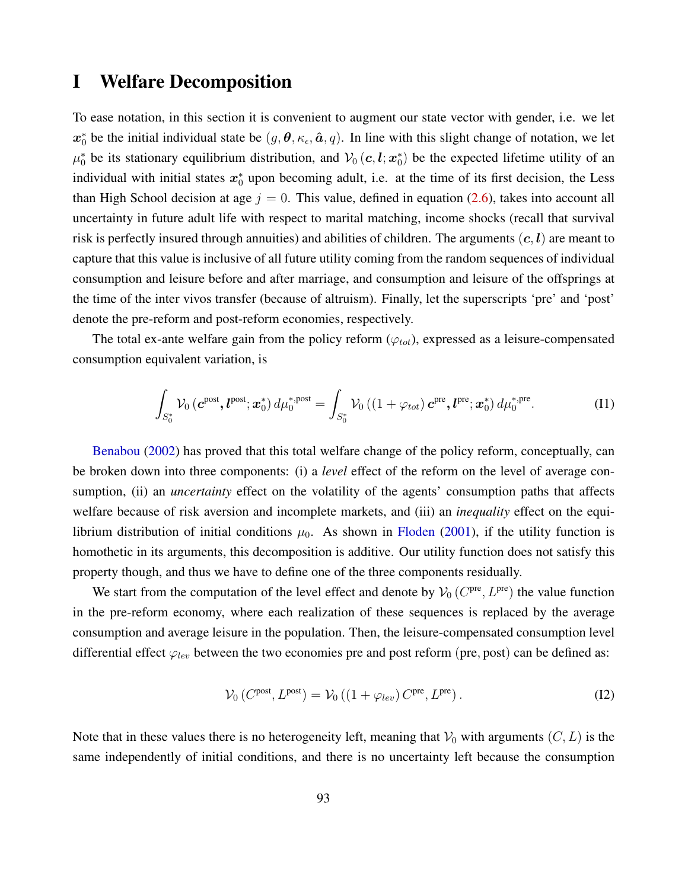### I Welfare Decomposition

To ease notation, in this section it is convenient to augment our state vector with gender, i.e. we let  $x_0^*$  be the initial individual state be  $(g, \theta, \kappa_{\epsilon}, \hat{\boldsymbol{a}}, q)$ . In line with this slight change of notation, we let  $\mu_0^*$  be its stationary equilibrium distribution, and  $\mathcal{V}_0(c, l; x_0^*)$  be the expected lifetime utility of an individual with initial states  $x_0^*$  upon becoming adult, i.e. at the time of its first decision, the Less than High School decision at age  $j = 0$ . This value, defined in equation [\(2.6\)](#page-13-1), takes into account all uncertainty in future adult life with respect to marital matching, income shocks (recall that survival risk is perfectly insured through annuities) and abilities of children. The arguments  $(c, l)$  are meant to capture that this value is inclusive of all future utility coming from the random sequences of individual consumption and leisure before and after marriage, and consumption and leisure of the offsprings at the time of the inter vivos transfer (because of altruism). Finally, let the superscripts 'pre' and 'post' denote the pre-reform and post-reform economies, respectively.

The total ex-ante welfare gain from the policy reform  $(\varphi_{tot})$ , expressed as a leisure-compensated consumption equivalent variation, is

$$
\int_{S_0^*} \mathcal{V}_0\left(\mathbf{c}^{\text{post}}, \mathbf{l}^{\text{post}}; \mathbf{x}_0^*\right) d\mu_0^{*, \text{post}} = \int_{S_0^*} \mathcal{V}_0\left(\left(1 + \varphi_{tot}\right) \mathbf{c}^{\text{pre}}, \mathbf{l}^{\text{pre}}; \mathbf{x}_0^*\right) d\mu_0^{*, \text{pre}}.\tag{I1}
$$

[Benabou](#page-58-0) [\(2002\)](#page-58-0) has proved that this total welfare change of the policy reform, conceptually, can be broken down into three components: (i) a *level* effect of the reform on the level of average consumption, (ii) an *uncertainty* effect on the volatility of the agents' consumption paths that affects welfare because of risk aversion and incomplete markets, and (iii) an *inequality* effect on the equilibrium distribution of initial conditions  $\mu_0$ . As shown in [Floden](#page-114-7) [\(2001\)](#page-114-7), if the utility function is homothetic in its arguments, this decomposition is additive. Our utility function does not satisfy this property though, and thus we have to define one of the three components residually.

We start from the computation of the level effect and denote by  $\mathcal{V}_0(C^{pre}, L^{pre})$  the value function in the pre-reform economy, where each realization of these sequences is replaced by the average consumption and average leisure in the population. Then, the leisure-compensated consumption level differential effect  $\varphi_{lev}$  between the two economies pre and post reform (pre, post) can be defined as:

$$
\mathcal{V}_0(C^{\text{post}}, L^{\text{post}}) = \mathcal{V}_0((1 + \varphi_{lev}) C^{\text{pre}}, L^{\text{pre}}).
$$
\n(12)

Note that in these values there is no heterogeneity left, meaning that  $V_0$  with arguments  $(C, L)$  is the same independently of initial conditions, and there is no uncertainty left because the consumption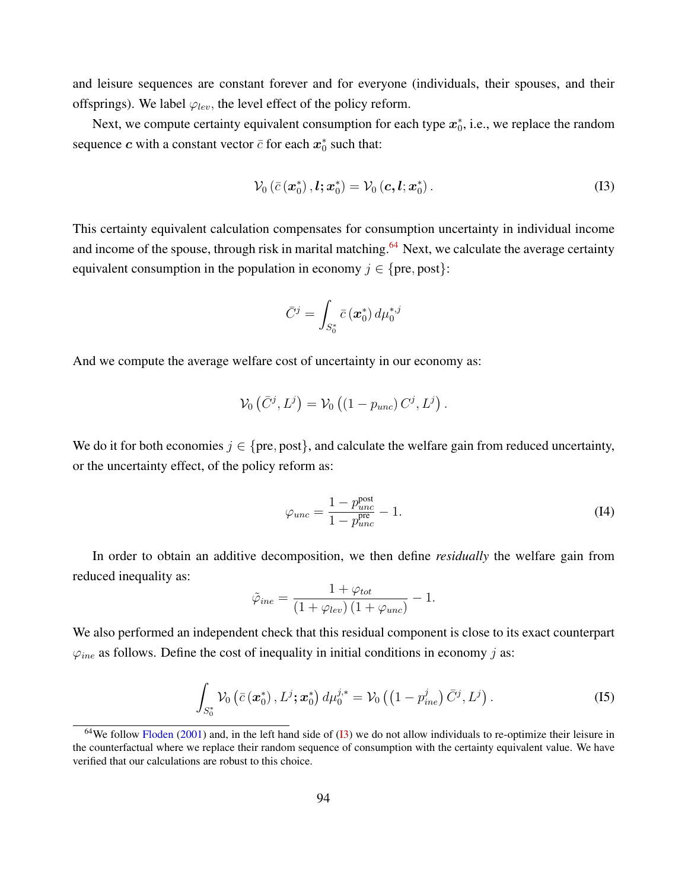and leisure sequences are constant forever and for everyone (individuals, their spouses, and their offsprings). We label  $\varphi_{lev}$ , the level effect of the policy reform.

Next, we compute certainty equivalent consumption for each type  $x_0^*$ , i.e., we replace the random sequence c with a constant vector  $\bar{c}$  for each  $x_0^*$  such that:

$$
\mathcal{V}_0\left(\bar{c}\left(\boldsymbol{x}_0^*\right),\boldsymbol{l};\boldsymbol{x}_0^*\right)=\mathcal{V}_0\left(\boldsymbol{c},\boldsymbol{l};\boldsymbol{x}_0^*\right).
$$
 (I3)

This certainty equivalent calculation compensates for consumption uncertainty in individual income and income of the spouse, through risk in marital matching.<sup>[64](#page-95-0)</sup> Next, we calculate the average certainty equivalent consumption in the population in economy  $j \in \{pre, post\}$ :

$$
\bar{C}^j = \int_{S_0^*} \bar{c} \left( \boldsymbol{x}_0^* \right) d\mu_0^{*,j}
$$

And we compute the average welfare cost of uncertainty in our economy as:

$$
\mathcal{V}_0\left(\overline{C}^j,L^j\right) = \mathcal{V}_0\left(\left(1-p_{unc}\right)C^j,L^j\right).
$$

We do it for both economies  $j \in \{pre, post\}$ , and calculate the welfare gain from reduced uncertainty, or the uncertainty effect, of the policy reform as:

$$
\varphi_{unc} = \frac{1 - p_{unc}^{\text{post}}}{1 - p_{unc}^{\text{pre}}} - 1.
$$
\n(14)

In order to obtain an additive decomposition, we then define *residually* the welfare gain from reduced inequality as:

$$
\tilde{\varphi}_{ine} = \frac{1 + \varphi_{tot}}{(1 + \varphi_{lev}) (1 + \varphi_{unc})} - 1.
$$

We also performed an independent check that this residual component is close to its exact counterpart  $\varphi_{\text{ine}}$  as follows. Define the cost of inequality in initial conditions in economy j as:

<span id="page-95-1"></span>
$$
\int_{S_0^*} \mathcal{V}_0\left(\bar{c}\left(\bm{x}_0^*\right), L^j; \bm{x}_0^*\right) d\mu_0^{j,*} = \mathcal{V}_0\left(\left(1 - p_{ine}^j\right)\bar{C}^j, L^j\right). \tag{I5}
$$

<span id="page-95-0"></span> $64$ We follow [Floden](#page-114-7) [\(2001\)](#page-114-7) and, in the left hand side of [\(I3\)](#page-77-0) we do not allow individuals to re-optimize their leisure in the counterfactual where we replace their random sequence of consumption with the certainty equivalent value. We have verified that our calculations are robust to this choice.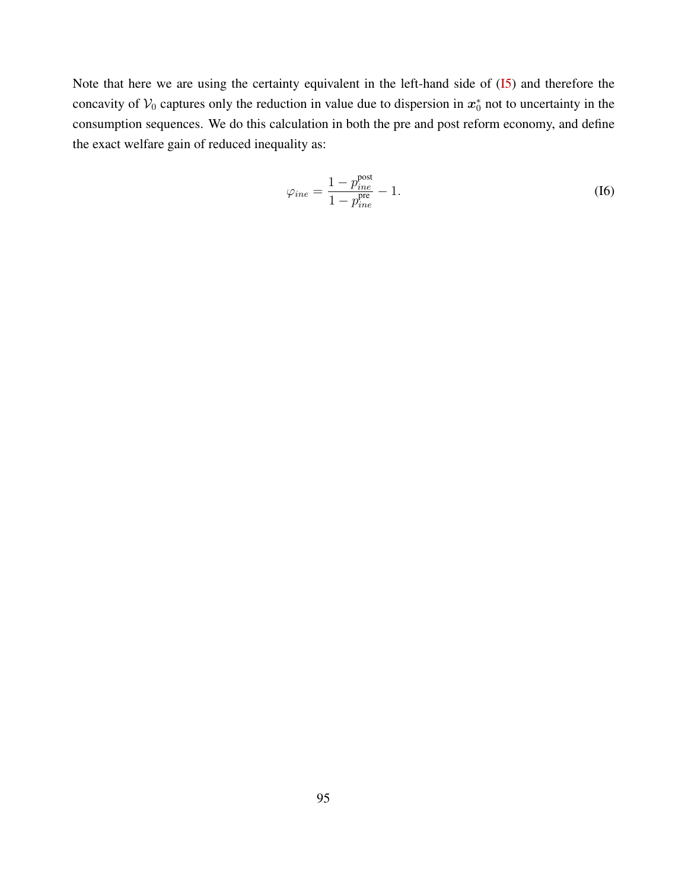Note that here we are using the certainty equivalent in the left-hand side of [\(I5\)](#page-95-1) and therefore the concavity of  $V_0$  captures only the reduction in value due to dispersion in  $x_0^*$  not to uncertainty in the consumption sequences. We do this calculation in both the pre and post reform economy, and define the exact welfare gain of reduced inequality as:

$$
\varphi_{ine} = \frac{1 - p_{ine}^{\text{post}}}{1 - p_{ine}^{\text{pre}}} - 1.
$$
\n
$$
(I6)
$$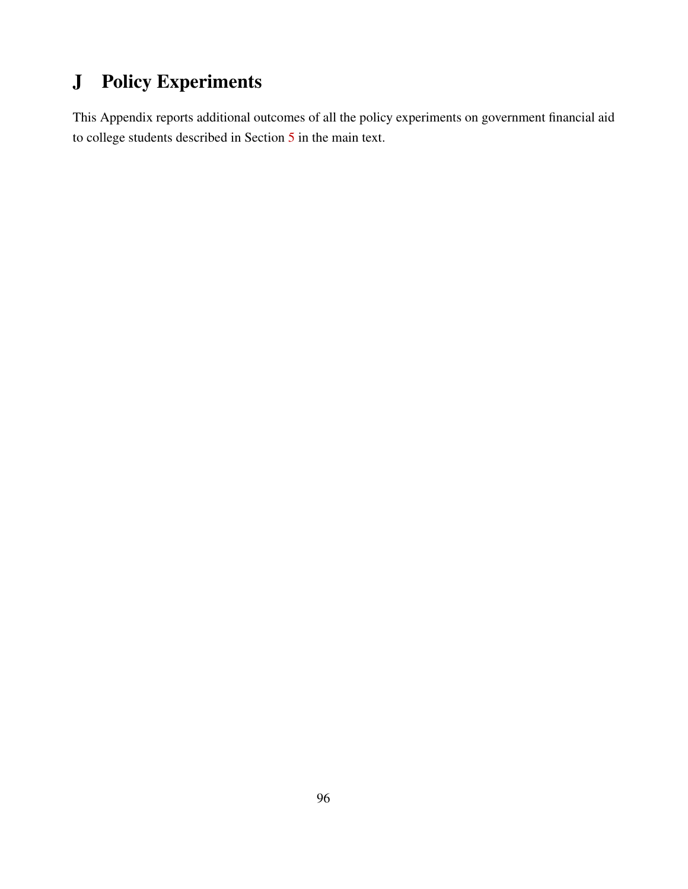# J Policy Experiments

This Appendix reports additional outcomes of all the policy experiments on government financial aid to college students described in Section [5](#page-41-0) in the main text.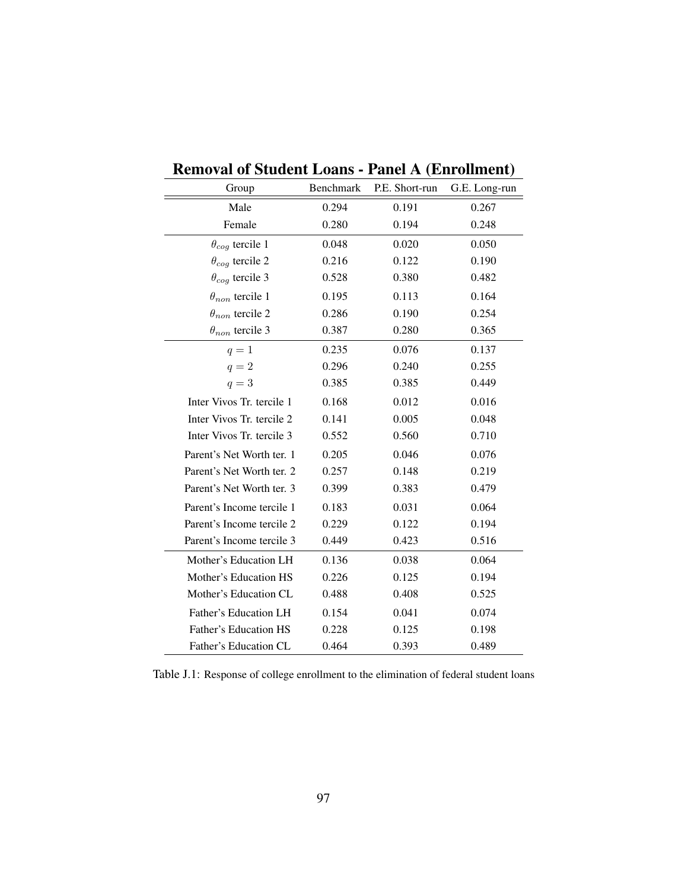| Group                     | Benchmark | P.E. Short-run | G.E. Long-run |
|---------------------------|-----------|----------------|---------------|
| Male                      | 0.294     | 0.191          | 0.267         |
| Female                    | 0.280     | 0.194          | 0.248         |
| $\theta_{coq}$ tercile 1  | 0.048     | 0.020          | 0.050         |
| $\theta_{coq}$ tercile 2  | 0.216     | 0.122          | 0.190         |
| $\theta_{coq}$ tercile 3  | 0.528     | 0.380          | 0.482         |
| $\theta_{non}$ tercile 1  | 0.195     | 0.113          | 0.164         |
| $\theta_{non}$ tercile 2  | 0.286     | 0.190          | 0.254         |
| $\theta_{non}$ tercile 3  | 0.387     | 0.280          | 0.365         |
| $q=1$                     | 0.235     | 0.076          | 0.137         |
| $q=2$                     | 0.296     | 0.240          | 0.255         |
| $q=3$                     | 0.385     | 0.385          | 0.449         |
| Inter Vivos Tr. tercile 1 | 0.168     | 0.012          | 0.016         |
| Inter Vivos Tr. tercile 2 | 0.141     | 0.005          | 0.048         |
| Inter Vivos Tr. tercile 3 | 0.552     | 0.560          | 0.710         |
| Parent's Net Worth ter. 1 | 0.205     | 0.046          | 0.076         |
| Parent's Net Worth ter. 2 | 0.257     | 0.148          | 0.219         |
| Parent's Net Worth ter. 3 | 0.399     | 0.383          | 0.479         |
| Parent's Income tercile 1 | 0.183     | 0.031          | 0.064         |
| Parent's Income tercile 2 | 0.229     | 0.122          | 0.194         |
| Parent's Income tercile 3 | 0.449     | 0.423          | 0.516         |
| Mother's Education LH     | 0.136     | 0.038          | 0.064         |
| Mother's Education HS     | 0.226     | 0.125          | 0.194         |
| Mother's Education CL     | 0.488     | 0.408          | 0.525         |
| Father's Education LH     | 0.154     | 0.041          | 0.074         |
| Father's Education HS     | 0.228     | 0.125          | 0.198         |
| Father's Education CL     | 0.464     | 0.393          | 0.489         |

Removal of Student Loans - Panel A (Enrollment)

Table J.1: Response of college enrollment to the elimination of federal student loans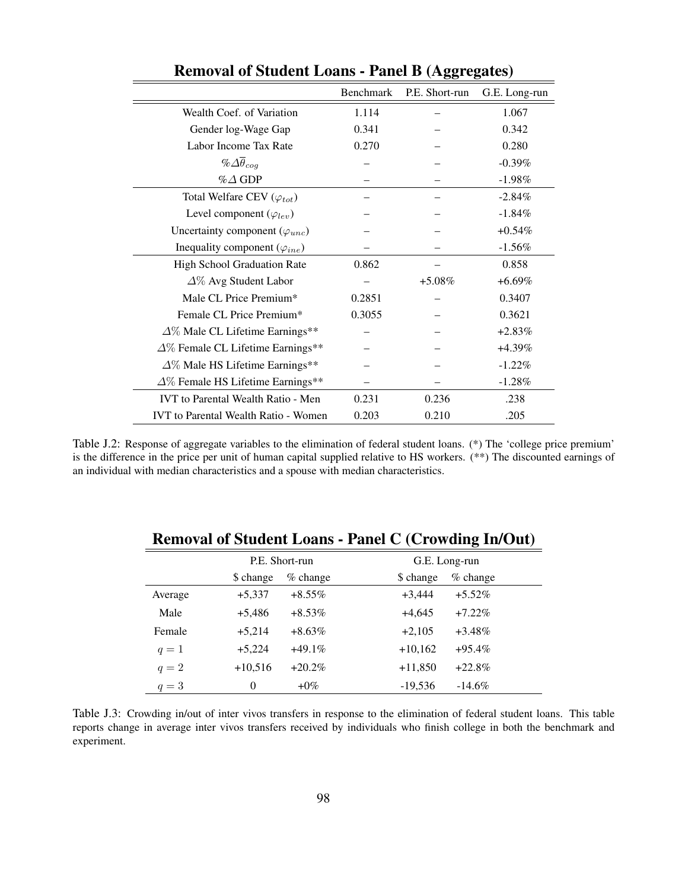|                                             | Benchmark | P.E. Short-run | G.E. Long-run |
|---------------------------------------------|-----------|----------------|---------------|
| Wealth Coef. of Variation                   | 1.114     |                | 1.067         |
| Gender log-Wage Gap                         | 0.341     |                | 0.342         |
| Labor Income Tax Rate                       | 0.270     |                | 0.280         |
| % $\Delta \overline{\theta}_{coq}$          |           |                | $-0.39%$      |
| $% \triangle$ GDP                           |           |                | $-1.98%$      |
| Total Welfare CEV $(\varphi_{tot})$         |           |                | $-2.84%$      |
| Level component $(\varphi_{lev})$           |           |                | $-1.84%$      |
| Uncertainty component $(\varphi_{unc})$     |           |                | $+0.54\%$     |
| Inequality component $(\varphi_{ine})$      |           |                | $-1.56%$      |
| <b>High School Graduation Rate</b>          | 0.862     |                | 0.858         |
| $\Delta\%$ Avg Student Labor                |           | $+5.08\%$      | $+6.69\%$     |
| Male CL Price Premium*                      | 0.2851    |                | 0.3407        |
| Female CL Price Premium*                    | 0.3055    |                | 0.3621        |
| $\Delta\%$ Male CL Lifetime Earnings**      |           |                | $+2.83%$      |
| $\Delta\%$ Female CL Lifetime Earnings**    |           |                | $+4.39\%$     |
| $\Delta\%$ Male HS Lifetime Earnings**      |           |                | $-1.22%$      |
| $\Delta\%$ Female HS Lifetime Earnings**    |           |                | $-1.28%$      |
| <b>IVT</b> to Parental Wealth Ratio - Men   | 0.231     | 0.236          | .238          |
| <b>IVT</b> to Parental Wealth Ratio - Women | 0.203     | 0.210          | .205          |

Removal of Student Loans - Panel B (Aggregates)

Table J.2: Response of aggregate variables to the elimination of federal student loans. (\*) The 'college price premium' is the difference in the price per unit of human capital supplied relative to HS workers. (\*\*) The discounted earnings of an individual with median characteristics and a spouse with median characteristics.

|         |                |            | ັ<br>$\overline{\phantom{a}}$ |
|---------|----------------|------------|-------------------------------|
|         | P.E. Short-run |            | G.E. Long-run                 |
|         | \$ change      | $%$ change | \$ change<br>$%$ change       |
| Average | $+5,337$       | $+8.55\%$  | $+3.444$<br>$+5.52\%$         |
| Male    | $+5,486$       | $+8.53\%$  | $+7.22\%$<br>$+4,645$         |
| Female  | $+5,214$       | $+8.63\%$  | $+2,105$<br>$+3.48\%$         |
| $q=1$   | $+5,224$       | $+49.1%$   | $+10,162$<br>$+95.4%$         |
| $q=2$   | $+10,516$      | $+20.2\%$  | $+11,850$<br>$+22.8%$         |
| $q=3$   | $\theta$       | $+0\%$     | $-19,536$<br>$-14.6\%$        |

Removal of Student Loans - Panel C (Crowding In/Out)

Table J.3: Crowding in/out of inter vivos transfers in response to the elimination of federal student loans. This table reports change in average inter vivos transfers received by individuals who finish college in both the benchmark and experiment.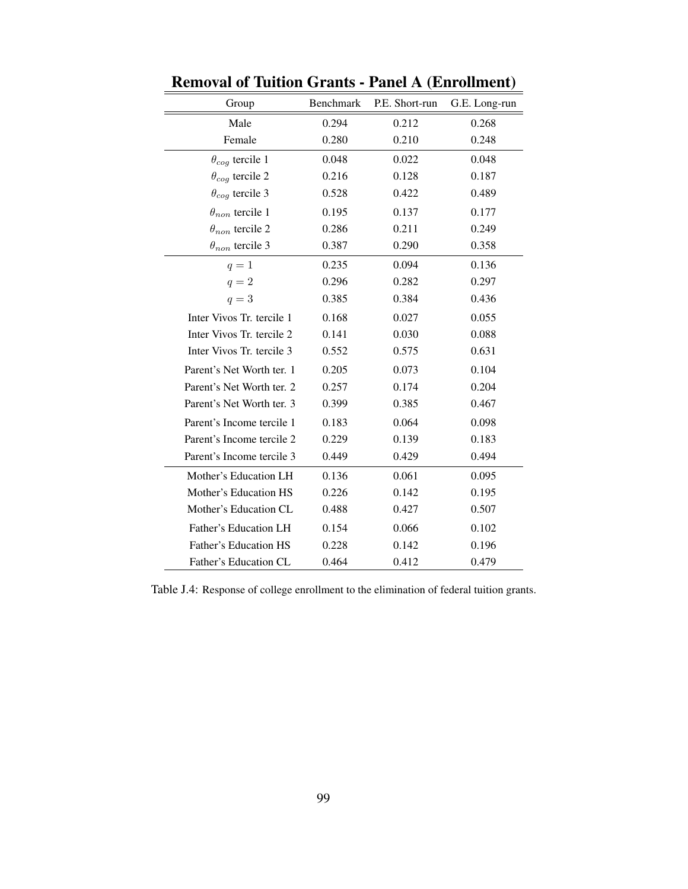| Group                        | Benchmark | P.E. Short-run | G.E. Long-run |
|------------------------------|-----------|----------------|---------------|
| Male                         | 0.294     | 0.212          | 0.268         |
| Female                       | 0.280     | 0.210          | 0.248         |
| $\theta_{cog}$ tercile 1     | 0.048     | 0.022          | 0.048         |
| $\theta_{coq}$ tercile 2     | 0.216     | 0.128          | 0.187         |
| $\theta_{cog}$ tercile 3     | 0.528     | 0.422          | 0.489         |
| $\theta_{non}$ tercile 1     | 0.195     | 0.137          | 0.177         |
| $\theta_{non}$ tercile 2     | 0.286     | 0.211          | 0.249         |
| $\theta_{non}$ tercile 3     | 0.387     | 0.290          | 0.358         |
| $q=1$                        | 0.235     | 0.094          | 0.136         |
| $q=2$                        | 0.296     | 0.282          | 0.297         |
| $q=3$                        | 0.385     | 0.384          | 0.436         |
| Inter Vivos Tr. tercile 1    | 0.168     | 0.027          | 0.055         |
| Inter Vivos Tr. tercile 2    | 0.141     | 0.030          | 0.088         |
| Inter Vivos Tr. tercile 3    | 0.552     | 0.575          | 0.631         |
| Parent's Net Worth ter. 1    | 0.205     | 0.073          | 0.104         |
| Parent's Net Worth ter. 2    | 0.257     | 0.174          | 0.204         |
| Parent's Net Worth ter. 3    | 0.399     | 0.385          | 0.467         |
| Parent's Income tercile 1    | 0.183     | 0.064          | 0.098         |
| Parent's Income tercile 2    | 0.229     | 0.139          | 0.183         |
| Parent's Income tercile 3    | 0.449     | 0.429          | 0.494         |
| Mother's Education LH        | 0.136     | 0.061          | 0.095         |
| Mother's Education HS        | 0.226     | 0.142          | 0.195         |
| Mother's Education CL        | 0.488     | 0.427          | 0.507         |
| Father's Education LH        | 0.154     | 0.066          | 0.102         |
| <b>Father's Education HS</b> | 0.228     | 0.142          | 0.196         |
| Father's Education CL        | 0.464     | 0.412          | 0.479         |

Removal of Tuition Grants - Panel A (Enrollment)

Table J.4: Response of college enrollment to the elimination of federal tuition grants.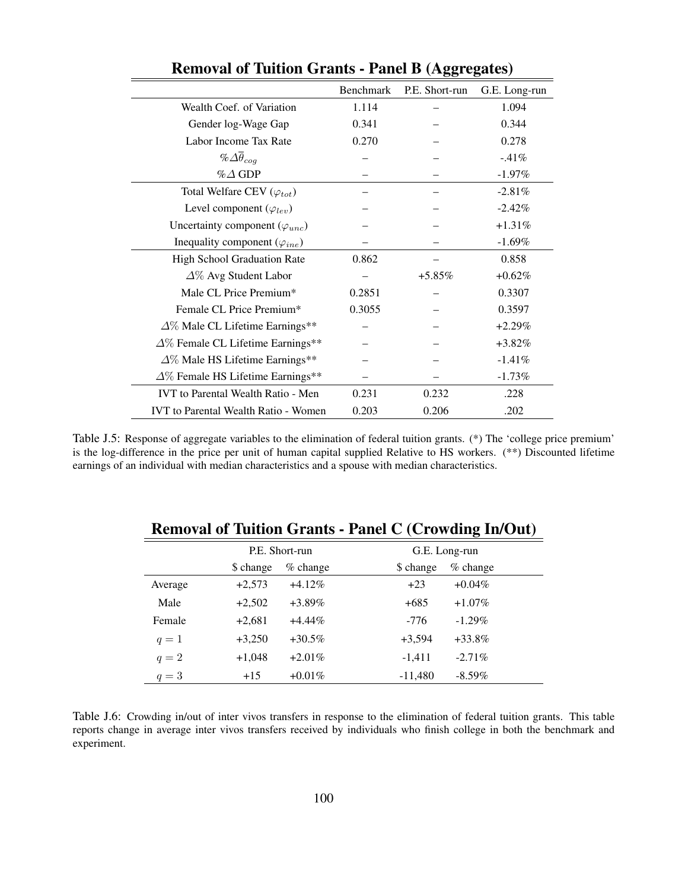|                                             | <b>Benchmark</b> | P.E. Short-run | G.E. Long-run |
|---------------------------------------------|------------------|----------------|---------------|
| Wealth Coef. of Variation                   | 1.114            |                | 1.094         |
| Gender log-Wage Gap                         | 0.341            |                | 0.344         |
| Labor Income Tax Rate                       | 0.270            |                | 0.278         |
| $\% \Delta \overline{\theta}_{coq}$         |                  |                | $-41%$        |
| $% \triangle$ GDP                           |                  |                | $-1.97%$      |
| Total Welfare CEV $(\varphi_{tot})$         |                  |                | $-2.81%$      |
| Level component $(\varphi_{lev})$           |                  |                | $-2.42%$      |
| Uncertainty component $(\varphi_{unc})$     |                  |                | $+1.31%$      |
| Inequality component $(\varphi_{ine})$      |                  |                | $-1.69\%$     |
| High School Graduation Rate                 | 0.862            |                | 0.858         |
| $\Delta\%$ Avg Student Labor                |                  | $+5.85%$       | $+0.62%$      |
| Male CL Price Premium*                      | 0.2851           |                | 0.3307        |
| Female CL Price Premium*                    | 0.3055           |                | 0.3597        |
| $\Delta\%$ Male CL Lifetime Earnings**      |                  |                | $+2.29%$      |
| $\Delta\%$ Female CL Lifetime Earnings**    |                  |                | $+3.82\%$     |
| $\Delta\%$ Male HS Lifetime Earnings**      |                  |                | $-1.41%$      |
| $\Delta\%$ Female HS Lifetime Earnings**    |                  |                | $-1.73%$      |
| <b>IVT</b> to Parental Wealth Ratio - Men   | 0.231            | 0.232          | .228          |
| <b>IVT</b> to Parental Wealth Ratio - Women | 0.203            | 0.206          | .202          |

Removal of Tuition Grants - Panel B (Aggregates)

Table J.5: Response of aggregate variables to the elimination of federal tuition grants. (\*) The 'college price premium' is the log-difference in the price per unit of human capital supplied Relative to HS workers. (\*\*) Discounted lifetime earnings of an individual with median characteristics and a spouse with median characteristics.

|         |           |                | 78<br>-- - ,            |
|---------|-----------|----------------|-------------------------|
|         |           | P.E. Short-run | G.E. Long-run           |
|         | \$ change | $%$ change     | $%$ change<br>\$ change |
| Average | $+2,573$  | $+4.12%$       | $+0.04\%$<br>$+23$      |
| Male    | $+2,502$  | $+3.89\%$      | $+1.07\%$<br>$+685$     |
| Female  | $+2,681$  | $+4.44\%$      | $-1.29\%$<br>$-776$     |
| $q=1$   | $+3,250$  | $+30.5%$       | $+3,594$<br>$+33.8\%$   |
| $q=2$   | $+1,048$  | $+2.01\%$      | $-2.71\%$<br>$-1,411$   |
| $q=3$   | $+15$     | $+0.01\%$      | $-8.59\%$<br>$-11,480$  |

Removal of Tuition Grants - Panel C (Crowding In/Out)

Table J.6: Crowding in/out of inter vivos transfers in response to the elimination of federal tuition grants. This table reports change in average inter vivos transfers received by individuals who finish college in both the benchmark and experiment.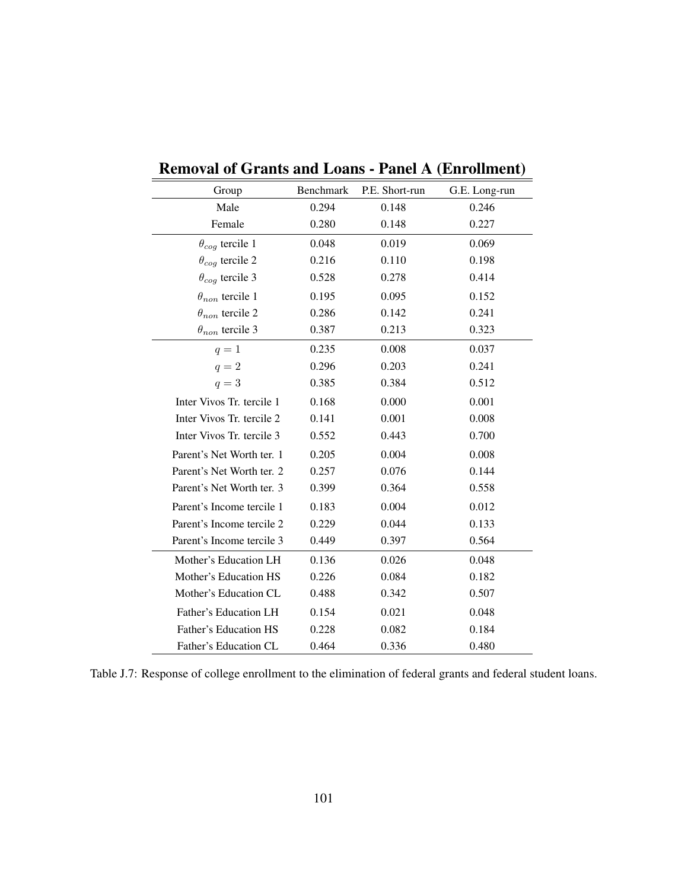| Group                     | <b>Benchmark</b> | P.E. Short-run | G.E. Long-run |
|---------------------------|------------------|----------------|---------------|
| Male                      | 0.294            | 0.148          | 0.246         |
| Female                    | 0.280            | 0.148          | 0.227         |
| $\theta_{cog}$ tercile 1  | 0.048            | 0.019          | 0.069         |
| $\theta_{coq}$ tercile 2  | 0.216            | 0.110          | 0.198         |
| $\theta_{cog}$ tercile 3  | 0.528            | 0.278          | 0.414         |
| $\theta_{non}$ tercile 1  | 0.195            | 0.095          | 0.152         |
| $\theta_{non}$ tercile 2  | 0.286            | 0.142          | 0.241         |
| $\theta_{non}$ tercile 3  | 0.387            | 0.213          | 0.323         |
| $q=1$                     | 0.235            | 0.008          | 0.037         |
| $q=2$                     | 0.296            | 0.203          | 0.241         |
| $q=3$                     | 0.385            | 0.384          | 0.512         |
| Inter Vivos Tr. tercile 1 | 0.168            | 0.000          | 0.001         |
| Inter Vivos Tr. tercile 2 | 0.141            | 0.001          | 0.008         |
| Inter Vivos Tr. tercile 3 | 0.552            | 0.443          | 0.700         |
| Parent's Net Worth ter. 1 | 0.205            | 0.004          | 0.008         |
| Parent's Net Worth ter. 2 | 0.257            | 0.076          | 0.144         |
| Parent's Net Worth ter. 3 | 0.399            | 0.364          | 0.558         |
| Parent's Income tercile 1 | 0.183            | 0.004          | 0.012         |
| Parent's Income tercile 2 | 0.229            | 0.044          | 0.133         |
| Parent's Income tercile 3 | 0.449            | 0.397          | 0.564         |
| Mother's Education LH     | 0.136            | 0.026          | 0.048         |
| Mother's Education HS     | 0.226            | 0.084          | 0.182         |
| Mother's Education CL     | 0.488            | 0.342          | 0.507         |
| Father's Education LH     | 0.154            | 0.021          | 0.048         |
| Father's Education HS     | 0.228            | 0.082          | 0.184         |
| Father's Education CL     | 0.464            | 0.336          | 0.480         |

Removal of Grants and Loans - Panel A (Enrollment)

Table J.7: Response of college enrollment to the elimination of federal grants and federal student loans.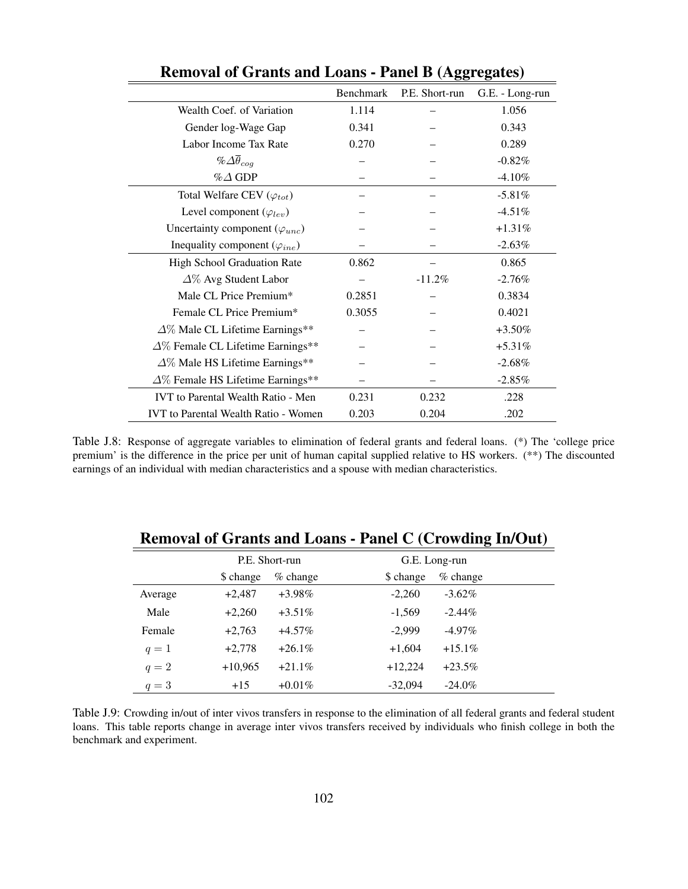|                                           | Benchmark | P.E. Short-run | G.E. - Long-run |
|-------------------------------------------|-----------|----------------|-----------------|
| Wealth Coef. of Variation                 | 1.114     |                | 1.056           |
| Gender log-Wage Gap                       | 0.341     |                | 0.343           |
| Labor Income Tax Rate                     | 0.270     |                | 0.289           |
| % $\Delta \overline{\theta}_{coq}$        |           |                | $-0.82%$        |
| $% \triangle$ GDP                         |           |                | $-4.10%$        |
| Total Welfare CEV $(\varphi_{tot})$       |           |                | $-5.81%$        |
| Level component $(\varphi_{lev})$         |           |                | $-4.51%$        |
| Uncertainty component $(\varphi_{unc})$   |           |                | $+1.31\%$       |
| Inequality component $(\varphi_{ine})$    |           |                | $-2.63%$        |
| High School Graduation Rate               | 0.862     |                | 0.865           |
| $\Delta\%$ Avg Student Labor              |           | $-11.2%$       | $-2.76%$        |
| Male CL Price Premium*                    | 0.2851    |                | 0.3834          |
| Female CL Price Premium*                  | 0.3055    |                | 0.4021          |
| $\Delta\%$ Male CL Lifetime Earnings**    |           |                | $+3.50\%$       |
| $\Delta\%$ Female CL Lifetime Earnings**  |           |                | $+5.31%$        |
| $\Delta\%$ Male HS Lifetime Earnings**    |           |                | $-2.68%$        |
| $\Delta\%$ Female HS Lifetime Earnings**  |           |                | $-2.85%$        |
| <b>IVT</b> to Parental Wealth Ratio - Men | 0.231     | 0.232          | .228            |
| IVT to Parental Wealth Ratio - Women      | 0.203     | 0.204          | .202            |

Removal of Grants and Loans - Panel B (Aggregates)

Table J.8: Response of aggregate variables to elimination of federal grants and federal loans. (\*) The 'college price premium' is the difference in the price per unit of human capital supplied relative to HS workers. (\*\*) The discounted earnings of an individual with median characteristics and a spouse with median characteristics.

|         |           | P.E. Short-run | G.E. Long-run           |
|---------|-----------|----------------|-------------------------|
|         | \$ change | $%$ change     | \$ change<br>$%$ change |
| Average | +2,487    | $+3.98\%$      | $-2,260$<br>$-3.62\%$   |
| Male    | $+2.260$  | $+3.51\%$      | $-1,569$<br>$-2.44\%$   |
| Female  | $+2,763$  | $+4.57\%$      | $-2,999$<br>$-4.97\%$   |
| $q=1$   | $+2,778$  | $+26.1\%$      | $+15.1\%$<br>$+1,604$   |
| $q=2$   | $+10,965$ | $+21.1\%$      | $+12,224$<br>$+23.5\%$  |
| $q=3$   | $+15$     | $+0.01\%$      | $-32.094$<br>$-24.0\%$  |

Removal of Grants and Loans - Panel C (Crowding In/Out)

Table J.9: Crowding in/out of inter vivos transfers in response to the elimination of all federal grants and federal student loans. This table reports change in average inter vivos transfers received by individuals who finish college in both the benchmark and experiment.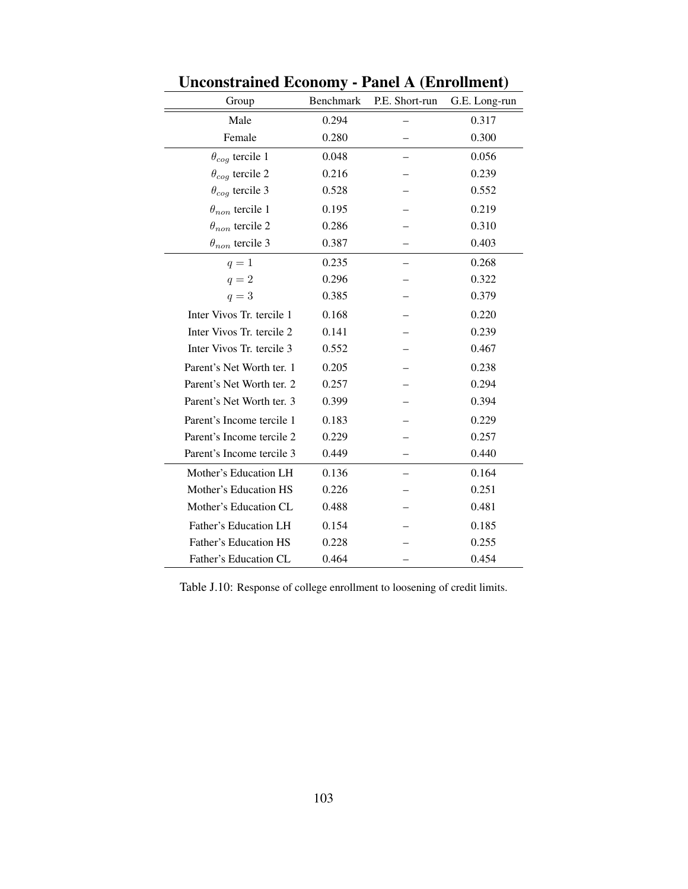| Group                        | Benchmark | P.E. Short-run | G.E. Long-run |
|------------------------------|-----------|----------------|---------------|
| Male                         | 0.294     |                | 0.317         |
| Female                       | 0.280     |                | 0.300         |
| $\theta_{cog}$ tercile 1     | 0.048     |                | 0.056         |
| $\theta_{coq}$ tercile 2     | 0.216     |                | 0.239         |
| $\theta_{cog}$ tercile 3     | 0.528     |                | 0.552         |
| $\theta_{non}$ tercile 1     | 0.195     |                | 0.219         |
| $\theta_{non}$ tercile 2     | 0.286     |                | 0.310         |
| $\theta_{non}$ tercile 3     | 0.387     |                | 0.403         |
| $q=1$                        | 0.235     |                | 0.268         |
| $q=2$                        | 0.296     |                | 0.322         |
| $q=3$                        | 0.385     |                | 0.379         |
| Inter Vivos Tr. tercile 1    | 0.168     |                | 0.220         |
| Inter Vivos Tr. tercile 2    | 0.141     |                | 0.239         |
| Inter Vivos Tr. tercile 3    | 0.552     |                | 0.467         |
| Parent's Net Worth ter. 1    | 0.205     |                | 0.238         |
| Parent's Net Worth ter. 2    | 0.257     |                | 0.294         |
| Parent's Net Worth ter. 3    | 0.399     |                | 0.394         |
| Parent's Income tercile 1    | 0.183     |                | 0.229         |
| Parent's Income tercile 2    | 0.229     |                | 0.257         |
| Parent's Income tercile 3    | 0.449     |                | 0.440         |
| Mother's Education LH        | 0.136     |                | 0.164         |
| Mother's Education HS        | 0.226     |                | 0.251         |
| Mother's Education CL        | 0.488     |                | 0.481         |
| Father's Education LH        | 0.154     |                | 0.185         |
| <b>Father's Education HS</b> | 0.228     |                | 0.255         |
| Father's Education CL        | 0.464     |                | 0.454         |

Unconstrained Economy - Panel A (Enrollment)

Table J.10: Response of college enrollment to loosening of credit limits.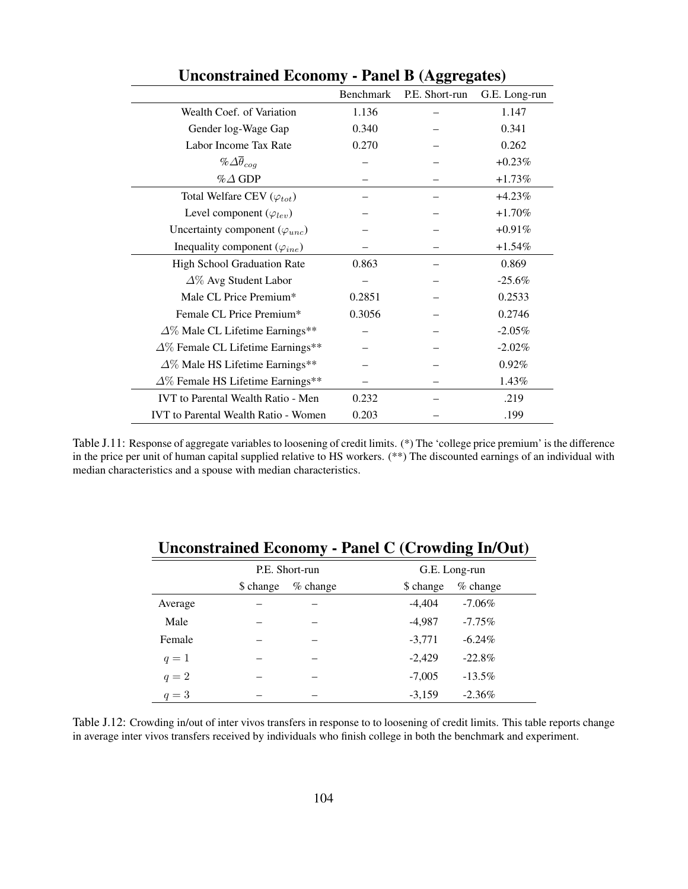|                                             | Benchmark | P.E. Short-run | G.E. Long-run |
|---------------------------------------------|-----------|----------------|---------------|
| Wealth Coef. of Variation                   | 1.136     |                | 1.147         |
| Gender log-Wage Gap                         | 0.340     |                | 0.341         |
| Labor Income Tax Rate                       | 0.270     |                | 0.262         |
| $\% \Delta \overline{\theta}_{coq}$         |           |                | $+0.23%$      |
| $% \triangle$ GDP                           |           |                | $+1.73%$      |
| Total Welfare CEV ( $\varphi_{tot}$ )       |           |                | $+4.23%$      |
| Level component $(\varphi_{lev})$           |           |                | $+1.70%$      |
| Uncertainty component $(\varphi_{unc})$     |           |                | $+0.91%$      |
| Inequality component $(\varphi_{ine})$      |           |                | $+1.54%$      |
| <b>High School Graduation Rate</b>          | 0.863     |                | 0.869         |
| $\Delta\%$ Avg Student Labor                |           |                | $-25.6%$      |
| Male CL Price Premium*                      | 0.2851    |                | 0.2533        |
| Female CL Price Premium*                    | 0.3056    |                | 0.2746        |
| $\Delta\%$ Male CL Lifetime Earnings**      |           |                | $-2.05%$      |
| $\Delta\%$ Female CL Lifetime Earnings**    |           |                | $-2.02\%$     |
| $\Delta\%$ Male HS Lifetime Earnings**      |           |                | 0.92%         |
| $\Delta\%$ Female HS Lifetime Earnings**    |           |                | 1.43%         |
| <b>IVT</b> to Parental Wealth Ratio - Men   | 0.232     |                | .219          |
| <b>IVT</b> to Parental Wealth Ratio - Women | 0.203     |                | .199          |

Unconstrained Economy - Panel B (Aggregates)

Table J.11: Response of aggregate variables to loosening of credit limits. (\*) The 'college price premium' is the difference in the price per unit of human capital supplied relative to HS workers. (\*\*) The discounted earnings of an individual with median characteristics and a spouse with median characteristics.

|         |           |                |           | - ,<br>7      |
|---------|-----------|----------------|-----------|---------------|
|         |           | P.E. Short-run |           | G.E. Long-run |
|         | \$ change | $%$ change     | \$ change | $%$ change    |
| Average |           |                | $-4.404$  | $-7.06\%$     |
| Male    |           |                | $-4,987$  | $-7.75\%$     |
| Female  |           |                | $-3,771$  | $-6.24\%$     |
| $q=1$   |           |                | $-2,429$  | $-22.8%$      |
| $q=2$   |           |                | $-7,005$  | $-13.5%$      |
| $q=3$   |           |                | $-3,159$  | $-2.36%$      |

### Unconstrained Economy - Panel C (Crowding In/Out)

Table J.12: Crowding in/out of inter vivos transfers in response to to loosening of credit limits. This table reports change in average inter vivos transfers received by individuals who finish college in both the benchmark and experiment.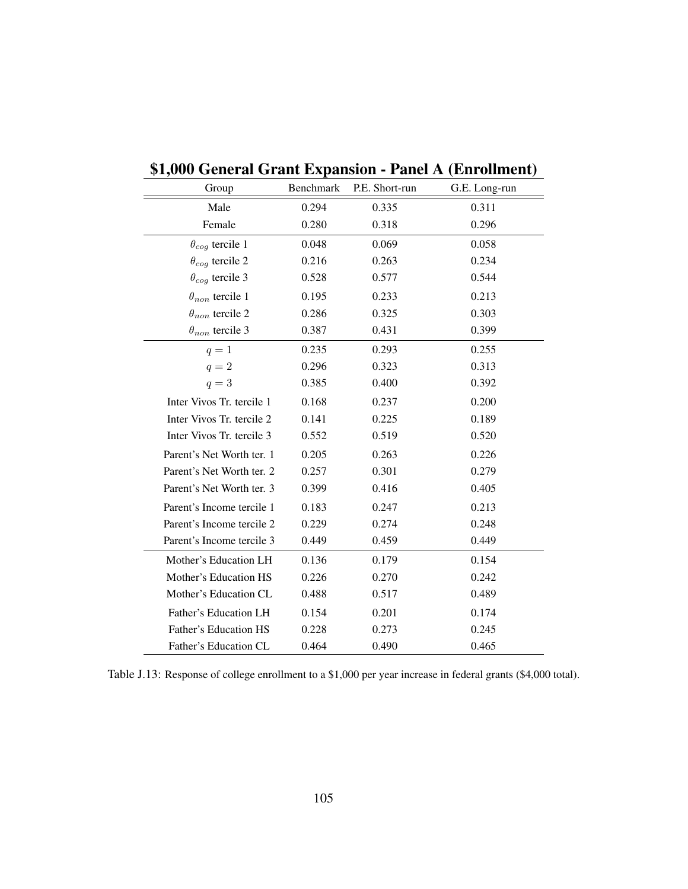| Group                        | Benchmark | P.E. Short-run | G.E. Long-run |
|------------------------------|-----------|----------------|---------------|
| Male                         | 0.294     | 0.335          | 0.311         |
| Female                       | 0.280     | 0.318          | 0.296         |
| $\theta_{coq}$ tercile 1     | 0.048     | 0.069          | 0.058         |
| $\theta_{coq}$ tercile 2     | 0.216     | 0.263          | 0.234         |
| $\theta_{coq}$ tercile 3     | 0.528     | 0.577          | 0.544         |
| $\theta_{non}$ tercile 1     | 0.195     | 0.233          | 0.213         |
| $\theta_{non}$ tercile 2     | 0.286     | 0.325          | 0.303         |
| $\theta_{non}$ tercile 3     | 0.387     | 0.431          | 0.399         |
| $q=1$                        | 0.235     | 0.293          | 0.255         |
| $q=2$                        | 0.296     | 0.323          | 0.313         |
| $q=3$                        | 0.385     | 0.400          | 0.392         |
| Inter Vivos Tr. tercile 1    | 0.168     | 0.237          | 0.200         |
| Inter Vivos Tr. tercile 2    | 0.141     | 0.225          | 0.189         |
| Inter Vivos Tr. tercile 3    | 0.552     | 0.519          | 0.520         |
| Parent's Net Worth ter. 1    | 0.205     | 0.263          | 0.226         |
| Parent's Net Worth ter. 2    | 0.257     | 0.301          | 0.279         |
| Parent's Net Worth ter. 3    | 0.399     | 0.416          | 0.405         |
| Parent's Income tercile 1    | 0.183     | 0.247          | 0.213         |
| Parent's Income tercile 2    | 0.229     | 0.274          | 0.248         |
| Parent's Income tercile 3    | 0.449     | 0.459          | 0.449         |
| Mother's Education LH        | 0.136     | 0.179          | 0.154         |
| Mother's Education HS        | 0.226     | 0.270          | 0.242         |
| Mother's Education CL        | 0.488     | 0.517          | 0.489         |
| Father's Education LH        | 0.154     | 0.201          | 0.174         |
| <b>Father's Education HS</b> | 0.228     | 0.273          | 0.245         |
| Father's Education CL        | 0.464     | 0.490          | 0.465         |

\$1,000 General Grant Expansion - Panel A (Enrollment)

Table J.13: Response of college enrollment to a \$1,000 per year increase in federal grants (\$4,000 total).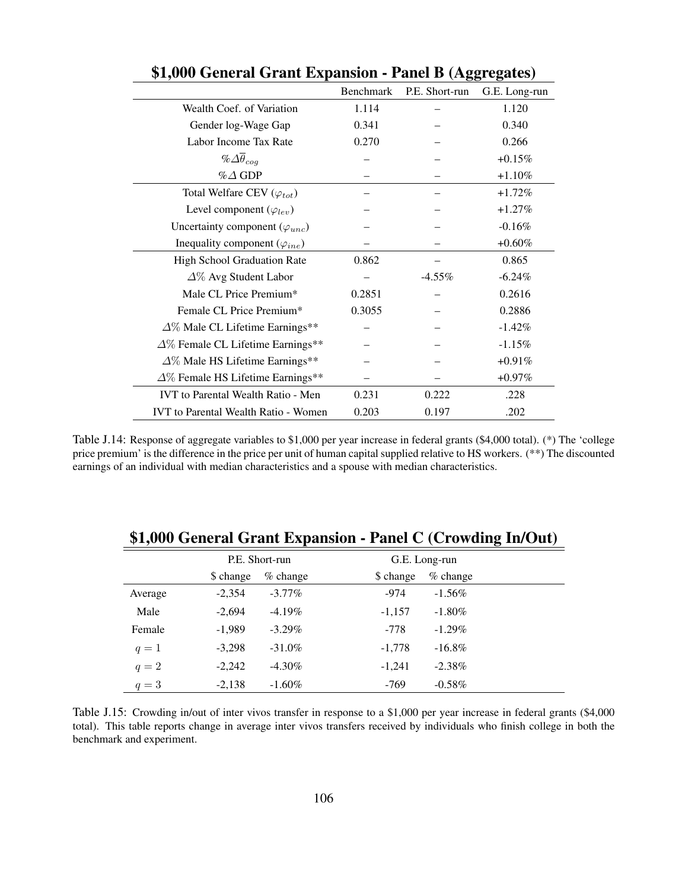|                                             | <b>Benchmark</b> | P.E. Short-run | G.E. Long-run |
|---------------------------------------------|------------------|----------------|---------------|
| Wealth Coef. of Variation                   | 1.114            |                | 1.120         |
| Gender log-Wage Gap                         | 0.341            |                | 0.340         |
| Labor Income Tax Rate                       | 0.270            |                | 0.266         |
| % $\Delta \overline{\theta}_{coq}$          |                  |                | $+0.15%$      |
| $% \triangle$ GDP                           |                  |                | $+1.10%$      |
| Total Welfare CEV $(\varphi_{tot})$         |                  |                | $+1.72%$      |
| Level component $(\varphi_{lev})$           |                  |                | $+1.27%$      |
| Uncertainty component $(\varphi_{unc})$     |                  |                | $-0.16%$      |
| Inequality component $(\varphi_{ine})$      |                  |                | $+0.60\%$     |
| <b>High School Graduation Rate</b>          | 0.862            |                | 0.865         |
| $\Delta\%$ Avg Student Labor                |                  | $-4.55%$       | $-6.24%$      |
| Male CL Price Premium*                      | 0.2851           |                | 0.2616        |
| Female CL Price Premium*                    | 0.3055           |                | 0.2886        |
| $\Delta\%$ Male CL Lifetime Earnings**      |                  |                | $-1.42%$      |
| $\Delta\%$ Female CL Lifetime Earnings**    |                  |                | $-1.15%$      |
| $\Delta\%$ Male HS Lifetime Earnings**      |                  |                | $+0.91\%$     |
| $\Delta\%$ Female HS Lifetime Earnings**    |                  |                | $+0.97\%$     |
| <b>IVT</b> to Parental Wealth Ratio - Men   | 0.231            | 0.222          | .228          |
| <b>IVT</b> to Parental Wealth Ratio - Women | 0.203            | 0.197          | .202          |

\$1,000 General Grant Expansion - Panel B (Aggregates)

Table J.14: Response of aggregate variables to \$1,000 per year increase in federal grants (\$4,000 total). (\*) The 'college price premium' is the difference in the price per unit of human capital supplied relative to HS workers. (\*\*) The discounted earnings of an individual with median characteristics and a spouse with median characteristics.

|         |           | P.E. Short-run | G.E. Long-run |            |
|---------|-----------|----------------|---------------|------------|
|         | \$ change | $%$ change     | \$ change     | $%$ change |
| Average | $-2,354$  | $-3.77\%$      | $-974$        | $-1.56\%$  |
| Male    | $-2.694$  | $-4.19\%$      | $-1,157$      | $-1.80\%$  |
| Female  | $-1.989$  | $-3.29\%$      | -778          | $-1.29\%$  |
| $q=1$   | $-3,298$  | $-31.0\%$      | $-1.778$      | $-16.8\%$  |
| $q=2$   | $-2,242$  | $-4.30\%$      | $-1.241$      | $-2.38\%$  |
| $q=3$   | $-2.138$  | $-1.60\%$      | $-769$        | $-0.58\%$  |

\$1,000 General Grant Expansion - Panel C (Crowding In/Out)

Table J.15: Crowding in/out of inter vivos transfer in response to a \$1,000 per year increase in federal grants (\$4,000 total). This table reports change in average inter vivos transfers received by individuals who finish college in both the benchmark and experiment.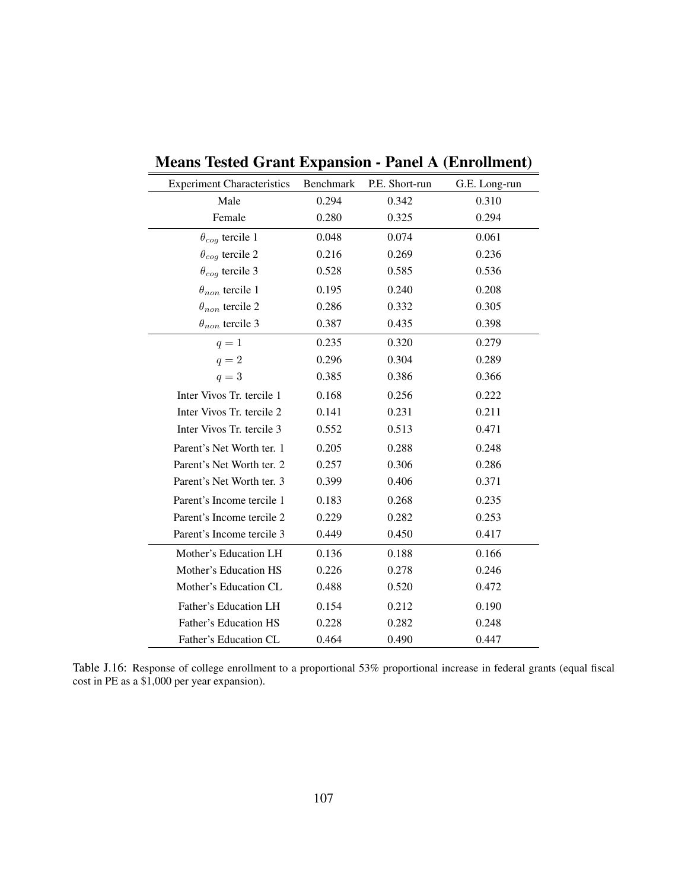| <b>Experiment Characteristics</b> | Benchmark | P.E. Short-run | G.E. Long-run |
|-----------------------------------|-----------|----------------|---------------|
| Male                              | 0.294     | 0.342          | 0.310         |
| Female                            | 0.280     | 0.325          | 0.294         |
| $\theta_{coq}$ tercile 1          | 0.048     | 0.074          | 0.061         |
| $\theta_{coq}$ tercile 2          | 0.216     | 0.269          | 0.236         |
| $\theta_{coq}$ tercile 3          | 0.528     | 0.585          | 0.536         |
| $\theta_{non}$ tercile 1          | 0.195     | 0.240          | 0.208         |
| $\theta_{non}$ tercile 2          | 0.286     | 0.332          | 0.305         |
| $\theta_{non}$ tercile 3          | 0.387     | 0.435          | 0.398         |
| $q=1$                             | 0.235     | 0.320          | 0.279         |
| $q=2$                             | 0.296     | 0.304          | 0.289         |
| $q=3$                             | 0.385     | 0.386          | 0.366         |
| Inter Vivos Tr. tercile 1         | 0.168     | 0.256          | 0.222         |
| Inter Vivos Tr. tercile 2         | 0.141     | 0.231          | 0.211         |
| Inter Vivos Tr. tercile 3         | 0.552     | 0.513          | 0.471         |
| Parent's Net Worth ter. 1         | 0.205     | 0.288          | 0.248         |
| Parent's Net Worth ter. 2         | 0.257     | 0.306          | 0.286         |
| Parent's Net Worth ter. 3         | 0.399     | 0.406          | 0.371         |
| Parent's Income tercile 1         | 0.183     | 0.268          | 0.235         |
| Parent's Income tercile 2         | 0.229     | 0.282          | 0.253         |
| Parent's Income tercile 3         | 0.449     | 0.450          | 0.417         |
| Mother's Education LH             | 0.136     | 0.188          | 0.166         |
| Mother's Education HS             | 0.226     | 0.278          | 0.246         |
| Mother's Education CL             | 0.488     | 0.520          | 0.472         |
| Father's Education LH             | 0.154     | 0.212          | 0.190         |
| <b>Father's Education HS</b>      | 0.228     | 0.282          | 0.248         |
| Father's Education CL             | 0.464     | 0.490          | 0.447         |

Means Tested Grant Expansion - Panel A (Enrollment)

Table J.16: Response of college enrollment to a proportional 53% proportional increase in federal grants (equal fiscal cost in PE as a \$1,000 per year expansion).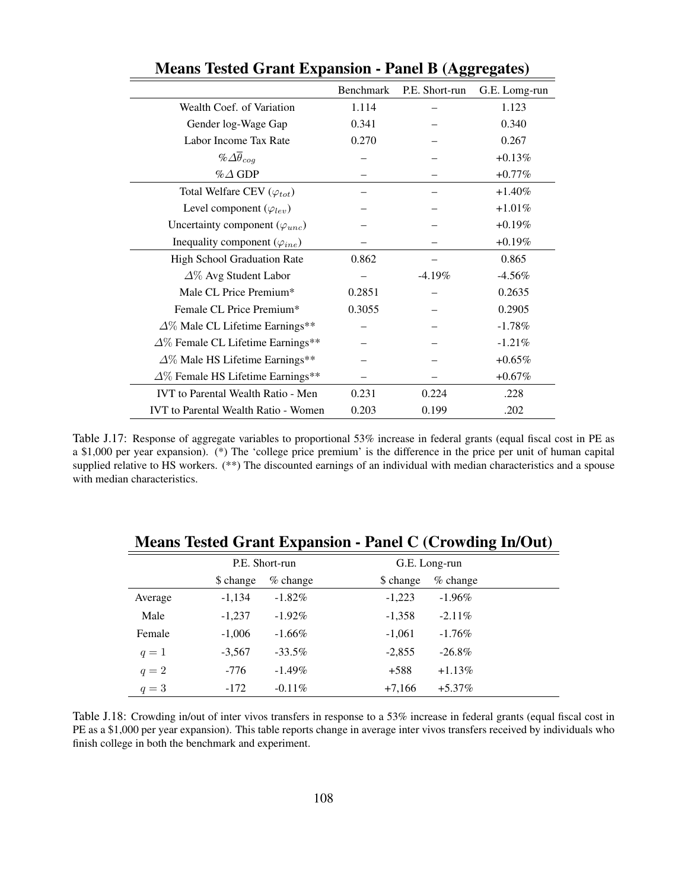|                                             | Benchmark | P.E. Short-run | G.E. Lomg-run |
|---------------------------------------------|-----------|----------------|---------------|
| Wealth Coef. of Variation                   | 1.114     |                | 1.123         |
| Gender log-Wage Gap                         | 0.341     |                | 0.340         |
| Labor Income Tax Rate                       | 0.270     |                | 0.267         |
| $\% \Delta \overline{\theta}_{coq}$         |           |                | $+0.13%$      |
| % $\Delta$ GDP                              |           |                | $+0.77%$      |
| Total Welfare CEV $(\varphi_{tot})$         |           |                | $+1.40%$      |
| Level component $(\varphi_{lev})$           |           |                | $+1.01\%$     |
| Uncertainty component $(\varphi_{unc})$     |           |                | $+0.19%$      |
| Inequality component $(\varphi_{ine})$      |           |                | $+0.19%$      |
| <b>High School Graduation Rate</b>          | 0.862     |                | 0.865         |
| $\Delta\%$ Avg Student Labor                |           | $-4.19%$       | $-4.56\%$     |
| Male CL Price Premium*                      | 0.2851    |                | 0.2635        |
| Female CL Price Premium*                    | 0.3055    |                | 0.2905        |
| $\Delta\%$ Male CL Lifetime Earnings**      |           |                | $-1.78%$      |
| $\Delta\%$ Female CL Lifetime Earnings**    |           |                | $-1.21%$      |
| $\Delta\%$ Male HS Lifetime Earnings**      |           |                | $+0.65\%$     |
| $\Delta\%$ Female HS Lifetime Earnings**    |           |                | $+0.67\%$     |
| <b>IVT</b> to Parental Wealth Ratio - Men   | 0.231     | 0.224          | .228          |
| <b>IVT</b> to Parental Wealth Ratio - Women | 0.203     | 0.199          | .202          |

Means Tested Grant Expansion - Panel B (Aggregates)

Table J.17: Response of aggregate variables to proportional 53% increase in federal grants (equal fiscal cost in PE as a \$1,000 per year expansion). (\*) The 'college price premium' is the difference in the price per unit of human capital supplied relative to HS workers. (\*\*) The discounted earnings of an individual with median characteristics and a spouse with median characteristics.

|         |           | л.             |           |               | o | ╯ |
|---------|-----------|----------------|-----------|---------------|---|---|
|         |           | P.E. Short-run |           | G.E. Long-run |   |   |
|         | \$ change | $%$ change     | \$ change | $%$ change    |   |   |
| Average | $-1,134$  | $-1.82\%$      | $-1,223$  | $-1.96\%$     |   |   |
| Male    | $-1,237$  | $-1.92\%$      | $-1,358$  | $-2.11\%$     |   |   |
| Female  | $-1,006$  | $-1.66\%$      | $-1,061$  | $-1.76\%$     |   |   |
| $q=1$   | $-3,567$  | $-33.5\%$      | $-2,855$  | $-26.8\%$     |   |   |
| $q=2$   | $-776$    | $-1.49\%$      | $+588$    | $+1.13\%$     |   |   |
| $q=3$   | $-172$    | $-0.11\%$      | $+7,166$  | $+5.37\%$     |   |   |

Table J.18: Crowding in/out of inter vivos transfers in response to a 53% increase in federal grants (equal fiscal cost in PE as a \$1,000 per year expansion). This table reports change in average inter vivos transfers received by individuals who finish college in both the benchmark and experiment.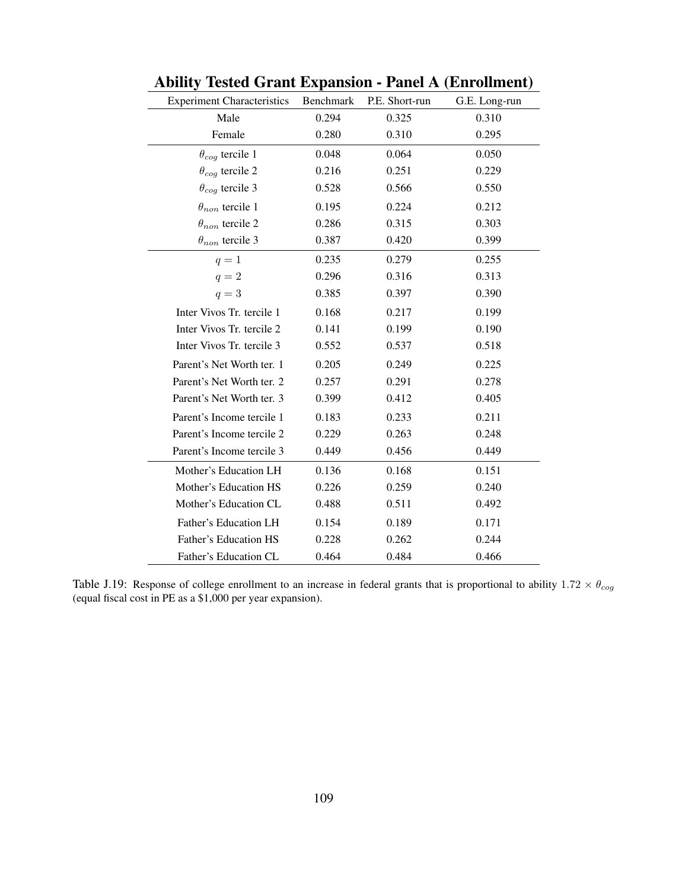| <b>Experiment Characteristics</b> | Benchmark | P.E. Short-run | G.E. Long-run |
|-----------------------------------|-----------|----------------|---------------|
| Male                              | 0.294     | 0.325          | 0.310         |
| Female                            | 0.280     | 0.310          | 0.295         |
| $\theta_{coq}$ tercile 1          | 0.048     | 0.064          | 0.050         |
| $\theta_{coq}$ tercile 2          | 0.216     | 0.251          | 0.229         |
| $\theta_{cog}$ tercile 3          | 0.528     | 0.566          | 0.550         |
| $\theta_{non}$ tercile 1          | 0.195     | 0.224          | 0.212         |
| $\theta_{non}$ tercile 2          | 0.286     | 0.315          | 0.303         |
| $\theta_{non}$ tercile 3          | 0.387     | 0.420          | 0.399         |
| $q=1$                             | 0.235     | 0.279          | 0.255         |
| $q=2$                             | 0.296     | 0.316          | 0.313         |
| $q=3$                             | 0.385     | 0.397          | 0.390         |
| Inter Vivos Tr. tercile 1         | 0.168     | 0.217          | 0.199         |
| Inter Vivos Tr. tercile 2         | 0.141     | 0.199          | 0.190         |
| Inter Vivos Tr. tercile 3         | 0.552     | 0.537          | 0.518         |
| Parent's Net Worth ter. 1         | 0.205     | 0.249          | 0.225         |
| Parent's Net Worth ter. 2         | 0.257     | 0.291          | 0.278         |
| Parent's Net Worth ter. 3         | 0.399     | 0.412          | 0.405         |
| Parent's Income tercile 1         | 0.183     | 0.233          | 0.211         |
| Parent's Income tercile 2         | 0.229     | 0.263          | 0.248         |
| Parent's Income tercile 3         | 0.449     | 0.456          | 0.449         |
| Mother's Education LH             | 0.136     | 0.168          | 0.151         |
| Mother's Education HS             | 0.226     | 0.259          | 0.240         |
| Mother's Education CL             | 0.488     | 0.511          | 0.492         |
| Father's Education LH             | 0.154     | 0.189          | 0.171         |
| <b>Father's Education HS</b>      | 0.228     | 0.262          | 0.244         |
| Father's Education CL             | 0.464     | 0.484          | 0.466         |

Ability Tested Grant Expansion - Panel A (Enrollment)

Table J.19: Response of college enrollment to an increase in federal grants that is proportional to ability  $1.72 \times \theta_{cog}$ (equal fiscal cost in PE as a \$1,000 per year expansion).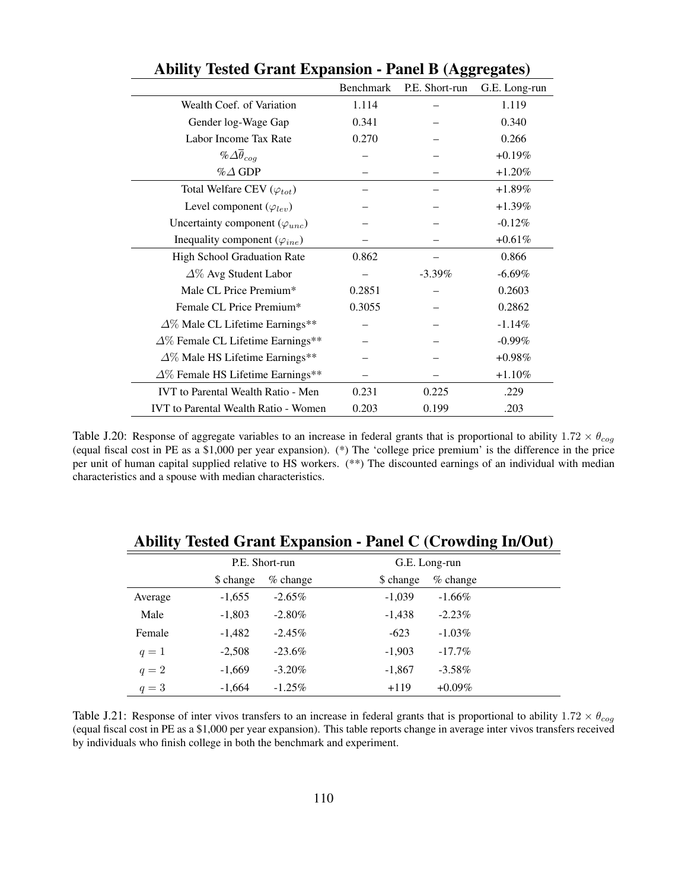|                                             | Benchmark | P.E. Short-run | G.E. Long-run |
|---------------------------------------------|-----------|----------------|---------------|
| Wealth Coef. of Variation                   | 1.114     |                | 1.119         |
| Gender log-Wage Gap                         | 0.341     |                | 0.340         |
| Labor Income Tax Rate                       | 0.270     |                | 0.266         |
| % $\Delta \overline{\theta}_{coq}$          |           |                | $+0.19%$      |
| % $\Delta$ GDP                              |           |                | $+1.20%$      |
| Total Welfare CEV $(\varphi_{tot})$         |           |                | $+1.89%$      |
| Level component $(\varphi_{lev})$           |           |                | $+1.39%$      |
| Uncertainty component $(\varphi_{unc})$     |           |                | $-0.12%$      |
| Inequality component $(\varphi_{ine})$      |           |                | $+0.61\%$     |
| <b>High School Graduation Rate</b>          | 0.862     |                | 0.866         |
| $\Delta\%$ Avg Student Labor                |           | $-3.39\%$      | $-6.69\%$     |
| Male CL Price Premium*                      | 0.2851    |                | 0.2603        |
| Female CL Price Premium*                    | 0.3055    |                | 0.2862        |
| $\Delta\%$ Male CL Lifetime Earnings**      |           |                | $-1.14\%$     |
| $\Delta\%$ Female CL Lifetime Earnings**    |           |                | $-0.99\%$     |
| $\Delta\%$ Male HS Lifetime Earnings**      |           |                | $+0.98\%$     |
| $\Delta\%$ Female HS Lifetime Earnings**    |           |                | $+1.10%$      |
| <b>IVT</b> to Parental Wealth Ratio - Men   | 0.231     | 0.225          | .229          |
| <b>IVT</b> to Parental Wealth Ratio - Women | 0.203     | 0.199          | .203          |

### Ability Tested Grant Expansion - Panel B (Aggregates)

Table J.20: Response of aggregate variables to an increase in federal grants that is proportional to ability  $1.72 \times \theta_{cog}$ (equal fiscal cost in PE as a \$1,000 per year expansion). (\*) The 'college price premium' is the difference in the price per unit of human capital supplied relative to HS workers. (\*\*) The discounted earnings of an individual with median characteristics and a spouse with median characteristics.

| $\bullet$ |           |                |           |               | ັ |  |
|-----------|-----------|----------------|-----------|---------------|---|--|
|           |           | P.E. Short-run |           | G.E. Long-run |   |  |
|           | \$ change | $%$ change     | \$ change | $%$ change    |   |  |
| Average   | $-1,655$  | $-2.65\%$      | $-1.039$  | $-1.66\%$     |   |  |
| Male      | $-1,803$  | $-2.80\%$      | $-1,438$  | $-2.23\%$     |   |  |
| Female    | $-1,482$  | $-2.45\%$      | $-623$    | $-1.03\%$     |   |  |
| $q=1$     | $-2,508$  | $-23.6\%$      | $-1,903$  | $-17.7\%$     |   |  |
| $q=2$     | $-1,669$  | $-3.20\%$      | $-1.867$  | $-3.58\%$     |   |  |
| $q=3$     | $-1.664$  | $-1.25\%$      | $+119$    | $+0.09\%$     |   |  |

Ability Tested Grant Expansion - Panel C (Crowding In/Out)

Table J.21: Response of inter vivos transfers to an increase in federal grants that is proportional to ability  $1.72 \times \theta_{cog}$ (equal fiscal cost in PE as a \$1,000 per year expansion). This table reports change in average inter vivos transfers received by individuals who finish college in both the benchmark and experiment.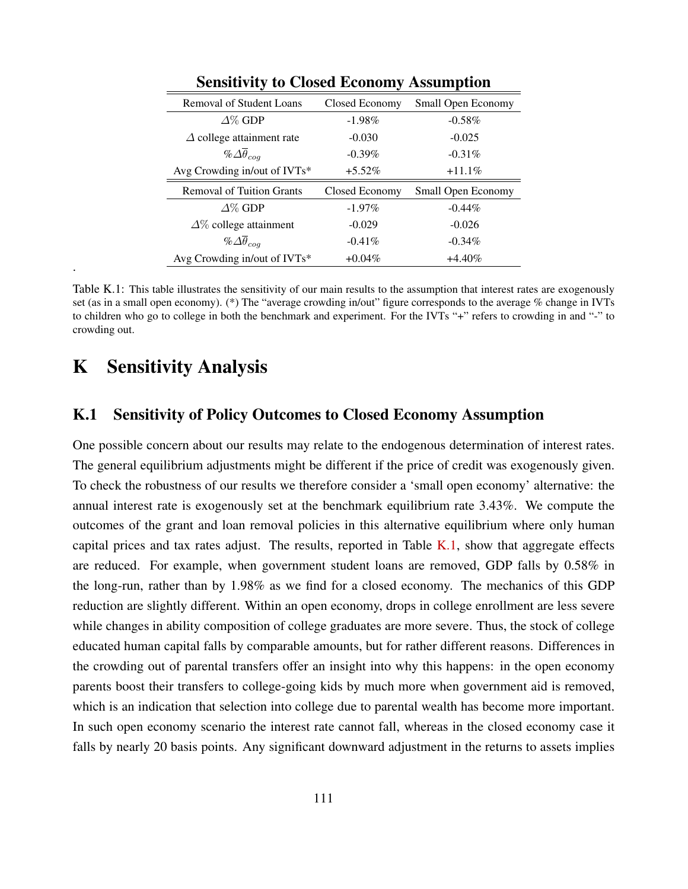| <b>Sensitivity to Closed Economy Assumption</b> |                |                    |  |  |
|-------------------------------------------------|----------------|--------------------|--|--|
| Removal of Student Loans                        | Closed Economy | Small Open Economy |  |  |
| $\Delta\%$ GDP                                  | $-1.98%$       | $-0.58%$           |  |  |
| $\Delta$ college attainment rate                | $-0.030$       | $-0.025$           |  |  |
| $\% \Delta \overline{\theta}_{coq}$             | $-0.39\%$      | $-0.31\%$          |  |  |
| Avg Crowding in/out of IVTs*                    | $+5.52\%$      | $+11.1\%$          |  |  |
| <b>Removal of Tuition Grants</b>                | Closed Economy | Small Open Economy |  |  |
| $\Delta\%$ GDP                                  | $-1.97\%$      | $-0.44\%$          |  |  |
| $\Delta\%$ college attainment                   | $-0.029$       | $-0.026$           |  |  |
| $\% \Delta \overline{\theta}_{coa}$             | $-0.41%$       | $-0.34\%$          |  |  |
| Avg Crowding in/out of IVTs $*$                 | $+0.04\%$      | $+4.40%$           |  |  |

Table K.1: This table illustrates the sensitivity of our main results to the assumption that interest rates are exogenously set (as in a small open economy). (\*) The "average crowding in/out" figure corresponds to the average % change in IVTs to children who go to college in both the benchmark and experiment. For the IVTs "+" refers to crowding in and "-" to crowding out.

# K Sensitivity Analysis

.

#### K.1 Sensitivity of Policy Outcomes to Closed Economy Assumption

One possible concern about our results may relate to the endogenous determination of interest rates. The general equilibrium adjustments might be different if the price of credit was exogenously given. To check the robustness of our results we therefore consider a 'small open economy' alternative: the annual interest rate is exogenously set at the benchmark equilibrium rate 3.43%. We compute the outcomes of the grant and loan removal policies in this alternative equilibrium where only human capital prices and tax rates adjust. The results, reported in Table  $K.1$ , show that aggregate effects are reduced. For example, when government student loans are removed, GDP falls by 0.58% in the long-run, rather than by 1.98% as we find for a closed economy. The mechanics of this GDP reduction are slightly different. Within an open economy, drops in college enrollment are less severe while changes in ability composition of college graduates are more severe. Thus, the stock of college educated human capital falls by comparable amounts, but for rather different reasons. Differences in the crowding out of parental transfers offer an insight into why this happens: in the open economy parents boost their transfers to college-going kids by much more when government aid is removed, which is an indication that selection into college due to parental wealth has become more important. In such open economy scenario the interest rate cannot fall, whereas in the closed economy case it falls by nearly 20 basis points. Any significant downward adjustment in the returns to assets implies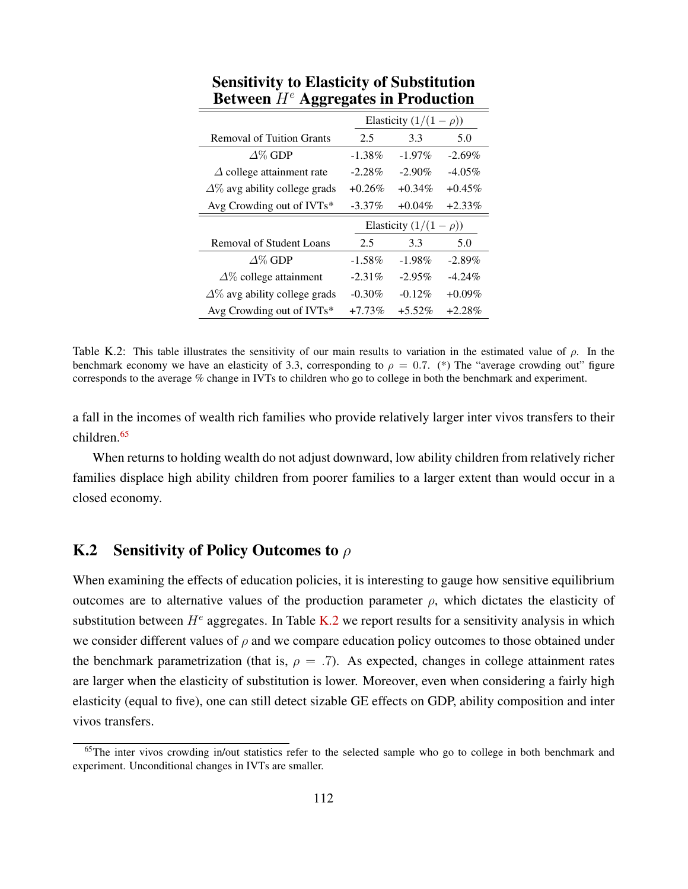| Delweeh <i>11</i><br>Agglegates III I Touuction |                             |           |           |  |  |
|-------------------------------------------------|-----------------------------|-----------|-----------|--|--|
|                                                 | Elasticity $(1/(1 - \rho))$ |           |           |  |  |
| <b>Removal of Tuition Grants</b>                | 2.5                         | 3.3       | 5.0       |  |  |
| $\Delta\%$ GDP                                  | $-1.38%$                    | $-1.97\%$ | $-2.69%$  |  |  |
| $\Delta$ college attainment rate                | $-2.28%$                    | $-2.90%$  | $-4.05\%$ |  |  |
| $\Delta\%$ avg ability college grads            | $+0.26\%$                   | $+0.34\%$ | $+0.45\%$ |  |  |
| Avg Crowding out of IVTs*                       | $-3.37\%$                   | $+0.04\%$ | $+2.33\%$ |  |  |
|                                                 | Elasticity $(1/(1 - \rho))$ |           |           |  |  |
| Removal of Student Loans                        | 2.5                         | 3.3       | 5.0       |  |  |
| $\Delta\%$ GDP                                  | $-1.58%$                    | $-1.98%$  | $-2.89%$  |  |  |
| $\Delta\%$ college attainment                   | $-2.31\%$                   | $-2.95\%$ | $-4.24\%$ |  |  |
| $\Delta\%$ avg ability college grads            | $-0.30%$                    | $-0.12%$  | $+0.09\%$ |  |  |
| Avg Crowding out of IVTs*                       | $+7.73\%$                   | $+5.52\%$ | $+2.28\%$ |  |  |

Sensitivity to Elasticity of Substitution  $\mathbf{D}_{\mathbf{A}}$ tween  $\mathbf{H}^e$  Aggregates in Dreduction

Table K.2: This table illustrates the sensitivity of our main results to variation in the estimated value of  $\rho$ . In the benchmark economy we have an elasticity of 3.3, corresponding to  $\rho = 0.7$ . (\*) The "average crowding out" figure corresponds to the average % change in IVTs to children who go to college in both the benchmark and experiment.

a fall in the incomes of wealth rich families who provide relatively larger inter vivos transfers to their children.<sup>[65](#page-113-0)</sup>

When returns to holding wealth do not adjust downward, low ability children from relatively richer families displace high ability children from poorer families to a larger extent than would occur in a closed economy.

#### K.2 Sensitivity of Policy Outcomes to  $\rho$

When examining the effects of education policies, it is interesting to gauge how sensitive equilibrium outcomes are to alternative values of the production parameter  $\rho$ , which dictates the elasticity of substitution between  $H^e$  aggregates. In Table [K.2](#page-71-0) we report results for a sensitivity analysis in which we consider different values of  $\rho$  and we compare education policy outcomes to those obtained under the benchmark parametrization (that is,  $\rho = .7$ ). As expected, changes in college attainment rates are larger when the elasticity of substitution is lower. Moreover, even when considering a fairly high elasticity (equal to five), one can still detect sizable GE effects on GDP, ability composition and inter vivos transfers.

<span id="page-113-0"></span><sup>&</sup>lt;sup>65</sup>The inter vivos crowding in/out statistics refer to the selected sample who go to college in both benchmark and experiment. Unconditional changes in IVTs are smaller.